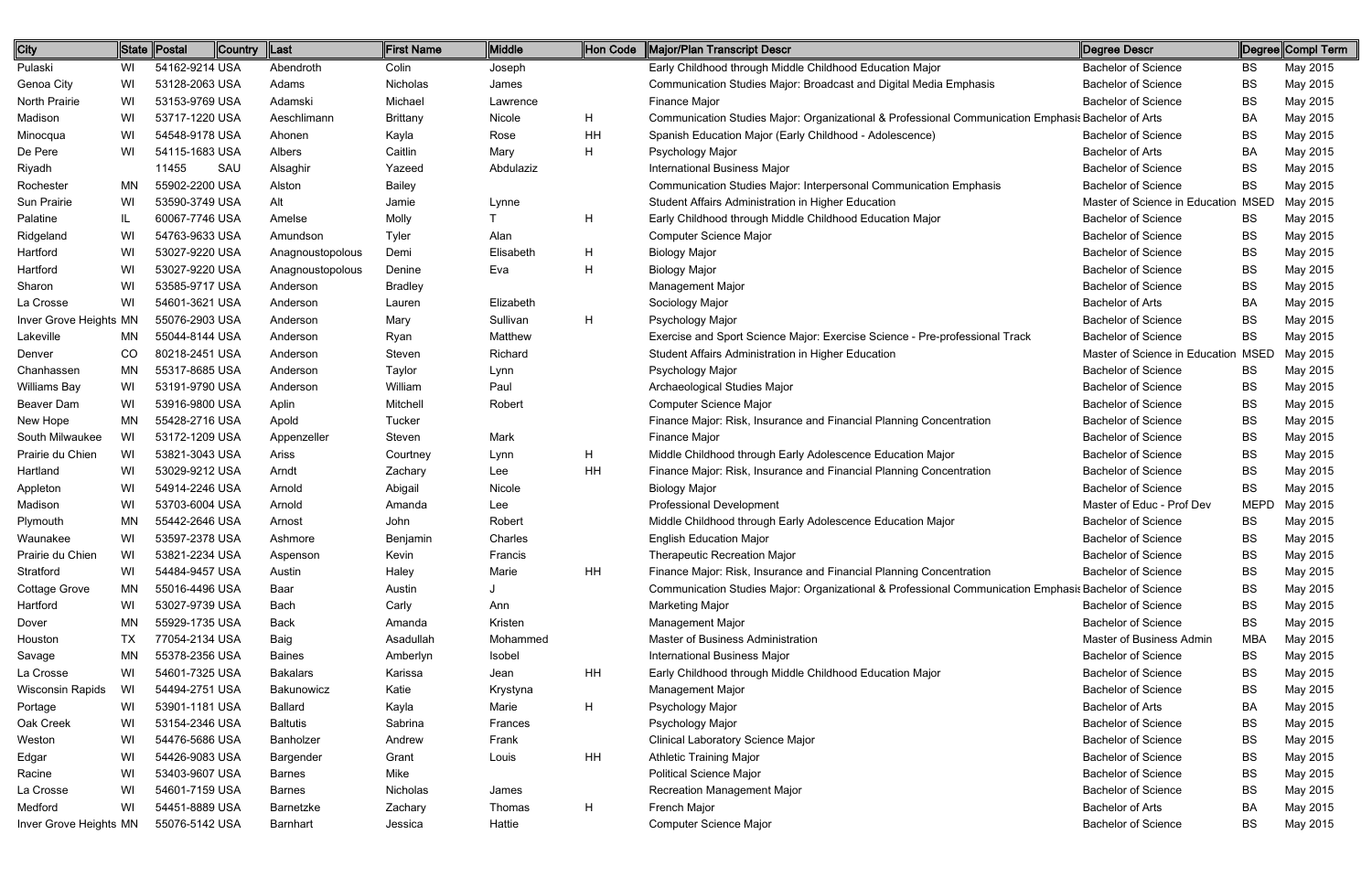| City                   |     | ∥State <u>∥</u> Postal | <b>Country</b> | Last             | <b>First Name</b> | Middle    | Hon Code | Major/Plan Transcript Descr                                                                           | Degree Descr                        |             | ∥Degree∥Compl Term |
|------------------------|-----|------------------------|----------------|------------------|-------------------|-----------|----------|-------------------------------------------------------------------------------------------------------|-------------------------------------|-------------|--------------------|
| Pulaski                | WI  | 54162-9214 USA         |                | Abendroth        | Colin             | Joseph    |          | Early Childhood through Middle Childhood Education Major                                              | <b>Bachelor of Science</b>          | <b>BS</b>   | May 2015           |
| Genoa City             | WI  | 53128-2063 USA         |                | Adams            | Nicholas          | James     |          | Communication Studies Major: Broadcast and Digital Media Emphasis                                     | <b>Bachelor of Science</b>          | BS          | May 2015           |
| North Prairie          | WI  | 53153-9769 USA         |                | Adamski          | Michael           | Lawrence  |          | Finance Major                                                                                         | <b>Bachelor of Science</b>          | BS          | May 2015           |
| Madison                | WI  | 53717-1220 USA         |                | Aeschlimann      | <b>Brittany</b>   | Nicole    | H        | Communication Studies Major: Organizational & Professional Communication Emphasis Bachelor of Arts    |                                     | BA          | May 2015           |
| Minocqua               | WI  | 54548-9178 USA         |                | Ahonen           | Kayla             | Rose      | HH       | Spanish Education Major (Early Childhood - Adolescence)                                               | <b>Bachelor of Science</b>          | BS          | May 2015           |
| De Pere                | WI  | 54115-1683 USA         |                | Albers           | Caitlin           | Mary      | H        | Psychology Major                                                                                      | <b>Bachelor of Arts</b>             | BA          | May 2015           |
| Riyadh                 |     | 11455                  | SAU            | Alsaghir         | Yazeed            | Abdulaziz |          | <b>International Business Major</b>                                                                   | <b>Bachelor of Science</b>          | BS          | May 2015           |
| Rochester              | MN. | 55902-2200 USA         |                | Alston           | <b>Bailey</b>     |           |          | Communication Studies Major: Interpersonal Communication Emphasis                                     | <b>Bachelor of Science</b>          | BS          | May 2015           |
| Sun Prairie            | WI  | 53590-3749 USA         |                | Alt              | Jamie             | Lynne     |          | Student Affairs Administration in Higher Education                                                    | Master of Science in Education MSED |             | May 2015           |
| Palatine               | IL. | 60067-7746 USA         |                | Amelse           | Molly             |           | H        | Early Childhood through Middle Childhood Education Major                                              | <b>Bachelor of Science</b>          | BS          | May 2015           |
| Ridgeland              | WI  | 54763-9633 USA         |                | Amundson         | Tyler             | Alan      |          | Computer Science Major                                                                                | <b>Bachelor of Science</b>          | BS          | May 2015           |
| Hartford               | WI  | 53027-9220 USA         |                | Anagnoustopolous | Demi              | Elisabeth | H        | <b>Biology Major</b>                                                                                  | <b>Bachelor of Science</b>          | BS          | May 2015           |
| Hartford               | WI  | 53027-9220 USA         |                | Anagnoustopolous | Denine            | Eva       | H        | <b>Biology Major</b>                                                                                  | <b>Bachelor of Science</b>          | BS          | May 2015           |
| Sharon                 | WI  | 53585-9717 USA         |                | Anderson         | <b>Bradley</b>    |           |          | Management Major                                                                                      | <b>Bachelor of Science</b>          | BS          | May 2015           |
| La Crosse              | WI  | 54601-3621 USA         |                | Anderson         | Lauren            | Elizabeth |          | Sociology Major                                                                                       | <b>Bachelor of Arts</b>             | BA          | May 2015           |
| Inver Grove Heights MN |     | 55076-2903 USA         |                | Anderson         | Mary              | Sullivan  | H        | Psychology Major                                                                                      | <b>Bachelor of Science</b>          | BS          | May 2015           |
| Lakeville              | MN. | 55044-8144 USA         |                | Anderson         | Ryan              | Matthew   |          | Exercise and Sport Science Major: Exercise Science - Pre-professional Track                           | <b>Bachelor of Science</b>          | <b>BS</b>   | May 2015           |
| Denver                 | CO  | 80218-2451 USA         |                | Anderson         | Steven            | Richard   |          | Student Affairs Administration in Higher Education                                                    | Master of Science in Education MSED |             | May 2015           |
| Chanhassen             | ΜN  | 55317-8685 USA         |                | Anderson         | Taylor            | Lynn      |          | Psychology Major                                                                                      | <b>Bachelor of Science</b>          | BS          | May 2015           |
| <b>Williams Bay</b>    | WI  | 53191-9790 USA         |                | Anderson         | William           | Paul      |          | Archaeological Studies Major                                                                          | <b>Bachelor of Science</b>          | BS          | May 2015           |
| Beaver Dam             | WI  | 53916-9800 USA         |                | Aplin            | Mitchell          | Robert    |          | <b>Computer Science Major</b>                                                                         | <b>Bachelor of Science</b>          | BS          | May 2015           |
| New Hope               | MN  | 55428-2716 USA         |                | Apold            | Tucker            |           |          | Finance Major: Risk, Insurance and Financial Planning Concentration                                   | <b>Bachelor of Science</b>          | BS          | May 2015           |
| South Milwaukee        | WI  | 53172-1209 USA         |                | Appenzeller      | Steven            | Mark      |          | Finance Major                                                                                         | <b>Bachelor of Science</b>          | BS          | May 2015           |
| Prairie du Chien       | WI  | 53821-3043 USA         |                | Ariss            | Courtney          | Lynn      | H        | Middle Childhood through Early Adolescence Education Major                                            | <b>Bachelor of Science</b>          | BS          | May 2015           |
| Hartland               | WI  | 53029-9212 USA         |                | Arndt            | Zachary           | Lee       | HH       | Finance Major: Risk, Insurance and Financial Planning Concentration                                   | <b>Bachelor of Science</b>          | BS          | May 2015           |
| Appleton               | WI  | 54914-2246 USA         |                | Arnold           | Abigail           | Nicole    |          | <b>Biology Major</b>                                                                                  | <b>Bachelor of Science</b>          | BS          | May 2015           |
| Madison                | WI  | 53703-6004 USA         |                | Arnold           | Amanda            | Lee       |          | <b>Professional Development</b>                                                                       | Master of Educ - Prof Dev           | <b>MEPD</b> | May 2015           |
| Plymouth               | MN  | 55442-2646 USA         |                | Arnost           | John              | Robert    |          | Middle Childhood through Early Adolescence Education Major                                            | <b>Bachelor of Science</b>          | BS          | May 2015           |
| Waunakee               | WI  | 53597-2378 USA         |                | Ashmore          | Benjamin          | Charles   |          | <b>English Education Major</b>                                                                        | <b>Bachelor of Science</b>          | BS          | May 2015           |
| Prairie du Chien       | WI  | 53821-2234 USA         |                | Aspenson         | Kevin             | Francis   |          | <b>Therapeutic Recreation Major</b>                                                                   | <b>Bachelor of Science</b>          | BS          | May 2015           |
| Stratford              | WI  | 54484-9457 USA         |                | Austin           | Haley             | Marie     | HH       | Finance Major: Risk, Insurance and Financial Planning Concentration                                   | <b>Bachelor of Science</b>          | BS          | May 2015           |
| Cottage Grove          | MN  | 55016-4496 USA         |                | Baar             | Austin            |           |          | Communication Studies Major: Organizational & Professional Communication Emphasis Bachelor of Science |                                     | BS          | May 2015           |
| Hartford               | WI  | 53027-9739 USA         |                | Bach             | Carly             | Ann       |          | <b>Marketing Major</b>                                                                                | <b>Bachelor of Science</b>          | BS          | May 2015           |
| Dover                  | MN  | 55929-1735 USA         |                | Back             | Amanda            | Kristen   |          | Management Major                                                                                      | <b>Bachelor of Science</b>          | <b>BS</b>   | May 2015           |
| Houston                | TX  | 77054-2134 USA         |                | Baig             | Asadullah         | Mohammed  |          | Master of Business Administration                                                                     | Master of Business Admin            | <b>MBA</b>  | May 2015           |
| Savage                 | MN  | 55378-2356 USA         |                | <b>Baines</b>    | Amberlyn          | Isobel    |          | <b>International Business Major</b>                                                                   | <b>Bachelor of Science</b>          | <b>BS</b>   | May 2015           |
| La Crosse              | WI  | 54601-7325 USA         |                | <b>Bakalars</b>  | Karissa           | Jean      | HH       | Early Childhood through Middle Childhood Education Major                                              | <b>Bachelor of Science</b>          | <b>BS</b>   | May 2015           |
| Wisconsin Rapids       | WI  | 54494-2751 USA         |                | Bakunowicz       | Katie             | Krystyna  |          | Management Major                                                                                      | <b>Bachelor of Science</b>          | <b>BS</b>   | May 2015           |
| Portage                | WI  | 53901-1181 USA         |                | Ballard          | Kayla             | Marie     | H        | Psychology Major                                                                                      | <b>Bachelor of Arts</b>             | BA          | May 2015           |
| Oak Creek              | WI  | 53154-2346 USA         |                | <b>Baltutis</b>  | Sabrina           | Frances   |          | Psychology Major                                                                                      | <b>Bachelor of Science</b>          | BS          | May 2015           |
| Weston                 | WI  | 54476-5686 USA         |                | Banholzer        | Andrew            | Frank     |          | <b>Clinical Laboratory Science Major</b>                                                              | <b>Bachelor of Science</b>          | BS          | May 2015           |
| Edgar                  | WI  | 54426-9083 USA         |                | Bargender        | Grant             | Louis     | HH       | <b>Athletic Training Major</b>                                                                        | <b>Bachelor of Science</b>          | BS          | May 2015           |
| Racine                 | WI  | 53403-9607 USA         |                | <b>Barnes</b>    | Mike              |           |          | <b>Political Science Major</b>                                                                        | <b>Bachelor of Science</b>          | BS          | May 2015           |
| La Crosse              | WI  | 54601-7159 USA         |                | <b>Barnes</b>    | Nicholas          | James     |          | <b>Recreation Management Major</b>                                                                    | <b>Bachelor of Science</b>          | BS          | May 2015           |
| Medford                | WI  | 54451-8889 USA         |                | Barnetzke        | Zachary           | Thomas    | H        | French Major                                                                                          | <b>Bachelor of Arts</b>             | <b>BA</b>   | May 2015           |
| Inver Grove Heights MN |     | 55076-5142 USA         |                | Barnhart         | Jessica           | Hattie    |          | Computer Science Major                                                                                | <b>Bachelor of Science</b>          | <b>BS</b>   | May 2015           |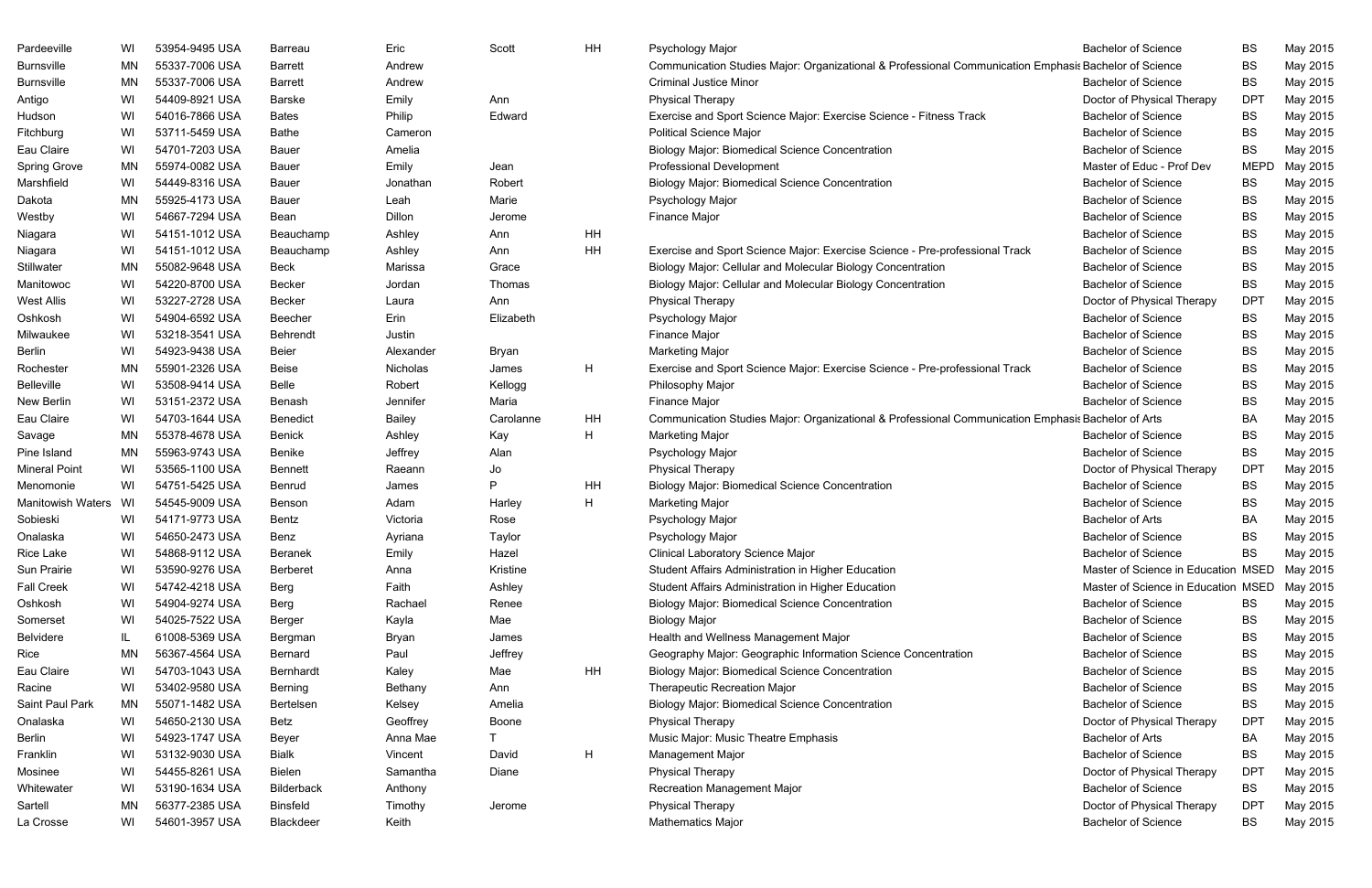| Pardeeville          | WI  | 53954-9495 USA | Barreau         | Eric      | Scott     | <b>HH</b> | Psychology Major                                                                                      | <b>Bachelor of Science</b>          | <b>BS</b>   | May 2015 |
|----------------------|-----|----------------|-----------------|-----------|-----------|-----------|-------------------------------------------------------------------------------------------------------|-------------------------------------|-------------|----------|
| <b>Burnsville</b>    | MN  | 55337-7006 USA | <b>Barrett</b>  | Andrew    |           |           | Communication Studies Major: Organizational & Professional Communication Emphasis Bachelor of Science |                                     | <b>BS</b>   | May 2015 |
| <b>Burnsville</b>    | MN  | 55337-7006 USA | <b>Barrett</b>  | Andrew    |           |           | <b>Criminal Justice Minor</b>                                                                         | <b>Bachelor of Science</b>          | <b>BS</b>   | May 2015 |
| Antigo               | WI  | 54409-8921 USA | <b>Barske</b>   | Emily     | Ann       |           | <b>Physical Therapy</b>                                                                               | Doctor of Physical Therapy          | <b>DPT</b>  | May 2015 |
| Hudson               | WI  | 54016-7866 USA | Bates           | Philip    | Edward    |           | Exercise and Sport Science Major: Exercise Science - Fitness Track                                    | <b>Bachelor of Science</b>          | <b>BS</b>   | May 2015 |
| Fitchburg            | WI  | 53711-5459 USA | <b>Bathe</b>    | Cameron   |           |           | <b>Political Science Major</b>                                                                        | <b>Bachelor of Science</b>          | <b>BS</b>   | May 2015 |
| Eau Claire           | WI  | 54701-7203 USA | Bauer           | Amelia    |           |           | <b>Biology Major: Biomedical Science Concentration</b>                                                | <b>Bachelor of Science</b>          | <b>BS</b>   | May 2015 |
| <b>Spring Grove</b>  | MN  | 55974-0082 USA | Bauer           | Emily     | Jean      |           | <b>Professional Development</b>                                                                       | Master of Educ - Prof Dev           | <b>MEPD</b> | May 2015 |
| Marshfield           | WI  | 54449-8316 USA | <b>Bauer</b>    | Jonathan  | Robert    |           | <b>Biology Major: Biomedical Science Concentration</b>                                                | <b>Bachelor of Science</b>          | BS          | May 2015 |
| Dakota               | MN  | 55925-4173 USA | Bauer           | Leah      | Marie     |           | Psychology Major                                                                                      | <b>Bachelor of Science</b>          | <b>BS</b>   | May 2015 |
| Westby               | WI  | 54667-7294 USA | Bean            | Dillon    | Jerome    |           | <b>Finance Major</b>                                                                                  | <b>Bachelor of Science</b>          | <b>BS</b>   | May 2015 |
| Niagara              | WI  | 54151-1012 USA | Beauchamp       | Ashley    | Ann       | HH        |                                                                                                       | <b>Bachelor of Science</b>          | <b>BS</b>   | May 2015 |
| Niagara              | WI  | 54151-1012 USA | Beauchamp       | Ashley    | Ann       | HH        | Exercise and Sport Science Major: Exercise Science - Pre-professional Track                           | <b>Bachelor of Science</b>          | <b>BS</b>   | May 2015 |
| Stillwater           | MN  | 55082-9648 USA | <b>Beck</b>     | Marissa   | Grace     |           | Biology Major: Cellular and Molecular Biology Concentration                                           | <b>Bachelor of Science</b>          | <b>BS</b>   | May 2015 |
| Manitowoc            | WI  | 54220-8700 USA | Becker          | Jordan    | Thomas    |           | Biology Major: Cellular and Molecular Biology Concentration                                           | <b>Bachelor of Science</b>          | <b>BS</b>   | May 2015 |
| <b>West Allis</b>    | WI  | 53227-2728 USA | Becker          | Laura     | Ann       |           | <b>Physical Therapy</b>                                                                               | Doctor of Physical Therapy          | <b>DPT</b>  | May 2015 |
| Oshkosh              | WI  | 54904-6592 USA | Beecher         | Erin      | Elizabeth |           | Psychology Major                                                                                      | <b>Bachelor of Science</b>          | BS          | May 2015 |
| Milwaukee            | WI  | 53218-3541 USA | <b>Behrendt</b> | Justin    |           |           | Finance Major                                                                                         | <b>Bachelor of Science</b>          | <b>BS</b>   | May 2015 |
| <b>Berlin</b>        | WI  | 54923-9438 USA | <b>Beier</b>    | Alexander | Bryan     |           | <b>Marketing Major</b>                                                                                | <b>Bachelor of Science</b>          | <b>BS</b>   | May 2015 |
| Rochester            | MN  | 55901-2326 USA | Beise           | Nicholas  | James     | H         | Exercise and Sport Science Major: Exercise Science - Pre-professional Track                           | <b>Bachelor of Science</b>          | <b>BS</b>   | May 2015 |
| <b>Belleville</b>    | WI  | 53508-9414 USA | Belle           | Robert    | Kellogg   |           | Philosophy Major                                                                                      | <b>Bachelor of Science</b>          | <b>BS</b>   | May 2015 |
| New Berlin           | WI  | 53151-2372 USA | Benash          | Jennifer  | Maria     |           | Finance Major                                                                                         | <b>Bachelor of Science</b>          | <b>BS</b>   | May 2015 |
| Eau Claire           | WI  | 54703-1644 USA | Benedict        | Bailey    | Carolanne | HH        | Communication Studies Major: Organizational & Professional Communication Emphasis Bachelor of Arts    |                                     | BA          | May 2015 |
| Savage               | MN  | 55378-4678 USA | Benick          | Ashley    | Kay       | H         | <b>Marketing Major</b>                                                                                | <b>Bachelor of Science</b>          | <b>BS</b>   | May 2015 |
| Pine Island          | MN  | 55963-9743 USA | Benike          | Jeffrey   | Alan      |           | Psychology Major                                                                                      | <b>Bachelor of Science</b>          | <b>BS</b>   | May 2015 |
| <b>Mineral Point</b> | WI  | 53565-1100 USA | Bennett         | Raeann    | Jo        |           | <b>Physical Therapy</b>                                                                               | Doctor of Physical Therapy          | <b>DPT</b>  | May 2015 |
| Menomonie            | WI  | 54751-5425 USA | Benrud          | James     | P         | HH        | <b>Biology Major: Biomedical Science Concentration</b>                                                | <b>Bachelor of Science</b>          | BS          | May 2015 |
| Manitowish Waters WI |     | 54545-9009 USA | Benson          | Adam      | Harley    | H         | <b>Marketing Major</b>                                                                                | <b>Bachelor of Science</b>          | <b>BS</b>   | May 2015 |
| Sobieski             | WI  | 54171-9773 USA | Bentz           | Victoria  | Rose      |           | Psychology Major                                                                                      | <b>Bachelor of Arts</b>             | BA          | May 2015 |
| Onalaska             | WI  | 54650-2473 USA | Benz            | Avriana   | Taylor    |           | Psychology Major                                                                                      | <b>Bachelor of Science</b>          | <b>BS</b>   | May 2015 |
| Rice Lake            | WI  | 54868-9112 USA | Beranek         | Emily     | Hazel     |           | <b>Clinical Laboratory Science Major</b>                                                              | <b>Bachelor of Science</b>          | <b>BS</b>   | May 2015 |
| Sun Prairie          | WI  | 53590-9276 USA | <b>Berberet</b> | Anna      | Kristine  |           | Student Affairs Administration in Higher Education                                                    | Master of Science in Education MSED |             | May 2015 |
| <b>Fall Creek</b>    | WI  | 54742-4218 USA | Berg            | Faith     | Ashley    |           | Student Affairs Administration in Higher Education                                                    | Master of Science in Education MSED |             | May 2015 |
| Oshkosh              | WI  | 54904-9274 USA | Berg            | Rachael   | Renee     |           | <b>Biology Major: Biomedical Science Concentration</b>                                                | <b>Bachelor of Science</b>          | BS          | May 2015 |
| Somerset             | WI  | 54025-7522 USA | Berger          | Kayla     | Mae       |           | <b>Biology Major</b>                                                                                  | <b>Bachelor of Science</b>          | BS          | May 2015 |
| <b>Belvidere</b>     | IL. | 61008-5369 USA | Bergman         | Bryan     | James     |           | Health and Wellness Management Major                                                                  | <b>Bachelor of Science</b>          | <b>BS</b>   | May 2015 |
| Rice                 | ΜN  | 56367-4564 USA | Bernard         | Paul      | Jeffrey   |           | Geography Major: Geographic Information Science Concentration                                         | <b>Bachelor of Science</b>          | BS          | May 2015 |
| Eau Claire           | WI  | 54703-1043 USA | Bernhardt       | Kaley     | Mae       | HH        | <b>Biology Major: Biomedical Science Concentration</b>                                                | <b>Bachelor of Science</b>          | BS          | May 2015 |
| Racine               | WI  | 53402-9580 USA | Berning         | Bethany   | Ann       |           | Therapeutic Recreation Major                                                                          | <b>Bachelor of Science</b>          | <b>BS</b>   | May 2015 |
| Saint Paul Park      | MN  | 55071-1482 USA | Bertelsen       | Kelsey    | Amelia    |           | <b>Biology Major: Biomedical Science Concentration</b>                                                | <b>Bachelor of Science</b>          | <b>BS</b>   | May 2015 |
| Onalaska             | WI  | 54650-2130 USA | Betz            | Geoffrey  | Boone     |           | <b>Physical Therapy</b>                                                                               | Doctor of Physical Therapy          | <b>DPT</b>  | May 2015 |
| Berlin               | WI  | 54923-1747 USA | Beyer           | Anna Mae  |           |           | Music Major: Music Theatre Emphasis                                                                   | <b>Bachelor of Arts</b>             | BA          | May 2015 |
| Franklin             | WI  | 53132-9030 USA | Bialk           | Vincent   | David     | H         | Management Major                                                                                      | <b>Bachelor of Science</b>          | BS          | May 2015 |
| Mosinee              | WI  | 54455-8261 USA | Bielen          | Samantha  | Diane     |           | <b>Physical Therapy</b>                                                                               | Doctor of Physical Therapy          | <b>DPT</b>  | May 2015 |
| Whitewater           | WI  | 53190-1634 USA | Bilderback      | Anthony   |           |           | <b>Recreation Management Major</b>                                                                    | <b>Bachelor of Science</b>          | BS          | May 2015 |
| Sartell              | ΜN  | 56377-2385 USA | <b>Binsfeld</b> | Timothy   | Jerome    |           | <b>Physical Therapy</b>                                                                               | Doctor of Physical Therapy          | <b>DPT</b>  | May 2015 |
| La Crosse            | WI  | 54601-3957 USA | Blackdeer       | Keith     |           |           | <b>Mathematics Major</b>                                                                              | <b>Bachelor of Science</b>          | BS          | May 2015 |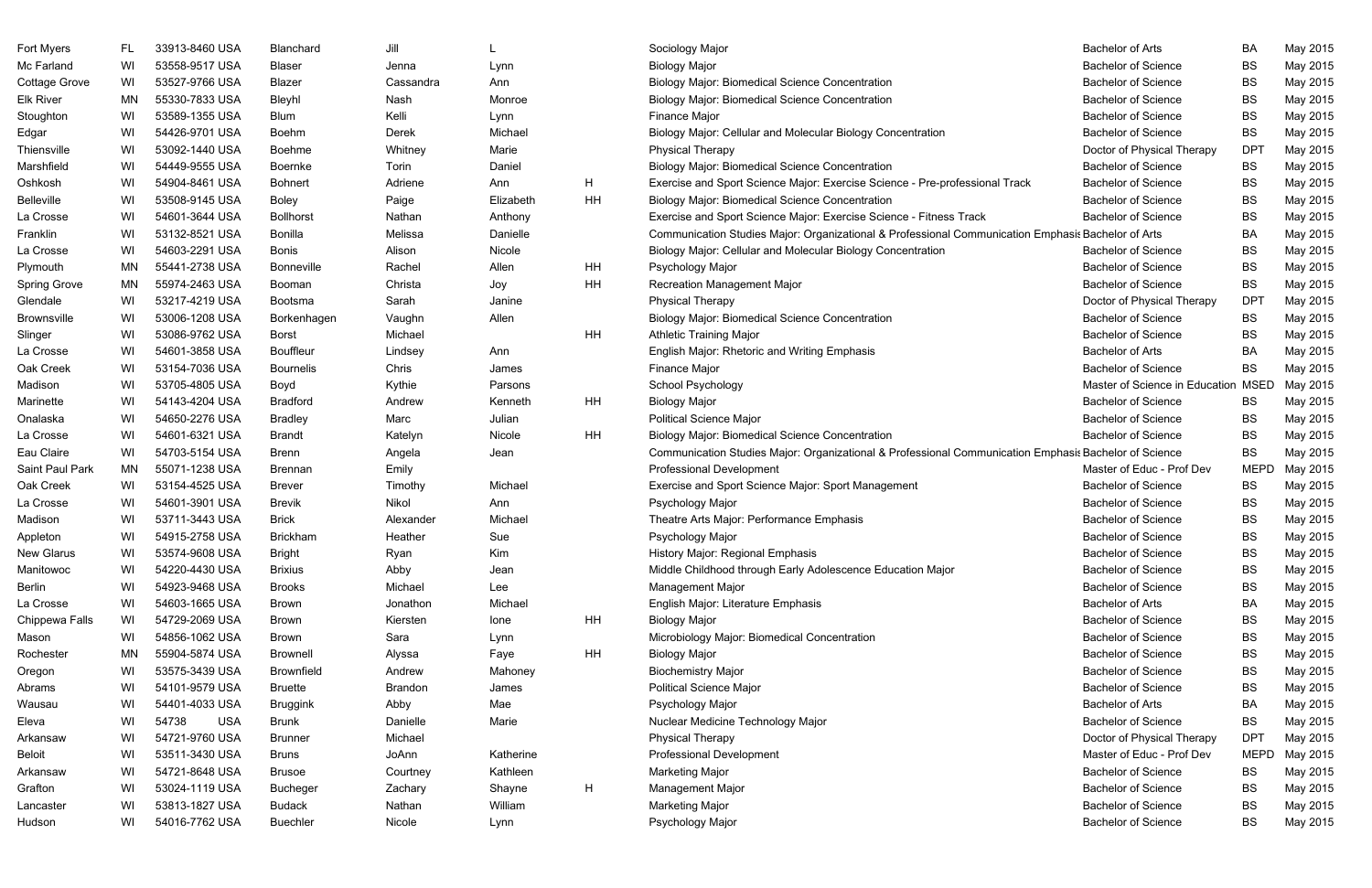| Fort Myers          | FL.       | 33913-8460 USA      | Blanchard        | Jill      |           |    | Sociology Major                                                                                       | <b>Bachelor of Arts</b>             | <b>BA</b>   | May 2015 |
|---------------------|-----------|---------------------|------------------|-----------|-----------|----|-------------------------------------------------------------------------------------------------------|-------------------------------------|-------------|----------|
| Mc Farland          | WI        | 53558-9517 USA      | Blaser           | Jenna     | Lynn      |    | <b>Biology Major</b>                                                                                  | <b>Bachelor of Science</b>          | <b>BS</b>   | May 2015 |
| Cottage Grove       | WI        | 53527-9766 USA      | Blazer           | Cassandra | Ann       |    | <b>Biology Major: Biomedical Science Concentration</b>                                                | <b>Bachelor of Science</b>          | <b>BS</b>   | May 2015 |
| <b>Elk River</b>    | MN        | 55330-7833 USA      | Bleyhl           | Nash      | Monroe    |    | <b>Biology Major: Biomedical Science Concentration</b>                                                | <b>Bachelor of Science</b>          | <b>BS</b>   | May 2015 |
| Stoughton           | WI        | 53589-1355 USA      | <b>Blum</b>      | Kelli     | Lynn      |    | Finance Major                                                                                         | <b>Bachelor of Science</b>          | <b>BS</b>   | May 2015 |
| Edgar               | WI        | 54426-9701 USA      | Boehm            | Derek     | Michael   |    | Biology Major: Cellular and Molecular Biology Concentration                                           | <b>Bachelor of Science</b>          | <b>BS</b>   | May 2015 |
| Thiensville         | WI        | 53092-1440 USA      | Boehme           | Whitney   | Marie     |    | <b>Physical Therapy</b>                                                                               | Doctor of Physical Therapy          | <b>DPT</b>  | May 2015 |
| Marshfield          | WI        | 54449-9555 USA      | Boernke          | Torin     | Daniel    |    | <b>Biology Major: Biomedical Science Concentration</b>                                                | <b>Bachelor of Science</b>          | <b>BS</b>   | May 2015 |
| Oshkosh             | WI        | 54904-8461 USA      | Bohnert          | Adriene   | Ann       | H. | Exercise and Sport Science Major: Exercise Science - Pre-professional Track                           | <b>Bachelor of Science</b>          | <b>BS</b>   | May 2015 |
| <b>Belleville</b>   | WI        | 53508-9145 USA      | Boley            | Paige     | Elizabeth | ΗH | <b>Biology Major: Biomedical Science Concentration</b>                                                | <b>Bachelor of Science</b>          | <b>BS</b>   | May 2015 |
| La Crosse           | WI        | 54601-3644 USA      | <b>Bollhorst</b> | Nathan    | Anthony   |    | Exercise and Sport Science Major: Exercise Science - Fitness Track                                    | <b>Bachelor of Science</b>          | <b>BS</b>   | May 2015 |
| Franklin            | WI        | 53132-8521 USA      | Bonilla          | Melissa   | Danielle  |    | Communication Studies Major: Organizational & Professional Communication Emphasis Bachelor of Arts    |                                     | <b>BA</b>   | May 2015 |
| La Crosse           | WI        | 54603-2291 USA      | <b>Bonis</b>     | Alison    | Nicole    |    | Biology Major: Cellular and Molecular Biology Concentration                                           | <b>Bachelor of Science</b>          | <b>BS</b>   | May 2015 |
| Plymouth            | MN        | 55441-2738 USA      | Bonneville       | Rachel    | Allen     | ΗH | Psychology Major                                                                                      | <b>Bachelor of Science</b>          | <b>BS</b>   | May 2015 |
| <b>Spring Grove</b> | MN        | 55974-2463 USA      | Booman           | Christa   | Joy       | HΗ | <b>Recreation Management Major</b>                                                                    | <b>Bachelor of Science</b>          | <b>BS</b>   | May 2015 |
| Glendale            | WI        | 53217-4219 USA      | Bootsma          | Sarah     | Janine    |    | <b>Physical Therapy</b>                                                                               | Doctor of Physical Therapy          | <b>DPT</b>  | May 2015 |
| <b>Brownsville</b>  | WI        | 53006-1208 USA      | Borkenhagen      | Vaughn    | Allen     |    | <b>Biology Major: Biomedical Science Concentration</b>                                                | <b>Bachelor of Science</b>          | <b>BS</b>   | May 2015 |
| Slinger             | WI        | 53086-9762 USA      | Borst            | Michael   |           | HH | <b>Athletic Training Major</b>                                                                        | <b>Bachelor of Science</b>          | <b>BS</b>   | May 2015 |
| La Crosse           | WI        | 54601-3858 USA      | Bouffleur        | Lindsey   | Ann       |    | English Major: Rhetoric and Writing Emphasis                                                          | <b>Bachelor of Arts</b>             | BA          | May 2015 |
| Oak Creek           | WI        | 53154-7036 USA      | <b>Bournelis</b> | Chris     | James     |    | Finance Major                                                                                         | <b>Bachelor of Science</b>          | <b>BS</b>   | May 2015 |
| Madison             | WI        | 53705-4805 USA      | Boyd             | Kythie    | Parsons   |    | School Psychology                                                                                     | Master of Science in Education MSED |             | May 2015 |
| Marinette           | WI        | 54143-4204 USA      | <b>Bradford</b>  | Andrew    | Kenneth   | ΗH | <b>Biology Major</b>                                                                                  | <b>Bachelor of Science</b>          | BS          | May 2015 |
| Onalaska            | WI        | 54650-2276 USA      | <b>Bradley</b>   | Marc      | Julian    |    | <b>Political Science Major</b>                                                                        | <b>Bachelor of Science</b>          | <b>BS</b>   | May 2015 |
| La Crosse           | WI        | 54601-6321 USA      | Brandt           | Katelyn   | Nicole    | ΗH | <b>Biology Major: Biomedical Science Concentration</b>                                                | <b>Bachelor of Science</b>          | <b>BS</b>   | May 2015 |
| Eau Claire          | WI        | 54703-5154 USA      | <b>Brenn</b>     | Angela    | Jean      |    | Communication Studies Major: Organizational & Professional Communication Emphasis Bachelor of Science |                                     | <b>BS</b>   | May 2015 |
| Saint Paul Park     | MN        | 55071-1238 USA      | Brennan          | Emily     |           |    | <b>Professional Development</b>                                                                       | Master of Educ - Prof Dev           | <b>MEPD</b> | May 2015 |
| Oak Creek           | WI        | 53154-4525 USA      | <b>Brever</b>    | Timothy   | Michael   |    | Exercise and Sport Science Major: Sport Management                                                    | <b>Bachelor of Science</b>          | BS          | May 2015 |
| La Crosse           | WI        | 54601-3901 USA      | <b>Brevik</b>    | Nikol     | Ann       |    | Psychology Major                                                                                      | <b>Bachelor of Science</b>          | <b>BS</b>   | May 2015 |
| Madison             | WI        | 53711-3443 USA      | <b>Brick</b>     | Alexander | Michael   |    | Theatre Arts Major: Performance Emphasis                                                              | <b>Bachelor of Science</b>          | <b>BS</b>   | May 2015 |
| Appleton            | WI        | 54915-2758 USA      | <b>Brickham</b>  | Heather   | Sue       |    | Psychology Major                                                                                      | <b>Bachelor of Science</b>          | <b>BS</b>   | May 2015 |
| <b>New Glarus</b>   | WI        | 53574-9608 USA      | <b>Bright</b>    | Ryan      | Kim       |    | History Major: Regional Emphasis                                                                      | <b>Bachelor of Science</b>          | <b>BS</b>   | May 2015 |
| Manitowoc           | WI        | 54220-4430 USA      | <b>Brixius</b>   | Abby      | Jean      |    | Middle Childhood through Early Adolescence Education Major                                            | <b>Bachelor of Science</b>          | <b>BS</b>   | May 2015 |
| Berlin              | WI        | 54923-9468 USA      | <b>Brooks</b>    | Michael   | Lee       |    | Management Major                                                                                      | <b>Bachelor of Science</b>          | <b>BS</b>   | May 2015 |
| La Crosse           | WI        | 54603-1665 USA      | Brown            | Jonathon  | Michael   |    | English Major: Literature Emphasis                                                                    | <b>Bachelor of Arts</b>             | <b>BA</b>   | May 2015 |
| Chippewa Falls      | WI        | 54729-2069 USA      | Brown            | Kiersten  | lone      | ΗH | <b>Biology Major</b>                                                                                  | <b>Bachelor of Science</b>          | <b>BS</b>   | May 2015 |
| Mason               | WI        | 54856-1062 USA      | Brown            | Sara      | Lynn      |    | Microbiology Major: Biomedical Concentration                                                          | <b>Bachelor of Science</b>          | <b>BS</b>   | May 2015 |
| Rochester           | <b>MN</b> | 55904-5874 USA      | <b>Brownell</b>  | Alyssa    | Faye      | ΗH | <b>Biology Major</b>                                                                                  | <b>Bachelor of Science</b>          | <b>BS</b>   | May 2015 |
| Oregon              | WI        | 53575-3439 USA      | Brownfield       | Andrew    | Mahoney   |    | <b>Biochemistry Major</b>                                                                             | <b>Bachelor of Science</b>          | <b>BS</b>   | May 2015 |
| Abrams              | WI        | 54101-9579 USA      | Bruette          | Brandon   | James     |    | <b>Political Science Major</b>                                                                        | <b>Bachelor of Science</b>          | <b>BS</b>   | May 2015 |
| Wausau              | WI        | 54401-4033 USA      | <b>Bruggink</b>  | Abby      | Mae       |    | Psychology Major                                                                                      | <b>Bachelor of Arts</b>             | <b>BA</b>   | May 2015 |
| Eleva               | WI        | 54738<br><b>USA</b> | <b>Brunk</b>     | Danielle  | Marie     |    | Nuclear Medicine Technology Major                                                                     | <b>Bachelor of Science</b>          | <b>BS</b>   | May 2015 |
| Arkansaw            | WI        | 54721-9760 USA      | <b>Brunner</b>   | Michael   |           |    | <b>Physical Therapy</b>                                                                               | Doctor of Physical Therapy          | <b>DPT</b>  | May 2015 |
| <b>Beloit</b>       | WI        | 53511-3430 USA      | <b>Bruns</b>     | JoAnn     | Katherine |    | <b>Professional Development</b>                                                                       | Master of Educ - Prof Dev           | <b>MEPD</b> | May 2015 |
| Arkansaw            | WI        | 54721-8648 USA      | <b>Brusoe</b>    | Courtney  | Kathleen  |    | <b>Marketing Major</b>                                                                                | <b>Bachelor of Science</b>          | <b>BS</b>   | May 2015 |
| Grafton             | WI        | 53024-1119 USA      | <b>Bucheger</b>  | Zachary   | Shayne    | H  | Management Major                                                                                      | <b>Bachelor of Science</b>          | <b>BS</b>   | May 2015 |
| Lancaster           | WI        | 53813-1827 USA      | <b>Budack</b>    | Nathan    | William   |    | <b>Marketing Major</b>                                                                                | <b>Bachelor of Science</b>          | <b>BS</b>   | May 2015 |
| Hudson              | WI        | 54016-7762 USA      | <b>Buechler</b>  | Nicole    | Lynn      |    | Psychology Major                                                                                      | <b>Bachelor of Science</b>          | <b>BS</b>   | May 2015 |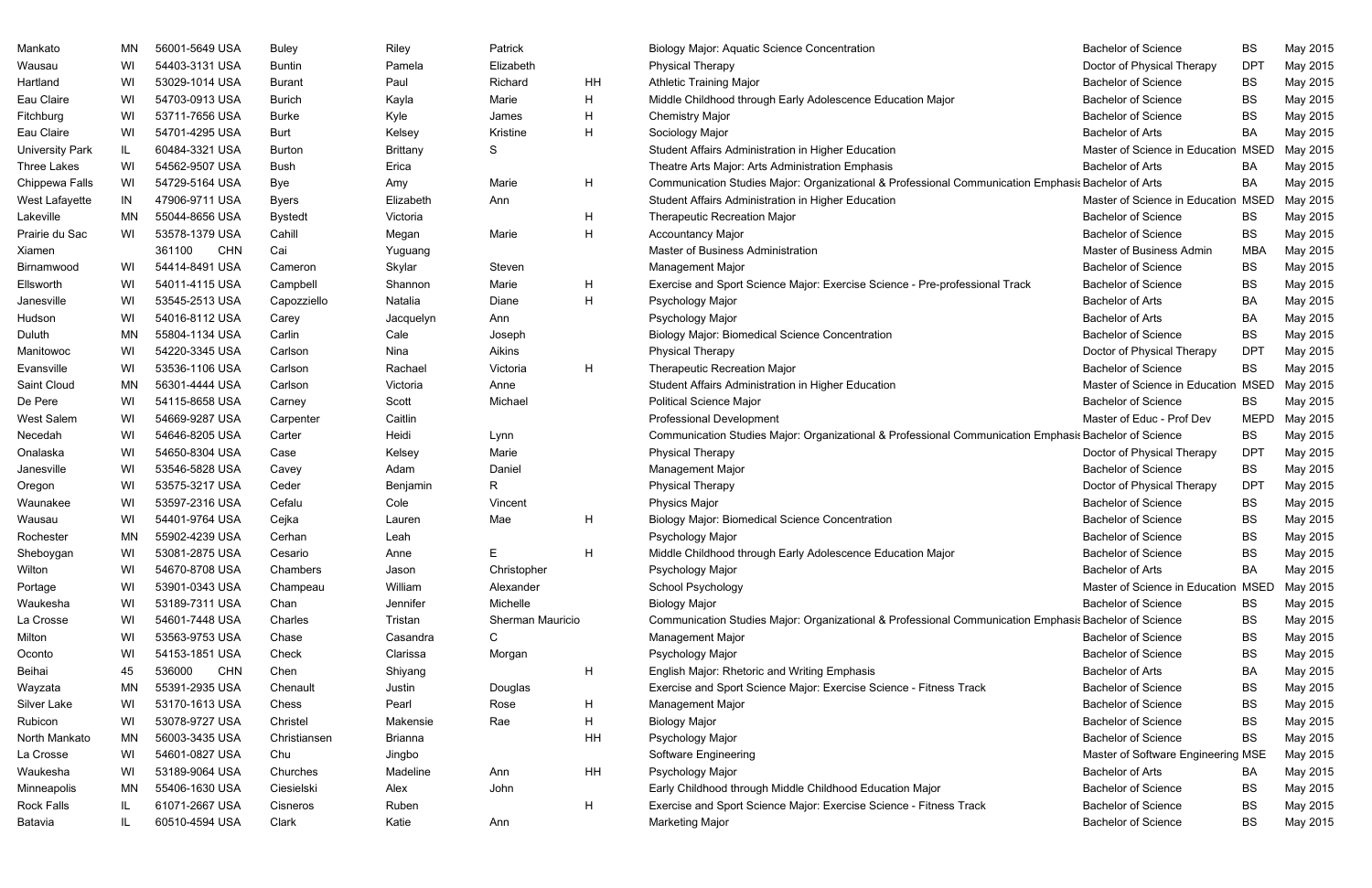| Mankato                | MN. | 56001-5649 USA       | Buley          | Riley           | Patrick          |    | <b>Biology Major: Aquatic Science Concentration</b>                                                   | <b>Bachelor of Science</b>          | BS          | May 2015 |
|------------------------|-----|----------------------|----------------|-----------------|------------------|----|-------------------------------------------------------------------------------------------------------|-------------------------------------|-------------|----------|
| Wausau                 | WI  | 54403-3131 USA       | Buntin         | Pamela          | Elizabeth        |    | <b>Physical Therapy</b>                                                                               | Doctor of Physical Therapy          | <b>DPT</b>  | May 2015 |
| Hartland               | WI  | 53029-1014 USA       | <b>Burant</b>  | Paul            | Richard          | HH | <b>Athletic Training Major</b>                                                                        | <b>Bachelor of Science</b>          | <b>BS</b>   | May 2015 |
| Eau Claire             | WI  | 54703-0913 USA       | <b>Burich</b>  | Kayla           | Marie            | H  | Middle Childhood through Early Adolescence Education Major                                            | <b>Bachelor of Science</b>          | <b>BS</b>   | May 2015 |
| Fitchburg              | WI  | 53711-7656 USA       | <b>Burke</b>   | Kyle            | James            | H  | <b>Chemistry Major</b>                                                                                | <b>Bachelor of Science</b>          | <b>BS</b>   | May 2015 |
| Eau Claire             | WI  | 54701-4295 USA       | Burt           | Kelsey          | Kristine         | H  | Sociology Major                                                                                       | <b>Bachelor of Arts</b>             | BA          | May 2015 |
| <b>University Park</b> | IL. | 60484-3321 USA       | Burton         | <b>Brittany</b> | S                |    | Student Affairs Administration in Higher Education                                                    | Master of Science in Education      | <b>MSED</b> | May 2015 |
| <b>Three Lakes</b>     | WI  | 54562-9507 USA       | Bush           | Erica           |                  |    | Theatre Arts Major: Arts Administration Emphasis                                                      | <b>Bachelor of Arts</b>             | BA          | May 2015 |
| Chippewa Falls         | WI  | 54729-5164 USA       | Bye            | Amy             | Marie            | H  | Communication Studies Major: Organizational & Professional Communication Emphasis Bachelor of Arts    |                                     | BA          | May 2015 |
| West Lafayette         | IN  | 47906-9711 USA       | <b>Byers</b>   | Elizabeth       | Ann              |    | Student Affairs Administration in Higher Education                                                    | Master of Science in Education MSED |             | May 2015 |
| Lakeville              | MN  | 55044-8656 USA       | <b>Bystedt</b> | Victoria        |                  | H  | <b>Therapeutic Recreation Major</b>                                                                   | <b>Bachelor of Science</b>          | <b>BS</b>   | May 2015 |
| Prairie du Sac         | WI  | 53578-1379 USA       | Cahill         | Megan           | Marie            | H  | <b>Accountancy Major</b>                                                                              | <b>Bachelor of Science</b>          | <b>BS</b>   | May 2015 |
| Xiamen                 |     | <b>CHN</b><br>361100 | Cai            | Yuguang         |                  |    | <b>Master of Business Administration</b>                                                              | Master of Business Admin            | <b>MBA</b>  | May 2015 |
| Birnamwood             | WI  | 54414-8491 USA       | Cameron        | Skylar          | Steven           |    | <b>Management Major</b>                                                                               | <b>Bachelor of Science</b>          | <b>BS</b>   | May 2015 |
| Ellsworth              | WI  | 54011-4115 USA       | Campbell       | Shannon         | Marie            | H  | Exercise and Sport Science Major: Exercise Science - Pre-professional Track                           | <b>Bachelor of Science</b>          | <b>BS</b>   | May 2015 |
| Janesville             | WI  | 53545-2513 USA       | Capozziello    | Natalia         | Diane            | H  | Psychology Major                                                                                      | <b>Bachelor of Arts</b>             | BA          | May 2015 |
| Hudson                 | WI  | 54016-8112 USA       | Carey          | Jacquelyn       | Ann              |    | Psychology Major                                                                                      | <b>Bachelor of Arts</b>             | BA          | May 2015 |
| Duluth                 | ΜN  | 55804-1134 USA       | Carlin         | Cale            | Joseph           |    | <b>Biology Major: Biomedical Science Concentration</b>                                                | <b>Bachelor of Science</b>          | <b>BS</b>   | May 2015 |
| Manitowoc              | WI  | 54220-3345 USA       | Carlson        | Nina            | Aikins           |    | <b>Physical Therapy</b>                                                                               | Doctor of Physical Therapy          | <b>DPT</b>  | May 2015 |
| Evansville             | WI  | 53536-1106 USA       | Carlson        | Rachael         | Victoria         | H  | <b>Therapeutic Recreation Major</b>                                                                   | <b>Bachelor of Science</b>          | <b>BS</b>   | May 2015 |
| Saint Cloud            | MN  | 56301-4444 USA       | Carlson        | Victoria        | Anne             |    | Student Affairs Administration in Higher Education                                                    | Master of Science in Education      | <b>MSED</b> | May 2015 |
| De Pere                | WI  | 54115-8658 USA       | Carney         | Scott           | Michael          |    | <b>Political Science Major</b>                                                                        | <b>Bachelor of Science</b>          | BS          | May 2015 |
| West Salem             | WI  | 54669-9287 USA       | Carpenter      | Caitlin         |                  |    | <b>Professional Development</b>                                                                       | Master of Educ - Prof Dev           | <b>MEPD</b> | May 2015 |
| Necedah                | WI  | 54646-8205 USA       | Carter         | Heidi           | Lynn             |    | Communication Studies Major: Organizational & Professional Communication Emphasis Bachelor of Science |                                     | BS          | May 2015 |
| Onalaska               | WI  | 54650-8304 USA       | Case           | Kelsey          | Marie            |    | <b>Physical Therapy</b>                                                                               | Doctor of Physical Therapy          | <b>DPT</b>  | May 2015 |
| Janesville             | WI  | 53546-5828 USA       | Cavey          | Adam            | Daniel           |    | <b>Management Major</b>                                                                               | <b>Bachelor of Science</b>          | BS          | May 2015 |
| Oregon                 | WI  | 53575-3217 USA       | Ceder          | Benjamin        | R                |    | <b>Physical Therapy</b>                                                                               | Doctor of Physical Therapy          | <b>DPT</b>  | May 2015 |
| Waunakee               | WI  | 53597-2316 USA       | Cefalu         | Cole            | Vincent          |    | <b>Physics Major</b>                                                                                  | <b>Bachelor of Science</b>          | BS          | May 2015 |
| Wausau                 | WI  | 54401-9764 USA       | Cejka          | Lauren          | Mae              | H  | <b>Biology Major: Biomedical Science Concentration</b>                                                | <b>Bachelor of Science</b>          | <b>BS</b>   | May 2015 |
| Rochester              | MN  | 55902-4239 USA       | Cerhan         | Leah            |                  |    | Psychology Major                                                                                      | <b>Bachelor of Science</b>          | BS          | May 2015 |
| Sheboygan              | WI  | 53081-2875 USA       | Cesario        | Anne            | Е                | H  | Middle Childhood through Early Adolescence Education Major                                            | <b>Bachelor of Science</b>          | BS          | May 2015 |
| Wilton                 | WI  | 54670-8708 USA       | Chambers       | Jason           | Christopher      |    | Psychology Major                                                                                      | <b>Bachelor of Arts</b>             | BA          | May 2015 |
| Portage                | WI  | 53901-0343 USA       | Champeau       | William         | Alexander        |    | School Psychology                                                                                     | Master of Science in Education      | <b>MSED</b> | May 2015 |
| Waukesha               | WI  | 53189-7311 USA       | Chan           | Jennifer        | Michelle         |    | <b>Biology Major</b>                                                                                  | <b>Bachelor of Science</b>          | BS          | May 2015 |
| La Crosse              | WI  | 54601-7448 USA       | Charles        | Tristan         | Sherman Mauricio |    | Communication Studies Major: Organizational & Professional Communication Emphasis Bachelor of Science |                                     | BS          | May 2015 |
| Milton                 | WI  | 53563-9753 USA       | Chase          | Casandra        | C                |    | <b>Management Major</b>                                                                               | <b>Bachelor of Science</b>          | BS          | May 2015 |
| Oconto                 | WI  | 54153-1851 USA       | Check          | Clarissa        | Morgan           |    | Psychology Major                                                                                      | <b>Bachelor of Science</b>          | <b>BS</b>   | May 2015 |
| Beihai                 | 45  | <b>CHN</b><br>536000 | Chen           | Shiyang         |                  | H  | English Major: Rhetoric and Writing Emphasis                                                          | <b>Bachelor of Arts</b>             | BA          | May 2015 |
| Wayzata                | ΜN  | 55391-2935 USA       | Chenault       | Justin          | Douglas          |    | Exercise and Sport Science Major: Exercise Science - Fitness Track                                    | <b>Bachelor of Science</b>          | BS          | May 2015 |
| Silver Lake            | WI  | 53170-1613 USA       | Chess          | Pearl           | Rose             | H  | <b>Management Major</b>                                                                               | <b>Bachelor of Science</b>          | BS          | May 2015 |
| Rubicon                | WI  | 53078-9727 USA       | Christel       | Makensie        | Rae              | H  | <b>Biology Major</b>                                                                                  | <b>Bachelor of Science</b>          | <b>BS</b>   | May 2015 |
| North Mankato          | MN  | 56003-3435 USA       | Christiansen   | Brianna         |                  | HH | Psychology Major                                                                                      | <b>Bachelor of Science</b>          | BS          | May 2015 |
| La Crosse              | WI  | 54601-0827 USA       | Chu            | Jingbo          |                  |    | Software Engineering                                                                                  | Master of Software Engineering MSE  |             | May 2015 |
| Waukesha               | WI  | 53189-9064 USA       | Churches       | Madeline        | Ann              | HH | Psychology Major                                                                                      | <b>Bachelor of Arts</b>             | BA          | May 2015 |
| Minneapolis            | ΜN  | 55406-1630 USA       | Ciesielski     | Alex            | John             |    | Early Childhood through Middle Childhood Education Major                                              | <b>Bachelor of Science</b>          | BS          | May 2015 |
| <b>Rock Falls</b>      | IL. | 61071-2667 USA       | Cisneros       | Ruben           |                  | H  | Exercise and Sport Science Major: Exercise Science - Fitness Track                                    | <b>Bachelor of Science</b>          | <b>BS</b>   | May 2015 |
| Batavia                |     | 60510-4594 USA       | Clark          | Katie           | Ann              |    | <b>Marketing Major</b>                                                                                | <b>Bachelor of Science</b>          | BS          | May 2015 |
|                        |     |                      |                |                 |                  |    |                                                                                                       |                                     |             |          |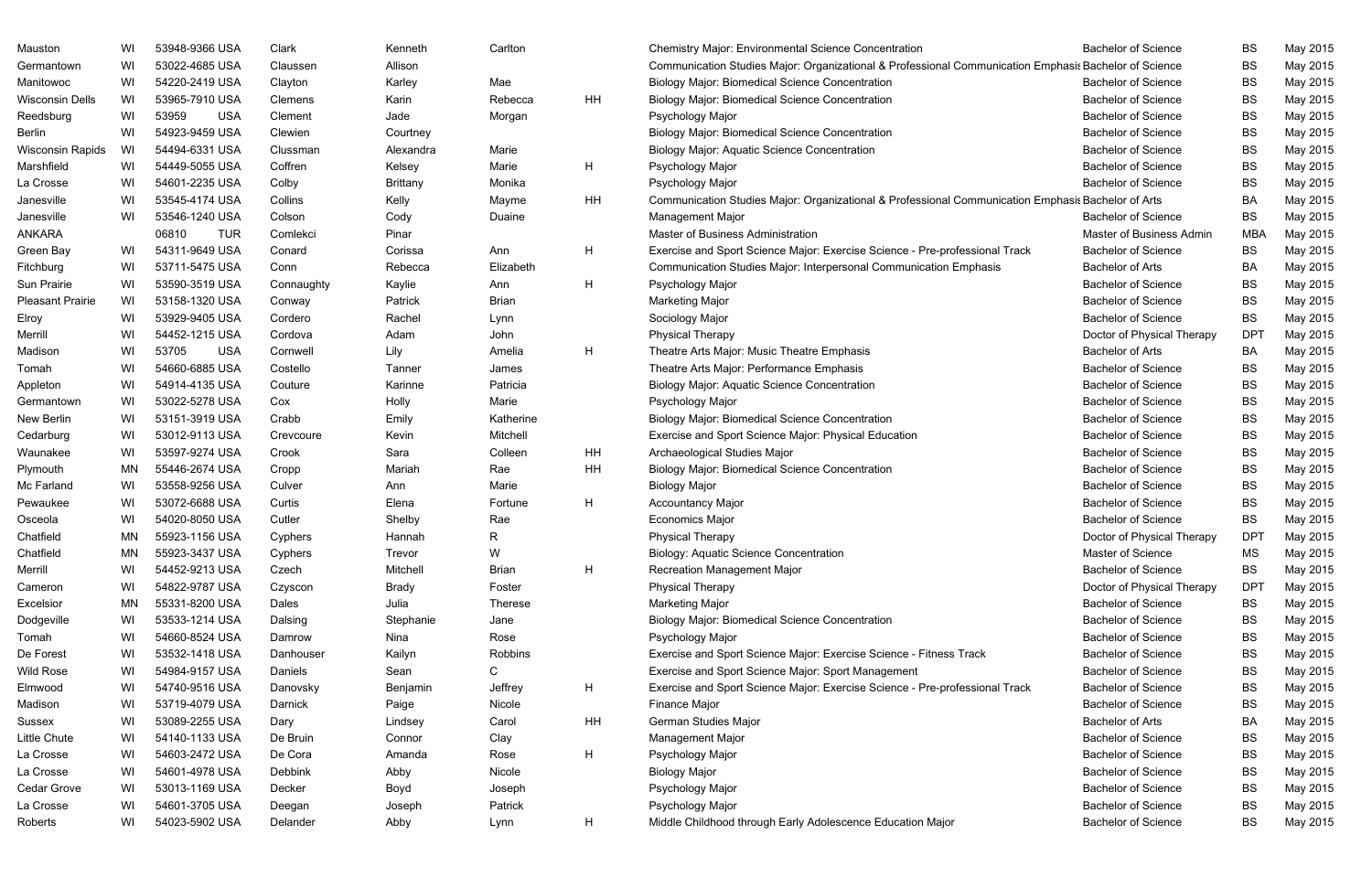| Mauston                 | WI | 53948-9366 USA      | Clark      | Kenneth         | Carlton      |    | <b>Chemistry Major: Environmental Science Concentration</b>                                           | <b>Bachelor of Science</b> | <b>BS</b>  | May 2015 |
|-------------------------|----|---------------------|------------|-----------------|--------------|----|-------------------------------------------------------------------------------------------------------|----------------------------|------------|----------|
| Germantown              | WI | 53022-4685 USA      | Claussen   | Allison         |              |    | Communication Studies Major: Organizational & Professional Communication Emphasis Bachelor of Science |                            | <b>BS</b>  | May 2015 |
| Manitowoc               | WI | 54220-2419 USA      | Clayton    | Karley          | Mae          |    | <b>Biology Major: Biomedical Science Concentration</b>                                                | <b>Bachelor of Science</b> | <b>BS</b>  | May 2015 |
| <b>Wisconsin Dells</b>  | WI | 53965-7910 USA      | Clemens    | Karin           | Rebecca      | HH | <b>Biology Major: Biomedical Science Concentration</b>                                                | <b>Bachelor of Science</b> | <b>BS</b>  | May 2015 |
| Reedsburg               | WI | 53959<br><b>USA</b> | Clement    | Jade            | Morgan       |    | Psychology Major                                                                                      | <b>Bachelor of Science</b> | <b>BS</b>  | May 2015 |
| <b>Berlin</b>           | WI | 54923-9459 USA      | Clewien    | Courtney        |              |    | <b>Biology Major: Biomedical Science Concentration</b>                                                | <b>Bachelor of Science</b> | <b>BS</b>  | May 2015 |
| Wisconsin Rapids        | WI | 54494-6331 USA      | Clussman   | Alexandra       | Marie        |    | <b>Biology Major: Aquatic Science Concentration</b>                                                   | <b>Bachelor of Science</b> | <b>BS</b>  | May 2015 |
| Marshfield              | WI | 54449-5055 USA      | Coffren    | Kelsey          | Marie        | H  | Psychology Major                                                                                      | <b>Bachelor of Science</b> | <b>BS</b>  | May 2015 |
| La Crosse               | WI | 54601-2235 USA      | Colby      | <b>Brittany</b> | Monika       |    | Psychology Major                                                                                      | <b>Bachelor of Science</b> | <b>BS</b>  | May 2015 |
| Janesville              | WI | 53545-4174 USA      | Collins    | Kelly           | Mayme        | HH | Communication Studies Major: Organizational & Professional Communication Emphasis Bachelor of Arts    |                            | BA         | May 2015 |
| Janesville              | WI | 53546-1240 USA      | Colson     | Cody            | Duaine       |    | Management Major                                                                                      | <b>Bachelor of Science</b> | <b>BS</b>  | May 2015 |
| <b>ANKARA</b>           |    | 06810<br><b>TUR</b> | Comlekci   | Pinar           |              |    | Master of Business Administration                                                                     | Master of Business Admin   | <b>MBA</b> | May 2015 |
| Green Bay               | WI | 54311-9649 USA      | Conard     | Corissa         | Ann          | H  | Exercise and Sport Science Major: Exercise Science - Pre-professional Track                           | <b>Bachelor of Science</b> | <b>BS</b>  | May 2015 |
| Fitchburg               | WI | 53711-5475 USA      | Conn       | Rebecca         | Elizabeth    |    | Communication Studies Major: Interpersonal Communication Emphasis                                     | <b>Bachelor of Arts</b>    | BA         | May 2015 |
| Sun Prairie             | WI | 53590-3519 USA      | Connaughty | Kaylie          | Ann          | H  | Psychology Major                                                                                      | <b>Bachelor of Science</b> | <b>BS</b>  | May 2015 |
| <b>Pleasant Prairie</b> | WI | 53158-1320 USA      | Conway     | Patrick         | <b>Brian</b> |    | <b>Marketing Major</b>                                                                                | <b>Bachelor of Science</b> | <b>BS</b>  | May 2015 |
| Elroy                   | WI | 53929-9405 USA      | Cordero    | Rachel          | Lynn         |    | Sociology Major                                                                                       | <b>Bachelor of Science</b> | <b>BS</b>  | May 2015 |
| Merrill                 | WI | 54452-1215 USA      | Cordova    | Adam            | John         |    | <b>Physical Therapy</b>                                                                               | Doctor of Physical Therapy | <b>DPT</b> | May 2015 |
| Madison                 | WI | 53705<br><b>USA</b> | Cornwell   | Lily            | Amelia       | H  | Theatre Arts Major: Music Theatre Emphasis                                                            | <b>Bachelor of Arts</b>    | BA         | May 2015 |
| Tomah                   | WI | 54660-6885 USA      | Costello   | Tanner          | James        |    | Theatre Arts Major: Performance Emphasis                                                              | <b>Bachelor of Science</b> | <b>BS</b>  | May 2015 |
| Appleton                | WI | 54914-4135 USA      | Couture    | Karinne         | Patricia     |    | Biology Major: Aquatic Science Concentration                                                          | <b>Bachelor of Science</b> | <b>BS</b>  | May 2015 |
| Germantown              | WI | 53022-5278 USA      | Cox        | Holly           | Marie        |    | Psychology Major                                                                                      | <b>Bachelor of Science</b> | <b>BS</b>  | May 2015 |
| New Berlin              | WI | 53151-3919 USA      | Crabb      | Emily           | Katherine    |    | <b>Biology Major: Biomedical Science Concentration</b>                                                | <b>Bachelor of Science</b> | <b>BS</b>  | May 2015 |
| Cedarburg               | WI | 53012-9113 USA      | Crevcoure  | Kevin           | Mitchell     |    | Exercise and Sport Science Major: Physical Education                                                  | <b>Bachelor of Science</b> | <b>BS</b>  | May 2015 |
| Waunakee                | WI | 53597-9274 USA      | Crook      | Sara            | Colleen      | HH | Archaeological Studies Major                                                                          | <b>Bachelor of Science</b> | <b>BS</b>  | May 2015 |
| Plymouth                | MN | 55446-2674 USA      | Cropp      | Mariah          | Rae          | HH | <b>Biology Major: Biomedical Science Concentration</b>                                                | <b>Bachelor of Science</b> | <b>BS</b>  | May 2015 |
| Mc Farland              | WI | 53558-9256 USA      | Culver     | Ann             | Marie        |    | <b>Biology Major</b>                                                                                  | <b>Bachelor of Science</b> | <b>BS</b>  | May 2015 |
| Pewaukee                | WI | 53072-6688 USA      | Curtis     | Elena           | Fortune      | H  | <b>Accountancy Major</b>                                                                              | <b>Bachelor of Science</b> | <b>BS</b>  | May 2015 |
| Osceola                 | WI | 54020-8050 USA      | Cutler     | Shelby          | Rae          |    | <b>Economics Major</b>                                                                                | <b>Bachelor of Science</b> | BS         | May 2015 |
| Chatfield               | MN | 55923-1156 USA      | Cyphers    | Hannah          | R.           |    | Physical Therapy                                                                                      | Doctor of Physical Therapy | <b>DPT</b> | May 2015 |
| Chatfield               | ΜN | 55923-3437 USA      | Cyphers    | Trevor          | W            |    | <b>Biology: Aquatic Science Concentration</b>                                                         | Master of Science          | <b>MS</b>  | May 2015 |
| Merrill                 | WI | 54452-9213 USA      | Czech      | Mitchell        | Brian        | H  | Recreation Management Major                                                                           | <b>Bachelor of Science</b> | BS         | May 2015 |
| Cameron                 | WI | 54822-9787 USA      | Czyscon    | <b>Brady</b>    | Foster       |    | <b>Physical Therapy</b>                                                                               | Doctor of Physical Therapy | <b>DPT</b> | May 2015 |
| Excelsior               | MN | 55331-8200 USA      | Dales      | Julia           | Therese      |    | <b>Marketing Major</b>                                                                                | <b>Bachelor of Science</b> | <b>BS</b>  | May 2015 |
| Dodgeville              | WI | 53533-1214 USA      | Dalsing    | Stephanie       | Jane         |    | <b>Biology Major: Biomedical Science Concentration</b>                                                | <b>Bachelor of Science</b> | <b>BS</b>  | May 2015 |
| Tomah                   | WI | 54660-8524 USA      | Damrow     | Nina            | Rose         |    | Psychology Major                                                                                      | <b>Bachelor of Science</b> | BS         | May 2015 |
| De Forest               | WI | 53532-1418 USA      | Danhouser  | Kailyn          | Robbins      |    | Exercise and Sport Science Major: Exercise Science - Fitness Track                                    | <b>Bachelor of Science</b> | BS         | May 2015 |
| Wild Rose               | WI | 54984-9157 USA      | Daniels    | Sean            | C.           |    | Exercise and Sport Science Major: Sport Management                                                    | <b>Bachelor of Science</b> | <b>BS</b>  | May 2015 |
| Elmwood                 | WI | 54740-9516 USA      | Danovsky   | Benjamin        | Jeffrey      | H  | Exercise and Sport Science Major: Exercise Science - Pre-professional Track                           | <b>Bachelor of Science</b> | <b>BS</b>  | May 2015 |
| Madison                 | WI | 53719-4079 USA      | Darnick    | Paige           | Nicole       |    | Finance Major                                                                                         | <b>Bachelor of Science</b> | BS         | May 2015 |
| Sussex                  | WI | 53089-2255 USA      | Dary       | Lindsey         | Carol        | HH | German Studies Major                                                                                  | <b>Bachelor of Arts</b>    | BA         | May 2015 |
| Little Chute            | WI | 54140-1133 USA      | De Bruin   | Connor          | Clay         |    | Management Major                                                                                      | <b>Bachelor of Science</b> | <b>BS</b>  | May 2015 |
| La Crosse               | WI | 54603-2472 USA      | De Cora    | Amanda          | Rose         | H  | Psychology Major                                                                                      | <b>Bachelor of Science</b> | <b>BS</b>  | May 2015 |
| La Crosse               | WI | 54601-4978 USA      | Debbink    | Abby            | Nicole       |    | <b>Biology Major</b>                                                                                  | <b>Bachelor of Science</b> | BS         | May 2015 |
| Cedar Grove             | WI | 53013-1169 USA      | Decker     | Boyd            | Joseph       |    | Psychology Major                                                                                      | <b>Bachelor of Science</b> | <b>BS</b>  | May 2015 |
| La Crosse               | WI | 54601-3705 USA      | Deegan     | Joseph          | Patrick      |    | Psychology Major                                                                                      | <b>Bachelor of Science</b> | <b>BS</b>  | May 2015 |
| Roberts                 | WI | 54023-5902 USA      | Delander   | Abby            | Lynn         | H  | Middle Childhood through Early Adolescence Education Major                                            | <b>Bachelor of Science</b> | BS         | May 2015 |
|                         |    |                     |            |                 |              |    |                                                                                                       |                            |            |          |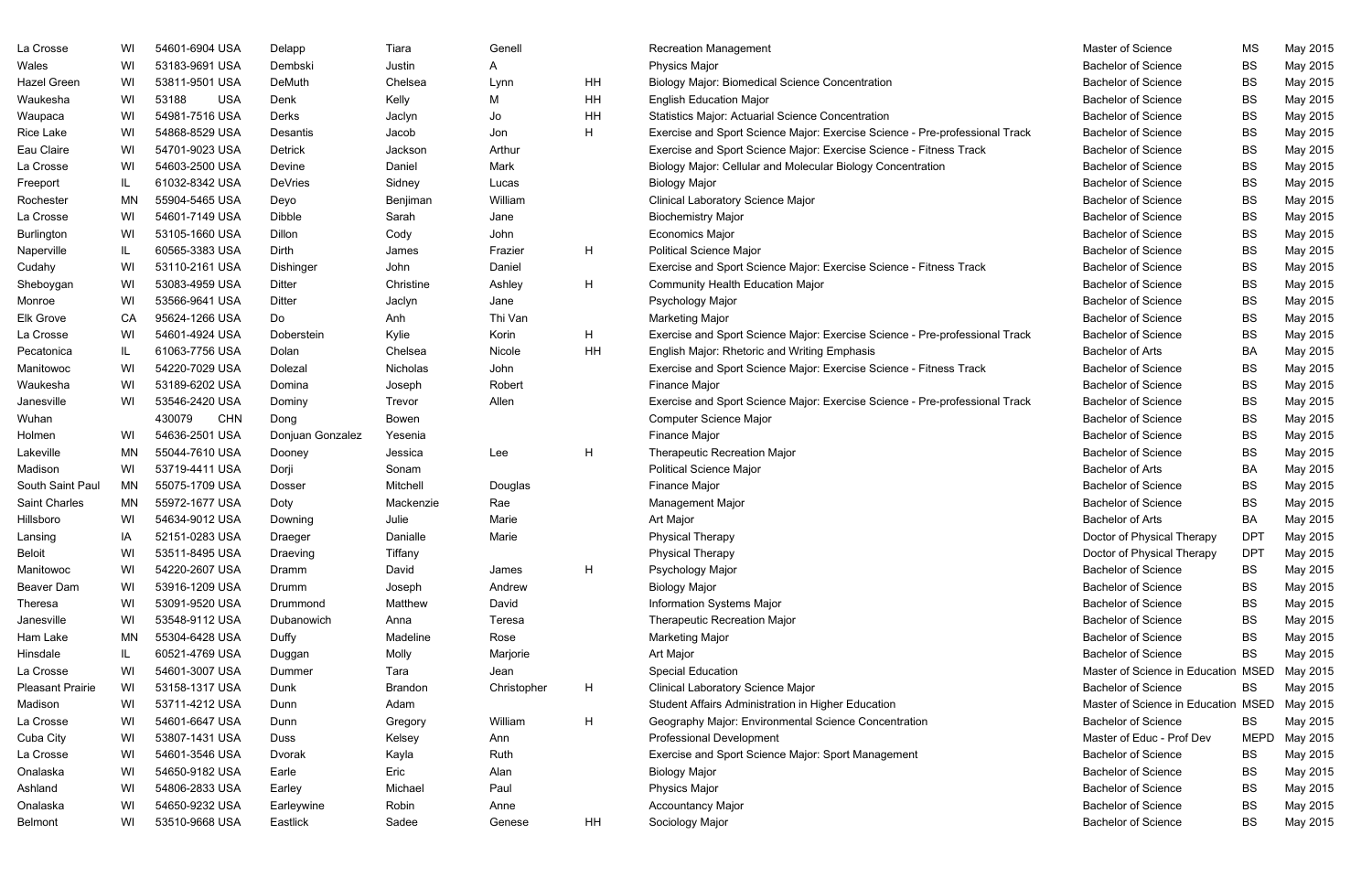| La Crosse               | WI        | 54601-6904 USA       | Delapp           | Tiara          | Genell      |    | <b>Recreation Management</b>                                                | Master of Science                   | <b>MS</b>   | May 2015 |
|-------------------------|-----------|----------------------|------------------|----------------|-------------|----|-----------------------------------------------------------------------------|-------------------------------------|-------------|----------|
| Wales                   | WI        | 53183-9691 USA       | Dembski          | Justin         | A           |    | <b>Physics Major</b>                                                        | <b>Bachelor of Science</b>          | BS          | May 2015 |
| Hazel Green             | WI        | 53811-9501 USA       | DeMuth           | Chelsea        | Lynn        | HH | <b>Biology Major: Biomedical Science Concentration</b>                      | <b>Bachelor of Science</b>          | <b>BS</b>   | May 2015 |
| Waukesha                | WI        | <b>USA</b><br>53188  | Denk             | Kelly          | M           | HH | <b>English Education Major</b>                                              | <b>Bachelor of Science</b>          | <b>BS</b>   | May 2015 |
| Waupaca                 | WI        | 54981-7516 USA       | Derks            | Jaclyn         | Jo          | HH | <b>Statistics Major: Actuarial Science Concentration</b>                    | <b>Bachelor of Science</b>          | <b>BS</b>   | May 2015 |
| Rice Lake               | WI        | 54868-8529 USA       | Desantis         | Jacob          | Jon         | H  | Exercise and Sport Science Major: Exercise Science - Pre-professional Track | <b>Bachelor of Science</b>          | <b>BS</b>   | May 2015 |
| Eau Claire              | WI        | 54701-9023 USA       | Detrick          | Jackson        | Arthur      |    | Exercise and Sport Science Major: Exercise Science - Fitness Track          | <b>Bachelor of Science</b>          | BS          | May 2015 |
| La Crosse               | WI        | 54603-2500 USA       | Devine           | Daniel         | Mark        |    | Biology Major: Cellular and Molecular Biology Concentration                 | <b>Bachelor of Science</b>          | <b>BS</b>   | May 2015 |
| Freeport                | IL.       | 61032-8342 USA       | <b>DeVries</b>   | Sidney         | Lucas       |    | <b>Biology Major</b>                                                        | <b>Bachelor of Science</b>          | <b>BS</b>   | May 2015 |
| Rochester               | <b>MN</b> | 55904-5465 USA       | Deyo             | Benjiman       | William     |    | <b>Clinical Laboratory Science Major</b>                                    | <b>Bachelor of Science</b>          | <b>BS</b>   | May 2015 |
| La Crosse               | WI        | 54601-7149 USA       | <b>Dibble</b>    | Sarah          | Jane        |    | <b>Biochemistry Major</b>                                                   | <b>Bachelor of Science</b>          | <b>BS</b>   | May 2015 |
| Burlington              | WI        | 53105-1660 USA       | Dillon           | Cody           | John        |    | <b>Economics Major</b>                                                      | <b>Bachelor of Science</b>          | <b>BS</b>   | May 2015 |
| Naperville              | IL.       | 60565-3383 USA       | Dirth            | James          | Frazier     | H. | <b>Political Science Major</b>                                              | <b>Bachelor of Science</b>          | <b>BS</b>   | May 2015 |
| Cudahy                  | WI        | 53110-2161 USA       | Dishinger        | John           | Daniel      |    | Exercise and Sport Science Major: Exercise Science - Fitness Track          | <b>Bachelor of Science</b>          | <b>BS</b>   | May 2015 |
| Sheboygan               | WI        | 53083-4959 USA       | Ditter           | Christine      | Ashley      | H  | <b>Community Health Education Major</b>                                     | <b>Bachelor of Science</b>          | <b>BS</b>   | May 2015 |
| Monroe                  | WI        | 53566-9641 USA       | Ditter           | Jaclyn         | Jane        |    | Psychology Major                                                            | <b>Bachelor of Science</b>          | <b>BS</b>   | May 2015 |
| <b>Elk Grove</b>        | CA        | 95624-1266 USA       | Do               | Anh            | Thi Van     |    | <b>Marketing Major</b>                                                      | <b>Bachelor of Science</b>          | <b>BS</b>   | May 2015 |
| La Crosse               | WI        | 54601-4924 USA       | Doberstein       | Kylie          | Korin       | H. | Exercise and Sport Science Major: Exercise Science - Pre-professional Track | <b>Bachelor of Science</b>          | BS          | May 2015 |
| Pecatonica              | IL.       | 61063-7756 USA       | Dolan            | Chelsea        | Nicole      | HH | English Major: Rhetoric and Writing Emphasis                                | <b>Bachelor of Arts</b>             | BA          | May 2015 |
| Manitowoc               | WI        | 54220-7029 USA       | Dolezal          | Nicholas       | John        |    | Exercise and Sport Science Major: Exercise Science - Fitness Track          | <b>Bachelor of Science</b>          | <b>BS</b>   | May 2015 |
| Waukesha                | WI        | 53189-6202 USA       | Domina           | Joseph         | Robert      |    | Finance Major                                                               | <b>Bachelor of Science</b>          | <b>BS</b>   | May 2015 |
| Janesville              | WI        | 53546-2420 USA       | Dominy           | Trevor         | Allen       |    | Exercise and Sport Science Major: Exercise Science - Pre-professional Track | <b>Bachelor of Science</b>          | <b>BS</b>   | May 2015 |
| Wuhan                   |           | 430079<br><b>CHN</b> | Dong             | Bowen          |             |    | <b>Computer Science Major</b>                                               | <b>Bachelor of Science</b>          | <b>BS</b>   | May 2015 |
| Holmen                  | WI        | 54636-2501 USA       | Donjuan Gonzalez | Yesenia        |             |    | Finance Major                                                               | <b>Bachelor of Science</b>          | <b>BS</b>   | May 2015 |
| Lakeville               | <b>MN</b> | 55044-7610 USA       | Dooney           | Jessica        | Lee         | H  | <b>Therapeutic Recreation Major</b>                                         | <b>Bachelor of Science</b>          | <b>BS</b>   | May 2015 |
| Madison                 | WI        | 53719-4411 USA       | Dorji            | Sonam          |             |    | <b>Political Science Major</b>                                              | <b>Bachelor of Arts</b>             | BA          | May 2015 |
| South Saint Paul        | MN        | 55075-1709 USA       | <b>Dosser</b>    | Mitchell       | Douglas     |    | <b>Finance Major</b>                                                        | <b>Bachelor of Science</b>          | <b>BS</b>   | May 2015 |
| Saint Charles           | MN        | 55972-1677 USA       | Doty             | Mackenzie      | Rae         |    | <b>Management Major</b>                                                     | <b>Bachelor of Science</b>          | <b>BS</b>   | May 2015 |
| Hillsboro               | WI        | 54634-9012 USA       | Downing          | Julie          | Marie       |    | Art Major                                                                   | <b>Bachelor of Arts</b>             | BA          | May 2015 |
| Lansing                 | ΙA        | 52151-0283 USA       | <b>Draeger</b>   | Danialle       | Marie       |    | <b>Physical Therapy</b>                                                     | Doctor of Physical Therapy          | <b>DPT</b>  | May 2015 |
| <b>Beloit</b>           | WI        | 53511-8495 USA       | Draeving         | Tiffany        |             |    | <b>Physical Therapy</b>                                                     | Doctor of Physical Therapy          | <b>DPT</b>  | May 2015 |
| Manitowoc               | WI        | 54220-2607 USA       | Dramm            | David          | James       | H  | Psychology Major                                                            | <b>Bachelor of Science</b>          | BS          | May 2015 |
| Beaver Dam              | WI        | 53916-1209 USA       | Drumm            | Joseph         | Andrew      |    | <b>Biology Major</b>                                                        | <b>Bachelor of Science</b>          | BS          | May 2015 |
| <b>Theresa</b>          | WI        | 53091-9520 USA       | Drummond         | Matthew        | David       |    | Information Systems Major                                                   | <b>Bachelor of Science</b>          | <b>BS</b>   | May 2015 |
| Janesville              | WI        | 53548-9112 USA       | Dubanowich       | Anna           | Teresa      |    | <b>Therapeutic Recreation Major</b>                                         | <b>Bachelor of Science</b>          | <b>BS</b>   | May 2015 |
| Ham Lake                | MN        | 55304-6428 USA       | Duffy            | Madeline       | Rose        |    | <b>Marketing Major</b>                                                      | <b>Bachelor of Science</b>          | BS          | May 2015 |
| Hinsdale                | IL        | 60521-4769 USA       | Duggan           | Molly          | Marjorie    |    | Art Major                                                                   | <b>Bachelor of Science</b>          | <b>BS</b>   | May 2015 |
| La Crosse               | WI        | 54601-3007 USA       | Dummer           | Tara           | Jean        |    | <b>Special Education</b>                                                    | Master of Science in Education MSED |             | May 2015 |
| <b>Pleasant Prairie</b> | WI        | 53158-1317 USA       | Dunk             | <b>Brandon</b> | Christopher | H. | <b>Clinical Laboratory Science Major</b>                                    | <b>Bachelor of Science</b>          | BS          | May 2015 |
| Madison                 | WI        | 53711-4212 USA       | Dunn             | Adam           |             |    | Student Affairs Administration in Higher Education                          | Master of Science in Education MSED |             | May 2015 |
| La Crosse               | WI        | 54601-6647 USA       | Dunn             | Gregory        | William     | H. | Geography Major: Environmental Science Concentration                        | <b>Bachelor of Science</b>          | BS          | May 2015 |
| Cuba City               | WI        | 53807-1431 USA       | Duss             | Kelsey         | Ann         |    | <b>Professional Development</b>                                             | Master of Educ - Prof Dev           | <b>MEPD</b> | May 2015 |
| La Crosse               | WI        | 54601-3546 USA       | Dvorak           | Kayla          | Ruth        |    | Exercise and Sport Science Major: Sport Management                          | <b>Bachelor of Science</b>          | BS          | May 2015 |
| Onalaska                | WI        | 54650-9182 USA       | Earle            | Eric           | Alan        |    | <b>Biology Major</b>                                                        | <b>Bachelor of Science</b>          | BS          | May 2015 |
| Ashland                 | WI        | 54806-2833 USA       | Earley           | Michael        | Paul        |    | <b>Physics Major</b>                                                        | <b>Bachelor of Science</b>          | BS          | May 2015 |
| Onalaska                | WI        | 54650-9232 USA       | Earleywine       | Robin          | Anne        |    | <b>Accountancy Major</b>                                                    | <b>Bachelor of Science</b>          | BS          | May 2015 |
| <b>Belmont</b>          | WI        | 53510-9668 USA       | Eastlick         | Sadee          | Genese      | HH | Sociology Major                                                             | <b>Bachelor of Science</b>          | <b>BS</b>   | May 2015 |
|                         |           |                      |                  |                |             |    |                                                                             |                                     |             |          |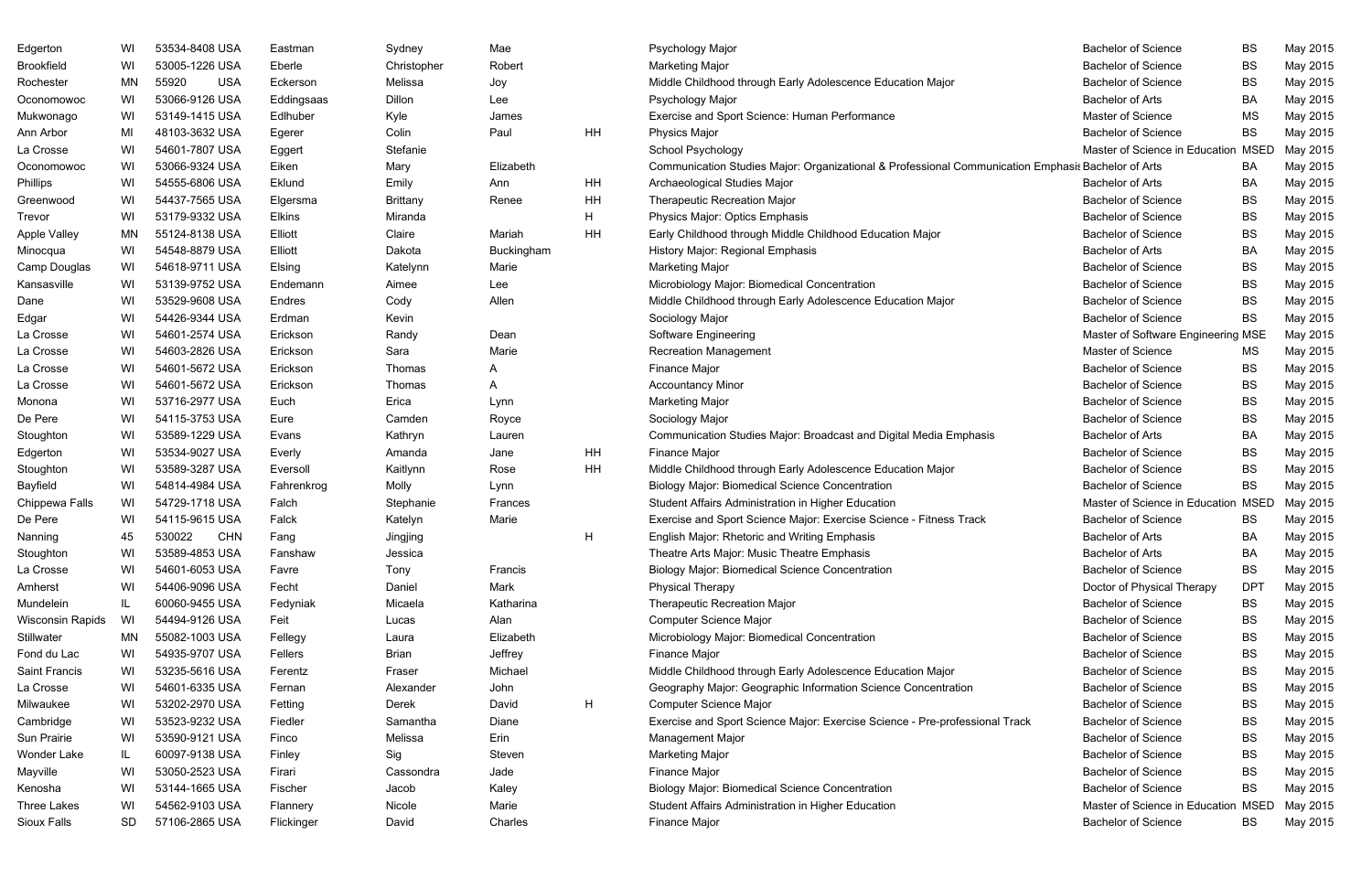| Edgerton            | WI  | 53534-8408 USA       | Eastman       | Sydney          | Mae        |    | Psychology Major                                                                                   | <b>Bachelor of Science</b>          | BS         | May 2015 |
|---------------------|-----|----------------------|---------------|-----------------|------------|----|----------------------------------------------------------------------------------------------------|-------------------------------------|------------|----------|
| Brookfield          | WI  | 53005-1226 USA       | Eberle        | Christopher     | Robert     |    | <b>Marketing Major</b>                                                                             | <b>Bachelor of Science</b>          | BS         | May 2015 |
| Rochester           | MN  | 55920<br><b>USA</b>  | Eckerson      | Melissa         | Joy        |    | Middle Childhood through Early Adolescence Education Major                                         | <b>Bachelor of Science</b>          | <b>BS</b>  | May 2015 |
| Oconomowoc          | WI  | 53066-9126 USA       | Eddingsaas    | Dillon          | Lee        |    | Psychology Major                                                                                   | <b>Bachelor of Arts</b>             | BA         | May 2015 |
| Mukwonago           | WI  | 53149-1415 USA       | Edlhuber      | Kyle            | James      |    | Exercise and Sport Science: Human Performance                                                      | Master of Science                   | <b>MS</b>  | May 2015 |
| Ann Arbor           | MI  | 48103-3632 USA       | Egerer        | Colin           | Paul       | HH | <b>Physics Major</b>                                                                               | <b>Bachelor of Science</b>          | <b>BS</b>  | May 2015 |
| La Crosse           | WI  | 54601-7807 USA       | Eggert        | Stefanie        |            |    | School Psychology                                                                                  | Master of Science in Education MSED |            | May 2015 |
| Oconomowoc          | WI  | 53066-9324 USA       | Eiken         | Mary            | Elizabeth  |    | Communication Studies Major: Organizational & Professional Communication Emphasis Bachelor of Arts |                                     | BA         | May 2015 |
| Phillips            | WI  | 54555-6806 USA       | Eklund        | Emily           | Ann        | HH | Archaeological Studies Major                                                                       | <b>Bachelor of Arts</b>             | BA         | May 2015 |
| Greenwood           | WI  | 54437-7565 USA       | Elgersma      | <b>Brittany</b> | Renee      | HH | <b>Therapeutic Recreation Major</b>                                                                | <b>Bachelor of Science</b>          | BS         | May 2015 |
| Trevor              | WI  | 53179-9332 USA       | <b>Elkins</b> | Miranda         |            | H. | Physics Major: Optics Emphasis                                                                     | <b>Bachelor of Science</b>          | <b>BS</b>  | May 2015 |
| <b>Apple Valley</b> | MN. | 55124-8138 USA       | Elliott       | Claire          | Mariah     | HH | Early Childhood through Middle Childhood Education Major                                           | <b>Bachelor of Science</b>          | BS         | May 2015 |
| Minocqua            | WI  | 54548-8879 USA       | Elliott       | Dakota          | Buckingham |    | History Major: Regional Emphasis                                                                   | <b>Bachelor of Arts</b>             | BA         | May 2015 |
| Camp Douglas        | WI  | 54618-9711 USA       | Elsing        | Katelynn        | Marie      |    | <b>Marketing Major</b>                                                                             | <b>Bachelor of Science</b>          | <b>BS</b>  | May 2015 |
| Kansasville         | WI  | 53139-9752 USA       | Endemann      | Aimee           | Lee        |    | Microbiology Major: Biomedical Concentration                                                       | <b>Bachelor of Science</b>          | BS         | May 2015 |
| Dane                | WI  | 53529-9608 USA       | Endres        | Cody            | Allen      |    | Middle Childhood through Early Adolescence Education Major                                         | <b>Bachelor of Science</b>          | BS         | May 2015 |
| Edgar               | WI  | 54426-9344 USA       | Erdman        | Kevin           |            |    | Sociology Major                                                                                    | <b>Bachelor of Science</b>          | BS         | May 2015 |
| La Crosse           | WI  | 54601-2574 USA       | Erickson      | Randy           | Dean       |    | Software Engineering                                                                               | Master of Software Engineering MSE  |            | May 2015 |
| La Crosse           | WI  | 54603-2826 USA       | Erickson      | Sara            | Marie      |    | <b>Recreation Management</b>                                                                       | Master of Science                   | МS         | May 2015 |
| La Crosse           | WI  | 54601-5672 USA       | Erickson      | Thomas          |            |    | Finance Major                                                                                      | <b>Bachelor of Science</b>          | BS         | May 2015 |
| La Crosse           | WI  | 54601-5672 USA       | Erickson      | Thomas          | A          |    | <b>Accountancy Minor</b>                                                                           | <b>Bachelor of Science</b>          | <b>BS</b>  | May 2015 |
| Monona              | WI  | 53716-2977 USA       | Euch          | Erica           | Lynn       |    | <b>Marketing Major</b>                                                                             | <b>Bachelor of Science</b>          | BS         | May 2015 |
| De Pere             | WI  | 54115-3753 USA       | Eure          | Camden          | Royce      |    | Sociology Major                                                                                    | <b>Bachelor of Science</b>          | <b>BS</b>  | May 2015 |
| Stoughton           | WI  | 53589-1229 USA       | Evans         | Kathryn         | Lauren     |    | Communication Studies Major: Broadcast and Digital Media Emphasis                                  | <b>Bachelor of Arts</b>             | BA         | May 2015 |
| Edgerton            | WI  | 53534-9027 USA       | Everly        | Amanda          | Jane       | HH | Finance Major                                                                                      | <b>Bachelor of Science</b>          | BS         | May 2015 |
| Stoughton           | WI  | 53589-3287 USA       | Eversoll      | Kaitlynn        | Rose       | HH | Middle Childhood through Early Adolescence Education Major                                         | <b>Bachelor of Science</b>          | BS         | May 2015 |
| Bayfield            | WI  | 54814-4984 USA       | Fahrenkrog    | Molly           | Lynn       |    | <b>Biology Major: Biomedical Science Concentration</b>                                             | <b>Bachelor of Science</b>          | <b>BS</b>  | May 2015 |
| Chippewa Falls      | WI  | 54729-1718 USA       | Falch         | Stephanie       | Frances    |    | Student Affairs Administration in Higher Education                                                 | Master of Science in Education MSED |            | May 2015 |
| De Pere             | WI  | 54115-9615 USA       | Falck         | Katelyn         | Marie      |    | Exercise and Sport Science Major: Exercise Science - Fitness Track                                 | <b>Bachelor of Science</b>          | <b>BS</b>  | May 2015 |
| Nanning             | 45  | <b>CHN</b><br>530022 | Fang          | Jingjing        |            | H  | <b>English Major: Rhetoric and Writing Emphasis</b>                                                | <b>Bachelor of Arts</b>             | BA         | May 2015 |
| Stoughton           | WI  | 53589-4853 USA       | Fanshaw       | Jessica         |            |    | Theatre Arts Major: Music Theatre Emphasis                                                         | <b>Bachelor of Arts</b>             | BA         | May 2015 |
| La Crosse           | WI  | 54601-6053 USA       | Favre         | Tony            | Francis    |    | <b>Biology Major: Biomedical Science Concentration</b>                                             | <b>Bachelor of Science</b>          | BS         | May 2015 |
| Amherst             | WI  | 54406-9096 USA       | Fecht         | Daniel          | Mark       |    | Physical Therapy                                                                                   | Doctor of Physical Therapy          | <b>DPT</b> | May 2015 |
| Mundelein           |     | 60060-9455 USA       | Fedyniak      | Micaela         | Katharina  |    | <b>Therapeutic Recreation Major</b>                                                                | <b>Bachelor of Science</b>          | BS         | May 2015 |
| Wisconsin Rapids    | WI  | 54494-9126 USA       | Feit          | Lucas           | Alan       |    | Computer Science Major                                                                             | <b>Bachelor of Science</b>          | BS         | May 2015 |
| Stillwater          | MN  | 55082-1003 USA       | Fellegy       | Laura           | Elizabeth  |    | Microbiology Major: Biomedical Concentration                                                       | <b>Bachelor of Science</b>          | BS         | May 2015 |
| Fond du Lac         | WI  | 54935-9707 USA       | Fellers       | <b>Brian</b>    | Jeffrey    |    | Finance Major                                                                                      | <b>Bachelor of Science</b>          | BS         | May 2015 |
| Saint Francis       | WI  | 53235-5616 USA       | Ferentz       | Fraser          | Michael    |    | Middle Childhood through Early Adolescence Education Major                                         | <b>Bachelor of Science</b>          | BS         | May 2015 |
| La Crosse           | WI  | 54601-6335 USA       | Fernan        | Alexander       | John       |    | Geography Major: Geographic Information Science Concentration                                      | <b>Bachelor of Science</b>          | BS         | May 2015 |
| Milwaukee           | WI  | 53202-2970 USA       | Fetting       | Derek           | David      | H  | Computer Science Major                                                                             | <b>Bachelor of Science</b>          | BS         | May 2015 |
| Cambridge           | WI  | 53523-9232 USA       | Fiedler       | Samantha        | Diane      |    | Exercise and Sport Science Major: Exercise Science - Pre-professional Track                        | <b>Bachelor of Science</b>          | BS         | May 2015 |
| Sun Prairie         | WI  | 53590-9121 USA       | Finco         | Melissa         | Erin       |    | Management Major                                                                                   | <b>Bachelor of Science</b>          | BS         | May 2015 |
| Wonder Lake         | IL. | 60097-9138 USA       | Finley        | Sig             | Steven     |    | <b>Marketing Major</b>                                                                             | <b>Bachelor of Science</b>          | BS         | May 2015 |
| Mayville            | WI  | 53050-2523 USA       | Firari        | Cassondra       | Jade       |    | Finance Major                                                                                      | <b>Bachelor of Science</b>          | BS         | May 2015 |
| Kenosha             | WI  | 53144-1665 USA       | Fischer       | Jacob           | Kaley      |    | <b>Biology Major: Biomedical Science Concentration</b>                                             | <b>Bachelor of Science</b>          | BS         | May 2015 |
| Three Lakes         | WI  | 54562-9103 USA       | Flannery      | Nicole          | Marie      |    | Student Affairs Administration in Higher Education                                                 | Master of Science in Education MSED |            | May 2015 |
| Sioux Falls         | SD. | 57106-2865 USA       | Flickinger    | David           | Charles    |    | Finance Major                                                                                      | <b>Bachelor of Science</b>          | BS         | May 2015 |
|                     |     |                      |               |                 |            |    |                                                                                                    |                                     |            |          |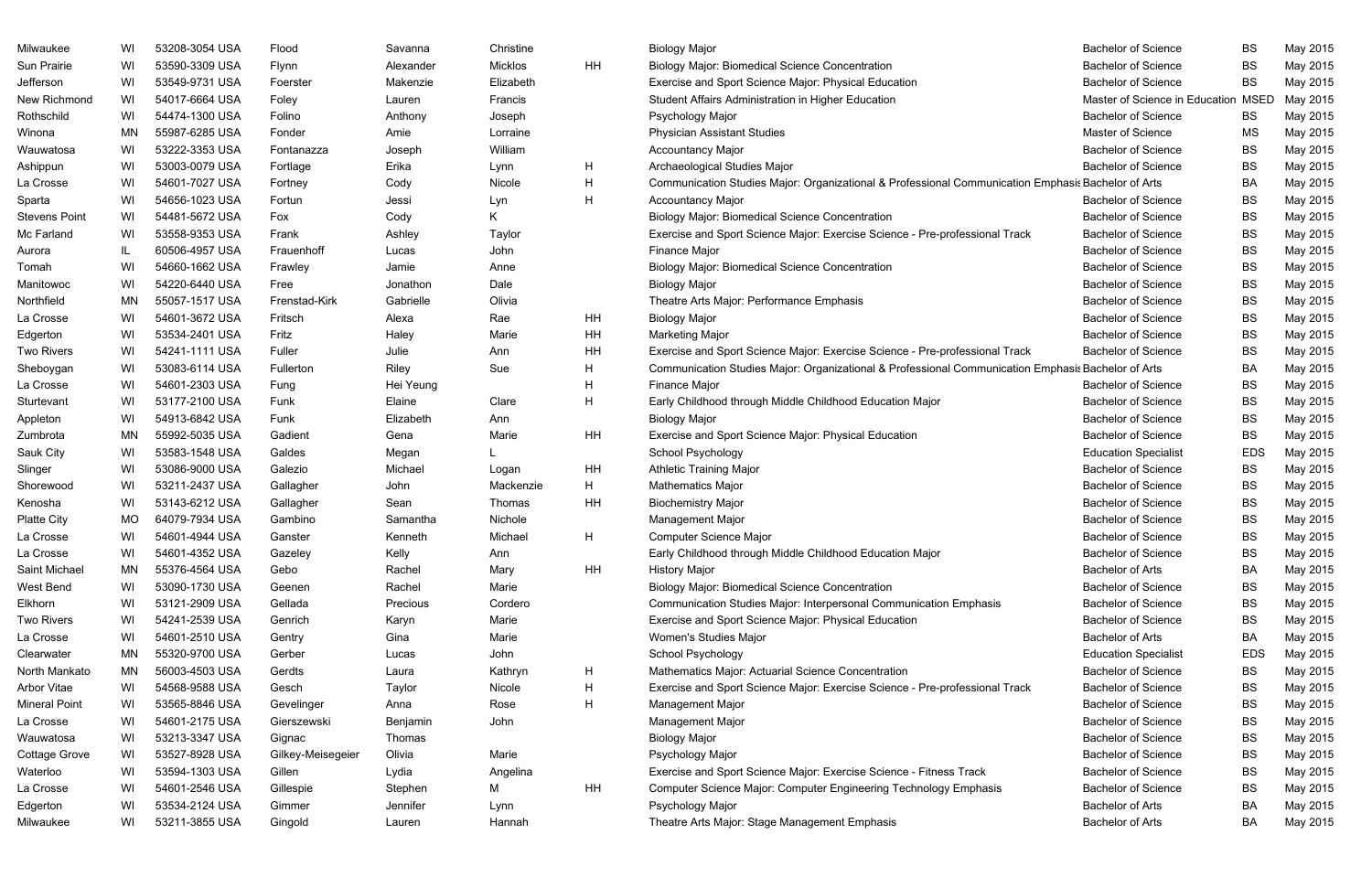| Milwaukee            | WI        | 53208-3054 USA | Flood             | Savanna   | Christine |    | <b>Biology Major</b>                                                                               | <b>Bachelor of Science</b>          | BS         | May 2015 |
|----------------------|-----------|----------------|-------------------|-----------|-----------|----|----------------------------------------------------------------------------------------------------|-------------------------------------|------------|----------|
| Sun Prairie          | WI        | 53590-3309 USA | Flynn             | Alexander | Micklos   | HH | <b>Biology Major: Biomedical Science Concentration</b>                                             | <b>Bachelor of Science</b>          | <b>BS</b>  | May 2015 |
| Jefferson            | WI        | 53549-9731 USA | Foerster          | Makenzie  | Elizabeth |    | Exercise and Sport Science Major: Physical Education                                               | <b>Bachelor of Science</b>          | BS         | May 2015 |
| New Richmond         | WI        | 54017-6664 USA | Foley             | Lauren    | Francis   |    | Student Affairs Administration in Higher Education                                                 | Master of Science in Education MSED |            | May 2015 |
| Rothschild           | WI        | 54474-1300 USA | Folino            | Anthony   | Joseph    |    | Psychology Major                                                                                   | <b>Bachelor of Science</b>          | <b>BS</b>  | May 2015 |
| Winona               | ΜN        | 55987-6285 USA | Fonder            | Amie      | Lorraine  |    | <b>Physician Assistant Studies</b>                                                                 | <b>Master of Science</b>            | ΜS         | May 2015 |
| Wauwatosa            | WI        | 53222-3353 USA | Fontanazza        | Joseph    | William   |    | <b>Accountancy Major</b>                                                                           | <b>Bachelor of Science</b>          | <b>BS</b>  | May 2015 |
| Ashippun             | WI        | 53003-0079 USA | Fortlage          | Erika     | Lynn      | H  | Archaeological Studies Major                                                                       | <b>Bachelor of Science</b>          | <b>BS</b>  | May 2015 |
| La Crosse            | WI        | 54601-7027 USA | Fortney           | Cody      | Nicole    | H  | Communication Studies Major: Organizational & Professional Communication Emphasis Bachelor of Arts |                                     | BA         | May 2015 |
| Sparta               | WI        | 54656-1023 USA | Fortun            | Jessi     | Lyn       | H  | <b>Accountancy Major</b>                                                                           | <b>Bachelor of Science</b>          | <b>BS</b>  | May 2015 |
| <b>Stevens Point</b> | WI        | 54481-5672 USA | Fox               | Cody      | K.        |    | <b>Biology Major: Biomedical Science Concentration</b>                                             | <b>Bachelor of Science</b>          | <b>BS</b>  | May 2015 |
| Mc Farland           | WI        | 53558-9353 USA | Frank             | Ashley    | Taylor    |    | Exercise and Sport Science Major: Exercise Science - Pre-professional Track                        | <b>Bachelor of Science</b>          | <b>BS</b>  | May 2015 |
| Aurora               | IL.       | 60506-4957 USA | Frauenhoff        | Lucas     | John      |    | Finance Major                                                                                      | <b>Bachelor of Science</b>          | <b>BS</b>  | May 2015 |
| Tomah                | WI        | 54660-1662 USA | Frawley           | Jamie     | Anne      |    | <b>Biology Major: Biomedical Science Concentration</b>                                             | <b>Bachelor of Science</b>          | BS         | May 2015 |
| Manitowoc            | WI        | 54220-6440 USA | Free              | Jonathon  | Dale      |    | <b>Biology Major</b>                                                                               | <b>Bachelor of Science</b>          | <b>BS</b>  | May 2015 |
| Northfield           | ΜN        | 55057-1517 USA | Frenstad-Kirk     | Gabrielle | Olivia    |    | Theatre Arts Major: Performance Emphasis                                                           | <b>Bachelor of Science</b>          | <b>BS</b>  | May 2015 |
| La Crosse            | WI        | 54601-3672 USA | Fritsch           | Alexa     | Rae       | ΗH | <b>Biology Major</b>                                                                               | <b>Bachelor of Science</b>          | <b>BS</b>  | May 2015 |
| Edgerton             | WI        | 53534-2401 USA | Fritz             | Haley     | Marie     | HH | <b>Marketing Major</b>                                                                             | <b>Bachelor of Science</b>          | BS         | May 2015 |
| <b>Two Rivers</b>    | WI        | 54241-1111 USA | Fuller            | Julie     | Ann       | ΗH | Exercise and Sport Science Major: Exercise Science - Pre-professional Track                        | <b>Bachelor of Science</b>          | <b>BS</b>  | May 2015 |
| Sheboygan            | WI        | 53083-6114 USA | Fullerton         | Riley     | Sue       | H  | Communication Studies Major: Organizational & Professional Communication Emphasis Bachelor of Arts |                                     | BA         | May 2015 |
| La Crosse            | WI        | 54601-2303 USA | Fung              | Hei Yeung |           | н  | Finance Major                                                                                      | <b>Bachelor of Science</b>          | <b>BS</b>  | May 2015 |
| Sturtevant           | WI        | 53177-2100 USA | Funk              | Elaine    | Clare     | H  | Early Childhood through Middle Childhood Education Major                                           | <b>Bachelor of Science</b>          | <b>BS</b>  | May 2015 |
| Appleton             | WI        | 54913-6842 USA | Funk              | Elizabeth | Ann       |    | <b>Biology Major</b>                                                                               | <b>Bachelor of Science</b>          | <b>BS</b>  | May 2015 |
| Zumbrota             | ΜN        | 55992-5035 USA | Gadient           | Gena      | Marie     | ΗH | Exercise and Sport Science Major: Physical Education                                               | <b>Bachelor of Science</b>          | <b>BS</b>  | May 2015 |
| Sauk City            | WI        | 53583-1548 USA | Galdes            | Megan     |           |    | School Psychology                                                                                  | <b>Education Specialist</b>         | <b>EDS</b> | May 2015 |
| Slinger              | WI        | 53086-9000 USA | Galezio           | Michael   | Logan     | HH | <b>Athletic Training Major</b>                                                                     | <b>Bachelor of Science</b>          | <b>BS</b>  | May 2015 |
| Shorewood            | WI        | 53211-2437 USA | Gallagher         | John      | Mackenzie | H  | <b>Mathematics Major</b>                                                                           | <b>Bachelor of Science</b>          | <b>BS</b>  | May 2015 |
| Kenosha              | WI        | 53143-6212 USA | Gallagher         | Sean      | Thomas    | HΗ | <b>Biochemistry Major</b>                                                                          | <b>Bachelor of Science</b>          | BS         | May 2015 |
| <b>Platte City</b>   | <b>MO</b> | 64079-7934 USA | Gambino           | Samantha  | Nichole   |    | Management Major                                                                                   | <b>Bachelor of Science</b>          | <b>BS</b>  | May 2015 |
| La Crosse            | WI        | 54601-4944 USA | Ganster           | Kenneth   | Michael   | Н  | <b>Computer Science Major</b>                                                                      | <b>Bachelor of Science</b>          | BS         | May 2015 |
| La Crosse            | WI        | 54601-4352 USA | Gazeley           | Kelly     | Ann       |    | Early Childhood through Middle Childhood Education Major                                           | <b>Bachelor of Science</b>          | BS         | May 2015 |
| Saint Michael        | ΜN        | 55376-4564 USA | Gebo              | Rachel    | Mary      | HH | <b>History Major</b>                                                                               | <b>Bachelor of Arts</b>             | BA         | May 2015 |
| West Bend            | WI        | 53090-1730 USA | Geenen            | Rachel    | Marie     |    | <b>Biology Major: Biomedical Science Concentration</b>                                             | <b>Bachelor of Science</b>          | BS         | May 2015 |
| Elkhorn              | WI        | 53121-2909 USA | Gellada           | Precious  | Cordero   |    | Communication Studies Major: Interpersonal Communication Emphasis                                  | <b>Bachelor of Science</b>          | <b>BS</b>  | May 2015 |
| <b>Two Rivers</b>    | WI        | 54241-2539 USA | Genrich           | Karyn     | Marie     |    | Exercise and Sport Science Major: Physical Education                                               | <b>Bachelor of Science</b>          | BS         | May 2015 |
| La Crosse            | WI        | 54601-2510 USA | Gentry            | Gina      | Marie     |    | Women's Studies Major                                                                              | <b>Bachelor of Arts</b>             | BA         | May 2015 |
| Clearwater           | ΜN        | 55320-9700 USA | Gerber            | Lucas     | John      |    | School Psychology                                                                                  | <b>Education Specialist</b>         | <b>EDS</b> | May 2015 |
| North Mankato        | ΜN        | 56003-4503 USA | Gerdts            | Laura     | Kathryn   | H  | Mathematics Major: Actuarial Science Concentration                                                 | <b>Bachelor of Science</b>          | BS         | May 2015 |
| Arbor Vitae          | WI        | 54568-9588 USA | Gesch             | Taylor    | Nicole    | H  | Exercise and Sport Science Major: Exercise Science - Pre-professional Track                        | <b>Bachelor of Science</b>          | BS         | May 2015 |
| <b>Mineral Point</b> | WI        | 53565-8846 USA | Gevelinger        | Anna      | Rose      | H  | Management Major                                                                                   | <b>Bachelor of Science</b>          | BS         | May 2015 |
| La Crosse            | WI        | 54601-2175 USA | Gierszewski       | Benjamin  | John      |    | Management Major                                                                                   | <b>Bachelor of Science</b>          | <b>BS</b>  | May 2015 |
| Wauwatosa            | WI        | 53213-3347 USA | Gignac            | Thomas    |           |    | <b>Biology Major</b>                                                                               | <b>Bachelor of Science</b>          | BS         | May 2015 |
| Cottage Grove        | WI        | 53527-8928 USA | Gilkey-Meisegeier | Olivia    | Marie     |    | Psychology Major                                                                                   | <b>Bachelor of Science</b>          | BS         | May 2015 |
| Waterloo             | WI        | 53594-1303 USA | Gillen            | Lydia     | Angelina  |    | Exercise and Sport Science Major: Exercise Science - Fitness Track                                 | <b>Bachelor of Science</b>          | BS         | May 2015 |
| La Crosse            | WI        | 54601-2546 USA | Gillespie         | Stephen   | М         | HH | Computer Science Major: Computer Engineering Technology Emphasis                                   | <b>Bachelor of Science</b>          | <b>BS</b>  | May 2015 |
| Edgerton             | WI        | 53534-2124 USA | Gimmer            | Jennifer  | Lynn      |    | Psychology Major                                                                                   | <b>Bachelor of Arts</b>             | BA         | May 2015 |
| Milwaukee            | WI        | 53211-3855 USA | Gingold           | Lauren    | Hannah    |    | Theatre Arts Major: Stage Management Emphasis                                                      | <b>Bachelor of Arts</b>             | BA         | May 2015 |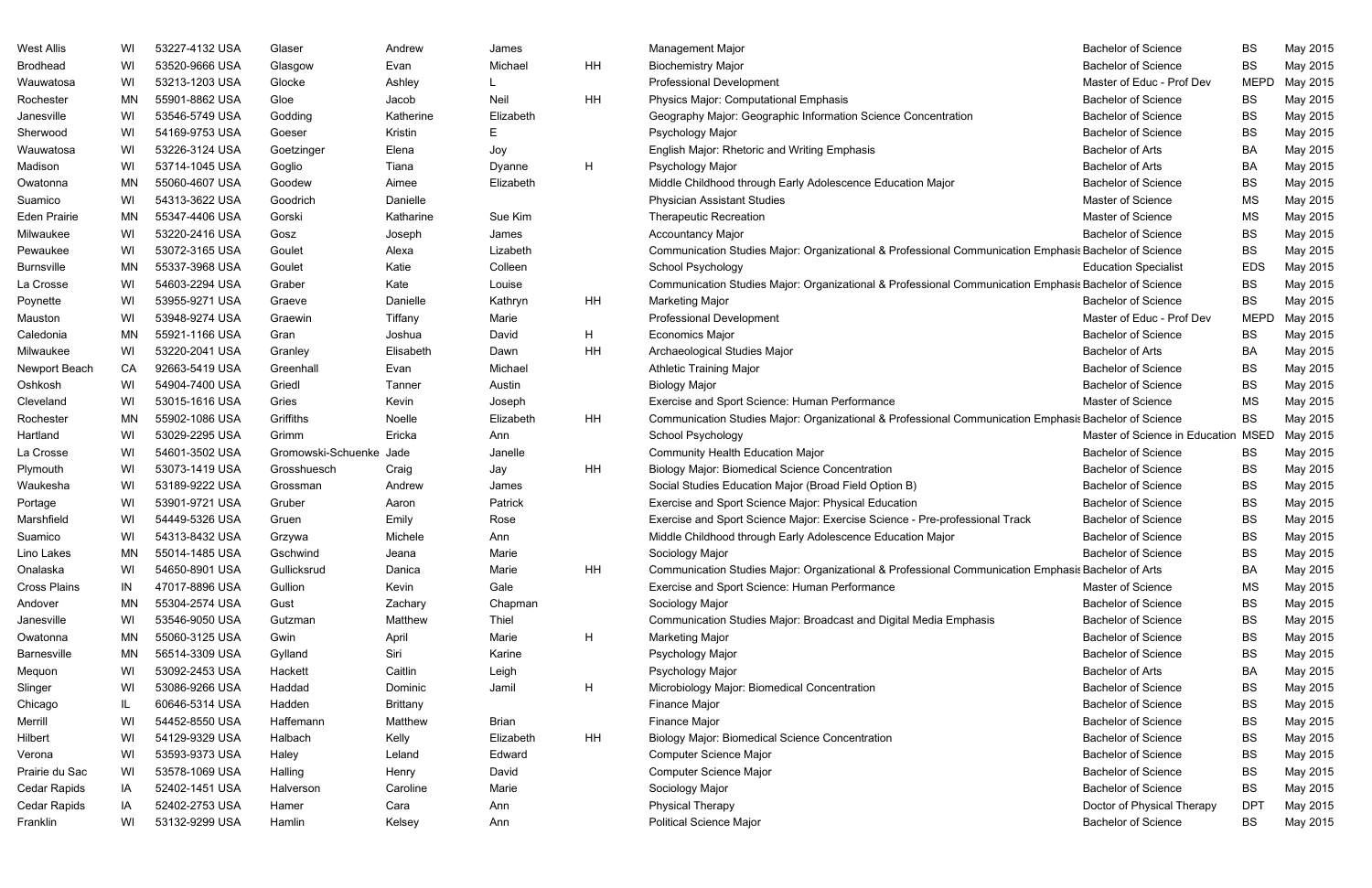| <b>West Allis</b>   | WI  | 53227-4132 USA | Glaser                  | Andrew          | James        |    | <b>Management Major</b>                                                                               | <b>Bachelor of Science</b>     | <b>BS</b>   | May 2015 |
|---------------------|-----|----------------|-------------------------|-----------------|--------------|----|-------------------------------------------------------------------------------------------------------|--------------------------------|-------------|----------|
| <b>Brodhead</b>     | WI  | 53520-9666 USA | Glasgow                 | Evan            | Michael      | HH | <b>Biochemistry Major</b>                                                                             | <b>Bachelor of Science</b>     | <b>BS</b>   | May 2015 |
| Wauwatosa           | WI  | 53213-1203 USA | Glocke                  | Ashley          |              |    | <b>Professional Development</b>                                                                       | Master of Educ - Prof Dev      | <b>MEPD</b> | May 2015 |
| Rochester           | MN  | 55901-8862 USA | Gloe                    | Jacob           | Neil         | HH | Physics Major: Computational Emphasis                                                                 | <b>Bachelor of Science</b>     | BS          | May 2015 |
| Janesville          | WI  | 53546-5749 USA | Godding                 | Katherine       | Elizabeth    |    | Geography Major: Geographic Information Science Concentration                                         | <b>Bachelor of Science</b>     | <b>BS</b>   | May 2015 |
| Sherwood            | WI  | 54169-9753 USA | Goeser                  | Kristin         | Е            |    | Psychology Major                                                                                      | <b>Bachelor of Science</b>     | <b>BS</b>   | May 2015 |
| Wauwatosa           | WI  | 53226-3124 USA | Goetzinger              | Elena           | Joy          |    | English Major: Rhetoric and Writing Emphasis                                                          | <b>Bachelor of Arts</b>        | <b>BA</b>   | May 2015 |
| Madison             | WI  | 53714-1045 USA | Goglio                  | Tiana           | Dyanne       | H  | Psychology Major                                                                                      | <b>Bachelor of Arts</b>        | <b>BA</b>   | May 2015 |
| Owatonna            | ΜN  | 55060-4607 USA | Goodew                  | Aimee           | Elizabeth    |    | Middle Childhood through Early Adolescence Education Major                                            | <b>Bachelor of Science</b>     | <b>BS</b>   | May 2015 |
| Suamico             | WI  | 54313-3622 USA | Goodrich                | Danielle        |              |    | <b>Physician Assistant Studies</b>                                                                    | Master of Science              | <b>MS</b>   | May 2015 |
| <b>Eden Prairie</b> | ΜN  | 55347-4406 USA | Gorski                  | Katharine       | Sue Kim      |    | <b>Therapeutic Recreation</b>                                                                         | Master of Science              | <b>MS</b>   | May 2015 |
| Milwaukee           | WI  | 53220-2416 USA | Gosz                    | Joseph          | James        |    | <b>Accountancy Major</b>                                                                              | <b>Bachelor of Science</b>     | <b>BS</b>   | May 2015 |
| Pewaukee            | WI  | 53072-3165 USA | Goulet                  | Alexa           | Lizabeth     |    | Communication Studies Major: Organizational & Professional Communication Emphasis Bachelor of Science |                                | <b>BS</b>   | May 2015 |
| <b>Burnsville</b>   | MN  | 55337-3968 USA | Goulet                  | Katie           | Colleen      |    | School Psychology                                                                                     | <b>Education Specialist</b>    | <b>EDS</b>  | May 2015 |
| La Crosse           | WI  | 54603-2294 USA | Graber                  | Kate            | Louise       |    | Communication Studies Major: Organizational & Professional Communication Emphasis Bachelor of Science |                                | <b>BS</b>   | May 2015 |
| Poynette            | WI  | 53955-9271 USA | Graeve                  | Danielle        | Kathryn      | HH | <b>Marketing Major</b>                                                                                | <b>Bachelor of Science</b>     | BS          | May 2015 |
| Mauston             | WI  | 53948-9274 USA | Graewin                 | Tiffany         | Marie        |    | <b>Professional Development</b>                                                                       | Master of Educ - Prof Dev      | <b>MEPD</b> | May 2015 |
| Caledonia           | MN  | 55921-1166 USA | Gran                    | Joshua          | David        | H  | <b>Economics Major</b>                                                                                | <b>Bachelor of Science</b>     | <b>BS</b>   | May 2015 |
| Milwaukee           | WI  | 53220-2041 USA | Granley                 | Elisabeth       | Dawn         | HH | Archaeological Studies Major                                                                          | <b>Bachelor of Arts</b>        | BA          | May 2015 |
| Newport Beach       | CA  | 92663-5419 USA | Greenhall               | Evan            | Michael      |    | <b>Athletic Training Major</b>                                                                        | <b>Bachelor of Science</b>     | <b>BS</b>   | May 2015 |
| Oshkosh             | WI  | 54904-7400 USA | Griedl                  | Tanner          | Austin       |    | <b>Biology Major</b>                                                                                  | <b>Bachelor of Science</b>     | <b>BS</b>   | May 2015 |
| Cleveland           | WI  | 53015-1616 USA | Gries                   | Kevin           | Joseph       |    | Exercise and Sport Science: Human Performance                                                         | Master of Science              | <b>MS</b>   | May 2015 |
| Rochester           | MN  | 55902-1086 USA | Griffiths               | Noelle          | Elizabeth    | HH | Communication Studies Major: Organizational & Professional Communication Emphasis Bachelor of Science |                                | <b>BS</b>   | May 2015 |
| Hartland            | WI  | 53029-2295 USA | Grimm                   | Ericka          | Ann          |    | School Psychology                                                                                     | Master of Science in Education | <b>MSED</b> | May 2015 |
| La Crosse           | WI  | 54601-3502 USA | Gromowski-Schuenke Jade |                 | Janelle      |    | <b>Community Health Education Major</b>                                                               | <b>Bachelor of Science</b>     | BS.         | May 2015 |
| Plymouth            | WI  | 53073-1419 USA | Grosshuesch             | Craig           | Jay          | HH | <b>Biology Major: Biomedical Science Concentration</b>                                                | <b>Bachelor of Science</b>     | <b>BS</b>   | May 2015 |
| Waukesha            | WI  | 53189-9222 USA | Grossman                | Andrew          | James        |    | Social Studies Education Major (Broad Field Option B)                                                 | <b>Bachelor of Science</b>     | <b>BS</b>   | May 2015 |
| Portage             | WI  | 53901-9721 USA | Gruber                  | Aaron           | Patrick      |    | Exercise and Sport Science Major: Physical Education                                                  | <b>Bachelor of Science</b>     | <b>BS</b>   | May 2015 |
| Marshfield          | WI  | 54449-5326 USA | Gruen                   | Emily           | Rose         |    | Exercise and Sport Science Major: Exercise Science - Pre-professional Track                           | <b>Bachelor of Science</b>     | <b>BS</b>   | May 2015 |
| Suamico             | WI  | 54313-8432 USA | Grzywa                  | Michele         | Ann          |    | Middle Childhood through Early Adolescence Education Major                                            | <b>Bachelor of Science</b>     | <b>BS</b>   | May 2015 |
| Lino Lakes          | MN. | 55014-1485 USA | Gschwind                | Jeana           | Marie        |    | Sociology Major                                                                                       | <b>Bachelor of Science</b>     | <b>BS</b>   | May 2015 |
| Onalaska            | WI  | 54650-8901 USA | Gullicksrud             | Danica          | Marie        | HH | Communication Studies Major: Organizational & Professional Communication Emphasis Bachelor of Arts    |                                | <b>BA</b>   | May 2015 |
| <b>Cross Plains</b> | IN  | 47017-8896 USA | Gullion                 | Kevin           | Gale         |    | Exercise and Sport Science: Human Performance                                                         | Master of Science              | MS          | May 2015 |
| Andover             | ΜN  | 55304-2574 USA | Gust                    | Zachary         | Chapman      |    | Sociology Major                                                                                       | <b>Bachelor of Science</b>     | <b>BS</b>   | May 2015 |
| Janesville          | WI  | 53546-9050 USA | Gutzman                 | Matthew         | Thiel        |    | Communication Studies Major: Broadcast and Digital Media Emphasis                                     | <b>Bachelor of Science</b>     | <b>BS</b>   | May 2015 |
| Owatonna            | ΜN  | 55060-3125 USA | Gwin                    | April           | Marie        | H  | <b>Marketing Major</b>                                                                                | <b>Bachelor of Science</b>     | <b>BS</b>   | May 2015 |
| <b>Barnesville</b>  | ΜN  | 56514-3309 USA | Gylland                 | Siri            | Karine       |    | Psychology Major                                                                                      | <b>Bachelor of Science</b>     | <b>BS</b>   | May 2015 |
| Mequon              | WI  | 53092-2453 USA | Hackett                 | Caitlin         | Leigh        |    | Psychology Major                                                                                      | <b>Bachelor of Arts</b>        | BA          | May 2015 |
| Slinger             | WI  | 53086-9266 USA | Haddad                  | Dominic         | Jamil        | H  | Microbiology Major: Biomedical Concentration                                                          | <b>Bachelor of Science</b>     | <b>BS</b>   | May 2015 |
| Chicago             | IL  | 60646-5314 USA | Hadden                  | <b>Brittany</b> |              |    | Finance Major                                                                                         | <b>Bachelor of Science</b>     | <b>BS</b>   | May 2015 |
| Merrill             | WI  | 54452-8550 USA | Haffemann               | Matthew         | <b>Brian</b> |    | Finance Major                                                                                         | <b>Bachelor of Science</b>     | <b>BS</b>   | May 2015 |
| Hilbert             | WI  | 54129-9329 USA | Halbach                 | Kelly           | Elizabeth    | HH | <b>Biology Major: Biomedical Science Concentration</b>                                                | <b>Bachelor of Science</b>     | <b>BS</b>   | May 2015 |
| Verona              | WI  | 53593-9373 USA | Haley                   | Leland          | Edward       |    | Computer Science Major                                                                                | <b>Bachelor of Science</b>     | <b>BS</b>   | May 2015 |
| Prairie du Sac      | WI  | 53578-1069 USA | Halling                 | Henry           | David        |    | Computer Science Major                                                                                | <b>Bachelor of Science</b>     | <b>BS</b>   | May 2015 |
| Cedar Rapids        | IA  | 52402-1451 USA | Halverson               | Caroline        | Marie        |    | Sociology Major                                                                                       | <b>Bachelor of Science</b>     | <b>BS</b>   | May 2015 |
| Cedar Rapids        | IA  | 52402-2753 USA | Hamer                   | Cara            | Ann          |    | <b>Physical Therapy</b>                                                                               | Doctor of Physical Therapy     | <b>DPT</b>  | May 2015 |
| Franklin            | WI  | 53132-9299 USA | Hamlin                  | Kelsey          | Ann          |    | <b>Political Science Major</b>                                                                        | <b>Bachelor of Science</b>     | <b>BS</b>   | May 2015 |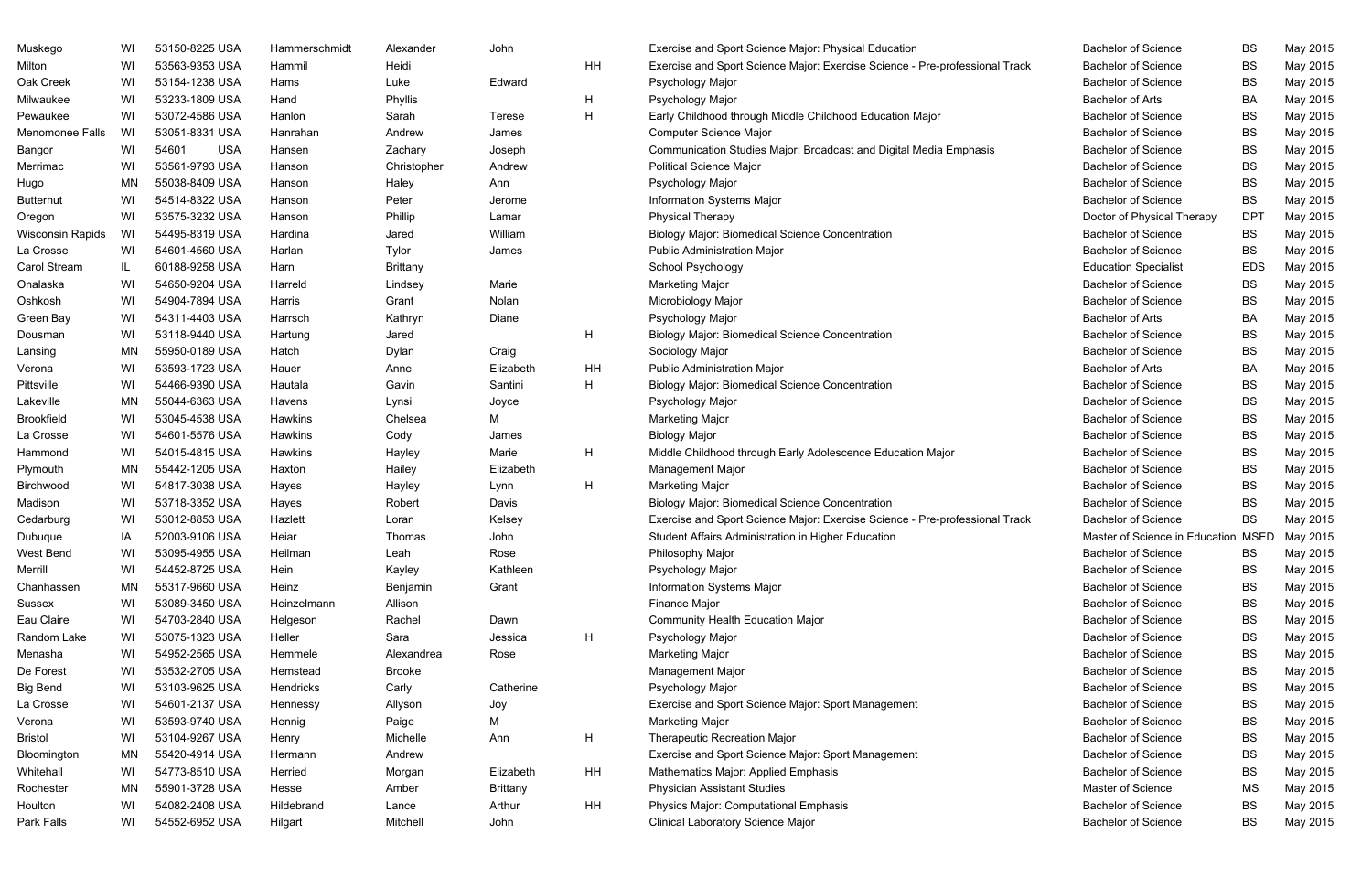| Muskego                 | WI        | 53150-8225 USA      | Hammerschmidt | Alexander       | John          |    | Exercise and Sport Science Major: Physical Education                        | <b>Bachelor of Science</b>          | BS         | May 2015 |
|-------------------------|-----------|---------------------|---------------|-----------------|---------------|----|-----------------------------------------------------------------------------|-------------------------------------|------------|----------|
| Milton                  | WI        | 53563-9353 USA      | Hammil        | Heidi           |               | HH | Exercise and Sport Science Major: Exercise Science - Pre-professional Track | <b>Bachelor of Science</b>          | <b>BS</b>  | May 2015 |
| Oak Creek               | WI        | 53154-1238 USA      | Hams          | Luke            | Edward        |    | Psychology Major                                                            | <b>Bachelor of Science</b>          | <b>BS</b>  | May 2015 |
| Milwaukee               | WI        | 53233-1809 USA      | Hand          | Phyllis         |               | H  | Psychology Major                                                            | <b>Bachelor of Arts</b>             | BA         | May 2015 |
| Pewaukee                | WI        | 53072-4586 USA      | Hanlon        | Sarah           | <b>Terese</b> | H  | Early Childhood through Middle Childhood Education Major                    | <b>Bachelor of Science</b>          | <b>BS</b>  | May 2015 |
| Menomonee Falls         | WI        | 53051-8331 USA      | Hanrahan      | Andrew          | James         |    | <b>Computer Science Major</b>                                               | <b>Bachelor of Science</b>          | BS         | May 2015 |
| Bangor                  | WI        | 54601<br><b>USA</b> | Hansen        | Zachary         | Joseph        |    | Communication Studies Major: Broadcast and Digital Media Emphasis           | <b>Bachelor of Science</b>          | BS         | May 2015 |
| Merrimac                | WI        | 53561-9793 USA      | Hanson        | Christopher     | Andrew        |    | <b>Political Science Major</b>                                              | <b>Bachelor of Science</b>          | <b>BS</b>  | May 2015 |
| Hugo                    | MN        | 55038-8409 USA      | Hanson        | Haley           | Ann           |    | Psychology Major                                                            | <b>Bachelor of Science</b>          | <b>BS</b>  | May 2015 |
| <b>Butternut</b>        | WI        | 54514-8322 USA      | Hanson        | Peter           | Jerome        |    | Information Systems Major                                                   | <b>Bachelor of Science</b>          | <b>BS</b>  | May 2015 |
| Oregon                  | WI        | 53575-3232 USA      | Hanson        | Phillip         | Lamar         |    | <b>Physical Therapy</b>                                                     | Doctor of Physical Therapy          | <b>DPT</b> | May 2015 |
| <b>Wisconsin Rapids</b> | WI        | 54495-8319 USA      | Hardina       | Jared           | William       |    | <b>Biology Major: Biomedical Science Concentration</b>                      | <b>Bachelor of Science</b>          | <b>BS</b>  | May 2015 |
| La Crosse               | WI        | 54601-4560 USA      | Harlan        | Tylor           | James         |    | <b>Public Administration Major</b>                                          | <b>Bachelor of Science</b>          | <b>BS</b>  | May 2015 |
| Carol Stream            | IL        | 60188-9258 USA      | Harn          | <b>Brittany</b> |               |    | School Psychology                                                           | <b>Education Specialist</b>         | <b>EDS</b> | May 2015 |
| Onalaska                | WI        | 54650-9204 USA      | Harreld       | Lindsey         | Marie         |    | <b>Marketing Major</b>                                                      | <b>Bachelor of Science</b>          | BS         | May 2015 |
| Oshkosh                 | WI        | 54904-7894 USA      | Harris        | Grant           | Nolan         |    | Microbiology Major                                                          | <b>Bachelor of Science</b>          | <b>BS</b>  | May 2015 |
| Green Bay               | WI        | 54311-4403 USA      | Harrsch       | Kathryn         | Diane         |    | Psychology Major                                                            | <b>Bachelor of Arts</b>             | BA         | May 2015 |
| Dousman                 | WI        | 53118-9440 USA      | Hartung       | Jared           |               | H  | <b>Biology Major: Biomedical Science Concentration</b>                      | <b>Bachelor of Science</b>          | <b>BS</b>  | May 2015 |
| Lansing                 | MN        | 55950-0189 USA      | Hatch         | Dylan           | Craig         |    | Sociology Major                                                             | <b>Bachelor of Science</b>          | <b>BS</b>  | May 2015 |
| Verona                  | WI        | 53593-1723 USA      | Hauer         | Anne            | Elizabeth     | HH | <b>Public Administration Major</b>                                          | <b>Bachelor of Arts</b>             | BA         | May 2015 |
| Pittsville              | WI        | 54466-9390 USA      | Hautala       | Gavin           | Santini       | H  | <b>Biology Major: Biomedical Science Concentration</b>                      | <b>Bachelor of Science</b>          | BS         | May 2015 |
| Lakeville               | <b>MN</b> | 55044-6363 USA      | Havens        | Lynsi           | Joyce         |    | Psychology Major                                                            | <b>Bachelor of Science</b>          | <b>BS</b>  | May 2015 |
| Brookfield              | WI        | 53045-4538 USA      | Hawkins       | Chelsea         | М             |    | <b>Marketing Major</b>                                                      | <b>Bachelor of Science</b>          | <b>BS</b>  | May 2015 |
| La Crosse               | WI        | 54601-5576 USA      | Hawkins       | Cody            | James         |    | <b>Biology Major</b>                                                        | <b>Bachelor of Science</b>          | <b>BS</b>  | May 2015 |
| Hammond                 | WI        | 54015-4815 USA      | Hawkins       | Hayley          | Marie         | H  | Middle Childhood through Early Adolescence Education Major                  | <b>Bachelor of Science</b>          | <b>BS</b>  | May 2015 |
| Plymouth                | MN        | 55442-1205 USA      | Haxton        | Hailey          | Elizabeth     |    | Management Major                                                            | <b>Bachelor of Science</b>          | <b>BS</b>  | May 2015 |
| Birchwood               | WI        | 54817-3038 USA      | Hayes         | Hayley          | Lynn          | H  | <b>Marketing Major</b>                                                      | <b>Bachelor of Science</b>          | <b>BS</b>  | May 2015 |
| Madison                 | WI        | 53718-3352 USA      | Hayes         | Robert          | Davis         |    | <b>Biology Major: Biomedical Science Concentration</b>                      | <b>Bachelor of Science</b>          | BS         | May 2015 |
| Cedarburg               | WI        | 53012-8853 USA      | Hazlett       | Loran           | Kelsey        |    | Exercise and Sport Science Major: Exercise Science - Pre-professional Track | <b>Bachelor of Science</b>          | BS         | May 2015 |
| Dubuque                 | IA        | 52003-9106 USA      | Heiar         | Thomas          | John          |    | Student Affairs Administration in Higher Education                          | Master of Science in Education MSED |            | May 2015 |
| West Bend               | WI        | 53095-4955 USA      | Heilman       | Leah            | Rose          |    | Philosophy Major                                                            | <b>Bachelor of Science</b>          | BS         | May 2015 |
| Merrill                 | WI        | 54452-8725 USA      | Hein          | Kayley          | Kathleen      |    | Psychology Major                                                            | <b>Bachelor of Science</b>          | <b>BS</b>  | May 2015 |
| Chanhassen              | ΜN        | 55317-9660 USA      | Heinz         | Benjamin        | Grant         |    | Information Systems Major                                                   | <b>Bachelor of Science</b>          | <b>BS</b>  | May 2015 |
| Sussex                  | WI        | 53089-3450 USA      | Heinzelmann   | Allison         |               |    | Finance Major                                                               | <b>Bachelor of Science</b>          | <b>BS</b>  | May 2015 |
| Eau Claire              | WI        | 54703-2840 USA      | Helgeson      | Rachel          | Dawn          |    | <b>Community Health Education Major</b>                                     | <b>Bachelor of Science</b>          | BS         | May 2015 |
| Random Lake             | WI        | 53075-1323 USA      | Heller        | Sara            | Jessica       | H  | Psychology Major                                                            | <b>Bachelor of Science</b>          | <b>BS</b>  | May 2015 |
| Menasha                 | WI        | 54952-2565 USA      | Hemmele       | Alexandrea      | Rose          |    | <b>Marketing Major</b>                                                      | <b>Bachelor of Science</b>          | <b>BS</b>  | May 2015 |
| De Forest               | WI        | 53532-2705 USA      | Hemstead      | <b>Brooke</b>   |               |    | Management Major                                                            | <b>Bachelor of Science</b>          | <b>BS</b>  | May 2015 |
| <b>Big Bend</b>         | WI        | 53103-9625 USA      | Hendricks     | Carly           | Catherine     |    | Psychology Major                                                            | <b>Bachelor of Science</b>          | BS         | May 2015 |
| La Crosse               | WI        | 54601-2137 USA      | Hennessy      | Allyson         | Joy           |    | Exercise and Sport Science Major: Sport Management                          | <b>Bachelor of Science</b>          | BS         | May 2015 |
| Verona                  | WI        | 53593-9740 USA      | Hennig        | Paige           | М             |    | <b>Marketing Major</b>                                                      | <b>Bachelor of Science</b>          | BS         | May 2015 |
| <b>Bristol</b>          | WI        | 53104-9267 USA      | Henry         | Michelle        | Ann           | H  | Therapeutic Recreation Major                                                | <b>Bachelor of Science</b>          | <b>BS</b>  | May 2015 |
| Bloomington             | ΜN        | 55420-4914 USA      | Hermann       | Andrew          |               |    | Exercise and Sport Science Major: Sport Management                          | <b>Bachelor of Science</b>          | <b>BS</b>  | May 2015 |
| Whitehall               | WI        | 54773-8510 USA      | Herried       | Morgan          | Elizabeth     | HH | Mathematics Major: Applied Emphasis                                         | <b>Bachelor of Science</b>          | BS         | May 2015 |
| Rochester               | ΜN        | 55901-3728 USA      | Hesse         | Amber           | Brittany      |    | <b>Physician Assistant Studies</b>                                          | Master of Science                   | MS         | May 2015 |
| Houlton                 | WI        | 54082-2408 USA      | Hildebrand    | Lance           | Arthur        | HH | <b>Physics Major: Computational Emphasis</b>                                | <b>Bachelor of Science</b>          | <b>BS</b>  | May 2015 |
| Park Falls              | WI        | 54552-6952 USA      | Hilgart       | Mitchell        | John          |    | <b>Clinical Laboratory Science Major</b>                                    | <b>Bachelor of Science</b>          | <b>BS</b>  | May 2015 |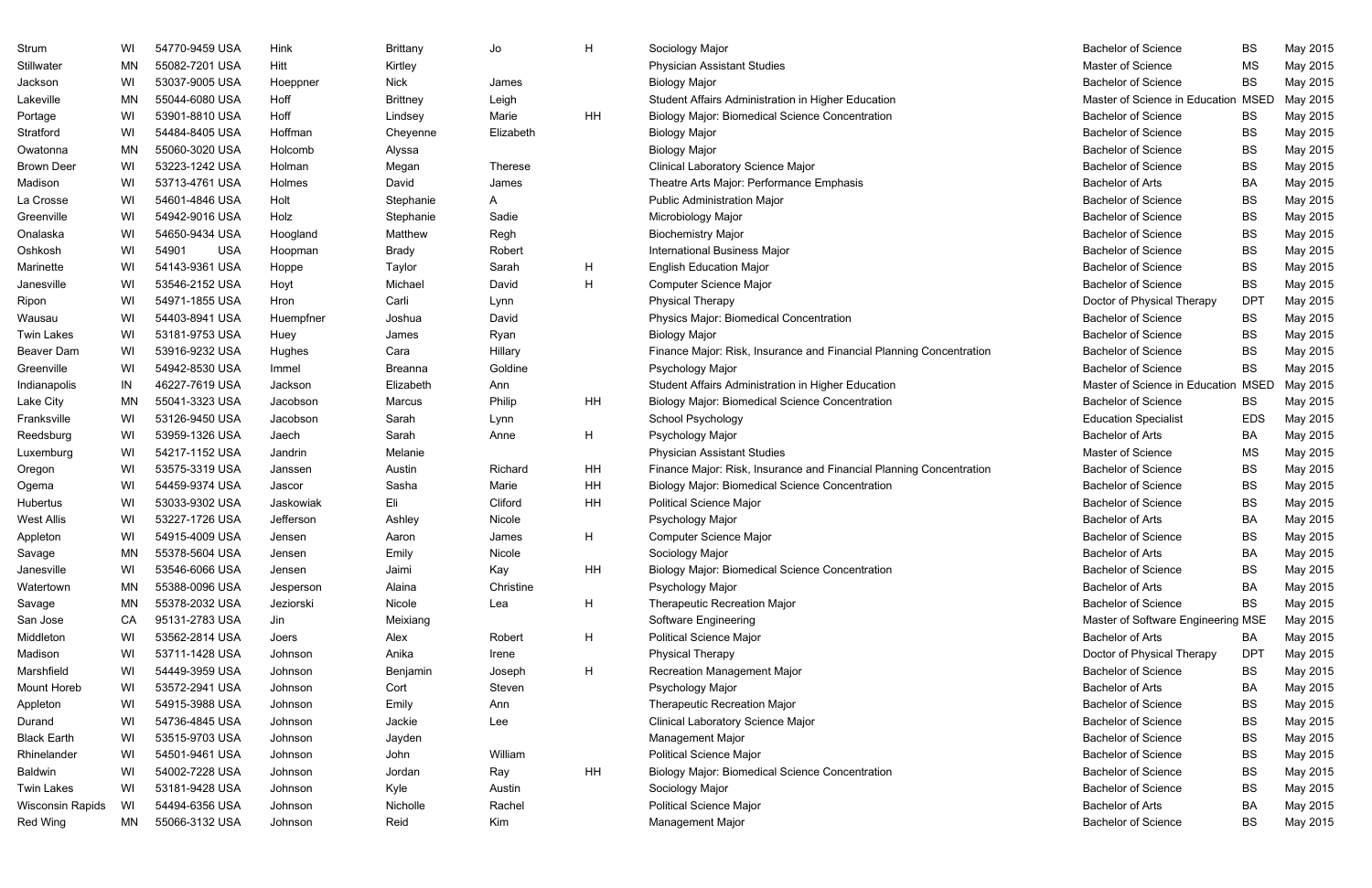| Strum                   | WI        | 54770-9459 USA      | Hink      | <b>Brittany</b> | Jo        | H         | <b>Bachelor of Science</b><br>Sociology Major                                                     | <b>BS</b>   | May 2015 |
|-------------------------|-----------|---------------------|-----------|-----------------|-----------|-----------|---------------------------------------------------------------------------------------------------|-------------|----------|
| Stillwater              | MN        | 55082-7201 USA      | Hitt      | Kirtley         |           |           | <b>Physician Assistant Studies</b><br>Master of Science                                           | <b>MS</b>   | May 2015 |
| Jackson                 | WI        | 53037-9005 USA      | Hoeppner  | <b>Nick</b>     | James     |           | <b>Biology Major</b><br><b>Bachelor of Science</b>                                                | <b>BS</b>   | May 2015 |
| Lakeville               | <b>MN</b> | 55044-6080 USA      | Hoff      | <b>Brittney</b> | Leigh     |           | Student Affairs Administration in Higher Education<br>Master of Science in Education              | <b>MSED</b> | May 2015 |
| Portage                 | WI        | 53901-8810 USA      | Hoff      | Lindsey         | Marie     | HH        | <b>Biology Major: Biomedical Science Concentration</b><br><b>Bachelor of Science</b>              | BS          | May 2015 |
| Stratford               | WI        | 54484-8405 USA      | Hoffman   | Cheyenne        | Elizabeth |           | <b>Bachelor of Science</b><br><b>Biology Major</b>                                                | <b>BS</b>   | May 2015 |
| Owatonna                | <b>MN</b> | 55060-3020 USA      | Holcomb   | Alyssa          |           |           | <b>Biology Major</b><br><b>Bachelor of Science</b>                                                | <b>BS</b>   | May 2015 |
| <b>Brown Deer</b>       | WI        | 53223-1242 USA      | Holman    | Megan           | Therese   |           | <b>Clinical Laboratory Science Major</b><br><b>Bachelor of Science</b>                            | <b>BS</b>   | May 2015 |
| Madison                 | WI        | 53713-4761 USA      | Holmes    | David           | James     |           | Theatre Arts Major: Performance Emphasis<br><b>Bachelor of Arts</b>                               | BA          | May 2015 |
| La Crosse               | WI        | 54601-4846 USA      | Holt      | Stephanie       | A         |           | <b>Public Administration Major</b><br><b>Bachelor of Science</b>                                  | <b>BS</b>   | May 2015 |
| Greenville              | WI        | 54942-9016 USA      | Holz      | Stephanie       | Sadie     |           | <b>Bachelor of Science</b><br>Microbiology Major                                                  | <b>BS</b>   | May 2015 |
| Onalaska                | WI        | 54650-9434 USA      | Hoogland  | Matthew         | Regh      |           | <b>Bachelor of Science</b><br><b>Biochemistry Major</b>                                           | <b>BS</b>   | May 2015 |
| Oshkosh                 | WI        | 54901<br><b>USA</b> | Hoopman   | <b>Brady</b>    | Robert    |           | <b>International Business Major</b><br><b>Bachelor of Science</b>                                 | <b>BS</b>   | May 2015 |
| Marinette               | WI        | 54143-9361 USA      | Hoppe     | Taylor          | Sarah     | Н         | <b>English Education Major</b><br><b>Bachelor of Science</b>                                      | <b>BS</b>   | May 2015 |
| Janesville              | WI        | 53546-2152 USA      | Hoyt      | Michael         | David     | H         | <b>Bachelor of Science</b><br><b>Computer Science Major</b>                                       | <b>BS</b>   | May 2015 |
| Ripon                   | WI        | 54971-1855 USA      | Hron      | Carli           | Lynn      |           | <b>Physical Therapy</b><br>Doctor of Physical Therapy                                             | <b>DPT</b>  | May 2015 |
| Wausau                  | WI        | 54403-8941 USA      | Huempfner | Joshua          | David     |           | <b>Physics Major: Biomedical Concentration</b><br><b>Bachelor of Science</b>                      | <b>BS</b>   | May 2015 |
| <b>Twin Lakes</b>       | WI        | 53181-9753 USA      | Huey      | James           | Ryan      |           | <b>Bachelor of Science</b><br><b>Biology Major</b>                                                | <b>BS</b>   | May 2015 |
| Beaver Dam              | WI        | 53916-9232 USA      | Hughes    | Cara            | Hillary   |           | Finance Major: Risk, Insurance and Financial Planning Concentration<br><b>Bachelor of Science</b> | <b>BS</b>   | May 2015 |
| Greenville              | WI        | 54942-8530 USA      | Immel     | Breanna         | Goldine   |           | Psychology Major<br><b>Bachelor of Science</b>                                                    | <b>BS</b>   | May 2015 |
| Indianapolis            | IN        | 46227-7619 USA      | Jackson   | Elizabeth       | Ann       |           | Student Affairs Administration in Higher Education<br>Master of Science in Education              | <b>MSED</b> | May 2015 |
| Lake City               | <b>MN</b> | 55041-3323 USA      | Jacobson  | Marcus          | Philip    | HH        | <b>Biology Major: Biomedical Science Concentration</b><br><b>Bachelor of Science</b>              | <b>BS</b>   | May 2015 |
| Franksville             | WI        | 53126-9450 USA      | Jacobson  | Sarah           | Lynn      |           | <b>School Psychology</b><br><b>Education Specialist</b>                                           | <b>EDS</b>  | May 2015 |
| Reedsburg               | WI        | 53959-1326 USA      | Jaech     | Sarah           | Anne      | H         | Psychology Major<br><b>Bachelor of Arts</b>                                                       | BA          | May 2015 |
| Luxemburg               | WI        | 54217-1152 USA      | Jandrin   | Melanie         |           |           | Master of Science<br><b>Physician Assistant Studies</b>                                           | <b>MS</b>   | May 2015 |
| Oregon                  | WI        | 53575-3319 USA      | Janssen   | Austin          | Richard   | HH        | Finance Major: Risk, Insurance and Financial Planning Concentration<br><b>Bachelor of Science</b> | <b>BS</b>   | May 2015 |
| Ogema                   | WI        | 54459-9374 USA      | Jascor    | Sasha           | Marie     | HH        | <b>Bachelor of Science</b><br><b>Biology Major: Biomedical Science Concentration</b>              | <b>BS</b>   | May 2015 |
| Hubertus                | WI        | 53033-9302 USA      | Jaskowiak | Eli             | Cliford   | <b>HH</b> | <b>Political Science Major</b><br><b>Bachelor of Science</b>                                      | <b>BS</b>   | May 2015 |
| <b>West Allis</b>       | WI        | 53227-1726 USA      | Jefferson | Ashley          | Nicole    |           | Psychology Major<br><b>Bachelor of Arts</b>                                                       | BA          | May 2015 |
| Appleton                | WI        | 54915-4009 USA      | Jensen    | Aaron           | James     | H         | <b>Computer Science Major</b><br><b>Bachelor of Science</b>                                       | <b>BS</b>   | May 2015 |
| Savage                  | MN        | 55378-5604 USA      | Jensen    | Emily           | Nicole    |           | Sociology Major<br><b>Bachelor of Arts</b>                                                        | BA          | May 2015 |
| Janesville              | WI        | 53546-6066 USA      | Jensen    | Jaimi           | Kay       | HH        | <b>Bachelor of Science</b><br><b>Biology Major: Biomedical Science Concentration</b>              | <b>BS</b>   | May 2015 |
| Watertown               | <b>MN</b> | 55388-0096 USA      | Jesperson | Alaina          | Christine |           | <b>Bachelor of Arts</b><br>Psychology Major                                                       | BA          | May 2015 |
| Savage                  | ΜN        | 55378-2032 USA      | Jeziorski | Nicole          | Lea       | H         | <b>Bachelor of Science</b><br><b>Therapeutic Recreation Major</b>                                 | <b>BS</b>   | May 2015 |
| San Jose                | CA        | 95131-2783 USA      | Jin       | Meixiang        |           |           | Software Engineering<br>Master of Software Engineering MSE                                        |             | May 2015 |
| Middleton               | WI        | 53562-2814 USA      | Joers     | Alex            | Robert    | H         | <b>Political Science Major</b><br><b>Bachelor of Arts</b>                                         | BA          | May 2015 |
| Madison                 | WI        | 53711-1428 USA      | Johnson   | Anika           | Irene     |           | <b>Physical Therapy</b><br>Doctor of Physical Therapy                                             | <b>DPT</b>  | May 2015 |
| Marshfield              | WI        | 54449-3959 USA      | Johnson   | Benjamin        | Joseph    | H         | <b>Recreation Management Major</b><br><b>Bachelor of Science</b>                                  | <b>BS</b>   | May 2015 |
| Mount Horeb             | WI        | 53572-2941 USA      | Johnson   | Cort            | Steven    |           | <b>Bachelor of Arts</b><br>Psychology Major                                                       | BA          | May 2015 |
| Appleton                | WI        | 54915-3988 USA      | Johnson   | Emily           | Ann       |           | Therapeutic Recreation Major<br><b>Bachelor of Science</b>                                        | <b>BS</b>   | May 2015 |
| Durand                  | WI        | 54736-4845 USA      | Johnson   | Jackie          | Lee       |           | <b>Clinical Laboratory Science Major</b><br><b>Bachelor of Science</b>                            | <b>BS</b>   | May 2015 |
| <b>Black Earth</b>      | WI        | 53515-9703 USA      | Johnson   | Jayden          |           |           | <b>Bachelor of Science</b><br>Management Major                                                    | <b>BS</b>   | May 2015 |
| Rhinelander             | WI        | 54501-9461 USA      | Johnson   | John            | William   |           | <b>Political Science Major</b><br><b>Bachelor of Science</b>                                      | <b>BS</b>   | May 2015 |
| <b>Baldwin</b>          | WI        | 54002-7228 USA      | Johnson   | Jordan          | Ray       | HH        | <b>Bachelor of Science</b><br><b>Biology Major: Biomedical Science Concentration</b>              | <b>BS</b>   | May 2015 |
| <b>Twin Lakes</b>       | WI        | 53181-9428 USA      | Johnson   | Kyle            | Austin    |           | Sociology Major<br><b>Bachelor of Science</b>                                                     | <b>BS</b>   | May 2015 |
| <b>Wisconsin Rapids</b> | WI        | 54494-6356 USA      | Johnson   | Nicholle        | Rachel    |           | <b>Political Science Major</b><br><b>Bachelor of Arts</b>                                         | BA          | May 2015 |
| Red Wing                | MN        | 55066-3132 USA      | Johnson   | Reid            | Kim       |           | Management Major<br><b>Bachelor of Science</b>                                                    | BS          | May 2015 |
|                         |           |                     |           |                 |           |           |                                                                                                   |             |          |

| <b>Bachelor of Science</b>         | BS          | May 2015 |
|------------------------------------|-------------|----------|
| <b>Master of Science</b>           | <b>MS</b>   | May 2015 |
| <b>Bachelor of Science</b>         | BS          | May 2015 |
| Master of Science in Education     | <b>MSED</b> | May 2015 |
| <b>Bachelor of Science</b>         | <b>BS</b>   | May 2015 |
| <b>Bachelor of Science</b>         | <b>BS</b>   | May 2015 |
| <b>Bachelor of Science</b>         | ВS          | May 2015 |
| <b>Bachelor of Science</b>         | <b>BS</b>   | May 2015 |
| <b>Bachelor of Arts</b>            | BA          | May 2015 |
| <b>Bachelor of Science</b>         | <b>BS</b>   | May 2015 |
| <b>Bachelor of Science</b>         | ВS          | May 2015 |
| <b>Bachelor of Science</b>         | <b>BS</b>   | May 2015 |
| <b>Bachelor of Science</b>         | ВS          | May 2015 |
| <b>Bachelor of Science</b>         | BS.         | May 2015 |
| <b>Bachelor of Science</b>         | <b>BS</b>   | May 2015 |
| Doctor of Physical Therapy         | DPT         | May 2015 |
| <b>Bachelor of Science</b>         | BS          | May 2015 |
| <b>Bachelor of Science</b>         | <b>BS</b>   | May 2015 |
| <b>Bachelor of Science</b>         | BS          | May 2015 |
| <b>Bachelor of Science</b>         | BS          | May 2015 |
| Master of Science in Education     | <b>MSED</b> | May 2015 |
| <b>Bachelor of Science</b>         | BS          | May 2015 |
| <b>Education Specialist</b>        | EDS         | May 2015 |
| <b>Bachelor of Arts</b>            | <b>BA</b>   | May 2015 |
| Master of Science                  | ΜS          | May 2015 |
| <b>Bachelor of Science</b>         | ВS          | May 2015 |
| <b>Bachelor of Science</b>         | ВS          | May 2015 |
| <b>Bachelor of Science</b>         | <b>BS</b>   | May 2015 |
| <b>Bachelor of Arts</b>            | BA          | May 2015 |
| <b>Bachelor of Science</b>         | <b>BS</b>   | May 2015 |
| <b>Bachelor of Arts</b>            | ВA          | May 2015 |
| <b>Bachelor of Science</b>         | <b>BS</b>   | May 2015 |
| <b>Bachelor of Arts</b>            | ВA          | May 2015 |
| <b>Bachelor of Science</b>         | BS          | May 2015 |
| Master of Software Engineering MSE |             | May 2015 |
| <b>Bachelor of Arts</b>            | BA          | May 2015 |
| Doctor of Physical Therapy         | <b>DPT</b>  | May 2015 |
| <b>Bachelor of Science</b>         | BS          | May 2015 |
| <b>Bachelor of Arts</b>            | BA          | May 2015 |
| <b>Bachelor of Science</b>         | BS          | May 2015 |
| <b>Bachelor of Science</b>         | BS          | May 2015 |
| <b>Bachelor of Science</b>         | ВS          | May 2015 |
| <b>Bachelor of Science</b>         | ВS          | May 2015 |
| <b>Bachelor of Science</b>         | ВS          | May 2015 |
| <b>Bachelor of Science</b>         | ВS          | May 2015 |
| <b>Bachelor of Arts</b>            | BA          | May 2015 |
| <b>Bachelor of Science</b>         | ВS          | May 2015 |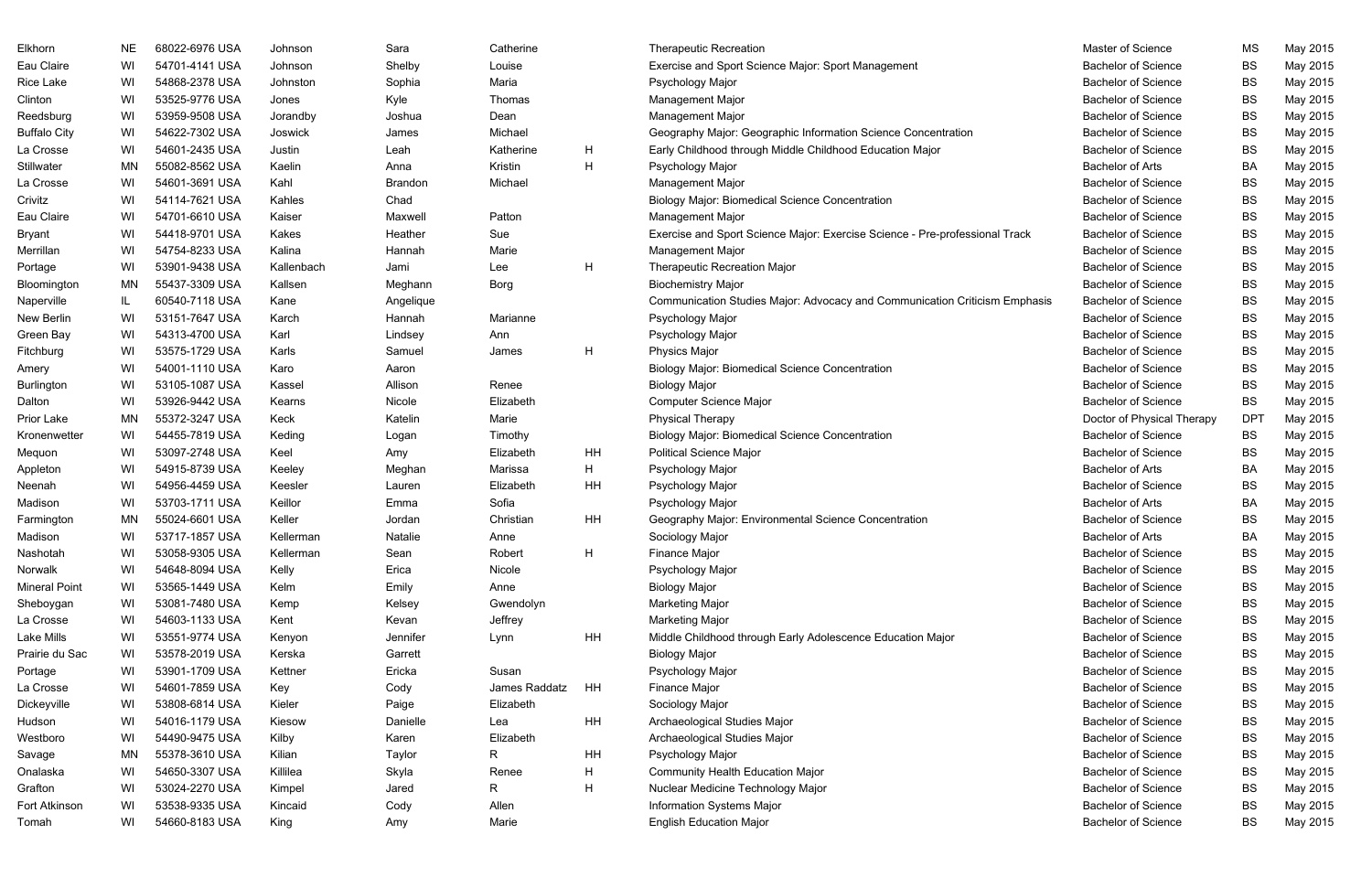| Eau Claire<br>WI<br>54701-4141 USA<br>Shelby<br>Louise<br>Exercise and Sport Science Major: Sport Management<br><b>Bachelor of Science</b><br><b>BS</b><br>May 2015<br>Johnson<br>WI<br>54868-2378 USA<br>Maria<br><b>Bachelor of Science</b><br><b>BS</b><br>May 2015<br><b>Rice Lake</b><br>Johnston<br>Sophia<br>Psychology Major<br>Kyle<br><b>Bachelor of Science</b><br><b>BS</b><br>May 2015<br>Clinton<br>WI<br>53525-9776 USA<br>Thomas<br>Management Major<br>Jones<br>WI<br>53959-9508 USA<br><b>Bachelor of Science</b><br><b>BS</b><br>May 2015<br>Reedsburg<br>Joshua<br>Dean<br>Management Major<br>Jorandby<br>WI<br>54622-7302 USA<br>Michael<br><b>Bachelor of Science</b><br><b>BS</b><br>May 2015<br>James<br>Geography Major: Geographic Information Science Concentration<br>Joswick<br>WI<br>54601-2435 USA<br>H<br>Early Childhood through Middle Childhood Education Major<br><b>Bachelor of Science</b><br><b>BS</b><br>May 2015<br>La Crosse<br>Justin<br>Leah<br>Katherine<br>H<br>May 2015<br>Stillwater<br>MN<br>55082-8562 USA<br>Kaelin<br>Kristin<br>Psychology Major<br><b>Bachelor of Arts</b><br>BA<br>Anna<br>La Crosse<br>WI<br>54601-3691 USA<br>Kahl<br>Michael<br><b>Bachelor of Science</b><br><b>BS</b><br>May 2015<br>Brandon<br>Management Major<br>WI<br>54114-7621 USA<br>Chad<br><b>Bachelor of Science</b><br><b>BS</b><br>May 2015<br>Kahles<br><b>Biology Major: Biomedical Science Concentration</b><br><b>Bachelor of Science</b><br>WI<br>54701-6610 USA<br>Kaiser<br>Patton<br><b>BS</b><br>May 2015<br>Maxwell<br>Management Major<br>Sue<br><b>Bachelor of Science</b><br><b>BS</b><br>May 2015<br><b>Bryant</b><br>WI<br>54418-9701 USA<br>Kakes<br>Heather<br>Exercise and Sport Science Major: Exercise Science - Pre-professional Track<br>WI<br>54754-8233 USA<br>Kalina<br><b>Bachelor of Science</b><br><b>BS</b><br>May 2015<br>Merrillan<br>Hannah<br>Marie<br>Management Major<br>H<br>WI<br>53901-9438 USA<br>Jami<br><b>Therapeutic Recreation Major</b><br><b>Bachelor of Science</b><br><b>BS</b><br>May 2015<br>Kallenbach<br>Lee<br><b>MN</b><br>55437-3309 USA<br><b>Bachelor of Science</b><br><b>BS</b><br>May 2015<br>Kallsen<br>Meghann<br>Borg<br><b>Biochemistry Major</b><br><b>Bachelor of Science</b><br><b>BS</b><br>May 2015<br>IL.<br>60540-7118 USA<br>Kane<br>Angelique<br>Communication Studies Major: Advocacy and Communication Criticism Emphasis<br>Naperville<br>53151-7647 USA<br><b>Bachelor of Science</b><br><b>BS</b><br>May 2015<br>WI<br>Hannah<br>Marianne<br>Psychology Major<br>Karch<br>WI<br><b>Bachelor of Science</b><br>BS<br>May 2015<br>54313-4700 USA<br>Karl<br>Lindsey<br>Ann<br>Psychology Major<br>H<br>WI<br>53575-1729 USA<br>Physics Major<br><b>Bachelor of Science</b><br><b>BS</b><br>May 2015<br>Fitchburg<br>Karls<br>Samuel<br>James<br><b>Bachelor of Science</b><br><b>BS</b><br>May 2015<br>WI<br>54001-1110 USA<br>Karo<br><b>Biology Major: Biomedical Science Concentration</b><br>Aaron<br>Amery<br>53105-1087 USA<br><b>Bachelor of Science</b><br><b>BS</b><br>May 2015<br>WI<br>Allison<br>Renee<br><b>Biology Major</b><br>Kassel<br>WI<br>53926-9442 USA<br>Elizabeth<br>Computer Science Major<br><b>Bachelor of Science</b><br><b>BS</b><br>May 2015<br>Dalton<br>Nicole<br>Kearns<br>55372-3247 USA<br>Marie<br><b>Physical Therapy</b><br><b>DPT</b><br>May 2015<br>Prior Lake<br>MN<br>Keck<br>Katelin<br>Doctor of Physical Therapy<br>WI<br>54455-7819 USA<br>Timothy<br><b>Biology Major: Biomedical Science Concentration</b><br><b>Bachelor of Science</b><br>BS<br>May 2015<br>Kronenwetter<br>Keding<br>Logan<br>53097-2748 USA<br>HH<br><b>Political Science Major</b><br><b>Bachelor of Science</b><br>May 2015<br>WI<br>Keel<br>Elizabeth<br>BS<br>Mequon<br>Amy<br>H<br>54915-8739 USA<br><b>BA</b><br>May 2015<br>WI<br>Marissa<br>Psychology Major<br><b>Bachelor of Arts</b><br>Appleton<br>Keeley<br>Meghan<br>WI<br>54956-4459 USA<br>HH<br><b>Bachelor of Science</b><br><b>BS</b><br>May 2015<br>Elizabeth<br>Psychology Major<br>Neenah<br>Keesler<br>Lauren<br>Sofia<br>Madison<br>WI<br>53703-1711 USA<br>Keillor<br>Psychology Major<br><b>Bachelor of Arts</b><br>BA<br>May 2015<br>Emma<br>55024-6601 USA<br>HH<br>Geography Major: Environmental Science Concentration<br>May 2015<br>MN<br>Keller<br>Christian<br><b>Bachelor of Science</b><br>BS<br>Farmington<br>Jordan<br>WI<br>53717-1857 USA<br>BA<br>May 2015<br>Kellerman<br>Natalie<br>Sociology Major<br><b>Bachelor of Arts</b><br>Anne<br>H<br>53058-9305 USA<br>Robert<br>Finance Major<br><b>Bachelor of Science</b><br><b>BS</b><br>Nashotah<br>Kellerman<br>Sean<br>May 2015<br>WI<br>54648-8094 USA<br>Erica<br>Nicole<br>Psychology Major<br><b>Bachelor of Science</b><br><b>BS</b><br>Norwalk<br>WI<br>Kelly<br>May 2015<br><b>Bachelor of Science</b><br>May 2015<br><b>Mineral Point</b><br>WI<br>53565-1449 USA<br>Kelm<br>Emily<br>Anne<br><b>Biology Major</b><br>BS<br>53081-7480 USA<br><b>Bachelor of Science</b><br>May 2015<br>WI<br>Kelsey<br>Gwendolyn<br><b>Marketing Major</b><br>BS<br>Kemp<br>WI<br>54603-1133 USA<br>Jeffrey<br><b>Marketing Major</b><br><b>Bachelor of Science</b><br><b>BS</b><br>May 2015<br>La Crosse<br>Kevan<br>Kent<br>Jennifer<br>Lake Mills<br>HH<br><b>Bachelor of Science</b><br>WI<br>53551-9774 USA<br>Middle Childhood through Early Adolescence Education Major<br>BS<br>May 2015<br>Lynn<br>Kenyon<br>53578-2019 USA<br><b>Bachelor of Science</b><br>May 2015<br>Prairie du Sac<br>WI<br>Garrett<br><b>Biology Major</b><br>BS<br>Kerska<br>WI<br>Ericka<br><b>Bachelor of Science</b><br>May 2015<br>53901-1709 USA<br>Kettner<br>Susan<br>Psychology Major<br>BS<br>La Crosse<br>54601-7859 USA<br>Cody<br>James Raddatz<br>Finance Major<br><b>Bachelor of Science</b><br><b>BS</b><br>May 2015<br>WI<br>Key<br>HH<br>53808-6814 USA<br><b>Bachelor of Science</b><br>May 2015<br>Dickeyville<br>WI<br>Kieler<br>Paige<br>Elizabeth<br>Sociology Major<br>BS<br>WI<br>54016-1179 USA<br>HH<br>Archaeological Studies Major<br><b>Bachelor of Science</b><br>Danielle<br>BS<br>May 2015<br>Kiesow<br>Lea<br><b>Bachelor of Science</b><br>WI<br>54490-9475 USA<br>Kilby<br>Karen<br>Elizabeth<br>Archaeological Studies Major<br>BS<br>May 2015<br>Westboro<br>55378-3610 USA<br>R<br>HH<br>Psychology Major<br><b>Bachelor of Science</b><br>May 2015<br>MN<br>Kilian<br>Taylor<br>BS<br>H<br>54650-3307 USA<br>Killilea<br>Skyla<br><b>Bachelor of Science</b><br>May 2015<br>WI<br>Renee<br>Community Health Education Major<br>BS<br>H<br>WI<br>53024-2270 USA<br>R<br><b>Bachelor of Science</b><br>Nuclear Medicine Technology Major<br>BS<br>May 2015<br>Kimpel<br>Jared<br>Allen<br><b>Bachelor of Science</b><br>Fort Atkinson<br>WI<br>53538-9335 USA<br>Cody<br>Information Systems Major<br>BS<br>May 2015<br>Kincaid<br>WI<br>54660-8183 USA<br><b>English Education Major</b><br><b>Bachelor of Science</b><br>King<br>Marie<br>BS<br>May 2015<br>Tomah<br>Amy | Elkhorn             | NE | 68022-6976 USA | Johnson | Sara | Catherine | <b>Therapeutic Recreation</b> | Master of Science | <b>MS</b> | May 2015 |
|-------------------------------------------------------------------------------------------------------------------------------------------------------------------------------------------------------------------------------------------------------------------------------------------------------------------------------------------------------------------------------------------------------------------------------------------------------------------------------------------------------------------------------------------------------------------------------------------------------------------------------------------------------------------------------------------------------------------------------------------------------------------------------------------------------------------------------------------------------------------------------------------------------------------------------------------------------------------------------------------------------------------------------------------------------------------------------------------------------------------------------------------------------------------------------------------------------------------------------------------------------------------------------------------------------------------------------------------------------------------------------------------------------------------------------------------------------------------------------------------------------------------------------------------------------------------------------------------------------------------------------------------------------------------------------------------------------------------------------------------------------------------------------------------------------------------------------------------------------------------------------------------------------------------------------------------------------------------------------------------------------------------------------------------------------------------------------------------------------------------------------------------------------------------------------------------------------------------------------------------------------------------------------------------------------------------------------------------------------------------------------------------------------------------------------------------------------------------------------------------------------------------------------------------------------------------------------------------------------------------------------------------------------------------------------------------------------------------------------------------------------------------------------------------------------------------------------------------------------------------------------------------------------------------------------------------------------------------------------------------------------------------------------------------------------------------------------------------------------------------------------------------------------------------------------------------------------------------------------------------------------------------------------------------------------------------------------------------------------------------------------------------------------------------------------------------------------------------------------------------------------------------------------------------------------------------------------------------------------------------------------------------------------------------------------------------------------------------------------------------------------------------------------------------------------------------------------------------------------------------------------------------------------------------------------------------------------------------------------------------------------------------------------------------------------------------------------------------------------------------------------------------------------------------------------------------------------------------------------------------------------------------------------------------------------------------------------------------------------------------------------------------------------------------------------------------------------------------------------------------------------------------------------------------------------------------------------------------------------------------------------------------------------------------------------------------------------------------------------------------------------------------------------------------------------------------------------------------------------------------------------------------------------------------------------------------------------------------------------------------------------------------------------------------------------------------------------------------------------------------------------------------------------------------------------------------------------------------------------------------------------------------------------------------------------------------------------------------------------------------------------------------------------------------------------------------------------------------------------------------------------------------------------------------------------------------------------------------------------------------------------------------------------------------------------------------------------------------------------------------------------------------------------------------------------------------------------------------------------------------------------------------------------------------------------------------------------------------------------------------------------------------------------------------------------------------------------------------------------------------------------------------------------------------------------------------------------------------------------------------------------------------------------------------------------------------------------------------------------------------------------------------------------------------------------------------------------------------------------------------------------------------------------------------------------------------------------------------------------------------------------------------------------------------------------------------------------------------------------------------------------------------------------------------------------------------------------------------------------------------------------------------------------------------------------------------------------------------------------------------------------------------------------------------------------------------------------|---------------------|----|----------------|---------|------|-----------|-------------------------------|-------------------|-----------|----------|
|                                                                                                                                                                                                                                                                                                                                                                                                                                                                                                                                                                                                                                                                                                                                                                                                                                                                                                                                                                                                                                                                                                                                                                                                                                                                                                                                                                                                                                                                                                                                                                                                                                                                                                                                                                                                                                                                                                                                                                                                                                                                                                                                                                                                                                                                                                                                                                                                                                                                                                                                                                                                                                                                                                                                                                                                                                                                                                                                                                                                                                                                                                                                                                                                                                                                                                                                                                                                                                                                                                                                                                                                                                                                                                                                                                                                                                                                                                                                                                                                                                                                                                                                                                                                                                                                                                                                                                                                                                                                                                                                                                                                                                                                                                                                                                                                                                                                                                                                                                                                                                                                                                                                                                                                                                                                                                                                                                                                                                                                                                                                                                                                                                                                                                                                                                                                                                                                                                                                                                                                                                                                                                                                                                                                                                                                                                                                                                                                                                                                                                                                                                                                                                                                                                                                                                                                                                                                                                                                                                                                                                                                               |                     |    |                |         |      |           |                               |                   |           |          |
|                                                                                                                                                                                                                                                                                                                                                                                                                                                                                                                                                                                                                                                                                                                                                                                                                                                                                                                                                                                                                                                                                                                                                                                                                                                                                                                                                                                                                                                                                                                                                                                                                                                                                                                                                                                                                                                                                                                                                                                                                                                                                                                                                                                                                                                                                                                                                                                                                                                                                                                                                                                                                                                                                                                                                                                                                                                                                                                                                                                                                                                                                                                                                                                                                                                                                                                                                                                                                                                                                                                                                                                                                                                                                                                                                                                                                                                                                                                                                                                                                                                                                                                                                                                                                                                                                                                                                                                                                                                                                                                                                                                                                                                                                                                                                                                                                                                                                                                                                                                                                                                                                                                                                                                                                                                                                                                                                                                                                                                                                                                                                                                                                                                                                                                                                                                                                                                                                                                                                                                                                                                                                                                                                                                                                                                                                                                                                                                                                                                                                                                                                                                                                                                                                                                                                                                                                                                                                                                                                                                                                                                                               |                     |    |                |         |      |           |                               |                   |           |          |
|                                                                                                                                                                                                                                                                                                                                                                                                                                                                                                                                                                                                                                                                                                                                                                                                                                                                                                                                                                                                                                                                                                                                                                                                                                                                                                                                                                                                                                                                                                                                                                                                                                                                                                                                                                                                                                                                                                                                                                                                                                                                                                                                                                                                                                                                                                                                                                                                                                                                                                                                                                                                                                                                                                                                                                                                                                                                                                                                                                                                                                                                                                                                                                                                                                                                                                                                                                                                                                                                                                                                                                                                                                                                                                                                                                                                                                                                                                                                                                                                                                                                                                                                                                                                                                                                                                                                                                                                                                                                                                                                                                                                                                                                                                                                                                                                                                                                                                                                                                                                                                                                                                                                                                                                                                                                                                                                                                                                                                                                                                                                                                                                                                                                                                                                                                                                                                                                                                                                                                                                                                                                                                                                                                                                                                                                                                                                                                                                                                                                                                                                                                                                                                                                                                                                                                                                                                                                                                                                                                                                                                                                               |                     |    |                |         |      |           |                               |                   |           |          |
|                                                                                                                                                                                                                                                                                                                                                                                                                                                                                                                                                                                                                                                                                                                                                                                                                                                                                                                                                                                                                                                                                                                                                                                                                                                                                                                                                                                                                                                                                                                                                                                                                                                                                                                                                                                                                                                                                                                                                                                                                                                                                                                                                                                                                                                                                                                                                                                                                                                                                                                                                                                                                                                                                                                                                                                                                                                                                                                                                                                                                                                                                                                                                                                                                                                                                                                                                                                                                                                                                                                                                                                                                                                                                                                                                                                                                                                                                                                                                                                                                                                                                                                                                                                                                                                                                                                                                                                                                                                                                                                                                                                                                                                                                                                                                                                                                                                                                                                                                                                                                                                                                                                                                                                                                                                                                                                                                                                                                                                                                                                                                                                                                                                                                                                                                                                                                                                                                                                                                                                                                                                                                                                                                                                                                                                                                                                                                                                                                                                                                                                                                                                                                                                                                                                                                                                                                                                                                                                                                                                                                                                                               |                     |    |                |         |      |           |                               |                   |           |          |
|                                                                                                                                                                                                                                                                                                                                                                                                                                                                                                                                                                                                                                                                                                                                                                                                                                                                                                                                                                                                                                                                                                                                                                                                                                                                                                                                                                                                                                                                                                                                                                                                                                                                                                                                                                                                                                                                                                                                                                                                                                                                                                                                                                                                                                                                                                                                                                                                                                                                                                                                                                                                                                                                                                                                                                                                                                                                                                                                                                                                                                                                                                                                                                                                                                                                                                                                                                                                                                                                                                                                                                                                                                                                                                                                                                                                                                                                                                                                                                                                                                                                                                                                                                                                                                                                                                                                                                                                                                                                                                                                                                                                                                                                                                                                                                                                                                                                                                                                                                                                                                                                                                                                                                                                                                                                                                                                                                                                                                                                                                                                                                                                                                                                                                                                                                                                                                                                                                                                                                                                                                                                                                                                                                                                                                                                                                                                                                                                                                                                                                                                                                                                                                                                                                                                                                                                                                                                                                                                                                                                                                                                               | <b>Buffalo City</b> |    |                |         |      |           |                               |                   |           |          |
|                                                                                                                                                                                                                                                                                                                                                                                                                                                                                                                                                                                                                                                                                                                                                                                                                                                                                                                                                                                                                                                                                                                                                                                                                                                                                                                                                                                                                                                                                                                                                                                                                                                                                                                                                                                                                                                                                                                                                                                                                                                                                                                                                                                                                                                                                                                                                                                                                                                                                                                                                                                                                                                                                                                                                                                                                                                                                                                                                                                                                                                                                                                                                                                                                                                                                                                                                                                                                                                                                                                                                                                                                                                                                                                                                                                                                                                                                                                                                                                                                                                                                                                                                                                                                                                                                                                                                                                                                                                                                                                                                                                                                                                                                                                                                                                                                                                                                                                                                                                                                                                                                                                                                                                                                                                                                                                                                                                                                                                                                                                                                                                                                                                                                                                                                                                                                                                                                                                                                                                                                                                                                                                                                                                                                                                                                                                                                                                                                                                                                                                                                                                                                                                                                                                                                                                                                                                                                                                                                                                                                                                                               |                     |    |                |         |      |           |                               |                   |           |          |
|                                                                                                                                                                                                                                                                                                                                                                                                                                                                                                                                                                                                                                                                                                                                                                                                                                                                                                                                                                                                                                                                                                                                                                                                                                                                                                                                                                                                                                                                                                                                                                                                                                                                                                                                                                                                                                                                                                                                                                                                                                                                                                                                                                                                                                                                                                                                                                                                                                                                                                                                                                                                                                                                                                                                                                                                                                                                                                                                                                                                                                                                                                                                                                                                                                                                                                                                                                                                                                                                                                                                                                                                                                                                                                                                                                                                                                                                                                                                                                                                                                                                                                                                                                                                                                                                                                                                                                                                                                                                                                                                                                                                                                                                                                                                                                                                                                                                                                                                                                                                                                                                                                                                                                                                                                                                                                                                                                                                                                                                                                                                                                                                                                                                                                                                                                                                                                                                                                                                                                                                                                                                                                                                                                                                                                                                                                                                                                                                                                                                                                                                                                                                                                                                                                                                                                                                                                                                                                                                                                                                                                                                               |                     |    |                |         |      |           |                               |                   |           |          |
|                                                                                                                                                                                                                                                                                                                                                                                                                                                                                                                                                                                                                                                                                                                                                                                                                                                                                                                                                                                                                                                                                                                                                                                                                                                                                                                                                                                                                                                                                                                                                                                                                                                                                                                                                                                                                                                                                                                                                                                                                                                                                                                                                                                                                                                                                                                                                                                                                                                                                                                                                                                                                                                                                                                                                                                                                                                                                                                                                                                                                                                                                                                                                                                                                                                                                                                                                                                                                                                                                                                                                                                                                                                                                                                                                                                                                                                                                                                                                                                                                                                                                                                                                                                                                                                                                                                                                                                                                                                                                                                                                                                                                                                                                                                                                                                                                                                                                                                                                                                                                                                                                                                                                                                                                                                                                                                                                                                                                                                                                                                                                                                                                                                                                                                                                                                                                                                                                                                                                                                                                                                                                                                                                                                                                                                                                                                                                                                                                                                                                                                                                                                                                                                                                                                                                                                                                                                                                                                                                                                                                                                                               |                     |    |                |         |      |           |                               |                   |           |          |
|                                                                                                                                                                                                                                                                                                                                                                                                                                                                                                                                                                                                                                                                                                                                                                                                                                                                                                                                                                                                                                                                                                                                                                                                                                                                                                                                                                                                                                                                                                                                                                                                                                                                                                                                                                                                                                                                                                                                                                                                                                                                                                                                                                                                                                                                                                                                                                                                                                                                                                                                                                                                                                                                                                                                                                                                                                                                                                                                                                                                                                                                                                                                                                                                                                                                                                                                                                                                                                                                                                                                                                                                                                                                                                                                                                                                                                                                                                                                                                                                                                                                                                                                                                                                                                                                                                                                                                                                                                                                                                                                                                                                                                                                                                                                                                                                                                                                                                                                                                                                                                                                                                                                                                                                                                                                                                                                                                                                                                                                                                                                                                                                                                                                                                                                                                                                                                                                                                                                                                                                                                                                                                                                                                                                                                                                                                                                                                                                                                                                                                                                                                                                                                                                                                                                                                                                                                                                                                                                                                                                                                                                               | Crivitz             |    |                |         |      |           |                               |                   |           |          |
|                                                                                                                                                                                                                                                                                                                                                                                                                                                                                                                                                                                                                                                                                                                                                                                                                                                                                                                                                                                                                                                                                                                                                                                                                                                                                                                                                                                                                                                                                                                                                                                                                                                                                                                                                                                                                                                                                                                                                                                                                                                                                                                                                                                                                                                                                                                                                                                                                                                                                                                                                                                                                                                                                                                                                                                                                                                                                                                                                                                                                                                                                                                                                                                                                                                                                                                                                                                                                                                                                                                                                                                                                                                                                                                                                                                                                                                                                                                                                                                                                                                                                                                                                                                                                                                                                                                                                                                                                                                                                                                                                                                                                                                                                                                                                                                                                                                                                                                                                                                                                                                                                                                                                                                                                                                                                                                                                                                                                                                                                                                                                                                                                                                                                                                                                                                                                                                                                                                                                                                                                                                                                                                                                                                                                                                                                                                                                                                                                                                                                                                                                                                                                                                                                                                                                                                                                                                                                                                                                                                                                                                                               | Eau Claire          |    |                |         |      |           |                               |                   |           |          |
|                                                                                                                                                                                                                                                                                                                                                                                                                                                                                                                                                                                                                                                                                                                                                                                                                                                                                                                                                                                                                                                                                                                                                                                                                                                                                                                                                                                                                                                                                                                                                                                                                                                                                                                                                                                                                                                                                                                                                                                                                                                                                                                                                                                                                                                                                                                                                                                                                                                                                                                                                                                                                                                                                                                                                                                                                                                                                                                                                                                                                                                                                                                                                                                                                                                                                                                                                                                                                                                                                                                                                                                                                                                                                                                                                                                                                                                                                                                                                                                                                                                                                                                                                                                                                                                                                                                                                                                                                                                                                                                                                                                                                                                                                                                                                                                                                                                                                                                                                                                                                                                                                                                                                                                                                                                                                                                                                                                                                                                                                                                                                                                                                                                                                                                                                                                                                                                                                                                                                                                                                                                                                                                                                                                                                                                                                                                                                                                                                                                                                                                                                                                                                                                                                                                                                                                                                                                                                                                                                                                                                                                                               |                     |    |                |         |      |           |                               |                   |           |          |
|                                                                                                                                                                                                                                                                                                                                                                                                                                                                                                                                                                                                                                                                                                                                                                                                                                                                                                                                                                                                                                                                                                                                                                                                                                                                                                                                                                                                                                                                                                                                                                                                                                                                                                                                                                                                                                                                                                                                                                                                                                                                                                                                                                                                                                                                                                                                                                                                                                                                                                                                                                                                                                                                                                                                                                                                                                                                                                                                                                                                                                                                                                                                                                                                                                                                                                                                                                                                                                                                                                                                                                                                                                                                                                                                                                                                                                                                                                                                                                                                                                                                                                                                                                                                                                                                                                                                                                                                                                                                                                                                                                                                                                                                                                                                                                                                                                                                                                                                                                                                                                                                                                                                                                                                                                                                                                                                                                                                                                                                                                                                                                                                                                                                                                                                                                                                                                                                                                                                                                                                                                                                                                                                                                                                                                                                                                                                                                                                                                                                                                                                                                                                                                                                                                                                                                                                                                                                                                                                                                                                                                                                               |                     |    |                |         |      |           |                               |                   |           |          |
|                                                                                                                                                                                                                                                                                                                                                                                                                                                                                                                                                                                                                                                                                                                                                                                                                                                                                                                                                                                                                                                                                                                                                                                                                                                                                                                                                                                                                                                                                                                                                                                                                                                                                                                                                                                                                                                                                                                                                                                                                                                                                                                                                                                                                                                                                                                                                                                                                                                                                                                                                                                                                                                                                                                                                                                                                                                                                                                                                                                                                                                                                                                                                                                                                                                                                                                                                                                                                                                                                                                                                                                                                                                                                                                                                                                                                                                                                                                                                                                                                                                                                                                                                                                                                                                                                                                                                                                                                                                                                                                                                                                                                                                                                                                                                                                                                                                                                                                                                                                                                                                                                                                                                                                                                                                                                                                                                                                                                                                                                                                                                                                                                                                                                                                                                                                                                                                                                                                                                                                                                                                                                                                                                                                                                                                                                                                                                                                                                                                                                                                                                                                                                                                                                                                                                                                                                                                                                                                                                                                                                                                                               | Portage             |    |                |         |      |           |                               |                   |           |          |
|                                                                                                                                                                                                                                                                                                                                                                                                                                                                                                                                                                                                                                                                                                                                                                                                                                                                                                                                                                                                                                                                                                                                                                                                                                                                                                                                                                                                                                                                                                                                                                                                                                                                                                                                                                                                                                                                                                                                                                                                                                                                                                                                                                                                                                                                                                                                                                                                                                                                                                                                                                                                                                                                                                                                                                                                                                                                                                                                                                                                                                                                                                                                                                                                                                                                                                                                                                                                                                                                                                                                                                                                                                                                                                                                                                                                                                                                                                                                                                                                                                                                                                                                                                                                                                                                                                                                                                                                                                                                                                                                                                                                                                                                                                                                                                                                                                                                                                                                                                                                                                                                                                                                                                                                                                                                                                                                                                                                                                                                                                                                                                                                                                                                                                                                                                                                                                                                                                                                                                                                                                                                                                                                                                                                                                                                                                                                                                                                                                                                                                                                                                                                                                                                                                                                                                                                                                                                                                                                                                                                                                                                               | Bloomington         |    |                |         |      |           |                               |                   |           |          |
|                                                                                                                                                                                                                                                                                                                                                                                                                                                                                                                                                                                                                                                                                                                                                                                                                                                                                                                                                                                                                                                                                                                                                                                                                                                                                                                                                                                                                                                                                                                                                                                                                                                                                                                                                                                                                                                                                                                                                                                                                                                                                                                                                                                                                                                                                                                                                                                                                                                                                                                                                                                                                                                                                                                                                                                                                                                                                                                                                                                                                                                                                                                                                                                                                                                                                                                                                                                                                                                                                                                                                                                                                                                                                                                                                                                                                                                                                                                                                                                                                                                                                                                                                                                                                                                                                                                                                                                                                                                                                                                                                                                                                                                                                                                                                                                                                                                                                                                                                                                                                                                                                                                                                                                                                                                                                                                                                                                                                                                                                                                                                                                                                                                                                                                                                                                                                                                                                                                                                                                                                                                                                                                                                                                                                                                                                                                                                                                                                                                                                                                                                                                                                                                                                                                                                                                                                                                                                                                                                                                                                                                                               |                     |    |                |         |      |           |                               |                   |           |          |
|                                                                                                                                                                                                                                                                                                                                                                                                                                                                                                                                                                                                                                                                                                                                                                                                                                                                                                                                                                                                                                                                                                                                                                                                                                                                                                                                                                                                                                                                                                                                                                                                                                                                                                                                                                                                                                                                                                                                                                                                                                                                                                                                                                                                                                                                                                                                                                                                                                                                                                                                                                                                                                                                                                                                                                                                                                                                                                                                                                                                                                                                                                                                                                                                                                                                                                                                                                                                                                                                                                                                                                                                                                                                                                                                                                                                                                                                                                                                                                                                                                                                                                                                                                                                                                                                                                                                                                                                                                                                                                                                                                                                                                                                                                                                                                                                                                                                                                                                                                                                                                                                                                                                                                                                                                                                                                                                                                                                                                                                                                                                                                                                                                                                                                                                                                                                                                                                                                                                                                                                                                                                                                                                                                                                                                                                                                                                                                                                                                                                                                                                                                                                                                                                                                                                                                                                                                                                                                                                                                                                                                                                               | New Berlin          |    |                |         |      |           |                               |                   |           |          |
|                                                                                                                                                                                                                                                                                                                                                                                                                                                                                                                                                                                                                                                                                                                                                                                                                                                                                                                                                                                                                                                                                                                                                                                                                                                                                                                                                                                                                                                                                                                                                                                                                                                                                                                                                                                                                                                                                                                                                                                                                                                                                                                                                                                                                                                                                                                                                                                                                                                                                                                                                                                                                                                                                                                                                                                                                                                                                                                                                                                                                                                                                                                                                                                                                                                                                                                                                                                                                                                                                                                                                                                                                                                                                                                                                                                                                                                                                                                                                                                                                                                                                                                                                                                                                                                                                                                                                                                                                                                                                                                                                                                                                                                                                                                                                                                                                                                                                                                                                                                                                                                                                                                                                                                                                                                                                                                                                                                                                                                                                                                                                                                                                                                                                                                                                                                                                                                                                                                                                                                                                                                                                                                                                                                                                                                                                                                                                                                                                                                                                                                                                                                                                                                                                                                                                                                                                                                                                                                                                                                                                                                                               | Green Bay           |    |                |         |      |           |                               |                   |           |          |
|                                                                                                                                                                                                                                                                                                                                                                                                                                                                                                                                                                                                                                                                                                                                                                                                                                                                                                                                                                                                                                                                                                                                                                                                                                                                                                                                                                                                                                                                                                                                                                                                                                                                                                                                                                                                                                                                                                                                                                                                                                                                                                                                                                                                                                                                                                                                                                                                                                                                                                                                                                                                                                                                                                                                                                                                                                                                                                                                                                                                                                                                                                                                                                                                                                                                                                                                                                                                                                                                                                                                                                                                                                                                                                                                                                                                                                                                                                                                                                                                                                                                                                                                                                                                                                                                                                                                                                                                                                                                                                                                                                                                                                                                                                                                                                                                                                                                                                                                                                                                                                                                                                                                                                                                                                                                                                                                                                                                                                                                                                                                                                                                                                                                                                                                                                                                                                                                                                                                                                                                                                                                                                                                                                                                                                                                                                                                                                                                                                                                                                                                                                                                                                                                                                                                                                                                                                                                                                                                                                                                                                                                               |                     |    |                |         |      |           |                               |                   |           |          |
|                                                                                                                                                                                                                                                                                                                                                                                                                                                                                                                                                                                                                                                                                                                                                                                                                                                                                                                                                                                                                                                                                                                                                                                                                                                                                                                                                                                                                                                                                                                                                                                                                                                                                                                                                                                                                                                                                                                                                                                                                                                                                                                                                                                                                                                                                                                                                                                                                                                                                                                                                                                                                                                                                                                                                                                                                                                                                                                                                                                                                                                                                                                                                                                                                                                                                                                                                                                                                                                                                                                                                                                                                                                                                                                                                                                                                                                                                                                                                                                                                                                                                                                                                                                                                                                                                                                                                                                                                                                                                                                                                                                                                                                                                                                                                                                                                                                                                                                                                                                                                                                                                                                                                                                                                                                                                                                                                                                                                                                                                                                                                                                                                                                                                                                                                                                                                                                                                                                                                                                                                                                                                                                                                                                                                                                                                                                                                                                                                                                                                                                                                                                                                                                                                                                                                                                                                                                                                                                                                                                                                                                                               |                     |    |                |         |      |           |                               |                   |           |          |
|                                                                                                                                                                                                                                                                                                                                                                                                                                                                                                                                                                                                                                                                                                                                                                                                                                                                                                                                                                                                                                                                                                                                                                                                                                                                                                                                                                                                                                                                                                                                                                                                                                                                                                                                                                                                                                                                                                                                                                                                                                                                                                                                                                                                                                                                                                                                                                                                                                                                                                                                                                                                                                                                                                                                                                                                                                                                                                                                                                                                                                                                                                                                                                                                                                                                                                                                                                                                                                                                                                                                                                                                                                                                                                                                                                                                                                                                                                                                                                                                                                                                                                                                                                                                                                                                                                                                                                                                                                                                                                                                                                                                                                                                                                                                                                                                                                                                                                                                                                                                                                                                                                                                                                                                                                                                                                                                                                                                                                                                                                                                                                                                                                                                                                                                                                                                                                                                                                                                                                                                                                                                                                                                                                                                                                                                                                                                                                                                                                                                                                                                                                                                                                                                                                                                                                                                                                                                                                                                                                                                                                                                               | Burlington          |    |                |         |      |           |                               |                   |           |          |
|                                                                                                                                                                                                                                                                                                                                                                                                                                                                                                                                                                                                                                                                                                                                                                                                                                                                                                                                                                                                                                                                                                                                                                                                                                                                                                                                                                                                                                                                                                                                                                                                                                                                                                                                                                                                                                                                                                                                                                                                                                                                                                                                                                                                                                                                                                                                                                                                                                                                                                                                                                                                                                                                                                                                                                                                                                                                                                                                                                                                                                                                                                                                                                                                                                                                                                                                                                                                                                                                                                                                                                                                                                                                                                                                                                                                                                                                                                                                                                                                                                                                                                                                                                                                                                                                                                                                                                                                                                                                                                                                                                                                                                                                                                                                                                                                                                                                                                                                                                                                                                                                                                                                                                                                                                                                                                                                                                                                                                                                                                                                                                                                                                                                                                                                                                                                                                                                                                                                                                                                                                                                                                                                                                                                                                                                                                                                                                                                                                                                                                                                                                                                                                                                                                                                                                                                                                                                                                                                                                                                                                                                               |                     |    |                |         |      |           |                               |                   |           |          |
|                                                                                                                                                                                                                                                                                                                                                                                                                                                                                                                                                                                                                                                                                                                                                                                                                                                                                                                                                                                                                                                                                                                                                                                                                                                                                                                                                                                                                                                                                                                                                                                                                                                                                                                                                                                                                                                                                                                                                                                                                                                                                                                                                                                                                                                                                                                                                                                                                                                                                                                                                                                                                                                                                                                                                                                                                                                                                                                                                                                                                                                                                                                                                                                                                                                                                                                                                                                                                                                                                                                                                                                                                                                                                                                                                                                                                                                                                                                                                                                                                                                                                                                                                                                                                                                                                                                                                                                                                                                                                                                                                                                                                                                                                                                                                                                                                                                                                                                                                                                                                                                                                                                                                                                                                                                                                                                                                                                                                                                                                                                                                                                                                                                                                                                                                                                                                                                                                                                                                                                                                                                                                                                                                                                                                                                                                                                                                                                                                                                                                                                                                                                                                                                                                                                                                                                                                                                                                                                                                                                                                                                                               |                     |    |                |         |      |           |                               |                   |           |          |
|                                                                                                                                                                                                                                                                                                                                                                                                                                                                                                                                                                                                                                                                                                                                                                                                                                                                                                                                                                                                                                                                                                                                                                                                                                                                                                                                                                                                                                                                                                                                                                                                                                                                                                                                                                                                                                                                                                                                                                                                                                                                                                                                                                                                                                                                                                                                                                                                                                                                                                                                                                                                                                                                                                                                                                                                                                                                                                                                                                                                                                                                                                                                                                                                                                                                                                                                                                                                                                                                                                                                                                                                                                                                                                                                                                                                                                                                                                                                                                                                                                                                                                                                                                                                                                                                                                                                                                                                                                                                                                                                                                                                                                                                                                                                                                                                                                                                                                                                                                                                                                                                                                                                                                                                                                                                                                                                                                                                                                                                                                                                                                                                                                                                                                                                                                                                                                                                                                                                                                                                                                                                                                                                                                                                                                                                                                                                                                                                                                                                                                                                                                                                                                                                                                                                                                                                                                                                                                                                                                                                                                                                               |                     |    |                |         |      |           |                               |                   |           |          |
|                                                                                                                                                                                                                                                                                                                                                                                                                                                                                                                                                                                                                                                                                                                                                                                                                                                                                                                                                                                                                                                                                                                                                                                                                                                                                                                                                                                                                                                                                                                                                                                                                                                                                                                                                                                                                                                                                                                                                                                                                                                                                                                                                                                                                                                                                                                                                                                                                                                                                                                                                                                                                                                                                                                                                                                                                                                                                                                                                                                                                                                                                                                                                                                                                                                                                                                                                                                                                                                                                                                                                                                                                                                                                                                                                                                                                                                                                                                                                                                                                                                                                                                                                                                                                                                                                                                                                                                                                                                                                                                                                                                                                                                                                                                                                                                                                                                                                                                                                                                                                                                                                                                                                                                                                                                                                                                                                                                                                                                                                                                                                                                                                                                                                                                                                                                                                                                                                                                                                                                                                                                                                                                                                                                                                                                                                                                                                                                                                                                                                                                                                                                                                                                                                                                                                                                                                                                                                                                                                                                                                                                                               |                     |    |                |         |      |           |                               |                   |           |          |
|                                                                                                                                                                                                                                                                                                                                                                                                                                                                                                                                                                                                                                                                                                                                                                                                                                                                                                                                                                                                                                                                                                                                                                                                                                                                                                                                                                                                                                                                                                                                                                                                                                                                                                                                                                                                                                                                                                                                                                                                                                                                                                                                                                                                                                                                                                                                                                                                                                                                                                                                                                                                                                                                                                                                                                                                                                                                                                                                                                                                                                                                                                                                                                                                                                                                                                                                                                                                                                                                                                                                                                                                                                                                                                                                                                                                                                                                                                                                                                                                                                                                                                                                                                                                                                                                                                                                                                                                                                                                                                                                                                                                                                                                                                                                                                                                                                                                                                                                                                                                                                                                                                                                                                                                                                                                                                                                                                                                                                                                                                                                                                                                                                                                                                                                                                                                                                                                                                                                                                                                                                                                                                                                                                                                                                                                                                                                                                                                                                                                                                                                                                                                                                                                                                                                                                                                                                                                                                                                                                                                                                                                               |                     |    |                |         |      |           |                               |                   |           |          |
|                                                                                                                                                                                                                                                                                                                                                                                                                                                                                                                                                                                                                                                                                                                                                                                                                                                                                                                                                                                                                                                                                                                                                                                                                                                                                                                                                                                                                                                                                                                                                                                                                                                                                                                                                                                                                                                                                                                                                                                                                                                                                                                                                                                                                                                                                                                                                                                                                                                                                                                                                                                                                                                                                                                                                                                                                                                                                                                                                                                                                                                                                                                                                                                                                                                                                                                                                                                                                                                                                                                                                                                                                                                                                                                                                                                                                                                                                                                                                                                                                                                                                                                                                                                                                                                                                                                                                                                                                                                                                                                                                                                                                                                                                                                                                                                                                                                                                                                                                                                                                                                                                                                                                                                                                                                                                                                                                                                                                                                                                                                                                                                                                                                                                                                                                                                                                                                                                                                                                                                                                                                                                                                                                                                                                                                                                                                                                                                                                                                                                                                                                                                                                                                                                                                                                                                                                                                                                                                                                                                                                                                                               |                     |    |                |         |      |           |                               |                   |           |          |
|                                                                                                                                                                                                                                                                                                                                                                                                                                                                                                                                                                                                                                                                                                                                                                                                                                                                                                                                                                                                                                                                                                                                                                                                                                                                                                                                                                                                                                                                                                                                                                                                                                                                                                                                                                                                                                                                                                                                                                                                                                                                                                                                                                                                                                                                                                                                                                                                                                                                                                                                                                                                                                                                                                                                                                                                                                                                                                                                                                                                                                                                                                                                                                                                                                                                                                                                                                                                                                                                                                                                                                                                                                                                                                                                                                                                                                                                                                                                                                                                                                                                                                                                                                                                                                                                                                                                                                                                                                                                                                                                                                                                                                                                                                                                                                                                                                                                                                                                                                                                                                                                                                                                                                                                                                                                                                                                                                                                                                                                                                                                                                                                                                                                                                                                                                                                                                                                                                                                                                                                                                                                                                                                                                                                                                                                                                                                                                                                                                                                                                                                                                                                                                                                                                                                                                                                                                                                                                                                                                                                                                                                               |                     |    |                |         |      |           |                               |                   |           |          |
|                                                                                                                                                                                                                                                                                                                                                                                                                                                                                                                                                                                                                                                                                                                                                                                                                                                                                                                                                                                                                                                                                                                                                                                                                                                                                                                                                                                                                                                                                                                                                                                                                                                                                                                                                                                                                                                                                                                                                                                                                                                                                                                                                                                                                                                                                                                                                                                                                                                                                                                                                                                                                                                                                                                                                                                                                                                                                                                                                                                                                                                                                                                                                                                                                                                                                                                                                                                                                                                                                                                                                                                                                                                                                                                                                                                                                                                                                                                                                                                                                                                                                                                                                                                                                                                                                                                                                                                                                                                                                                                                                                                                                                                                                                                                                                                                                                                                                                                                                                                                                                                                                                                                                                                                                                                                                                                                                                                                                                                                                                                                                                                                                                                                                                                                                                                                                                                                                                                                                                                                                                                                                                                                                                                                                                                                                                                                                                                                                                                                                                                                                                                                                                                                                                                                                                                                                                                                                                                                                                                                                                                                               |                     |    |                |         |      |           |                               |                   |           |          |
|                                                                                                                                                                                                                                                                                                                                                                                                                                                                                                                                                                                                                                                                                                                                                                                                                                                                                                                                                                                                                                                                                                                                                                                                                                                                                                                                                                                                                                                                                                                                                                                                                                                                                                                                                                                                                                                                                                                                                                                                                                                                                                                                                                                                                                                                                                                                                                                                                                                                                                                                                                                                                                                                                                                                                                                                                                                                                                                                                                                                                                                                                                                                                                                                                                                                                                                                                                                                                                                                                                                                                                                                                                                                                                                                                                                                                                                                                                                                                                                                                                                                                                                                                                                                                                                                                                                                                                                                                                                                                                                                                                                                                                                                                                                                                                                                                                                                                                                                                                                                                                                                                                                                                                                                                                                                                                                                                                                                                                                                                                                                                                                                                                                                                                                                                                                                                                                                                                                                                                                                                                                                                                                                                                                                                                                                                                                                                                                                                                                                                                                                                                                                                                                                                                                                                                                                                                                                                                                                                                                                                                                                               | Madison             |    |                |         |      |           |                               |                   |           |          |
|                                                                                                                                                                                                                                                                                                                                                                                                                                                                                                                                                                                                                                                                                                                                                                                                                                                                                                                                                                                                                                                                                                                                                                                                                                                                                                                                                                                                                                                                                                                                                                                                                                                                                                                                                                                                                                                                                                                                                                                                                                                                                                                                                                                                                                                                                                                                                                                                                                                                                                                                                                                                                                                                                                                                                                                                                                                                                                                                                                                                                                                                                                                                                                                                                                                                                                                                                                                                                                                                                                                                                                                                                                                                                                                                                                                                                                                                                                                                                                                                                                                                                                                                                                                                                                                                                                                                                                                                                                                                                                                                                                                                                                                                                                                                                                                                                                                                                                                                                                                                                                                                                                                                                                                                                                                                                                                                                                                                                                                                                                                                                                                                                                                                                                                                                                                                                                                                                                                                                                                                                                                                                                                                                                                                                                                                                                                                                                                                                                                                                                                                                                                                                                                                                                                                                                                                                                                                                                                                                                                                                                                                               |                     |    |                |         |      |           |                               |                   |           |          |
|                                                                                                                                                                                                                                                                                                                                                                                                                                                                                                                                                                                                                                                                                                                                                                                                                                                                                                                                                                                                                                                                                                                                                                                                                                                                                                                                                                                                                                                                                                                                                                                                                                                                                                                                                                                                                                                                                                                                                                                                                                                                                                                                                                                                                                                                                                                                                                                                                                                                                                                                                                                                                                                                                                                                                                                                                                                                                                                                                                                                                                                                                                                                                                                                                                                                                                                                                                                                                                                                                                                                                                                                                                                                                                                                                                                                                                                                                                                                                                                                                                                                                                                                                                                                                                                                                                                                                                                                                                                                                                                                                                                                                                                                                                                                                                                                                                                                                                                                                                                                                                                                                                                                                                                                                                                                                                                                                                                                                                                                                                                                                                                                                                                                                                                                                                                                                                                                                                                                                                                                                                                                                                                                                                                                                                                                                                                                                                                                                                                                                                                                                                                                                                                                                                                                                                                                                                                                                                                                                                                                                                                                               |                     |    |                |         |      |           |                               |                   |           |          |
|                                                                                                                                                                                                                                                                                                                                                                                                                                                                                                                                                                                                                                                                                                                                                                                                                                                                                                                                                                                                                                                                                                                                                                                                                                                                                                                                                                                                                                                                                                                                                                                                                                                                                                                                                                                                                                                                                                                                                                                                                                                                                                                                                                                                                                                                                                                                                                                                                                                                                                                                                                                                                                                                                                                                                                                                                                                                                                                                                                                                                                                                                                                                                                                                                                                                                                                                                                                                                                                                                                                                                                                                                                                                                                                                                                                                                                                                                                                                                                                                                                                                                                                                                                                                                                                                                                                                                                                                                                                                                                                                                                                                                                                                                                                                                                                                                                                                                                                                                                                                                                                                                                                                                                                                                                                                                                                                                                                                                                                                                                                                                                                                                                                                                                                                                                                                                                                                                                                                                                                                                                                                                                                                                                                                                                                                                                                                                                                                                                                                                                                                                                                                                                                                                                                                                                                                                                                                                                                                                                                                                                                                               |                     |    |                |         |      |           |                               |                   |           |          |
|                                                                                                                                                                                                                                                                                                                                                                                                                                                                                                                                                                                                                                                                                                                                                                                                                                                                                                                                                                                                                                                                                                                                                                                                                                                                                                                                                                                                                                                                                                                                                                                                                                                                                                                                                                                                                                                                                                                                                                                                                                                                                                                                                                                                                                                                                                                                                                                                                                                                                                                                                                                                                                                                                                                                                                                                                                                                                                                                                                                                                                                                                                                                                                                                                                                                                                                                                                                                                                                                                                                                                                                                                                                                                                                                                                                                                                                                                                                                                                                                                                                                                                                                                                                                                                                                                                                                                                                                                                                                                                                                                                                                                                                                                                                                                                                                                                                                                                                                                                                                                                                                                                                                                                                                                                                                                                                                                                                                                                                                                                                                                                                                                                                                                                                                                                                                                                                                                                                                                                                                                                                                                                                                                                                                                                                                                                                                                                                                                                                                                                                                                                                                                                                                                                                                                                                                                                                                                                                                                                                                                                                                               | Sheboygan           |    |                |         |      |           |                               |                   |           |          |
|                                                                                                                                                                                                                                                                                                                                                                                                                                                                                                                                                                                                                                                                                                                                                                                                                                                                                                                                                                                                                                                                                                                                                                                                                                                                                                                                                                                                                                                                                                                                                                                                                                                                                                                                                                                                                                                                                                                                                                                                                                                                                                                                                                                                                                                                                                                                                                                                                                                                                                                                                                                                                                                                                                                                                                                                                                                                                                                                                                                                                                                                                                                                                                                                                                                                                                                                                                                                                                                                                                                                                                                                                                                                                                                                                                                                                                                                                                                                                                                                                                                                                                                                                                                                                                                                                                                                                                                                                                                                                                                                                                                                                                                                                                                                                                                                                                                                                                                                                                                                                                                                                                                                                                                                                                                                                                                                                                                                                                                                                                                                                                                                                                                                                                                                                                                                                                                                                                                                                                                                                                                                                                                                                                                                                                                                                                                                                                                                                                                                                                                                                                                                                                                                                                                                                                                                                                                                                                                                                                                                                                                                               |                     |    |                |         |      |           |                               |                   |           |          |
|                                                                                                                                                                                                                                                                                                                                                                                                                                                                                                                                                                                                                                                                                                                                                                                                                                                                                                                                                                                                                                                                                                                                                                                                                                                                                                                                                                                                                                                                                                                                                                                                                                                                                                                                                                                                                                                                                                                                                                                                                                                                                                                                                                                                                                                                                                                                                                                                                                                                                                                                                                                                                                                                                                                                                                                                                                                                                                                                                                                                                                                                                                                                                                                                                                                                                                                                                                                                                                                                                                                                                                                                                                                                                                                                                                                                                                                                                                                                                                                                                                                                                                                                                                                                                                                                                                                                                                                                                                                                                                                                                                                                                                                                                                                                                                                                                                                                                                                                                                                                                                                                                                                                                                                                                                                                                                                                                                                                                                                                                                                                                                                                                                                                                                                                                                                                                                                                                                                                                                                                                                                                                                                                                                                                                                                                                                                                                                                                                                                                                                                                                                                                                                                                                                                                                                                                                                                                                                                                                                                                                                                                               |                     |    |                |         |      |           |                               |                   |           |          |
|                                                                                                                                                                                                                                                                                                                                                                                                                                                                                                                                                                                                                                                                                                                                                                                                                                                                                                                                                                                                                                                                                                                                                                                                                                                                                                                                                                                                                                                                                                                                                                                                                                                                                                                                                                                                                                                                                                                                                                                                                                                                                                                                                                                                                                                                                                                                                                                                                                                                                                                                                                                                                                                                                                                                                                                                                                                                                                                                                                                                                                                                                                                                                                                                                                                                                                                                                                                                                                                                                                                                                                                                                                                                                                                                                                                                                                                                                                                                                                                                                                                                                                                                                                                                                                                                                                                                                                                                                                                                                                                                                                                                                                                                                                                                                                                                                                                                                                                                                                                                                                                                                                                                                                                                                                                                                                                                                                                                                                                                                                                                                                                                                                                                                                                                                                                                                                                                                                                                                                                                                                                                                                                                                                                                                                                                                                                                                                                                                                                                                                                                                                                                                                                                                                                                                                                                                                                                                                                                                                                                                                                                               |                     |    |                |         |      |           |                               |                   |           |          |
|                                                                                                                                                                                                                                                                                                                                                                                                                                                                                                                                                                                                                                                                                                                                                                                                                                                                                                                                                                                                                                                                                                                                                                                                                                                                                                                                                                                                                                                                                                                                                                                                                                                                                                                                                                                                                                                                                                                                                                                                                                                                                                                                                                                                                                                                                                                                                                                                                                                                                                                                                                                                                                                                                                                                                                                                                                                                                                                                                                                                                                                                                                                                                                                                                                                                                                                                                                                                                                                                                                                                                                                                                                                                                                                                                                                                                                                                                                                                                                                                                                                                                                                                                                                                                                                                                                                                                                                                                                                                                                                                                                                                                                                                                                                                                                                                                                                                                                                                                                                                                                                                                                                                                                                                                                                                                                                                                                                                                                                                                                                                                                                                                                                                                                                                                                                                                                                                                                                                                                                                                                                                                                                                                                                                                                                                                                                                                                                                                                                                                                                                                                                                                                                                                                                                                                                                                                                                                                                                                                                                                                                                               | Portage             |    |                |         |      |           |                               |                   |           |          |
|                                                                                                                                                                                                                                                                                                                                                                                                                                                                                                                                                                                                                                                                                                                                                                                                                                                                                                                                                                                                                                                                                                                                                                                                                                                                                                                                                                                                                                                                                                                                                                                                                                                                                                                                                                                                                                                                                                                                                                                                                                                                                                                                                                                                                                                                                                                                                                                                                                                                                                                                                                                                                                                                                                                                                                                                                                                                                                                                                                                                                                                                                                                                                                                                                                                                                                                                                                                                                                                                                                                                                                                                                                                                                                                                                                                                                                                                                                                                                                                                                                                                                                                                                                                                                                                                                                                                                                                                                                                                                                                                                                                                                                                                                                                                                                                                                                                                                                                                                                                                                                                                                                                                                                                                                                                                                                                                                                                                                                                                                                                                                                                                                                                                                                                                                                                                                                                                                                                                                                                                                                                                                                                                                                                                                                                                                                                                                                                                                                                                                                                                                                                                                                                                                                                                                                                                                                                                                                                                                                                                                                                                               |                     |    |                |         |      |           |                               |                   |           |          |
|                                                                                                                                                                                                                                                                                                                                                                                                                                                                                                                                                                                                                                                                                                                                                                                                                                                                                                                                                                                                                                                                                                                                                                                                                                                                                                                                                                                                                                                                                                                                                                                                                                                                                                                                                                                                                                                                                                                                                                                                                                                                                                                                                                                                                                                                                                                                                                                                                                                                                                                                                                                                                                                                                                                                                                                                                                                                                                                                                                                                                                                                                                                                                                                                                                                                                                                                                                                                                                                                                                                                                                                                                                                                                                                                                                                                                                                                                                                                                                                                                                                                                                                                                                                                                                                                                                                                                                                                                                                                                                                                                                                                                                                                                                                                                                                                                                                                                                                                                                                                                                                                                                                                                                                                                                                                                                                                                                                                                                                                                                                                                                                                                                                                                                                                                                                                                                                                                                                                                                                                                                                                                                                                                                                                                                                                                                                                                                                                                                                                                                                                                                                                                                                                                                                                                                                                                                                                                                                                                                                                                                                                               |                     |    |                |         |      |           |                               |                   |           |          |
|                                                                                                                                                                                                                                                                                                                                                                                                                                                                                                                                                                                                                                                                                                                                                                                                                                                                                                                                                                                                                                                                                                                                                                                                                                                                                                                                                                                                                                                                                                                                                                                                                                                                                                                                                                                                                                                                                                                                                                                                                                                                                                                                                                                                                                                                                                                                                                                                                                                                                                                                                                                                                                                                                                                                                                                                                                                                                                                                                                                                                                                                                                                                                                                                                                                                                                                                                                                                                                                                                                                                                                                                                                                                                                                                                                                                                                                                                                                                                                                                                                                                                                                                                                                                                                                                                                                                                                                                                                                                                                                                                                                                                                                                                                                                                                                                                                                                                                                                                                                                                                                                                                                                                                                                                                                                                                                                                                                                                                                                                                                                                                                                                                                                                                                                                                                                                                                                                                                                                                                                                                                                                                                                                                                                                                                                                                                                                                                                                                                                                                                                                                                                                                                                                                                                                                                                                                                                                                                                                                                                                                                                               | Hudson              |    |                |         |      |           |                               |                   |           |          |
|                                                                                                                                                                                                                                                                                                                                                                                                                                                                                                                                                                                                                                                                                                                                                                                                                                                                                                                                                                                                                                                                                                                                                                                                                                                                                                                                                                                                                                                                                                                                                                                                                                                                                                                                                                                                                                                                                                                                                                                                                                                                                                                                                                                                                                                                                                                                                                                                                                                                                                                                                                                                                                                                                                                                                                                                                                                                                                                                                                                                                                                                                                                                                                                                                                                                                                                                                                                                                                                                                                                                                                                                                                                                                                                                                                                                                                                                                                                                                                                                                                                                                                                                                                                                                                                                                                                                                                                                                                                                                                                                                                                                                                                                                                                                                                                                                                                                                                                                                                                                                                                                                                                                                                                                                                                                                                                                                                                                                                                                                                                                                                                                                                                                                                                                                                                                                                                                                                                                                                                                                                                                                                                                                                                                                                                                                                                                                                                                                                                                                                                                                                                                                                                                                                                                                                                                                                                                                                                                                                                                                                                                               |                     |    |                |         |      |           |                               |                   |           |          |
|                                                                                                                                                                                                                                                                                                                                                                                                                                                                                                                                                                                                                                                                                                                                                                                                                                                                                                                                                                                                                                                                                                                                                                                                                                                                                                                                                                                                                                                                                                                                                                                                                                                                                                                                                                                                                                                                                                                                                                                                                                                                                                                                                                                                                                                                                                                                                                                                                                                                                                                                                                                                                                                                                                                                                                                                                                                                                                                                                                                                                                                                                                                                                                                                                                                                                                                                                                                                                                                                                                                                                                                                                                                                                                                                                                                                                                                                                                                                                                                                                                                                                                                                                                                                                                                                                                                                                                                                                                                                                                                                                                                                                                                                                                                                                                                                                                                                                                                                                                                                                                                                                                                                                                                                                                                                                                                                                                                                                                                                                                                                                                                                                                                                                                                                                                                                                                                                                                                                                                                                                                                                                                                                                                                                                                                                                                                                                                                                                                                                                                                                                                                                                                                                                                                                                                                                                                                                                                                                                                                                                                                                               | Savage              |    |                |         |      |           |                               |                   |           |          |
|                                                                                                                                                                                                                                                                                                                                                                                                                                                                                                                                                                                                                                                                                                                                                                                                                                                                                                                                                                                                                                                                                                                                                                                                                                                                                                                                                                                                                                                                                                                                                                                                                                                                                                                                                                                                                                                                                                                                                                                                                                                                                                                                                                                                                                                                                                                                                                                                                                                                                                                                                                                                                                                                                                                                                                                                                                                                                                                                                                                                                                                                                                                                                                                                                                                                                                                                                                                                                                                                                                                                                                                                                                                                                                                                                                                                                                                                                                                                                                                                                                                                                                                                                                                                                                                                                                                                                                                                                                                                                                                                                                                                                                                                                                                                                                                                                                                                                                                                                                                                                                                                                                                                                                                                                                                                                                                                                                                                                                                                                                                                                                                                                                                                                                                                                                                                                                                                                                                                                                                                                                                                                                                                                                                                                                                                                                                                                                                                                                                                                                                                                                                                                                                                                                                                                                                                                                                                                                                                                                                                                                                                               | Onalaska            |    |                |         |      |           |                               |                   |           |          |
|                                                                                                                                                                                                                                                                                                                                                                                                                                                                                                                                                                                                                                                                                                                                                                                                                                                                                                                                                                                                                                                                                                                                                                                                                                                                                                                                                                                                                                                                                                                                                                                                                                                                                                                                                                                                                                                                                                                                                                                                                                                                                                                                                                                                                                                                                                                                                                                                                                                                                                                                                                                                                                                                                                                                                                                                                                                                                                                                                                                                                                                                                                                                                                                                                                                                                                                                                                                                                                                                                                                                                                                                                                                                                                                                                                                                                                                                                                                                                                                                                                                                                                                                                                                                                                                                                                                                                                                                                                                                                                                                                                                                                                                                                                                                                                                                                                                                                                                                                                                                                                                                                                                                                                                                                                                                                                                                                                                                                                                                                                                                                                                                                                                                                                                                                                                                                                                                                                                                                                                                                                                                                                                                                                                                                                                                                                                                                                                                                                                                                                                                                                                                                                                                                                                                                                                                                                                                                                                                                                                                                                                                               | Grafton             |    |                |         |      |           |                               |                   |           |          |
|                                                                                                                                                                                                                                                                                                                                                                                                                                                                                                                                                                                                                                                                                                                                                                                                                                                                                                                                                                                                                                                                                                                                                                                                                                                                                                                                                                                                                                                                                                                                                                                                                                                                                                                                                                                                                                                                                                                                                                                                                                                                                                                                                                                                                                                                                                                                                                                                                                                                                                                                                                                                                                                                                                                                                                                                                                                                                                                                                                                                                                                                                                                                                                                                                                                                                                                                                                                                                                                                                                                                                                                                                                                                                                                                                                                                                                                                                                                                                                                                                                                                                                                                                                                                                                                                                                                                                                                                                                                                                                                                                                                                                                                                                                                                                                                                                                                                                                                                                                                                                                                                                                                                                                                                                                                                                                                                                                                                                                                                                                                                                                                                                                                                                                                                                                                                                                                                                                                                                                                                                                                                                                                                                                                                                                                                                                                                                                                                                                                                                                                                                                                                                                                                                                                                                                                                                                                                                                                                                                                                                                                                               |                     |    |                |         |      |           |                               |                   |           |          |
|                                                                                                                                                                                                                                                                                                                                                                                                                                                                                                                                                                                                                                                                                                                                                                                                                                                                                                                                                                                                                                                                                                                                                                                                                                                                                                                                                                                                                                                                                                                                                                                                                                                                                                                                                                                                                                                                                                                                                                                                                                                                                                                                                                                                                                                                                                                                                                                                                                                                                                                                                                                                                                                                                                                                                                                                                                                                                                                                                                                                                                                                                                                                                                                                                                                                                                                                                                                                                                                                                                                                                                                                                                                                                                                                                                                                                                                                                                                                                                                                                                                                                                                                                                                                                                                                                                                                                                                                                                                                                                                                                                                                                                                                                                                                                                                                                                                                                                                                                                                                                                                                                                                                                                                                                                                                                                                                                                                                                                                                                                                                                                                                                                                                                                                                                                                                                                                                                                                                                                                                                                                                                                                                                                                                                                                                                                                                                                                                                                                                                                                                                                                                                                                                                                                                                                                                                                                                                                                                                                                                                                                                               |                     |    |                |         |      |           |                               |                   |           |          |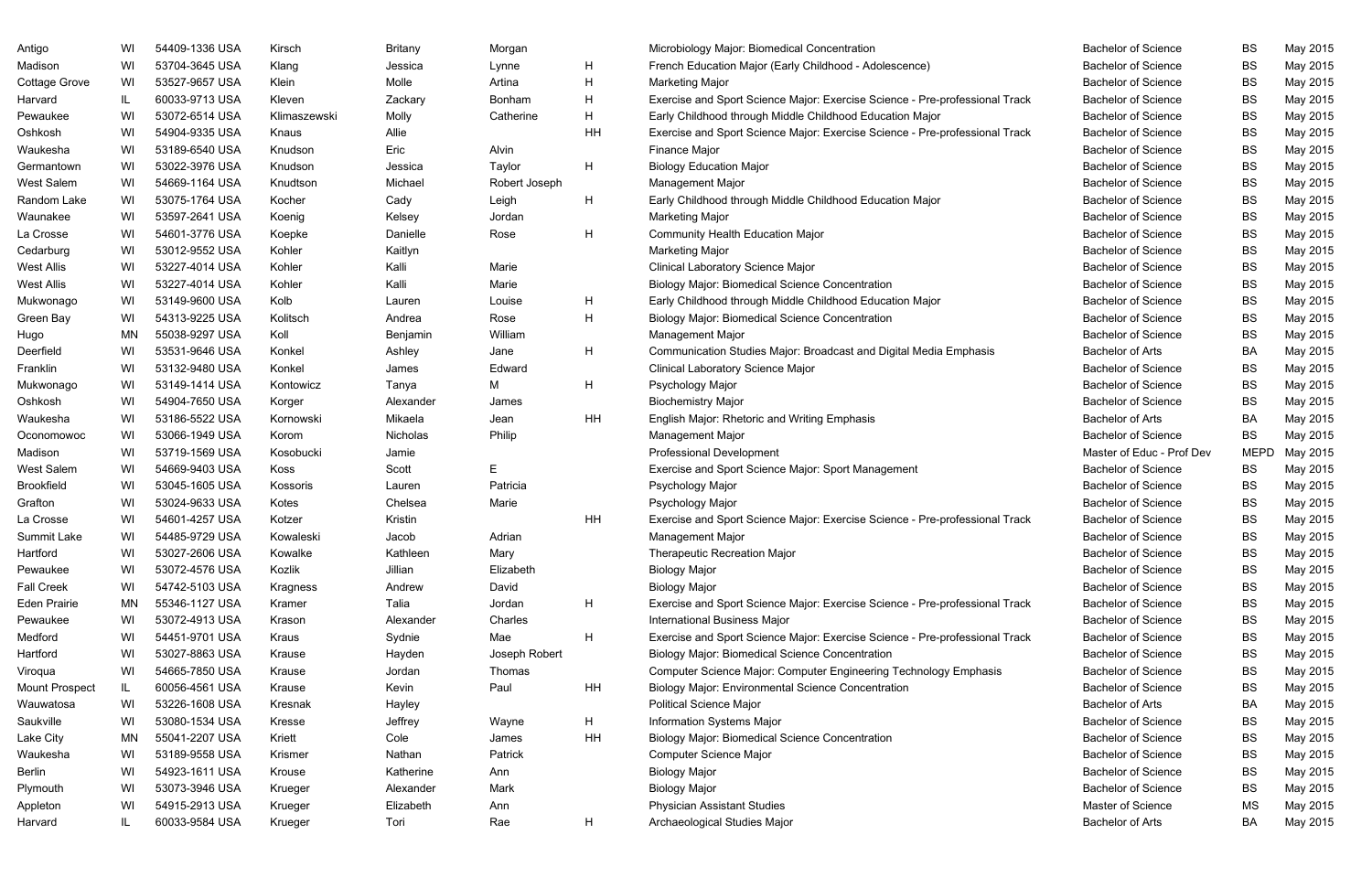| Antigo                | WI  | 54409-1336 USA | Kirsch       | <b>Britany</b>  | Morgan        |    | Microbiology Major: Biomedical Concentration                                | <b>Bachelor of Science</b> | BS          | May 2015 |
|-----------------------|-----|----------------|--------------|-----------------|---------------|----|-----------------------------------------------------------------------------|----------------------------|-------------|----------|
| Madison               | WI  | 53704-3645 USA | Klang        | Jessica         | Lynne         | H  | French Education Major (Early Childhood - Adolescence)                      | <b>Bachelor of Science</b> | <b>BS</b>   | May 2015 |
| Cottage Grove         | WI  | 53527-9657 USA | Klein        | Molle           | Artina        | H  | <b>Marketing Major</b>                                                      | <b>Bachelor of Science</b> | BS          | May 2015 |
| Harvard               |     | 60033-9713 USA | Kleven       | Zackary         | <b>Bonham</b> | H  | Exercise and Sport Science Major: Exercise Science - Pre-professional Track | <b>Bachelor of Science</b> | BS          | May 2015 |
| Pewaukee              | WI  | 53072-6514 USA | Klimaszewski | Molly           | Catherine     | H  | Early Childhood through Middle Childhood Education Major                    | <b>Bachelor of Science</b> | BS          | May 2015 |
| Oshkosh               | WI  | 54904-9335 USA | Knaus        | Allie           |               | HH | Exercise and Sport Science Major: Exercise Science - Pre-professional Track | <b>Bachelor of Science</b> | BS          | May 2015 |
| Waukesha              | WI  | 53189-6540 USA | Knudson      | Eric            | Alvin         |    | Finance Major                                                               | <b>Bachelor of Science</b> | BS          | May 2015 |
| Germantown            | WI  | 53022-3976 USA | Knudson      | Jessica         | Taylor        | H  | <b>Biology Education Major</b>                                              | <b>Bachelor of Science</b> | BS          | May 2015 |
| West Salem            | WI  | 54669-1164 USA | Knudtson     | Michael         | Robert Joseph |    | <b>Management Major</b>                                                     | <b>Bachelor of Science</b> | BS          | May 2015 |
| Random Lake           | WI  | 53075-1764 USA | Kocher       | Cady            | Leigh         | H  | Early Childhood through Middle Childhood Education Major                    | <b>Bachelor of Science</b> | <b>BS</b>   | May 2015 |
| Waunakee              | WI  | 53597-2641 USA | Koenig       | Kelsey          | Jordan        |    | <b>Marketing Major</b>                                                      | <b>Bachelor of Science</b> | BS          | May 2015 |
| La Crosse             | WI  | 54601-3776 USA | Koepke       | Danielle        | Rose          | H  | <b>Community Health Education Major</b>                                     | <b>Bachelor of Science</b> | BS          | May 2015 |
| Cedarburg             | WI  | 53012-9552 USA | Kohler       | Kaitlyn         |               |    | <b>Marketing Major</b>                                                      | <b>Bachelor of Science</b> | BS          | May 2015 |
| West Allis            | WI  | 53227-4014 USA | Kohler       | Kalli           | Marie         |    | <b>Clinical Laboratory Science Major</b>                                    | <b>Bachelor of Science</b> | <b>BS</b>   | May 2015 |
| West Allis            | WI  | 53227-4014 USA | Kohler       | Kalli           | Marie         |    | <b>Biology Major: Biomedical Science Concentration</b>                      | <b>Bachelor of Science</b> | BS          | May 2015 |
| Mukwonago             | WI  | 53149-9600 USA | Kolb         | Lauren          | Louise        | H  | Early Childhood through Middle Childhood Education Major                    | <b>Bachelor of Science</b> | BS          | May 2015 |
| Green Bay             | WI  | 54313-9225 USA | Kolitsch     | Andrea          | Rose          | H  | <b>Biology Major: Biomedical Science Concentration</b>                      | <b>Bachelor of Science</b> | BS          | May 2015 |
| Hugo                  | MN  | 55038-9297 USA | Koll         | Benjamin        | William       |    | Management Major                                                            | <b>Bachelor of Science</b> | <b>BS</b>   | May 2015 |
| Deerfield             | WI  | 53531-9646 USA | Konkel       | Ashley          | Jane          | H  | Communication Studies Major: Broadcast and Digital Media Emphasis           | <b>Bachelor of Arts</b>    | BA          | May 2015 |
| Franklin              | WI  | 53132-9480 USA | Konkel       | James           | Edward        |    | <b>Clinical Laboratory Science Major</b>                                    | <b>Bachelor of Science</b> | BS          | May 2015 |
| Mukwonago             | WI  | 53149-1414 USA | Kontowicz    | Tanya           | м             | H  | Psychology Major                                                            | <b>Bachelor of Science</b> | BS          | May 2015 |
| Oshkosh               | WI  | 54904-7650 USA | Korger       | Alexander       | James         |    | <b>Biochemistry Major</b>                                                   | <b>Bachelor of Science</b> | BS          | May 2015 |
| Waukesha              | WI  | 53186-5522 USA | Kornowski    | Mikaela         | Jean          | HH | <b>English Major: Rhetoric and Writing Emphasis</b>                         | <b>Bachelor of Arts</b>    | BA          | May 2015 |
| Oconomowoc            | WI  | 53066-1949 USA | Korom        | <b>Nicholas</b> | Philip        |    | <b>Management Major</b>                                                     | <b>Bachelor of Science</b> | BS          | May 2015 |
| Madison               | WI  | 53719-1569 USA | Kosobucki    | Jamie           |               |    | <b>Professional Development</b>                                             | Master of Educ - Prof Dev  | <b>MEPD</b> | May 2015 |
| West Salem            | WI  | 54669-9403 USA | Koss         | Scott           | E             |    | Exercise and Sport Science Major: Sport Management                          | <b>Bachelor of Science</b> | BS          | May 2015 |
| <b>Brookfield</b>     | WI  | 53045-1605 USA | Kossoris     | Lauren          | Patricia      |    | Psychology Major                                                            | <b>Bachelor of Science</b> | BS          | May 2015 |
| Grafton               | WI  | 53024-9633 USA | Kotes        | Chelsea         | Marie         |    | Psychology Major                                                            | <b>Bachelor of Science</b> | BS          | May 2015 |
| La Crosse             | WI  | 54601-4257 USA | Kotzer       | Kristin         |               | HH | Exercise and Sport Science Major: Exercise Science - Pre-professional Track | <b>Bachelor of Science</b> | BS          | May 2015 |
| Summit Lake           | WI  | 54485-9729 USA | Kowaleski    | Jacob           | Adrian        |    | Management Major                                                            | <b>Bachelor of Science</b> | BS.         | May 2015 |
| Hartford              | WI  | 53027-2606 USA | Kowalke      | Kathleen        | Mary          |    | <b>Therapeutic Recreation Major</b>                                         | <b>Bachelor of Science</b> | BS          | May 2015 |
| Pewaukee              | WI  | 53072-4576 USA | Kozlik       | Jillian         | Elizabeth     |    | <b>Biology Major</b>                                                        | <b>Bachelor of Science</b> | BS          | May 2015 |
| Fall Creek            | WI  | 54742-5103 USA | Kragness     | Andrew          | David         |    | <b>Biology Major</b>                                                        | <b>Bachelor of Science</b> | BS          | May 2015 |
| Eden Prairie          | MN. | 55346-1127 USA | Kramer       | Talia           | Jordan        | H  | Exercise and Sport Science Major: Exercise Science - Pre-professional Track | <b>Bachelor of Science</b> | BS          | May 2015 |
| Pewaukee              | WI  | 53072-4913 USA | Krason       | Alexander       | Charles       |    | <b>International Business Major</b>                                         | <b>Bachelor of Science</b> | BS          | May 2015 |
| Medford               | WI  | 54451-9701 USA | Kraus        | Sydnie          | Mae           | H  | Exercise and Sport Science Major: Exercise Science - Pre-professional Track | <b>Bachelor of Science</b> | BS          | May 2015 |
| Hartford              | WI  | 53027-8863 USA | Krause       | Hayden          | Joseph Robert |    | <b>Biology Major: Biomedical Science Concentration</b>                      | <b>Bachelor of Science</b> | BS          | May 2015 |
| Viroqua               | WI  | 54665-7850 USA | Krause       | Jordan          | Thomas        |    | Computer Science Major: Computer Engineering Technology Emphasis            | <b>Bachelor of Science</b> | BS          | May 2015 |
| <b>Mount Prospect</b> |     | 60056-4561 USA | Krause       | Kevin           | Paul          | HH | <b>Biology Major: Environmental Science Concentration</b>                   | <b>Bachelor of Science</b> | BS          | May 2015 |
| Wauwatosa             | WI  | 53226-1608 USA | Kresnak      | Hayley          |               |    | <b>Political Science Major</b>                                              | <b>Bachelor of Arts</b>    | BA          | May 2015 |
| Saukville             | WI  | 53080-1534 USA | Kresse       | Jeffrey         | Wayne         | H  | Information Systems Major                                                   | <b>Bachelor of Science</b> | BS          | May 2015 |
| Lake City             | MN  | 55041-2207 USA | Kriett       | Cole            | James         | HH | <b>Biology Major: Biomedical Science Concentration</b>                      | <b>Bachelor of Science</b> | BS          | May 2015 |
| Waukesha              | WI  | 53189-9558 USA | Krismer      | Nathan          | Patrick       |    | Computer Science Major                                                      | <b>Bachelor of Science</b> | BS          | May 2015 |
| Berlin                | WI  | 54923-1611 USA | Krouse       | Katherine       | Ann           |    | <b>Biology Major</b>                                                        | <b>Bachelor of Science</b> | BS          | May 2015 |
| Plymouth              | WI  | 53073-3946 USA | Krueger      | Alexander       | Mark          |    | <b>Biology Major</b>                                                        | <b>Bachelor of Science</b> | BS          | May 2015 |
| Appleton              | WI  | 54915-2913 USA | Krueger      | Elizabeth       | Ann           |    | <b>Physician Assistant Studies</b>                                          | Master of Science          | MS          | May 2015 |
| Harvard               |     | 60033-9584 USA | Krueger      | Tori            | Rae           | H  | Archaeological Studies Major                                                | <b>Bachelor of Arts</b>    | BA          | May 2015 |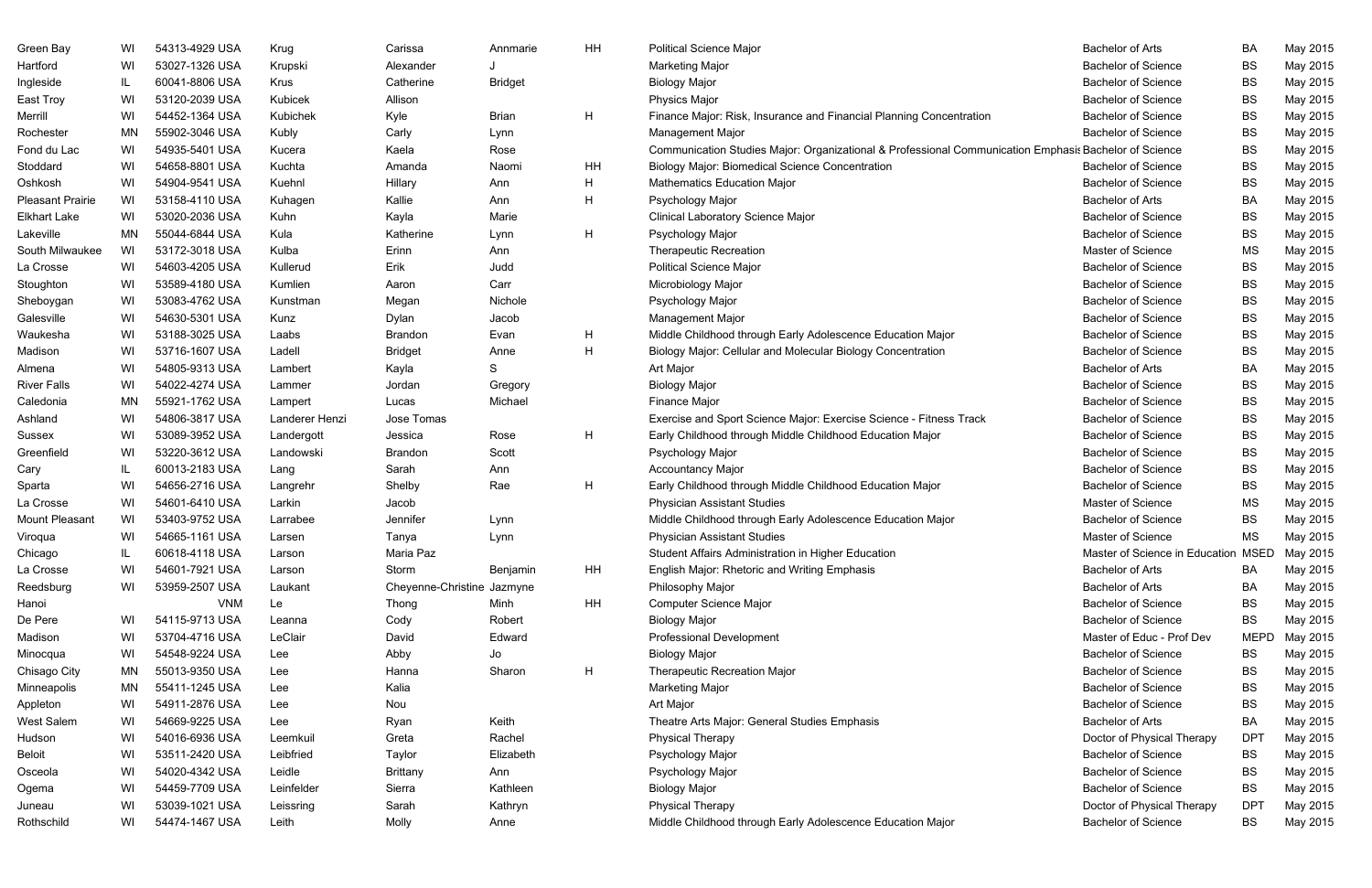| Green Bay               | WI       | 54313-4929 USA | Krug           | Carissa                    | Annmarie       | HH | <b>Political Science Major</b>                                                                        | <b>Bachelor of Arts</b>             | BA              | May 2015             |
|-------------------------|----------|----------------|----------------|----------------------------|----------------|----|-------------------------------------------------------------------------------------------------------|-------------------------------------|-----------------|----------------------|
| Hartford                | WI       | 53027-1326 USA | Krupski        | Alexander                  |                |    | <b>Marketing Major</b>                                                                                | <b>Bachelor of Science</b>          | <b>BS</b>       | May 2015             |
| Ingleside               | IL.      | 60041-8806 USA | <b>Krus</b>    | Catherine                  | <b>Bridget</b> |    | <b>Biology Major</b>                                                                                  | <b>Bachelor of Science</b>          | <b>BS</b>       | May 2015             |
| East Troy               | WI       | 53120-2039 USA | Kubicek        | Allison                    |                |    | <b>Physics Major</b>                                                                                  | <b>Bachelor of Science</b>          | <b>BS</b>       | May 2015             |
| Merrill                 | WI       | 54452-1364 USA | Kubichek       | Kyle                       | <b>Brian</b>   | H  | Finance Major: Risk, Insurance and Financial Planning Concentration                                   | <b>Bachelor of Science</b>          | <b>BS</b>       | May 2015             |
| Rochester               | ΜN       | 55902-3046 USA | Kubly          | Carly                      | Lynn           |    | Management Major                                                                                      | <b>Bachelor of Science</b>          | <b>BS</b>       | May 2015             |
| Fond du Lac             | WI       | 54935-5401 USA | Kucera         | Kaela                      | Rose           |    | Communication Studies Major: Organizational & Professional Communication Emphasis Bachelor of Science |                                     | <b>BS</b>       | May 2015             |
| Stoddard                | WI       | 54658-8801 USA | Kuchta         | Amanda                     | Naomi          | HH | <b>Biology Major: Biomedical Science Concentration</b>                                                | <b>Bachelor of Science</b>          | <b>BS</b>       | May 2015             |
| Oshkosh                 | WI       | 54904-9541 USA | Kuehnl         | Hillary                    | Ann            | H  | <b>Mathematics Education Major</b>                                                                    | <b>Bachelor of Science</b>          | <b>BS</b>       | May 2015             |
| <b>Pleasant Prairie</b> | WI       | 53158-4110 USA | Kuhagen        | Kallie                     | Ann            | H  | Psychology Major                                                                                      | <b>Bachelor of Arts</b>             | <b>BA</b>       | May 2015             |
| <b>Elkhart Lake</b>     | WI       | 53020-2036 USA | Kuhn           | Kayla                      | Marie          |    | <b>Clinical Laboratory Science Major</b>                                                              | <b>Bachelor of Science</b>          | <b>BS</b>       | May 2015             |
| Lakeville               | ΜN       | 55044-6844 USA | Kula           | Katherine                  | Lynn           | H  | Psychology Major                                                                                      | <b>Bachelor of Science</b>          | <b>BS</b>       | May 2015             |
| South Milwaukee         | WI       | 53172-3018 USA | Kulba          | Erinn                      | Ann            |    | <b>Therapeutic Recreation</b>                                                                         | Master of Science                   | <b>MS</b>       | May 2015             |
| La Crosse               | WI       | 54603-4205 USA | Kullerud       | Erik                       | Judd           |    | <b>Political Science Major</b>                                                                        | <b>Bachelor of Science</b>          | <b>BS</b>       | May 2015             |
| Stoughton               | WI       | 53589-4180 USA | Kumlien        | Aaron                      | Carr           |    | Microbiology Major                                                                                    | <b>Bachelor of Science</b>          | <b>BS</b>       | May 2015             |
| Sheboygan               | WI       | 53083-4762 USA | Kunstman       | Megan                      | Nichole        |    | Psychology Major                                                                                      | <b>Bachelor of Science</b>          | <b>BS</b>       | May 2015             |
| Galesville              | WI       | 54630-5301 USA | Kunz           | Dylan                      | Jacob          |    | Management Major                                                                                      | <b>Bachelor of Science</b>          | <b>BS</b>       | May 2015             |
| Waukesha                | WI       | 53188-3025 USA | Laabs          | Brandon                    | Evan           | Н  | Middle Childhood through Early Adolescence Education Major                                            | <b>Bachelor of Science</b>          | <b>BS</b>       | May 2015             |
| Madison                 | WI       | 53716-1607 USA | Ladell         | <b>Bridget</b>             | Anne           | H  | Biology Major: Cellular and Molecular Biology Concentration                                           | <b>Bachelor of Science</b>          | <b>BS</b>       | May 2015             |
| Almena                  | WI       | 54805-9313 USA | Lambert        | Kayla                      | S              |    | Art Major                                                                                             | <b>Bachelor of Arts</b>             | <b>BA</b>       | May 2015             |
| <b>River Falls</b>      | WI       | 54022-4274 USA | Lammer         | Jordan                     | Gregory        |    | <b>Biology Major</b>                                                                                  | <b>Bachelor of Science</b>          | <b>BS</b>       | May 2015             |
| Caledonia               | ΜN       | 55921-1762 USA | Lampert        | Lucas                      | Michael        |    | Finance Major                                                                                         | <b>Bachelor of Science</b>          | <b>BS</b>       | May 2015             |
| Ashland                 | WI       | 54806-3817 USA | Landerer Henzi | Jose Tomas                 |                |    | Exercise and Sport Science Major: Exercise Science - Fitness Track                                    | <b>Bachelor of Science</b>          | <b>BS</b>       | May 2015             |
| Sussex                  | WI       | 53089-3952 USA | Landergott     | Jessica                    | Rose           | H  | Early Childhood through Middle Childhood Education Major                                              | <b>Bachelor of Science</b>          | <b>BS</b>       | May 2015             |
| Greenfield              | WI       | 53220-3612 USA | Landowski      | Brandon                    | Scott          |    | Psychology Major                                                                                      | <b>Bachelor of Science</b>          | <b>BS</b>       | May 2015             |
| Cary                    | IL       | 60013-2183 USA | Lang           | Sarah                      | Ann            |    | <b>Accountancy Major</b>                                                                              | <b>Bachelor of Science</b>          | <b>BS</b>       | May 2015             |
| Sparta                  | WI       | 54656-2716 USA | Langrehr       | Shelby                     | Rae            | H  | Early Childhood through Middle Childhood Education Major                                              | <b>Bachelor of Science</b>          | <b>BS</b>       | May 2015             |
| La Crosse               | WI       | 54601-6410 USA | Larkin         | Jacob                      |                |    | <b>Physician Assistant Studies</b>                                                                    | Master of Science                   | MS              | May 2015             |
| <b>Mount Pleasant</b>   | WI       | 53403-9752 USA | Larrabee       | Jennifer                   | Lynn           |    | Middle Childhood through Early Adolescence Education Major                                            | <b>Bachelor of Science</b>          | <b>BS</b>       | May 2015             |
| Viroqua                 | WI       | 54665-1161 USA | Larsen         | Tanya                      | Lynn           |    | <b>Physician Assistant Studies</b>                                                                    | Master of Science                   | <b>MS</b>       | May 2015             |
| Chicago                 |          | 60618-4118 USA | Larson         | Maria Paz                  |                |    | Student Affairs Administration in Higher Education                                                    | Master of Science in Education MSED |                 | May 2015             |
| La Crosse               | WI       | 54601-7921 USA | Larson         | Storm                      | Benjamin       | HH | <b>English Major: Rhetoric and Writing Emphasis</b>                                                   | <b>Bachelor of Arts</b>             | BA              | May 2015             |
| Reedsburg               | WI       | 53959-2507 USA | Laukant        | Cheyenne-Christine Jazmyne |                |    | Philosophy Major                                                                                      | <b>Bachelor of Arts</b>             | BA              | May 2015             |
| Hanoi                   |          | <b>VNM</b>     | Le             | Thong                      | Minh           | HH | <b>Computer Science Major</b>                                                                         | <b>Bachelor of Science</b>          | <b>BS</b>       | May 2015             |
| De Pere                 | WI       | 54115-9713 USA | Leanna         | Cody                       | Robert         |    | <b>Biology Major</b>                                                                                  | <b>Bachelor of Science</b>          | <b>BS</b>       | May 2015             |
| Madison                 | WI       | 53704-4716 USA | LeClair        | David                      | Edward         |    | <b>Professional Development</b>                                                                       | Master of Educ - Prof Dev           | <b>MEPD</b>     | May 2015             |
|                         | WI       | 54548-9224 USA |                | Abby                       |                |    | <b>Biology Major</b>                                                                                  | <b>Bachelor of Science</b>          |                 |                      |
| Minocqua                |          | 55013-9350 USA | Lee            |                            | Jo<br>Sharon   |    |                                                                                                       | <b>Bachelor of Science</b>          | BS              | May 2015             |
| Chisago City            | ΜN<br>ΜN | 55411-1245 USA | Lee            | Hanna<br>Kalia             |                | H  | <b>Therapeutic Recreation Major</b><br><b>Marketing Major</b>                                         | <b>Bachelor of Science</b>          | BS<br><b>BS</b> | May 2015<br>May 2015 |
| Minneapolis             |          | 54911-2876 USA | Lee            |                            |                |    |                                                                                                       | <b>Bachelor of Science</b>          |                 |                      |
| Appleton                | WI       |                | Lee            | Nou                        |                |    | Art Major                                                                                             |                                     | <b>BS</b>       | May 2015             |
| West Salem              | WI       | 54669-9225 USA | Lee            | Ryan                       | Keith          |    | Theatre Arts Major: General Studies Emphasis                                                          | <b>Bachelor of Arts</b>             | BA              | May 2015             |
| Hudson                  | WI       | 54016-6936 USA | Leemkuil       | Greta                      | Rachel         |    | <b>Physical Therapy</b>                                                                               | Doctor of Physical Therapy          | DP <sub>1</sub> | May 2015             |
| <b>Beloit</b>           | WI       | 53511-2420 USA | Leibfried      | Taylor                     | Elizabeth      |    | Psychology Major                                                                                      | <b>Bachelor of Science</b>          | BS              | May 2015             |
| Osceola                 | WI       | 54020-4342 USA | Leidle         | <b>Brittany</b>            | Ann            |    | Psychology Major                                                                                      | <b>Bachelor of Science</b>          | <b>BS</b>       | May 2015             |
| Ogema                   | WI       | 54459-7709 USA | Leinfelder     | Sierra                     | Kathleen       |    | <b>Biology Major</b>                                                                                  | <b>Bachelor of Science</b>          | BS              | May 2015             |
| Juneau                  | WI       | 53039-1021 USA | Leissring      | Sarah                      | Kathryn        |    | <b>Physical Therapy</b>                                                                               | Doctor of Physical Therapy          | DP <sub>1</sub> | May 2015             |
| Rothschild              | WI       | 54474-1467 USA | Leith          | Molly                      | Anne           |    | Middle Childhood through Early Adolescence Education Major                                            | <b>Bachelor of Science</b>          | BS              | May 2015             |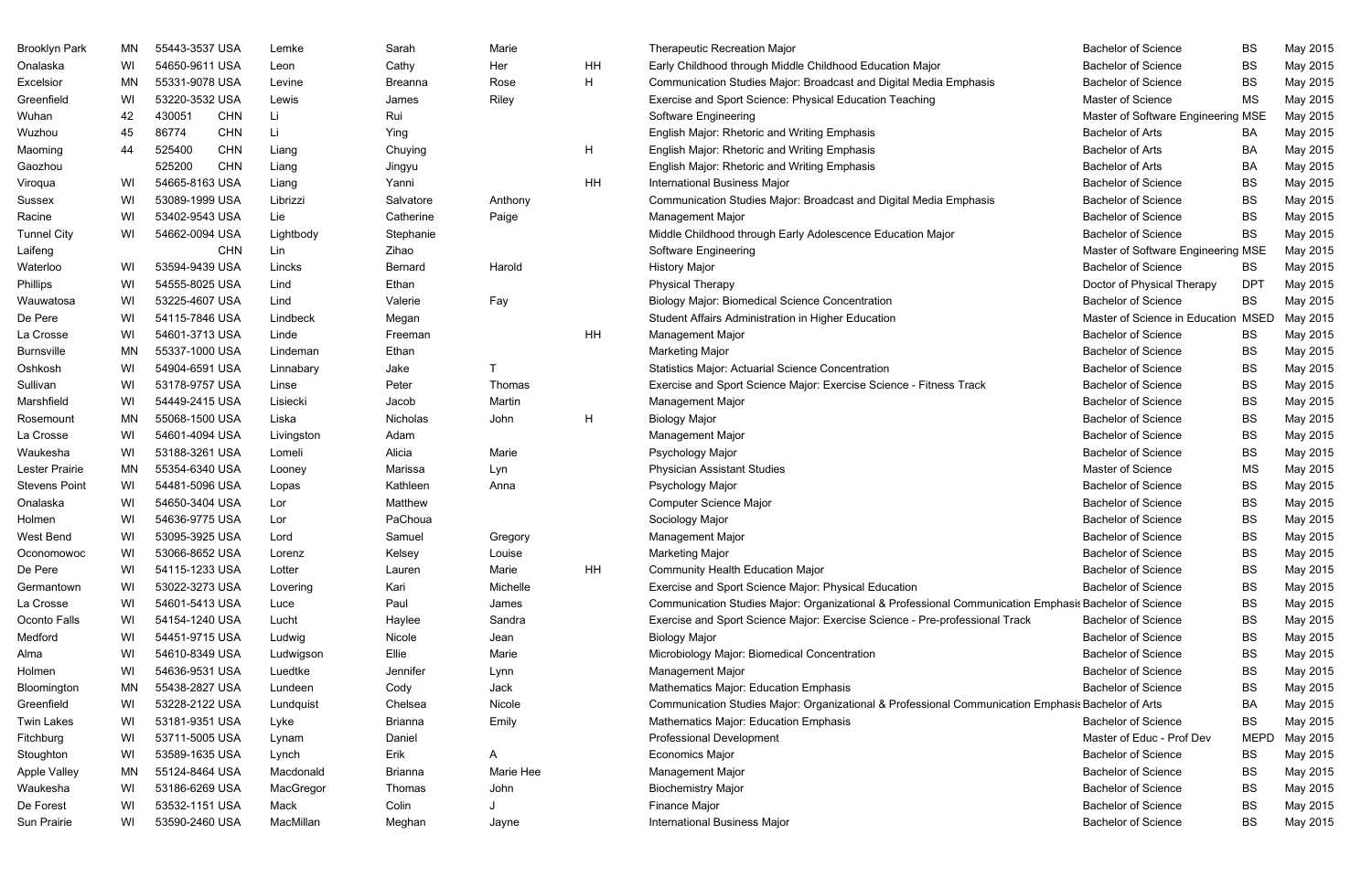| <b>Brooklyn Park</b> | MN | 55443-3537 USA |            | Lemke      | Sarah          | Marie     |              | <b>Therapeutic Recreation Major</b>                                                                   | <b>Bachelor of Science</b>         | BS          | May 2015 |
|----------------------|----|----------------|------------|------------|----------------|-----------|--------------|-------------------------------------------------------------------------------------------------------|------------------------------------|-------------|----------|
| Onalaska             | WI | 54650-9611 USA |            | Leon       | Cathy          | Her       | HH           | Early Childhood through Middle Childhood Education Major                                              | <b>Bachelor of Science</b>         | BS          | May 2015 |
| Excelsior            | ΜN | 55331-9078 USA |            | Levine     | Breanna        | Rose      | H            | Communication Studies Major: Broadcast and Digital Media Emphasis                                     | <b>Bachelor of Science</b>         | BS          | May 2015 |
| Greenfield           | WI | 53220-3532 USA |            | Lewis      | James          | Riley     |              | Exercise and Sport Science: Physical Education Teaching                                               | Master of Science                  | <b>MS</b>   | May 2015 |
| Wuhan                | 42 | 430051         | <b>CHN</b> | -Li        | Rui            |           |              | Software Engineering                                                                                  | Master of Software Engineering MSE |             | May 2015 |
| Wuzhou               | 45 | 86774          | <b>CHN</b> | Li.        | Ying           |           |              | English Major: Rhetoric and Writing Emphasis                                                          | <b>Bachelor of Arts</b>            | BA          | May 2015 |
| Maoming              | 44 | 525400         | <b>CHN</b> | Liang      | Chuying        |           | $\mathsf{H}$ | English Major: Rhetoric and Writing Emphasis                                                          | <b>Bachelor of Arts</b>            | BA          | May 2015 |
| Gaozhou              |    | 525200         | <b>CHN</b> | Liang      | Jingyu         |           |              | English Major: Rhetoric and Writing Emphasis                                                          | <b>Bachelor of Arts</b>            | BA          | May 2015 |
| Viroqua              | WI | 54665-8163 USA |            | Liang      | Yanni          |           | HH           | <b>International Business Major</b>                                                                   | <b>Bachelor of Science</b>         | <b>BS</b>   | May 2015 |
| Sussex               | WI | 53089-1999 USA |            | Librizzi   | Salvatore      | Anthony   |              | Communication Studies Major: Broadcast and Digital Media Emphasis                                     | <b>Bachelor of Science</b>         | BS          | May 2015 |
| Racine               | WI | 53402-9543 USA |            | Lie        | Catherine      | Paige     |              | Management Major                                                                                      | <b>Bachelor of Science</b>         | <b>BS</b>   | May 2015 |
| <b>Tunnel City</b>   | WI | 54662-0094 USA |            | Lightbody  | Stephanie      |           |              | Middle Childhood through Early Adolescence Education Major                                            | <b>Bachelor of Science</b>         | BS          | May 2015 |
| Laifeng              |    |                | <b>CHN</b> | Lin        | Zihao          |           |              | Software Engineering                                                                                  | Master of Software Engineering MSE |             | May 2015 |
| Waterloo             | WI | 53594-9439 USA |            | Lincks     | Bernard        | Harold    |              | <b>History Major</b>                                                                                  | <b>Bachelor of Science</b>         | BS          | May 2015 |
| Phillips             | WI | 54555-8025 USA |            | Lind       | Ethan          |           |              | <b>Physical Therapy</b>                                                                               | Doctor of Physical Therapy         | <b>DPT</b>  | May 2015 |
| Wauwatosa            | WI | 53225-4607 USA |            | Lind       | Valerie        | Fay       |              | <b>Biology Major: Biomedical Science Concentration</b>                                                | <b>Bachelor of Science</b>         | <b>BS</b>   | May 2015 |
| De Pere              | WI | 54115-7846 USA |            | Lindbeck   | Megan          |           |              | Student Affairs Administration in Higher Education                                                    | Master of Science in Education     | <b>MSED</b> | May 2015 |
| La Crosse            | WI | 54601-3713 USA |            | Linde      | Freeman        |           | HH           | Management Major                                                                                      | <b>Bachelor of Science</b>         | BS          | May 2015 |
| <b>Burnsville</b>    | ΜN | 55337-1000 USA |            | Lindeman   | Ethan          |           |              | <b>Marketing Major</b>                                                                                | <b>Bachelor of Science</b>         | <b>BS</b>   | May 2015 |
| Oshkosh              | WI | 54904-6591 USA |            | Linnabary  | Jake           |           |              | <b>Statistics Major: Actuarial Science Concentration</b>                                              | <b>Bachelor of Science</b>         | BS          | May 2015 |
| Sullivan             | WI | 53178-9757 USA |            | Linse      | Peter          | Thomas    |              | Exercise and Sport Science Major: Exercise Science - Fitness Track                                    | <b>Bachelor of Science</b>         | <b>BS</b>   | May 2015 |
| Marshfield           | WI | 54449-2415 USA |            | Lisiecki   | Jacob          | Martin    |              | Management Major                                                                                      | <b>Bachelor of Science</b>         | <b>BS</b>   | May 2015 |
| Rosemount            | ΜN | 55068-1500 USA |            | Liska      | Nicholas       | John      | H            | <b>Biology Major</b>                                                                                  | <b>Bachelor of Science</b>         | BS          | May 2015 |
| La Crosse            | WI | 54601-4094 USA |            | Livingston | Adam           |           |              | Management Major                                                                                      | <b>Bachelor of Science</b>         | BS          | May 2015 |
| Waukesha             | WI | 53188-3261 USA |            | Lomeli     | Alicia         | Marie     |              | Psychology Major                                                                                      | <b>Bachelor of Science</b>         | <b>BS</b>   | May 2015 |
| Lester Prairie       | MN | 55354-6340 USA |            | Looney     | Marissa        | Lyn       |              | <b>Physician Assistant Studies</b>                                                                    | Master of Science                  | MS          | May 2015 |
| <b>Stevens Point</b> | WI | 54481-5096 USA |            | Lopas      | Kathleen       | Anna      |              | Psychology Major                                                                                      | <b>Bachelor of Science</b>         | BS          | May 2015 |
| Onalaska             | WI | 54650-3404 USA |            | Lor        | Matthew        |           |              | Computer Science Major                                                                                | <b>Bachelor of Science</b>         | BS          | May 2015 |
| Holmen               | WI | 54636-9775 USA |            | Lor        | PaChoua        |           |              | Sociology Major                                                                                       | <b>Bachelor of Science</b>         | <b>BS</b>   | May 2015 |
| West Bend            | WI | 53095-3925 USA |            | Lord       | Samuel         | Gregory   |              | <b>Management Major</b>                                                                               | <b>Bachelor of Science</b>         | ВS          | May 2015 |
| Oconomowoc           | WI | 53066-8652 USA |            | Lorenz     | Kelsey         | Louise    |              | <b>Marketing Major</b>                                                                                | <b>Bachelor of Science</b>         | BS          | May 2015 |
| De Pere              | WI | 54115-1233 USA |            | Lotter     | Lauren         | Marie     | HH           | <b>Community Health Education Major</b>                                                               | <b>Bachelor of Science</b>         | BS          | May 2015 |
| Germantown           | WI | 53022-3273 USA |            | Lovering   | Kari           | Michelle  |              | Exercise and Sport Science Major: Physical Education                                                  | <b>Bachelor of Science</b>         | <b>BS</b>   | May 2015 |
| La Crosse            | WI | 54601-5413 USA |            | Luce       | Paul           | James     |              | Communication Studies Major: Organizational & Professional Communication Emphasis Bachelor of Science |                                    | BS          | May 2015 |
| Oconto Falls         | WI | 54154-1240 USA |            | Lucht      | Haylee         | Sandra    |              | Exercise and Sport Science Major: Exercise Science - Pre-professional Track                           | <b>Bachelor of Science</b>         | BS          | May 2015 |
| Medford              | WI | 54451-9715 USA |            | Ludwig     | Nicole         | Jean      |              | <b>Biology Major</b>                                                                                  | <b>Bachelor of Science</b>         | BS          | May 2015 |
| Alma                 | WI | 54610-8349 USA |            | Ludwigson  | Ellie          | Marie     |              | Microbiology Major: Biomedical Concentration                                                          | <b>Bachelor of Science</b>         | <b>BS</b>   | May 2015 |
| Holmen               | WI | 54636-9531 USA |            | Luedtke    | Jennifer       | Lynn      |              | Management Major                                                                                      | <b>Bachelor of Science</b>         | BS          | May 2015 |
| Bloomington          | ΜN | 55438-2827 USA |            | Lundeen    | Cody           | Jack      |              | Mathematics Major: Education Emphasis                                                                 | <b>Bachelor of Science</b>         | BS          | May 2015 |
| Greenfield           | WI | 53228-2122 USA |            | Lundquist  | Chelsea        | Nicole    |              | Communication Studies Major: Organizational & Professional Communication Emphasis Bachelor of Arts    |                                    | BA          | May 2015 |
| <b>Twin Lakes</b>    | WI | 53181-9351 USA |            | Lyke       | <b>Brianna</b> | Emily     |              | Mathematics Major: Education Emphasis                                                                 | <b>Bachelor of Science</b>         | <b>BS</b>   | May 2015 |
| Fitchburg            | WI | 53711-5005 USA |            | Lynam      | Daniel         |           |              | Professional Development                                                                              | Master of Educ - Prof Dev          | <b>MEPD</b> | May 2015 |
| Stoughton            | WI | 53589-1635 USA |            | Lynch      | Erik           | A         |              | <b>Economics Major</b>                                                                                | <b>Bachelor of Science</b>         | BS          | May 2015 |
| <b>Apple Valley</b>  | ΜN | 55124-8464 USA |            | Macdonald  | Brianna        | Marie Hee |              | Management Major                                                                                      | <b>Bachelor of Science</b>         | BS          | May 2015 |
| Waukesha             | WI | 53186-6269 USA |            | MacGregor  | Thomas         | John      |              | <b>Biochemistry Major</b>                                                                             | <b>Bachelor of Science</b>         | BS          | May 2015 |
| De Forest            | WI | 53532-1151 USA |            | Mack       | Colin          |           |              | Finance Major                                                                                         | <b>Bachelor of Science</b>         | BS          | May 2015 |
| Sun Prairie          | WI | 53590-2460 USA |            | MacMillan  | Meghan         | Jayne     |              | <b>International Business Major</b>                                                                   | <b>Bachelor of Science</b>         | BS          | May 2015 |

| <b>Bachelor of Science</b>         | BS          | May 2015 |
|------------------------------------|-------------|----------|
| <b>Bachelor of Science</b>         | BS          | May 2015 |
| <b>Bachelor of Science</b>         | BS          | May 2015 |
| Master of Science                  | <b>MS</b>   | May 2015 |
| Master of Software Engineering MSE |             | May 2015 |
| <b>Bachelor of Arts</b>            | ВA          | May 2015 |
| <b>Bachelor of Arts</b>            | ВA          | May 2015 |
| <b>Bachelor of Arts</b>            | ВA          | May 2015 |
| <b>Bachelor of Science</b>         | BS          | May 2015 |
| <b>Bachelor of Science</b>         | BS          | May 2015 |
| <b>Bachelor of Science</b>         | BS          | May 2015 |
| <b>Bachelor of Science</b>         | BS          | May 2015 |
| Master of Software Engineering MSE |             | May 2015 |
| <b>Bachelor of Science</b>         | BS          | May 2015 |
| Doctor of Physical Therapy         | DPT         | May 2015 |
| <b>Bachelor of Science</b>         | <b>BS</b>   | May 2015 |
| Master of Science in Education     | <b>MSED</b> | May 2015 |
| <b>Bachelor of Science</b>         | <b>BS</b>   | May 2015 |
| <b>Bachelor of Science</b>         | BS          | May 2015 |
| <b>Bachelor of Science</b>         | BS          | May 2015 |
| <b>Bachelor of Science</b>         | BS          | May 2015 |
| <b>Bachelor of Science</b>         | BS          | May 2015 |
| <b>Bachelor of Science</b>         | BS          | May 2015 |
| <b>Bachelor of Science</b>         | BS          | May 2015 |
| <b>Bachelor of Science</b>         | BS          | May 2015 |
| Master of Science                  | <b>MS</b>   | May 2015 |
| <b>Bachelor of Science</b>         | <b>BS</b>   | May 2015 |
| <b>Bachelor of Science</b>         | BS          | May 2015 |
| <b>Bachelor of Science</b>         | BS          | May 2015 |
| <b>Bachelor of Science</b>         | BS          | May 2015 |
| <b>Bachelor of Science</b>         | BS          | May 2015 |
| <b>Bachelor of Science</b>         | BS          | May 2015 |
| <b>Bachelor of Science</b>         | BS          | May 2015 |
| ohasis Bachelor of Science         | BS          | May 2015 |
| <b>Bachelor of Science</b>         | BS          | May 2015 |
| <b>Bachelor of Science</b>         | BS          | May 2015 |
| <b>Bachelor of Science</b>         | BS          | May 2015 |
| <b>Bachelor of Science</b>         | BS          | May 2015 |
| <b>Bachelor of Science</b>         | BS          | May 2015 |
| bhasis Bachelor of Arts            | BA          | May 2015 |
| <b>Bachelor of Science</b>         | BS          | May 2015 |
| Master of Educ - Prof Dev          | <b>MEPD</b> | May 2015 |
| <b>Bachelor of Science</b>         | BS          | May 2015 |
| <b>Bachelor of Science</b>         | BS          | May 2015 |
| <b>Bachelor of Science</b>         | BS          | May 2015 |
| <b>Bachelor of Science</b>         | BS          | May 2015 |
| <b>Bachelor of Science</b>         | BS          | May 2015 |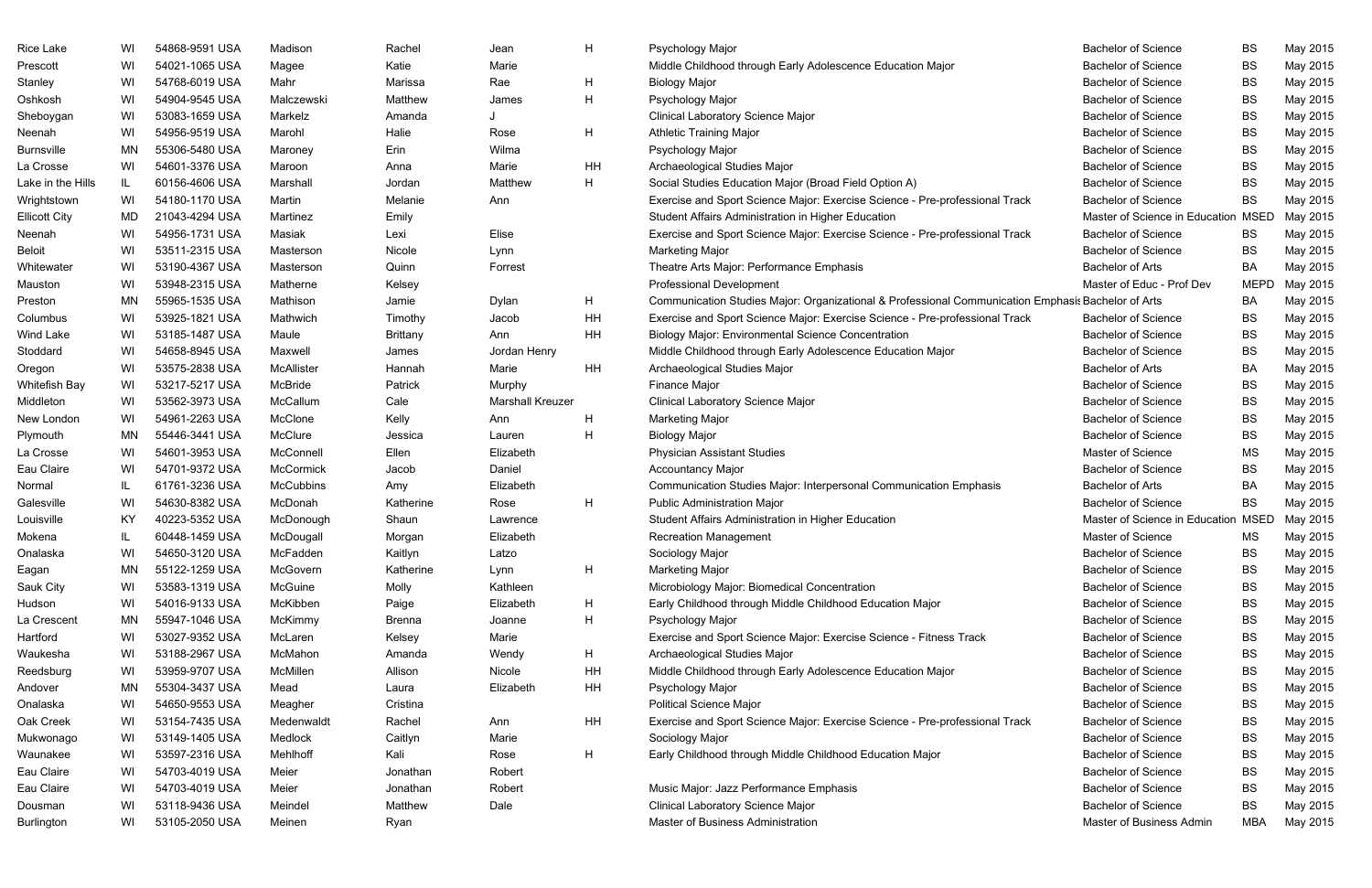|                      | WI  | 54868-9591 USA | Madison          | Rachel          | Jean                    | H         | Psychology Major                                                                                   | <b>Bachelor of Science</b>     | <b>BS</b>   | May 2015 |
|----------------------|-----|----------------|------------------|-----------------|-------------------------|-----------|----------------------------------------------------------------------------------------------------|--------------------------------|-------------|----------|
| Prescott             | WI  | 54021-1065 USA | Magee            | Katie           | Marie                   |           | Middle Childhood through Early Adolescence Education Major                                         | <b>Bachelor of Science</b>     | BS          | May 2015 |
| Stanley              | WI  | 54768-6019 USA | Mahr             | Marissa         | Rae                     | H         | <b>Biology Major</b>                                                                               | <b>Bachelor of Science</b>     | BS          | May 2015 |
| Oshkosh              | WI  | 54904-9545 USA | Malczewski       | Matthew         | James                   | H         | Psychology Major                                                                                   | <b>Bachelor of Science</b>     | <b>BS</b>   | May 2015 |
| Sheboygan            | WI  | 53083-1659 USA | Markelz          | Amanda          |                         |           | <b>Clinical Laboratory Science Major</b>                                                           | <b>Bachelor of Science</b>     | BS          | May 2015 |
| Neenah               | WI  | 54956-9519 USA | Marohl           | Halie           | Rose                    | Н         | <b>Athletic Training Major</b>                                                                     | <b>Bachelor of Science</b>     | <b>BS</b>   | May 2015 |
| <b>Burnsville</b>    | ΜN  | 55306-5480 USA | Maroney          | Erin            | Wilma                   |           | Psychology Major                                                                                   | <b>Bachelor of Science</b>     | <b>BS</b>   | May 2015 |
| La Crosse            | WI  | 54601-3376 USA | Maroon           | Anna            | Marie                   | HH        | Archaeological Studies Major                                                                       | <b>Bachelor of Science</b>     | <b>BS</b>   | May 2015 |
| Lake in the Hills    | IL  | 60156-4606 USA | Marshall         | Jordan          | Matthew                 | н         | Social Studies Education Major (Broad Field Option A)                                              | <b>Bachelor of Science</b>     | BS          | May 2015 |
| Wrightstown          | WI  | 54180-1170 USA | Martin           | Melanie         | Ann                     |           | Exercise and Sport Science Major: Exercise Science - Pre-professional Track                        | <b>Bachelor of Science</b>     | <b>BS</b>   | May 2015 |
| <b>Ellicott City</b> | MD  | 21043-4294 USA | Martinez         | Emily           |                         |           | Student Affairs Administration in Higher Education                                                 | Master of Science in Education | <b>MSED</b> | May 2015 |
| Neenah               | WI  | 54956-1731 USA | Masiak           | Lexi            | Elise                   |           | Exercise and Sport Science Major: Exercise Science - Pre-professional Track                        | <b>Bachelor of Science</b>     | BS          | May 2015 |
| <b>Beloit</b>        | WI  | 53511-2315 USA | Masterson        | Nicole          | Lynn                    |           | <b>Marketing Major</b>                                                                             | <b>Bachelor of Science</b>     | BS          | May 2015 |
| Whitewater           | WI  | 53190-4367 USA | Masterson        | Quinn           | Forrest                 |           | Theatre Arts Major: Performance Emphasis                                                           | <b>Bachelor of Arts</b>        | BA          | May 2015 |
| Mauston              | WI  | 53948-2315 USA | Matherne         | Kelsey          |                         |           | <b>Professional Development</b>                                                                    | Master of Educ - Prof Dev      | <b>MEPD</b> | May 2015 |
| Preston              | ΜN  | 55965-1535 USA | Mathison         | Jamie           | Dylan                   | H         | Communication Studies Major: Organizational & Professional Communication Emphasis Bachelor of Arts |                                | BA          | May 2015 |
| Columbus             | WI  | 53925-1821 USA | Mathwich         | Timothy         | Jacob                   | HH        | Exercise and Sport Science Major: Exercise Science - Pre-professional Track                        | <b>Bachelor of Science</b>     | BS          | May 2015 |
| Wind Lake            | WI  | 53185-1487 USA | Maule            | <b>Brittany</b> | Ann                     | <b>HH</b> | <b>Biology Major: Environmental Science Concentration</b>                                          | <b>Bachelor of Science</b>     | <b>BS</b>   | May 2015 |
| Stoddard             | WI  | 54658-8945 USA | Maxwell          | James           | Jordan Henry            |           | Middle Childhood through Early Adolescence Education Major                                         | <b>Bachelor of Science</b>     | <b>BS</b>   | May 2015 |
| Oregon               | WI  | 53575-2838 USA | McAllister       | Hannah          | Marie                   | HH        | Archaeological Studies Major                                                                       | <b>Bachelor of Arts</b>        | BA          | May 2015 |
| Whitefish Bay        | WI  | 53217-5217 USA | McBride          | Patrick         | Murphy                  |           | Finance Major                                                                                      | <b>Bachelor of Science</b>     | <b>BS</b>   | May 2015 |
| Middleton            | WI  | 53562-3973 USA | McCallum         | Cale            | <b>Marshall Kreuzer</b> |           | Clinical Laboratory Science Major                                                                  | <b>Bachelor of Science</b>     | <b>BS</b>   | May 2015 |
| New London           | WI  | 54961-2263 USA | McClone          | Kelly           | Ann                     | Н         | Marketing Major                                                                                    | <b>Bachelor of Science</b>     | <b>BS</b>   | May 2015 |
| Plymouth             | MN  | 55446-3441 USA | McClure          | Jessica         | Lauren                  | H         | <b>Biology Major</b>                                                                               | <b>Bachelor of Science</b>     | <b>BS</b>   | May 2015 |
| La Crosse            | WI  | 54601-3953 USA | McConnell        | Ellen           | Elizabeth               |           | <b>Physician Assistant Studies</b>                                                                 | Master of Science              | ΜS          | May 2015 |
| Eau Claire           | WI  | 54701-9372 USA | McCormick        | Jacob           | Daniel                  |           | <b>Accountancy Major</b>                                                                           | <b>Bachelor of Science</b>     | <b>BS</b>   | May 2015 |
| Normal               | IL. | 61761-3236 USA | <b>McCubbins</b> | Amy             | Elizabeth               |           | Communication Studies Major: Interpersonal Communication Emphasis                                  | <b>Bachelor of Arts</b>        | BA          | May 2015 |
| Galesville           | WI  | 54630-8382 USA | McDonah          | Katherine       | Rose                    | H         | <b>Public Administration Major</b>                                                                 | <b>Bachelor of Science</b>     | <b>BS</b>   | May 2015 |
| Louisville           | KY  | 40223-5352 USA | McDonough        | Shaun           | Lawrence                |           | Student Affairs Administration in Higher Education                                                 | Master of Science in Education | MSED        | May 2015 |
| Mokena               | IL. | 60448-1459 USA | McDougall        | Morgan          | Elizabeth               |           | <b>Recreation Management</b>                                                                       | Master of Science              | MS          | May 2015 |
| Onalaska             | WI  | 54650-3120 USA | McFadden         | Kaitlyn         | Latzo                   |           | Sociology Major                                                                                    | <b>Bachelor of Science</b>     | BS          | May 2015 |
| Eagan                | ΜN  | 55122-1259 USA | McGovern         | Katherine       | Lynn                    | H         | Marketing Major                                                                                    | <b>Bachelor of Science</b>     | BS          | May 2015 |
| Sauk City            | WI  | 53583-1319 USA | McGuine          | Molly           | Kathleen                |           | Microbiology Major: Biomedical Concentration                                                       | <b>Bachelor of Science</b>     | <b>BS</b>   | May 2015 |
| Hudson               | WI  | 54016-9133 USA | McKibben         | Paige           | Elizabeth               | H         | Early Childhood through Middle Childhood Education Major                                           | <b>Bachelor of Science</b>     | BS          | May 2015 |
| La Crescent          | MN  | 55947-1046 USA | McKimmy          | <b>Brenna</b>   | Joanne                  | Н         | Psychology Major                                                                                   | <b>Bachelor of Science</b>     | BS          | May 2015 |
| Hartford             | WI  | 53027-9352 USA | McLaren          | Kelsey          | Marie                   |           | Exercise and Sport Science Major: Exercise Science - Fitness Track                                 | <b>Bachelor of Science</b>     | <b>BS</b>   | May 2015 |
| Waukesha             | WI  | 53188-2967 USA | McMahon          | Amanda          | Wendy                   | H         | Archaeological Studies Major                                                                       | <b>Bachelor of Science</b>     | BS          | May 2015 |
| Reedsburg            | WI  | 53959-9707 USA | McMillen         | Allison         | Nicole                  | HH        | Middle Childhood through Early Adolescence Education Major                                         | <b>Bachelor of Science</b>     | BS          | May 2015 |
| Andover              | ΜN  | 55304-3437 USA | Mead             | Laura           | Elizabeth               | HH        | Psychology Major                                                                                   | <b>Bachelor of Science</b>     | BS          | May 2015 |
| Onalaska             | WI  | 54650-9553 USA | Meagher          | Cristina        |                         |           | <b>Political Science Major</b>                                                                     | <b>Bachelor of Science</b>     | <b>BS</b>   | May 2015 |
| Oak Creek            | WI  | 53154-7435 USA | Medenwaldt       | Rachel          | Ann                     | HH        | Exercise and Sport Science Major: Exercise Science - Pre-professional Track                        | <b>Bachelor of Science</b>     | BS          | May 2015 |
| Mukwonago            | WI  | 53149-1405 USA | Medlock          | Caitlyn         | Marie                   |           | Sociology Major                                                                                    | <b>Bachelor of Science</b>     | <b>BS</b>   | May 2015 |
| Waunakee             | WI  | 53597-2316 USA | Mehlhoff         | Kali            | Rose                    | H         | Early Childhood through Middle Childhood Education Major                                           | <b>Bachelor of Science</b>     | BS          | May 2015 |
| Eau Claire           | WI  | 54703-4019 USA | Meier            | Jonathan        | Robert                  |           |                                                                                                    | <b>Bachelor of Science</b>     | BS          | May 2015 |
| Eau Claire           | WI  | 54703-4019 USA | Meier            | Jonathan        | Robert                  |           | Music Major: Jazz Performance Emphasis                                                             | <b>Bachelor of Science</b>     | BS          | May 2015 |
| Dousman              | WI  | 53118-9436 USA | Meindel          | Matthew         | Dale                    |           | <b>Clinical Laboratory Science Major</b>                                                           | <b>Bachelor of Science</b>     | <b>BS</b>   | May 2015 |
| Burlington           | WI  | 53105-2050 USA | Meinen           | Ryan            |                         |           | Master of Business Administration                                                                  | Master of Business Admin       | <b>MBA</b>  | May 2015 |

|      | <b>Bachelor of Science</b>          | BS          | May 2015             |
|------|-------------------------------------|-------------|----------------------|
|      | <b>Bachelor of Science</b>          | BS          | May 2015             |
|      | <b>Bachelor of Science</b>          | <b>BS</b>   | May 2015             |
|      | <b>Bachelor of Science</b>          | BS          | May 2015             |
|      | <b>Bachelor of Science</b>          | <b>BS</b>   | May 2015             |
|      | <b>Bachelor of Science</b>          | BS          | May 2015             |
|      | <b>Bachelor of Science</b>          | <b>BS</b>   | May 2015             |
|      | <b>Bachelor of Science</b>          | <b>BS</b>   | May 2015             |
|      | <b>Bachelor of Science</b>          | <b>BS</b>   |                      |
| rack | <b>Bachelor of Science</b>          | <b>BS</b>   | May 2015<br>May 2015 |
|      | Master of Science in Education MSED |             | May 2015             |
| rack | <b>Bachelor of Science</b>          | <b>BS</b>   |                      |
|      | <b>Bachelor of Science</b>          | <b>BS</b>   | May 2015             |
|      | <b>Bachelor of Arts</b>             | BA          | May 2015             |
|      |                                     |             | May 2015             |
|      | Master of Educ - Prof Dev           | <b>MEPD</b> | May 2015             |
|      | ation Emphasis Bachelor of Arts     | BA          | May 2015             |
| rack | <b>Bachelor of Science</b>          | BS          | May 2015             |
|      | <b>Bachelor of Science</b>          | BS          | May 2015             |
|      | <b>Bachelor of Science</b>          | <b>BS</b>   | May 2015             |
|      | <b>Bachelor of Arts</b>             | BA          | May 2015             |
|      | <b>Bachelor of Science</b>          | <b>BS</b>   | May 2015             |
|      | <b>Bachelor of Science</b>          | BS          | May 2015             |
|      | <b>Bachelor of Science</b>          | <b>BS</b>   | May 2015             |
|      | <b>Bachelor of Science</b>          | BS          | May 2015             |
|      | <b>Master of Science</b>            | MS          | May 2015             |
|      | <b>Bachelor of Science</b>          | BS          | May 2015             |
|      | <b>Bachelor of Arts</b>             | ВA          | May 2015             |
|      | <b>Bachelor of Science</b>          | BS          | May 2015             |
|      | Master of Science in Education MSED |             | May 2015             |
|      | Master of Science                   | MS          | May 2015             |
|      | <b>Bachelor of Science</b>          | BS          | May 2015             |
|      | <b>Bachelor of Science</b>          | BS          | May 2015             |
|      | <b>Bachelor of Science</b>          | <b>BS</b>   | May 2015             |
|      | <b>Bachelor of Science</b>          | <b>BS</b>   | May 2015             |
|      | <b>Bachelor of Science</b>          | <b>BS</b>   | May 2015             |
|      | <b>Bachelor of Science</b>          | <b>BS</b>   | May 2015             |
|      | <b>Bachelor of Science</b>          | <b>BS</b>   | May 2015             |
|      | <b>Bachelor of Science</b>          | BS          | May 2015             |
|      | <b>Bachelor of Science</b>          | <b>BS</b>   | May 2015             |
|      | <b>Bachelor of Science</b>          | BS          | May 2015             |
| rack | <b>Bachelor of Science</b>          | <b>BS</b>   | May 2015             |
|      | <b>Bachelor of Science</b>          | BS          | May 2015             |
|      | <b>Bachelor of Science</b>          | <b>BS</b>   | May 2015             |
|      | <b>Bachelor of Science</b>          | <b>BS</b>   | May 2015             |
|      | <b>Bachelor of Science</b>          | <b>BS</b>   | May 2015             |
|      | <b>Bachelor of Science</b>          | <b>BS</b>   | May 2015             |
|      | Master of Business Admin            | <b>MBA</b>  | May 2015             |
|      |                                     |             |                      |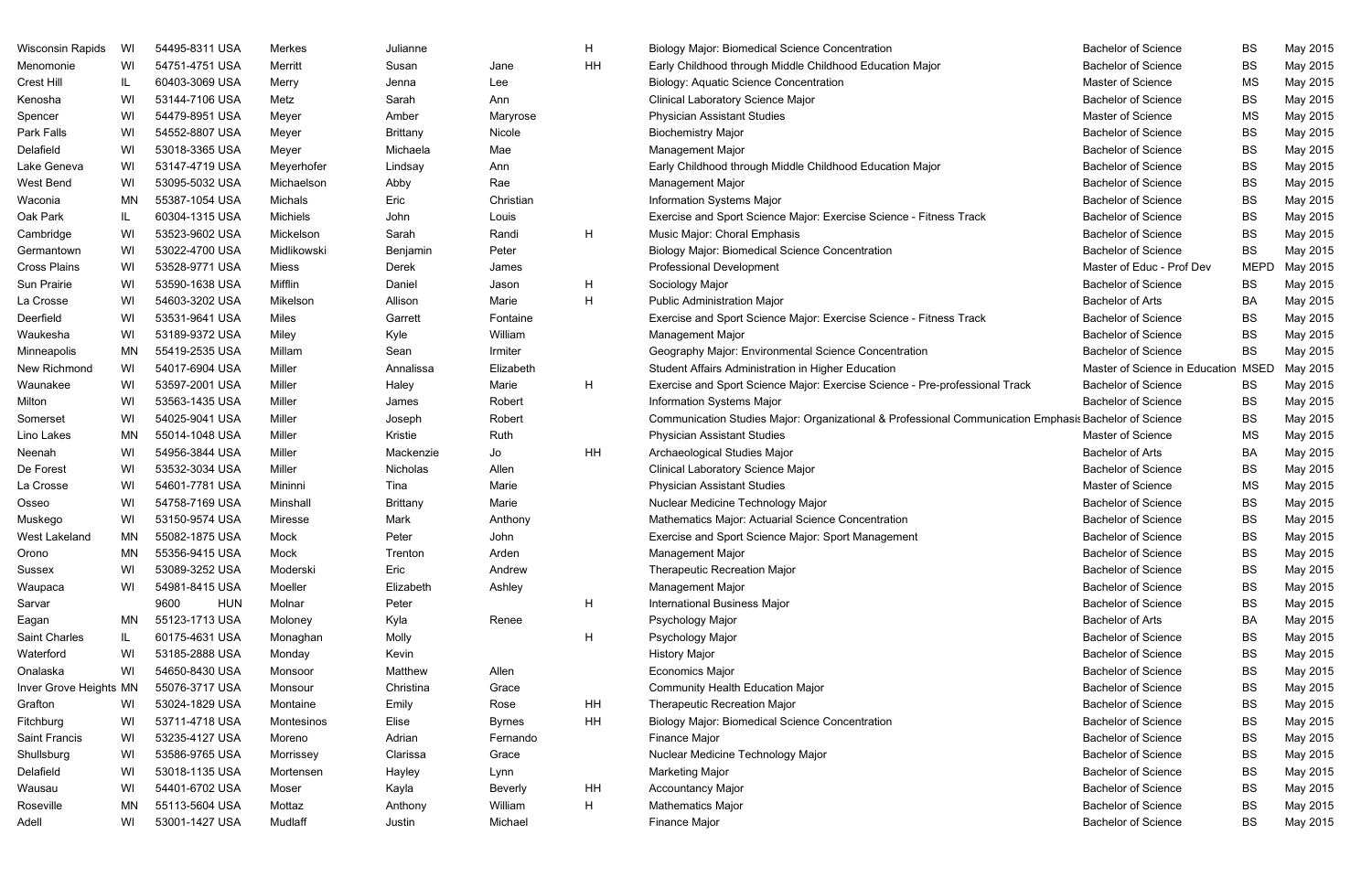| <b>Wisconsin Rapids</b> | WI  | 54495-8311 USA     | <b>Merkes</b>   | Julianne        |                | H  | <b>Biology Major: Biomedical Science Concentration</b>                                                | <b>Bachelor of Science</b>          | BS          | May 2015 |
|-------------------------|-----|--------------------|-----------------|-----------------|----------------|----|-------------------------------------------------------------------------------------------------------|-------------------------------------|-------------|----------|
| Menomonie               | WI  | 54751-4751 USA     | Merritt         | Susan           | Jane           | HH | Early Childhood through Middle Childhood Education Major                                              | <b>Bachelor of Science</b>          | <b>BS</b>   | May 2015 |
| Crest Hill              | IL  | 60403-3069 USA     | Merry           | Jenna           | Lee            |    | <b>Biology: Aquatic Science Concentration</b>                                                         | Master of Science                   | <b>MS</b>   | May 2015 |
| Kenosha                 | WI  | 53144-7106 USA     | Metz            | Sarah           | Ann            |    | <b>Clinical Laboratory Science Major</b>                                                              | <b>Bachelor of Science</b>          | <b>BS</b>   | May 2015 |
| Spencer                 | WI  | 54479-8951 USA     | Meyer           | Amber           | Maryrose       |    | <b>Physician Assistant Studies</b>                                                                    | Master of Science                   | ΜS          | May 2015 |
| Park Falls              | WI  | 54552-8807 USA     | Meyer           | <b>Brittany</b> | Nicole         |    | <b>Biochemistry Major</b>                                                                             | <b>Bachelor of Science</b>          | <b>BS</b>   | May 2015 |
| Delafield               | WI  | 53018-3365 USA     | Meyer           | Michaela        | Mae            |    | <b>Management Major</b>                                                                               | <b>Bachelor of Science</b>          | <b>BS</b>   | May 2015 |
| Lake Geneva             | WI  | 53147-4719 USA     | Meyerhofer      | Lindsay         | Ann            |    | Early Childhood through Middle Childhood Education Major                                              | <b>Bachelor of Science</b>          | <b>BS</b>   | May 2015 |
| West Bend               | WI  | 53095-5032 USA     | Michaelson      | Abby            | Rae            |    | <b>Management Major</b>                                                                               | <b>Bachelor of Science</b>          | <b>BS</b>   | May 2015 |
| Waconia                 | ΜN  | 55387-1054 USA     | Michals         | Eric            | Christian      |    | <b>Information Systems Major</b>                                                                      | <b>Bachelor of Science</b>          | <b>BS</b>   | May 2015 |
| Oak Park                | IL. | 60304-1315 USA     | <b>Michiels</b> | John            | Louis          |    | Exercise and Sport Science Major: Exercise Science - Fitness Track                                    | <b>Bachelor of Science</b>          | <b>BS</b>   | May 2015 |
| Cambridge               | WI  | 53523-9602 USA     | Mickelson       | Sarah           | Randi          | H  | Music Major: Choral Emphasis                                                                          | <b>Bachelor of Science</b>          | <b>BS</b>   | May 2015 |
| Germantown              | WI  | 53022-4700 USA     | Midlikowski     | Benjamin        | Peter          |    | <b>Biology Major: Biomedical Science Concentration</b>                                                | <b>Bachelor of Science</b>          | <b>BS</b>   | May 2015 |
| <b>Cross Plains</b>     | WI  | 53528-9771 USA     | Miess           | Derek           | James          |    | <b>Professional Development</b>                                                                       | Master of Educ - Prof Dev           | <b>MEPD</b> | May 2015 |
| Sun Prairie             | WI  | 53590-1638 USA     | Mifflin         | Daniel          | Jason          | H  | Sociology Major                                                                                       | <b>Bachelor of Science</b>          | BS          | May 2015 |
| La Crosse               | WI  | 54603-3202 USA     | Mikelson        | Allison         | Marie          | H  | <b>Public Administration Major</b>                                                                    | <b>Bachelor of Arts</b>             | BA          | May 2015 |
| Deerfield               | WI  | 53531-9641 USA     | Miles           | Garrett         | Fontaine       |    | Exercise and Sport Science Major: Exercise Science - Fitness Track                                    | <b>Bachelor of Science</b>          | <b>BS</b>   | May 2015 |
| Waukesha                | WI  | 53189-9372 USA     | Miley           | Kyle            | William        |    | <b>Management Major</b>                                                                               | <b>Bachelor of Science</b>          | <b>BS</b>   | May 2015 |
| Minneapolis             | ΜN  | 55419-2535 USA     | Millam          | Sean            | Irmiter        |    | Geography Major: Environmental Science Concentration                                                  | <b>Bachelor of Science</b>          | <b>BS</b>   | May 2015 |
| New Richmond            | WI  | 54017-6904 USA     | Miller          | Annalissa       | Elizabeth      |    | Student Affairs Administration in Higher Education                                                    | Master of Science in Education MSED |             | May 2015 |
| Waunakee                | WI  | 53597-2001 USA     | Miller          | Haley           | Marie          | H  | Exercise and Sport Science Major: Exercise Science - Pre-professional Track                           | <b>Bachelor of Science</b>          | BS          | May 2015 |
| Milton                  | WI  | 53563-1435 USA     | Miller          | James           | Robert         |    | <b>Information Systems Major</b>                                                                      | <b>Bachelor of Science</b>          | <b>BS</b>   | May 2015 |
| Somerset                | WI  | 54025-9041 USA     | Miller          | Joseph          | Robert         |    | Communication Studies Major: Organizational & Professional Communication Emphasis Bachelor of Science |                                     | <b>BS</b>   | May 2015 |
| Lino Lakes              | ΜN  | 55014-1048 USA     | Miller          | Kristie         | Ruth           |    | <b>Physician Assistant Studies</b>                                                                    | Master of Science                   | <b>MS</b>   | May 2015 |
| Neenah                  | WI  | 54956-3844 USA     | Miller          | Mackenzie       | Jo             | HH | Archaeological Studies Major                                                                          | <b>Bachelor of Arts</b>             | BA          | May 2015 |
| De Forest               | WI  | 53532-3034 USA     | Miller          | Nicholas        | Allen          |    | <b>Clinical Laboratory Science Major</b>                                                              | <b>Bachelor of Science</b>          | <b>BS</b>   | May 2015 |
| La Crosse               | WI  | 54601-7781 USA     | Mininni         | Tina            | Marie          |    | <b>Physician Assistant Studies</b>                                                                    | Master of Science                   | <b>MS</b>   | May 2015 |
| Osseo                   | WI  | 54758-7169 USA     | Minshall        | <b>Brittany</b> | Marie          |    | Nuclear Medicine Technology Major                                                                     | <b>Bachelor of Science</b>          | <b>BS</b>   | May 2015 |
| Muskego                 | WI  | 53150-9574 USA     | <b>Miresse</b>  | Mark            | Anthony        |    | Mathematics Major: Actuarial Science Concentration                                                    | <b>Bachelor of Science</b>          | <b>BS</b>   | May 2015 |
| West Lakeland           | MN  | 55082-1875 USA     | Mock            | Peter           | John           |    | Exercise and Sport Science Major: Sport Management                                                    | <b>Bachelor of Science</b>          | BS          | May 2015 |
| Orono                   | MN  | 55356-9415 USA     | Mock            | Trenton         | Arden          |    | <b>Management Major</b>                                                                               | <b>Bachelor of Science</b>          | <b>BS</b>   | May 2015 |
| Sussex                  | WI  | 53089-3252 USA     | Moderski        | Eric            | Andrew         |    | Therapeutic Recreation Major                                                                          | <b>Bachelor of Science</b>          | <b>BS</b>   | May 2015 |
| Waupaca                 | WI  | 54981-8415 USA     | Moeller         | Elizabeth       | Ashley         |    | Management Major                                                                                      | <b>Bachelor of Science</b>          | <b>BS</b>   | May 2015 |
| Sarvar                  |     | 9600<br><b>HUN</b> | Molnar          | Peter           |                | H  | <b>International Business Major</b>                                                                   | <b>Bachelor of Science</b>          | <b>BS</b>   | May 2015 |
| Eagan                   | MN  | 55123-1713 USA     | Moloney         | Kyla            | Renee          |    | Psychology Major                                                                                      | <b>Bachelor of Arts</b>             | BA          | May 2015 |
| Saint Charles           | IL. | 60175-4631 USA     | Monaghan        | Molly           |                | H  | Psychology Major                                                                                      | <b>Bachelor of Science</b>          | <b>BS</b>   | May 2015 |
| Waterford               | WI  | 53185-2888 USA     | Monday          | Kevin           |                |    | <b>History Major</b>                                                                                  | <b>Bachelor of Science</b>          | <b>BS</b>   | May 2015 |
| Onalaska                | WI  | 54650-8430 USA     | Monsoor         | Matthew         | Allen          |    | <b>Economics Major</b>                                                                                | <b>Bachelor of Science</b>          | <b>BS</b>   | May 2015 |
| Inver Grove Heights MN  |     | 55076-3717 USA     | Monsour         | Christina       | Grace          |    | <b>Community Health Education Major</b>                                                               | <b>Bachelor of Science</b>          | BS          | May 2015 |
| Grafton                 | WI  | 53024-1829 USA     | Montaine        | Emily           | Rose           | HH | Therapeutic Recreation Major                                                                          | <b>Bachelor of Science</b>          | <b>BS</b>   | May 2015 |
| Fitchburg               | WI  | 53711-4718 USA     | Montesinos      | Elise           | <b>Byrnes</b>  | HH | <b>Biology Major: Biomedical Science Concentration</b>                                                | <b>Bachelor of Science</b>          | <b>BS</b>   | May 2015 |
| Saint Francis           | WI  | 53235-4127 USA     | Moreno          | Adrian          | Fernando       |    | Finance Major                                                                                         | <b>Bachelor of Science</b>          | <b>BS</b>   | May 2015 |
| Shullsburg              | WI  | 53586-9765 USA     | Morrissey       | Clarissa        | Grace          |    | Nuclear Medicine Technology Major                                                                     | <b>Bachelor of Science</b>          | <b>BS</b>   | May 2015 |
| Delafield               | WI  | 53018-1135 USA     | Mortensen       | Hayley          | Lynn           |    | <b>Marketing Major</b>                                                                                | <b>Bachelor of Science</b>          | BS          | May 2015 |
| Wausau                  | WI  | 54401-6702 USA     | Moser           | Kayla           | <b>Beverly</b> | HH | <b>Accountancy Major</b>                                                                              | <b>Bachelor of Science</b>          | <b>BS</b>   | May 2015 |
| Roseville               | ΜN  | 55113-5604 USA     | Mottaz          | Anthony         | William        | H  | Mathematics Major                                                                                     | <b>Bachelor of Science</b>          | <b>BS</b>   | May 2015 |
| Adell                   | WI  | 53001-1427 USA     | Mudlaff         | Justin          | Michael        |    | Finance Major                                                                                         | <b>Bachelor of Science</b>          | <b>BS</b>   | May 2015 |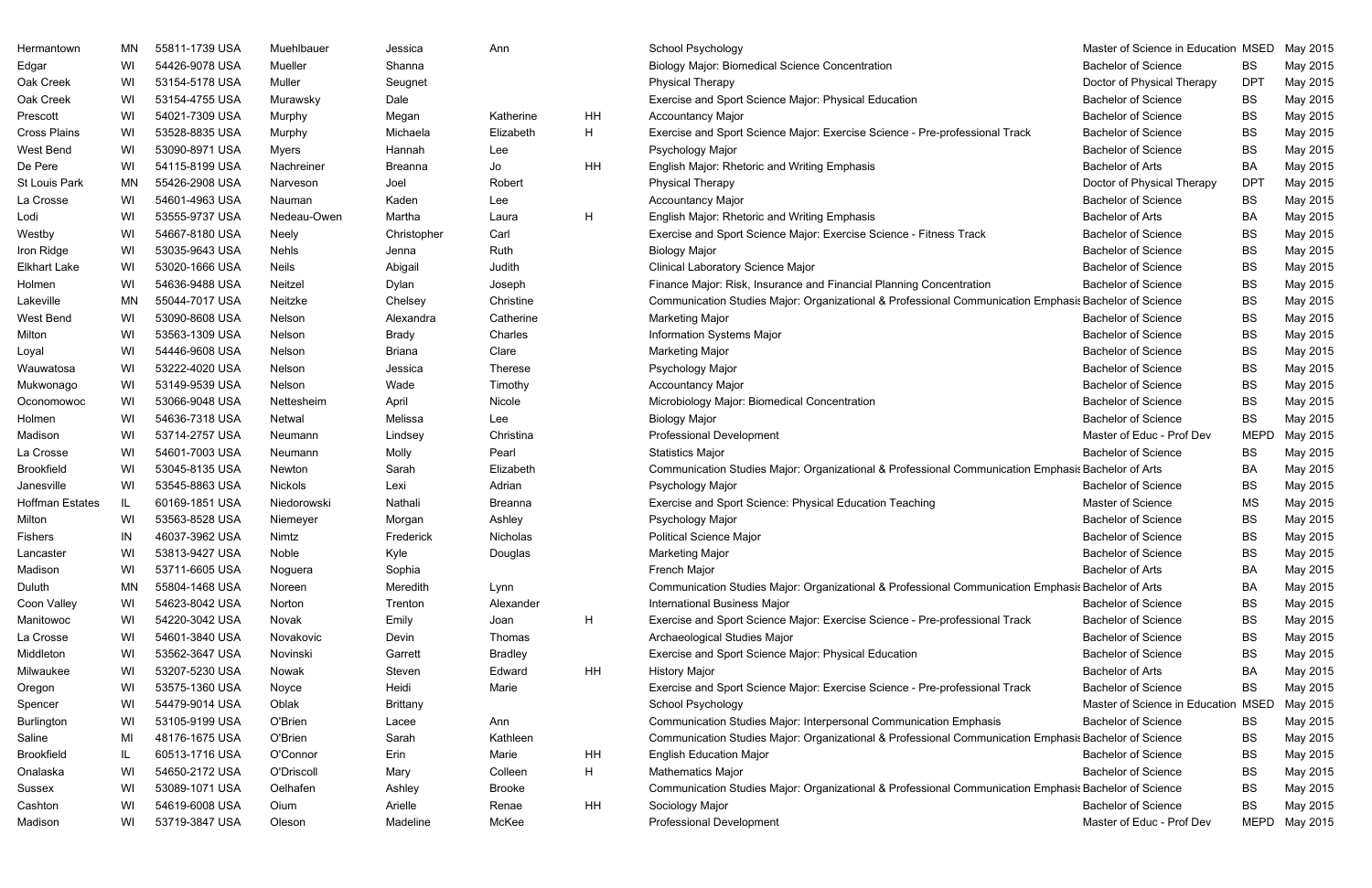| Hermantown      | MN  | 55811-1739 USA | Muehlbauer   | Jessica         | Ann            |    | School Psychology                                                                                     | Master of Science in Education MSED |             | May 2015      |
|-----------------|-----|----------------|--------------|-----------------|----------------|----|-------------------------------------------------------------------------------------------------------|-------------------------------------|-------------|---------------|
| Edgar           | WI  | 54426-9078 USA | Mueller      | Shanna          |                |    | <b>Biology Major: Biomedical Science Concentration</b>                                                | <b>Bachelor of Science</b>          | BS          | May 2015      |
| Oak Creek       | WI  | 53154-5178 USA | Muller       | Seugnet         |                |    | <b>Physical Therapy</b>                                                                               | Doctor of Physical Therapy          | DP1         | May 2015      |
| Oak Creek       | WI  | 53154-4755 USA | Murawsky     | Dale            |                |    | Exercise and Sport Science Major: Physical Education                                                  | <b>Bachelor of Science</b>          | BS          | May 2015      |
| Prescott        | WI  | 54021-7309 USA | Murphy       | Megan           | Katherine      | HH | <b>Accountancy Major</b>                                                                              | <b>Bachelor of Science</b>          | <b>BS</b>   | May 2015      |
| Cross Plains    | WI  | 53528-8835 USA | Murphy       | Michaela        | Elizabeth      | H  | Exercise and Sport Science Major: Exercise Science - Pre-professional Track                           | <b>Bachelor of Science</b>          | BS          | May 2015      |
| West Bend       | WI  | 53090-8971 USA | Myers        | Hannah          | Lee            |    | Psychology Major                                                                                      | <b>Bachelor of Science</b>          | <b>BS</b>   | May 2015      |
| De Pere         | WI  | 54115-8199 USA | Nachreiner   | Breanna         | Jo             | HH | English Major: Rhetoric and Writing Emphasis                                                          | <b>Bachelor of Arts</b>             | BA          | May 2015      |
| St Louis Park   | MN  | 55426-2908 USA | Narveson     | Joel            | Robert         |    | <b>Physical Therapy</b>                                                                               | Doctor of Physical Therapy          | <b>DPT</b>  | May 2015      |
| La Crosse       | WI  | 54601-4963 USA | Nauman       | Kaden           | Lee            |    | <b>Accountancy Major</b>                                                                              | <b>Bachelor of Science</b>          | BS          | May 2015      |
| Lodi            | WI  | 53555-9737 USA | Nedeau-Owen  | Martha          | Laura          | H  | English Major: Rhetoric and Writing Emphasis                                                          | <b>Bachelor of Arts</b>             | BA          | May 2015      |
| Westby          | WI  | 54667-8180 USA | Neely        | Christopher     | Carl           |    | Exercise and Sport Science Major: Exercise Science - Fitness Track                                    | <b>Bachelor of Science</b>          | BS          | May 2015      |
| Iron Ridge      | WI  | 53035-9643 USA | Nehls        | Jenna           | Ruth           |    | <b>Biology Major</b>                                                                                  | <b>Bachelor of Science</b>          | BS          | May 2015      |
| Elkhart Lake    | WI  | 53020-1666 USA | <b>Neils</b> | Abigail         | Judith         |    | <b>Clinical Laboratory Science Major</b>                                                              | <b>Bachelor of Science</b>          | <b>BS</b>   | May 2015      |
| Holmen          | WI  | 54636-9488 USA | Neitzel      | Dylan           | Joseph         |    | Finance Major: Risk, Insurance and Financial Planning Concentration                                   | <b>Bachelor of Science</b>          | BS          | May 2015      |
| Lakeville       | MN  | 55044-7017 USA | Neitzke      | Chelsey         | Christine      |    | Communication Studies Major: Organizational & Professional Communication Emphasis Bachelor of Science |                                     | BS          | May 2015      |
| West Bend       | WI  | 53090-8608 USA | Nelson       | Alexandra       | Catherine      |    | <b>Marketing Major</b>                                                                                | <b>Bachelor of Science</b>          | BS          | May 2015      |
| Milton          | WI  | 53563-1309 USA | Nelson       | <b>Brady</b>    | Charles        |    | Information Systems Major                                                                             | <b>Bachelor of Science</b>          | <b>BS</b>   | May 2015      |
| Loyal           | WI  | 54446-9608 USA | Nelson       | <b>Briana</b>   | Clare          |    | <b>Marketing Major</b>                                                                                | <b>Bachelor of Science</b>          | BS          | May 2015      |
| Wauwatosa       | WI  | 53222-4020 USA | Nelson       | Jessica         | <b>Therese</b> |    | Psychology Major                                                                                      | <b>Bachelor of Science</b>          | BS          | May 2015      |
| Mukwonago       | WI  | 53149-9539 USA | Nelson       | Wade            | Timothy        |    | <b>Accountancy Major</b>                                                                              | <b>Bachelor of Science</b>          | <b>BS</b>   | May 2015      |
| Oconomowoc      | WI  | 53066-9048 USA | Nettesheim   | April           | Nicole         |    | Microbiology Major: Biomedical Concentration                                                          | <b>Bachelor of Science</b>          | <b>BS</b>   | May 2015      |
| Holmen          | WI  | 54636-7318 USA | Netwal       | Melissa         | Lee            |    | <b>Biology Major</b>                                                                                  | <b>Bachelor of Science</b>          | <b>BS</b>   | May 2015      |
| Madison         | WI  | 53714-2757 USA | Neumann      | Lindsey         | Christina      |    | <b>Professional Development</b>                                                                       | Master of Educ - Prof Dev           | <b>MEPD</b> | May 2015      |
| La Crosse       | WI  | 54601-7003 USA | Neumann      | Molly           | Pearl          |    | <b>Statistics Major</b>                                                                               | <b>Bachelor of Science</b>          | BS          | May 2015      |
| Brookfield      | WI  | 53045-8135 USA | Newton       | Sarah           | Elizabeth      |    | Communication Studies Major: Organizational & Professional Communication Emphasis Bachelor of Arts    |                                     | BA          | May 2015      |
| Janesville      | WI  | 53545-8863 USA | Nickols      | Lexi            | Adrian         |    | Psychology Major                                                                                      | <b>Bachelor of Science</b>          | BS          | May 2015      |
| Hoffman Estates | IL. | 60169-1851 USA | Niedorowski  | Nathali         | <b>Breanna</b> |    | Exercise and Sport Science: Physical Education Teaching                                               | <b>Master of Science</b>            | MS          | May 2015      |
| Milton          | WI  | 53563-8528 USA | Niemeyer     | Morgan          | Ashley         |    | Psychology Major                                                                                      | <b>Bachelor of Science</b>          | BS          | May 2015      |
| Fishers         | ΙN  | 46037-3962 USA | Nimtz        | Frederick       | Nicholas       |    | <b>Political Science Major</b>                                                                        | <b>Bachelor of Science</b>          | <b>BS</b>   | May 2015      |
| Lancaster       | WI  | 53813-9427 USA | Noble        | Kyle            | Douglas        |    | <b>Marketing Major</b>                                                                                | <b>Bachelor of Science</b>          | BS          | May 2015      |
| Madison         | WI  | 53711-6605 USA | Noguera      | Sophia          |                |    | French Major                                                                                          | <b>Bachelor of Arts</b>             | BA          | May 2015      |
| Duluth          | MN  | 55804-1468 USA | Noreen       | Meredith        | Lynn           |    | Communication Studies Major: Organizational & Professional Communication Emphasis Bachelor of Arts    |                                     | BA          | May 2015      |
| Coon Valley     | WI  | 54623-8042 USA | Norton       | Trenton         | Alexander      |    | <b>International Business Major</b>                                                                   | <b>Bachelor of Science</b>          | BS          | May 2015      |
| Manitowoc       | WI  | 54220-3042 USA | Novak        | Emily           | Joan           | H  | Exercise and Sport Science Major: Exercise Science - Pre-professional Track                           | <b>Bachelor of Science</b>          | BS          | May 2015      |
| La Crosse       | WI  | 54601-3840 USA | Novakovic    | Devin           | Thomas         |    | Archaeological Studies Major                                                                          | <b>Bachelor of Science</b>          | BS          | May 2015      |
| Middleton       | WI  | 53562-3647 USA | Novinski     | Garrett         | <b>Bradley</b> |    | Exercise and Sport Science Major: Physical Education                                                  | <b>Bachelor of Science</b>          | BS          | May 2015      |
| Milwaukee       | WI  | 53207-5230 USA | Nowak        | Steven          | Edward         | HH | <b>History Major</b>                                                                                  | <b>Bachelor of Arts</b>             | BA          | May 2015      |
| Oregon          | WI  | 53575-1360 USA | Noyce        | Heidi           | Marie          |    | Exercise and Sport Science Major: Exercise Science - Pre-professional Track                           | <b>Bachelor of Science</b>          | BS          | May 2015      |
| Spencer         | WI  | 54479-9014 USA | Oblak        | <b>Brittany</b> |                |    | School Psychology                                                                                     | Master of Science in Education MSED |             | May 2015      |
| Burlington      | WI  | 53105-9199 USA | O'Brien      | Lacee           | Ann            |    | Communication Studies Major: Interpersonal Communication Emphasis                                     | <b>Bachelor of Science</b>          | BS          | May 2015      |
| Saline          | MI  | 48176-1675 USA | O'Brien      | Sarah           | Kathleen       |    | Communication Studies Major: Organizational & Professional Communication Emphasis Bachelor of Science |                                     | BS          | May 2015      |
| Brookfield      |     | 60513-1716 USA | O'Connor     | Erin            | Marie          | HH | <b>English Education Major</b>                                                                        | <b>Bachelor of Science</b>          | BS          | May 2015      |
| Onalaska        | WI  | 54650-2172 USA | O'Driscoll   | Mary            | Colleen        | H  | <b>Mathematics Major</b>                                                                              | <b>Bachelor of Science</b>          | BS          | May 2015      |
| Sussex          | WI  | 53089-1071 USA | Oelhafen     | Ashley          | <b>Brooke</b>  |    | Communication Studies Major: Organizational & Professional Communication Emphasis Bachelor of Science |                                     | BS          | May 2015      |
| Cashton         | WI  | 54619-6008 USA | Oium         | Arielle         | Renae          | HH | Sociology Major                                                                                       | <b>Bachelor of Science</b>          | BS          | May 2015      |
| Madison         | WI  | 53719-3847 USA | Oleson       | Madeline        | McKee          |    | <b>Professional Development</b>                                                                       | Master of Educ - Prof Dev           |             | MEPD May 2015 |
|                 |     |                |              |                 |                |    |                                                                                                       |                                     |             |               |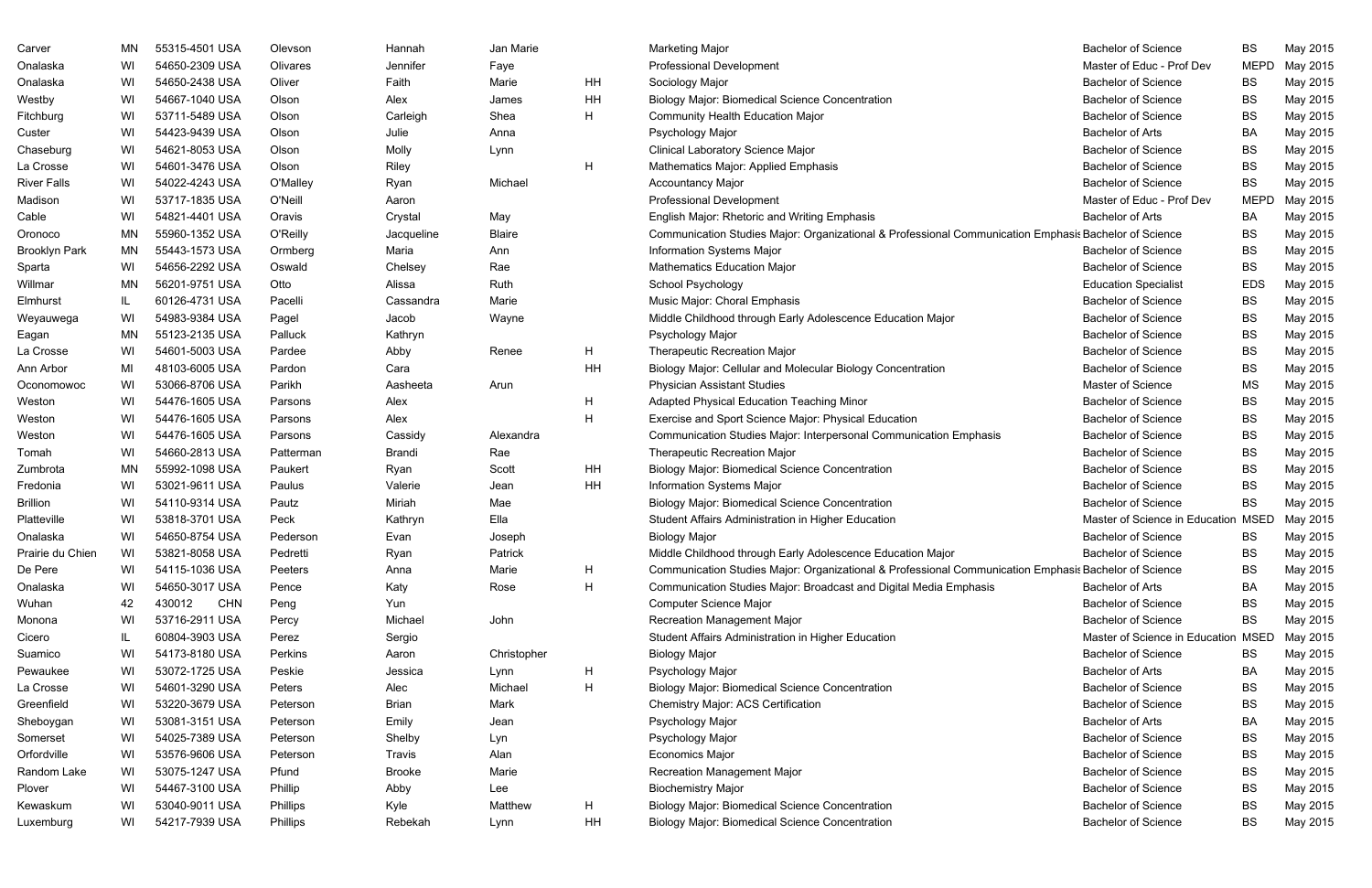| Carver               | MN  | 55315-4501 USA       | Olevson   | Hannah        | Jan Marie     |    | Marketing Major                                                                                       | <b>Bachelor of Science</b>     | <b>BS</b>   | May 2015 |
|----------------------|-----|----------------------|-----------|---------------|---------------|----|-------------------------------------------------------------------------------------------------------|--------------------------------|-------------|----------|
| Onalaska             | WI  | 54650-2309 USA       | Olivares  | Jennifer      | Faye          |    | <b>Professional Development</b>                                                                       | Master of Educ - Prof Dev      | <b>MEPD</b> | May 2015 |
| Onalaska             | WI  | 54650-2438 USA       | Oliver    | Faith         | Marie         | HH | Sociology Major                                                                                       | <b>Bachelor of Science</b>     | BS          | May 2015 |
| Westby               | WI  | 54667-1040 USA       | Olson     | Alex          | James         | HH | <b>Biology Major: Biomedical Science Concentration</b>                                                | <b>Bachelor of Science</b>     | BS          | May 2015 |
| Fitchburg            | WI  | 53711-5489 USA       | Olson     | Carleigh      | Shea          | H. | <b>Community Health Education Major</b>                                                               | <b>Bachelor of Science</b>     | <b>BS</b>   | May 2015 |
| Custer               | WI  | 54423-9439 USA       | Olson     | Julie         | Anna          |    | Psychology Major                                                                                      | <b>Bachelor of Arts</b>        | BA          | May 2015 |
| Chaseburg            | WI  | 54621-8053 USA       | Olson     | Molly         | Lynn          |    | <b>Clinical Laboratory Science Major</b>                                                              | <b>Bachelor of Science</b>     | <b>BS</b>   | May 2015 |
| La Crosse            | WI  | 54601-3476 USA       | Olson     | Riley         |               | H  | Mathematics Major: Applied Emphasis                                                                   | <b>Bachelor of Science</b>     | <b>BS</b>   | May 2015 |
| <b>River Falls</b>   | WI  | 54022-4243 USA       | O'Malley  | Ryan          | Michael       |    | <b>Accountancy Major</b>                                                                              | <b>Bachelor of Science</b>     | <b>BS</b>   | May 2015 |
| Madison              | WI  | 53717-1835 USA       | O'Neill   | Aaron         |               |    | <b>Professional Development</b>                                                                       | Master of Educ - Prof Dev      | <b>MEPD</b> | May 2015 |
| Cable                | WI  | 54821-4401 USA       | Oravis    | Crystal       | May           |    | English Major: Rhetoric and Writing Emphasis                                                          | <b>Bachelor of Arts</b>        | BA          | May 2015 |
| Oronoco              | ΜN  | 55960-1352 USA       | O'Reilly  | Jacqueline    | <b>Blaire</b> |    | Communication Studies Major: Organizational & Professional Communication Emphasis Bachelor of Science |                                | BS          | May 2015 |
| <b>Brooklyn Park</b> | ΜN  | 55443-1573 USA       | Ormberg   | Maria         | Ann           |    | Information Systems Major                                                                             | <b>Bachelor of Science</b>     | <b>BS</b>   | May 2015 |
| Sparta               | WI  | 54656-2292 USA       | Oswald    | Chelsey       | Rae           |    | <b>Mathematics Education Major</b>                                                                    | <b>Bachelor of Science</b>     | <b>BS</b>   | May 2015 |
| Willmar              | ΜN  | 56201-9751 USA       | Otto      | Alissa        | Ruth          |    | School Psychology                                                                                     | <b>Education Specialist</b>    | <b>EDS</b>  | May 2015 |
| Elmhurst             | IL. | 60126-4731 USA       | Pacelli   | Cassandra     | Marie         |    | Music Major: Choral Emphasis                                                                          | <b>Bachelor of Science</b>     | BS          | May 2015 |
| Weyauwega            | WI  | 54983-9384 USA       | Pagel     | Jacob         | Wayne         |    | Middle Childhood through Early Adolescence Education Major                                            | <b>Bachelor of Science</b>     | <b>BS</b>   | May 2015 |
| Eagan                | ΜN  | 55123-2135 USA       | Palluck   | Kathryn       |               |    | Psychology Major                                                                                      | <b>Bachelor of Science</b>     | <b>BS</b>   | May 2015 |
| La Crosse            | WI  | 54601-5003 USA       | Pardee    | Abby          | Renee         | H  | <b>Therapeutic Recreation Major</b>                                                                   | <b>Bachelor of Science</b>     | <b>BS</b>   | May 2015 |
| Ann Arbor            | MI  | 48103-6005 USA       | Pardon    | Cara          |               | HH | Biology Major: Cellular and Molecular Biology Concentration                                           | <b>Bachelor of Science</b>     | <b>BS</b>   | May 2015 |
| Oconomowoc           | WI  | 53066-8706 USA       | Parikh    | Aasheeta      | Arun          |    | <b>Physician Assistant Studies</b>                                                                    | Master of Science              | <b>MS</b>   | May 2015 |
| Weston               | WI  | 54476-1605 USA       | Parsons   | Alex          |               | H  | Adapted Physical Education Teaching Minor                                                             | <b>Bachelor of Science</b>     | <b>BS</b>   | May 2015 |
| Weston               | WI  | 54476-1605 USA       | Parsons   | Alex          |               | H  | Exercise and Sport Science Major: Physical Education                                                  | <b>Bachelor of Science</b>     | <b>BS</b>   | May 2015 |
| Weston               | WI  | 54476-1605 USA       | Parsons   | Cassidy       | Alexandra     |    | Communication Studies Major: Interpersonal Communication Emphasis                                     | <b>Bachelor of Science</b>     | <b>BS</b>   | May 2015 |
| Tomah                | WI  | 54660-2813 USA       | Patterman | Brandi        | Rae           |    | Therapeutic Recreation Major                                                                          | <b>Bachelor of Science</b>     | <b>BS</b>   | May 2015 |
| Zumbrota             | ΜN  | 55992-1098 USA       | Paukert   | Ryan          | Scott         | HH | <b>Biology Major: Biomedical Science Concentration</b>                                                | <b>Bachelor of Science</b>     | <b>BS</b>   | May 2015 |
| Fredonia             | WI  | 53021-9611 USA       | Paulus    | Valerie       | Jean          | HH | Information Systems Major                                                                             | <b>Bachelor of Science</b>     | BS          | May 2015 |
| <b>Brillion</b>      | WI  | 54110-9314 USA       | Pautz     | Miriah        | Mae           |    | <b>Biology Major: Biomedical Science Concentration</b>                                                | <b>Bachelor of Science</b>     | <b>BS</b>   | May 2015 |
| Platteville          | WI  | 53818-3701 USA       | Peck      | Kathryn       | Ella          |    | Student Affairs Administration in Higher Education                                                    | Master of Science in Education | <b>MSED</b> | May 2015 |
| Onalaska             | WI  | 54650-8754 USA       | Pederson  | Evan          | Joseph        |    | <b>Biology Major</b>                                                                                  | <b>Bachelor of Science</b>     | BS.         | May 2015 |
| Prairie du Chien     | WI  | 53821-8058 USA       | Pedretti  | Ryan          | Patrick       |    | Middle Childhood through Early Adolescence Education Major                                            | <b>Bachelor of Science</b>     | BS          | May 2015 |
| De Pere              | WI  | 54115-1036 USA       | Peeters   | Anna          | Marie         | H  | Communication Studies Major: Organizational & Professional Communication Emphasis Bachelor of Science |                                | BS          | May 2015 |
| Onalaska             | WI  | 54650-3017 USA       | Pence     | Katy          | Rose          | H  | Communication Studies Major: Broadcast and Digital Media Emphasis                                     | <b>Bachelor of Arts</b>        | BA          | May 2015 |
| Wuhan                | 42  | <b>CHN</b><br>430012 | Peng      | Yun           |               |    | Computer Science Major                                                                                | <b>Bachelor of Science</b>     | BS          | May 2015 |
| Monona               | WI  | 53716-2911 USA       | Percy     | Michael       | John          |    | Recreation Management Major                                                                           | <b>Bachelor of Science</b>     | <b>BS</b>   | May 2015 |
| Cicero               | IL. | 60804-3903 USA       | Perez     | Sergio        |               |    | Student Affairs Administration in Higher Education                                                    | Master of Science in Education | <b>MSED</b> | May 2015 |
| Suamico              | WI  | 54173-8180 USA       | Perkins   | Aaron         | Christopher   |    | <b>Biology Major</b>                                                                                  | <b>Bachelor of Science</b>     | BS          | May 2015 |
| Pewaukee             | WI  | 53072-1725 USA       | Peskie    | Jessica       | Lynn          | H  | Psychology Major                                                                                      | <b>Bachelor of Arts</b>        | BA          | May 2015 |
| La Crosse            | WI  | 54601-3290 USA       | Peters    | Alec          | Michael       | H  | <b>Biology Major: Biomedical Science Concentration</b>                                                | <b>Bachelor of Science</b>     | BS          | May 2015 |
| Greenfield           | WI  | 53220-3679 USA       | Peterson  | <b>Brian</b>  | Mark          |    | Chemistry Major: ACS Certification                                                                    | <b>Bachelor of Science</b>     | BS          | May 2015 |
| Sheboygan            | WI  | 53081-3151 USA       | Peterson  | Emily         | Jean          |    | Psychology Major                                                                                      | <b>Bachelor of Arts</b>        | BA          | May 2015 |
| Somerset             | WI  | 54025-7389 USA       | Peterson  | Shelby        | Lyn           |    | Psychology Major                                                                                      | <b>Bachelor of Science</b>     | BS          | May 2015 |
| Orfordville          | WI  | 53576-9606 USA       | Peterson  | Travis        | Alan          |    | <b>Economics Major</b>                                                                                | <b>Bachelor of Science</b>     | BS          | May 2015 |
| Random Lake          | WI  | 53075-1247 USA       | Pfund     | <b>Brooke</b> | Marie         |    | <b>Recreation Management Major</b>                                                                    | <b>Bachelor of Science</b>     | BS          | May 2015 |
| Plover               | WI  | 54467-3100 USA       | Phillip   | Abby          | Lee           |    | <b>Biochemistry Major</b>                                                                             | <b>Bachelor of Science</b>     | BS          | May 2015 |
| Kewaskum             | WI  | 53040-9011 USA       | Phillips  | Kyle          | Matthew       | H  | <b>Biology Major: Biomedical Science Concentration</b>                                                | <b>Bachelor of Science</b>     | BS          | May 2015 |
| Luxemburg            | WI  | 54217-7939 USA       | Phillips  | Rebekah       | Lynn          | HH | <b>Biology Major: Biomedical Science Concentration</b>                                                | <b>Bachelor of Science</b>     | BS          | May 2015 |
|                      |     |                      |           |               |               |    |                                                                                                       |                                |             |          |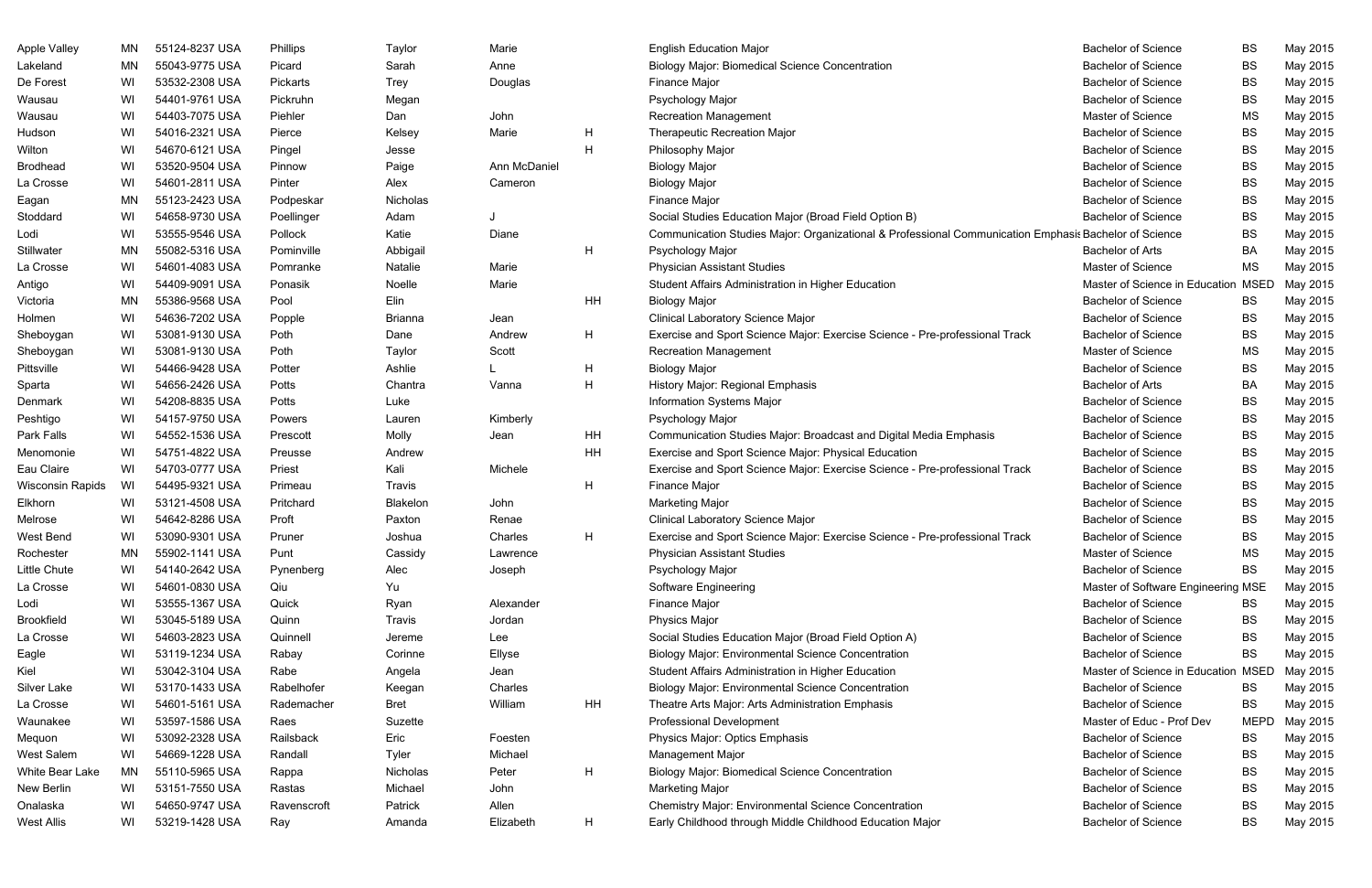| <b>Apple Valley</b>     | MN | 55124-8237 USA | Phillips    | Taylor        | Marie        |              | <b>English Education Major</b>                                                                        | <b>Bachelor of Science</b>         | <b>BS</b>   | May 2015 |
|-------------------------|----|----------------|-------------|---------------|--------------|--------------|-------------------------------------------------------------------------------------------------------|------------------------------------|-------------|----------|
| Lakeland                | MN | 55043-9775 USA | Picard      | Sarah         | Anne         |              | <b>Biology Major: Biomedical Science Concentration</b>                                                | <b>Bachelor of Science</b>         | <b>BS</b>   | May 2015 |
| De Forest               | WI | 53532-2308 USA | Pickarts    | <b>Trey</b>   | Douglas      |              | Finance Major                                                                                         | <b>Bachelor of Science</b>         | <b>BS</b>   | May 2015 |
| Wausau                  | WI | 54401-9761 USA | Pickruhn    | Megan         |              |              | Psychology Major                                                                                      | <b>Bachelor of Science</b>         | <b>BS</b>   | May 2015 |
| Wausau                  | WI | 54403-7075 USA | Piehler     | Dan           | John         |              | <b>Recreation Management</b>                                                                          | Master of Science                  | MS          | May 2015 |
| Hudson                  | WI | 54016-2321 USA | Pierce      | Kelsey        | Marie        | $\mathsf{H}$ | Therapeutic Recreation Major                                                                          | <b>Bachelor of Science</b>         | <b>BS</b>   | May 2015 |
| Wilton                  | WI | 54670-6121 USA | Pingel      | Jesse         |              | H            | Philosophy Major                                                                                      | <b>Bachelor of Science</b>         | <b>BS</b>   | May 2015 |
| <b>Brodhead</b>         | WI | 53520-9504 USA | Pinnow      | Paige         | Ann McDaniel |              | <b>Biology Major</b>                                                                                  | <b>Bachelor of Science</b>         | <b>BS</b>   | May 2015 |
| La Crosse               | WI | 54601-2811 USA | Pinter      | Alex          | Cameron      |              | <b>Biology Major</b>                                                                                  | <b>Bachelor of Science</b>         | <b>BS</b>   | May 2015 |
| Eagan                   | MN | 55123-2423 USA | Podpeskar   | Nicholas      |              |              | Finance Major                                                                                         | <b>Bachelor of Science</b>         | <b>BS</b>   | May 2015 |
| Stoddard                | WI | 54658-9730 USA | Poellinger  | Adam          |              |              | Social Studies Education Major (Broad Field Option B)                                                 | <b>Bachelor of Science</b>         | <b>BS</b>   | May 2015 |
| Lodi                    | WI | 53555-9546 USA | Pollock     | Katie         | Diane        |              | Communication Studies Major: Organizational & Professional Communication Emphasis Bachelor of Science |                                    | <b>BS</b>   | May 2015 |
| Stillwater              | MN | 55082-5316 USA | Pominville  | Abbigail      |              | H            | Psychology Major                                                                                      | <b>Bachelor of Arts</b>            | BA          | May 2015 |
| La Crosse               | WI | 54601-4083 USA | Pomranke    | Natalie       | Marie        |              | <b>Physician Assistant Studies</b>                                                                    | Master of Science                  | <b>MS</b>   | May 2015 |
| Antigo                  | WI | 54409-9091 USA | Ponasik     | Noelle        | Marie        |              | Student Affairs Administration in Higher Education                                                    | Master of Science in Education     | <b>MSED</b> | May 2015 |
| Victoria                | MN | 55386-9568 USA | Pool        | Elin          |              | <b>HH</b>    | <b>Biology Major</b>                                                                                  | <b>Bachelor of Science</b>         | <b>BS</b>   | May 2015 |
| Holmen                  | WI | 54636-7202 USA | Popple      | Brianna       | Jean         |              | <b>Clinical Laboratory Science Major</b>                                                              | <b>Bachelor of Science</b>         | <b>BS</b>   | May 2015 |
| Sheboygan               | WI | 53081-9130 USA | Poth        | Dane          | Andrew       | H            | Exercise and Sport Science Major: Exercise Science - Pre-professional Track                           | <b>Bachelor of Science</b>         | <b>BS</b>   | May 2015 |
| Sheboygan               | WI | 53081-9130 USA | Poth        | Taylor        | Scott        |              | <b>Recreation Management</b>                                                                          | Master of Science                  | MS          | May 2015 |
| Pittsville              | WI | 54466-9428 USA | Potter      | Ashlie        |              | $\mathsf{H}$ | <b>Biology Major</b>                                                                                  | <b>Bachelor of Science</b>         | <b>BS</b>   | May 2015 |
| Sparta                  | WI | 54656-2426 USA | Potts       | Chantra       | Vanna        | H            | History Major: Regional Emphasis                                                                      | <b>Bachelor of Arts</b>            | BA          | May 2015 |
| Denmark                 | WI | 54208-8835 USA | Potts       | Luke          |              |              | Information Systems Major                                                                             | <b>Bachelor of Science</b>         | <b>BS</b>   | May 2015 |
| Peshtigo                | WI | 54157-9750 USA | Powers      | Lauren        | Kimberly     |              | Psychology Major                                                                                      | <b>Bachelor of Science</b>         | <b>BS</b>   | May 2015 |
| Park Falls              | WI | 54552-1536 USA | Prescott    | Molly         | Jean         | HH           | Communication Studies Major: Broadcast and Digital Media Emphasis                                     | <b>Bachelor of Science</b>         | <b>BS</b>   | May 2015 |
| Menomonie               | WI | 54751-4822 USA | Preusse     | Andrew        |              | HH           | Exercise and Sport Science Major: Physical Education                                                  | <b>Bachelor of Science</b>         | <b>BS</b>   | May 2015 |
| Eau Claire              | WI | 54703-0777 USA | Priest      | Kali          | Michele      |              | Exercise and Sport Science Major: Exercise Science - Pre-professional Track                           | <b>Bachelor of Science</b>         | <b>BS</b>   | May 2015 |
| <b>Wisconsin Rapids</b> | WI | 54495-9321 USA | Primeau     | <b>Travis</b> |              | H            | Finance Major                                                                                         | <b>Bachelor of Science</b>         | <b>BS</b>   | May 2015 |
| Elkhorn                 | WI | 53121-4508 USA | Pritchard   | Blakelon      | John         |              | <b>Marketing Major</b>                                                                                | <b>Bachelor of Science</b>         | <b>BS</b>   | May 2015 |
| Melrose                 | WI | 54642-8286 USA | Proft       | Paxton        | Renae        |              | <b>Clinical Laboratory Science Major</b>                                                              | <b>Bachelor of Science</b>         | <b>BS</b>   | May 2015 |
| <b>West Bend</b>        | WI | 53090-9301 USA | Pruner      | Joshua        | Charles      | H            | Exercise and Sport Science Major: Exercise Science - Pre-professional Track                           | <b>Bachelor of Science</b>         | <b>BS</b>   | May 2015 |
| Rochester               | ΜN | 55902-1141 USA | Punt        | Cassidy       | Lawrence     |              | <b>Physician Assistant Studies</b>                                                                    | Master of Science                  | MS          | May 2015 |
| Little Chute            | WI | 54140-2642 USA | Pynenberg   | Alec          | Joseph       |              | Psychology Major                                                                                      | <b>Bachelor of Science</b>         | BS          | May 2015 |
| La Crosse               | WI | 54601-0830 USA | Qiu         | Yu            |              |              | Software Engineering                                                                                  | Master of Software Engineering MSE |             | May 2015 |
| Lodi                    | WI | 53555-1367 USA | Quick       | Ryan          | Alexander    |              | Finance Major                                                                                         | <b>Bachelor of Science</b>         | BS          | May 2015 |
| <b>Brookfield</b>       | WI | 53045-5189 USA | Quinn       | Travis        | Jordan       |              | <b>Physics Major</b>                                                                                  | <b>Bachelor of Science</b>         | BS          | May 2015 |
| La Crosse               | WI | 54603-2823 USA | Quinnell    | Jereme        | Lee          |              | Social Studies Education Major (Broad Field Option A)                                                 | <b>Bachelor of Science</b>         | <b>BS</b>   | May 2015 |
| Eagle                   | WI | 53119-1234 USA | Rabay       | Corinne       | Ellyse       |              | <b>Biology Major: Environmental Science Concentration</b>                                             | <b>Bachelor of Science</b>         | <b>BS</b>   | May 2015 |
| Kiel                    | WI | 53042-3104 USA | Rabe        | Angela        | Jean         |              | Student Affairs Administration in Higher Education                                                    | Master of Science in Education     | <b>MSED</b> | May 2015 |
| Silver Lake             | WI | 53170-1433 USA | Rabelhofer  | Keegan        | Charles      |              | <b>Biology Major: Environmental Science Concentration</b>                                             | <b>Bachelor of Science</b>         | BS          | May 2015 |
| La Crosse               | WI | 54601-5161 USA | Rademacher  | <b>Bret</b>   | William      | HH           | Theatre Arts Major: Arts Administration Emphasis                                                      | <b>Bachelor of Science</b>         | <b>BS</b>   | May 2015 |
| Waunakee                | WI | 53597-1586 USA | Raes        | Suzette       |              |              | <b>Professional Development</b>                                                                       | Master of Educ - Prof Dev          | <b>MEPD</b> | May 2015 |
| Mequon                  | WI | 53092-2328 USA | Railsback   | Eric          | Foesten      |              | Physics Major: Optics Emphasis                                                                        | <b>Bachelor of Science</b>         | BS          | May 2015 |
| West Salem              | WI | 54669-1228 USA | Randall     | Tyler         | Michael      |              | Management Major                                                                                      | <b>Bachelor of Science</b>         | BS          | May 2015 |
| White Bear Lake         | MN | 55110-5965 USA | Rappa       | Nicholas      | Peter        | H            | <b>Biology Major: Biomedical Science Concentration</b>                                                | <b>Bachelor of Science</b>         | <b>BS</b>   | May 2015 |
| New Berlin              | WI | 53151-7550 USA | Rastas      | Michael       | John         |              | Marketing Major                                                                                       | <b>Bachelor of Science</b>         | <b>BS</b>   | May 2015 |
| Onalaska                | WI | 54650-9747 USA | Ravenscroft | Patrick       | Allen        |              | <b>Chemistry Major: Environmental Science Concentration</b>                                           | <b>Bachelor of Science</b>         | BS          | May 2015 |
| <b>West Allis</b>       | WI | 53219-1428 USA | Ray         | Amanda        | Elizabeth    | H            | Early Childhood through Middle Childhood Education Major                                              | <b>Bachelor of Science</b>         | BS          | May 2015 |

|      | <b>Bachelor of Science</b>          | BS          | May 2015 |
|------|-------------------------------------|-------------|----------|
|      | <b>Bachelor of Science</b>          | <b>BS</b>   | May 2015 |
|      | <b>Bachelor of Science</b>          | BS          | May 2015 |
|      | <b>Bachelor of Science</b>          | <b>BS</b>   | May 2015 |
|      | Master of Science                   | MS          | May 2015 |
|      | <b>Bachelor of Science</b>          | <b>BS</b>   | May 2015 |
|      | <b>Bachelor of Science</b>          | <b>BS</b>   | May 2015 |
|      | <b>Bachelor of Science</b>          | <b>BS</b>   | May 2015 |
|      | <b>Bachelor of Science</b>          | BS          | May 2015 |
|      | <b>Bachelor of Science</b>          | <b>BS</b>   | May 2015 |
|      | <b>Bachelor of Science</b>          | BS          | May 2015 |
|      | ation Emphasis Bachelor of Science  | BS          | May 2015 |
|      | <b>Bachelor of Arts</b>             | BA          | May 2015 |
|      | Master of Science                   | MS          | May 2015 |
|      | Master of Science in Education MSED |             | May 2015 |
|      | <b>Bachelor of Science</b>          | <b>BS</b>   | May 2015 |
|      | <b>Bachelor of Science</b>          | BS          | May 2015 |
| rack | <b>Bachelor of Science</b>          | BS          | May 2015 |
|      | Master of Science                   | MS          | May 2015 |
|      | <b>Bachelor of Science</b>          | <b>BS</b>   | May 2015 |
|      | <b>Bachelor of Arts</b>             | BA          | May 2015 |
|      | <b>Bachelor of Science</b>          | <b>BS</b>   | May 2015 |
|      | <b>Bachelor of Science</b>          | <b>BS</b>   | May 2015 |
|      | <b>Bachelor of Science</b>          | <b>BS</b>   | May 2015 |
|      | <b>Bachelor of Science</b>          | <b>BS</b>   | May 2015 |
| rack | <b>Bachelor of Science</b>          | <b>BS</b>   | May 2015 |
|      | <b>Bachelor of Science</b>          | BS          | May 2015 |
|      | <b>Bachelor of Science</b>          | BS          | May 2015 |
|      | <b>Bachelor of Science</b>          | <b>BS</b>   | May 2015 |
| rack | <b>Bachelor of Science</b>          | BS          | May 2015 |
|      | Master of Science                   | MS          | May 2015 |
|      | <b>Bachelor of Science</b>          | BS          | May 2015 |
|      | Master of Software Engineering MSE  |             | May 2015 |
|      | <b>Bachelor of Science</b>          | <b>BS</b>   | May 2015 |
|      | <b>Bachelor of Science</b>          | <b>BS</b>   | May 2015 |
|      | <b>Bachelor of Science</b>          | <b>BS</b>   | May 2015 |
|      | <b>Bachelor of Science</b>          | <b>BS</b>   | May 2015 |
|      | Master of Science in Education MSED |             | May 2015 |
|      | <b>Bachelor of Science</b>          | <b>BS</b>   | May 2015 |
|      | <b>Bachelor of Science</b>          | BS          | May 2015 |
|      | Master of Educ - Prof Dev           | <b>MEPD</b> | May 2015 |
|      | <b>Bachelor of Science</b>          | <b>BS</b>   | May 2015 |
|      | <b>Bachelor of Science</b>          | <b>BS</b>   | May 2015 |
|      | <b>Bachelor of Science</b>          | <b>BS</b>   | May 2015 |
|      | <b>Bachelor of Science</b>          | <b>BS</b>   | May 2015 |
|      | <b>Bachelor of Science</b>          | BS          | May 2015 |
|      | <b>Bachelor of Science</b>          | BS          | May 2015 |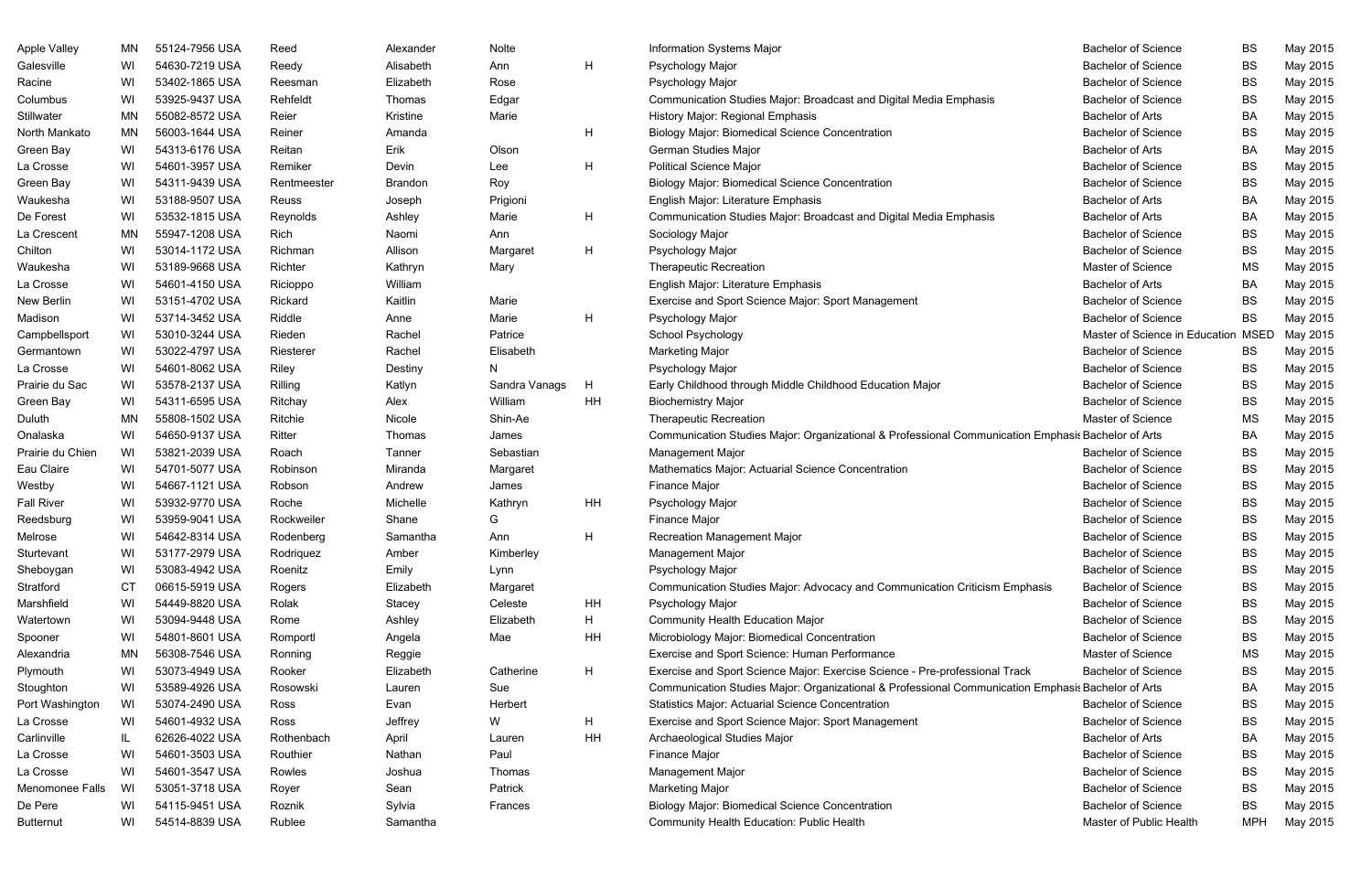| <b>Apple Valley</b> | MN | 55124-7956 USA | Reed        | Alexander | <b>Nolte</b>  |    | Information Systems Major                                                                          | <b>Bachelor of Science</b>     | <b>BS</b>   | May 2015 |
|---------------------|----|----------------|-------------|-----------|---------------|----|----------------------------------------------------------------------------------------------------|--------------------------------|-------------|----------|
| Galesville          | WI | 54630-7219 USA | Reedy       | Alisabeth | Ann           | H  | Psychology Major                                                                                   | <b>Bachelor of Science</b>     | <b>BS</b>   | May 2015 |
| Racine              | WI | 53402-1865 USA | Reesman     | Elizabeth | Rose          |    | Psychology Major                                                                                   | <b>Bachelor of Science</b>     | <b>BS</b>   | May 2015 |
| Columbus            | WI | 53925-9437 USA | Rehfeldt    | Thomas    | Edgar         |    | Communication Studies Major: Broadcast and Digital Media Emphasis                                  | <b>Bachelor of Science</b>     | <b>BS</b>   | May 2015 |
| Stillwater          | ΜN | 55082-8572 USA | Reier       | Kristine  | Marie         |    | History Major: Regional Emphasis                                                                   | <b>Bachelor of Arts</b>        | BA          | May 2015 |
| North Mankato       | MN | 56003-1644 USA | Reiner      | Amanda    |               | H  | <b>Biology Major: Biomedical Science Concentration</b>                                             | <b>Bachelor of Science</b>     | <b>BS</b>   | May 2015 |
| Green Bay           | WI | 54313-6176 USA | Reitan      | Erik      | Olson         |    | German Studies Major                                                                               | <b>Bachelor of Arts</b>        | BA          | May 2015 |
| La Crosse           | WI | 54601-3957 USA | Remiker     | Devin     | Lee           | H  | <b>Political Science Major</b>                                                                     | <b>Bachelor of Science</b>     | <b>BS</b>   | May 2015 |
| Green Bay           | WI | 54311-9439 USA | Rentmeester | Brandon   | Roy           |    | <b>Biology Major: Biomedical Science Concentration</b>                                             | <b>Bachelor of Science</b>     | <b>BS</b>   | May 2015 |
| Waukesha            | WI | 53188-9507 USA | Reuss       | Joseph    | Prigioni      |    | English Major: Literature Emphasis                                                                 | <b>Bachelor of Arts</b>        | BA          | May 2015 |
| De Forest           | WI | 53532-1815 USA | Reynolds    | Ashley    | Marie         | H  | Communication Studies Major: Broadcast and Digital Media Emphasis                                  | <b>Bachelor of Arts</b>        | BA          | May 2015 |
| La Crescent         | MN | 55947-1208 USA | Rich        | Naomi     | Ann           |    | Sociology Major                                                                                    | <b>Bachelor of Science</b>     | <b>BS</b>   | May 2015 |
| Chilton             | WI | 53014-1172 USA | Richman     | Allison   | Margaret      | H  | Psychology Major                                                                                   | <b>Bachelor of Science</b>     | <b>BS</b>   | May 2015 |
| Waukesha            | WI | 53189-9668 USA | Richter     | Kathryn   | Mary          |    | <b>Therapeutic Recreation</b>                                                                      | Master of Science              | <b>MS</b>   | May 2015 |
| La Crosse           | WI | 54601-4150 USA | Ricioppo    | William   |               |    | English Major: Literature Emphasis                                                                 | <b>Bachelor of Arts</b>        | BA          | May 2015 |
| New Berlin          | WI | 53151-4702 USA | Rickard     | Kaitlin   | Marie         |    | Exercise and Sport Science Major: Sport Management                                                 | <b>Bachelor of Science</b>     | <b>BS</b>   | May 2015 |
| Madison             | WI | 53714-3452 USA | Riddle      | Anne      | Marie         | H  | Psychology Major                                                                                   | <b>Bachelor of Science</b>     | <b>BS</b>   | May 2015 |
| Campbellsport       | WI | 53010-3244 USA | Rieden      | Rachel    | Patrice       |    | School Psychology                                                                                  | Master of Science in Education | <b>MSED</b> | May 2015 |
| Germantown          | WI | 53022-4797 USA | Riesterer   | Rachel    | Elisabeth     |    | <b>Marketing Major</b>                                                                             | <b>Bachelor of Science</b>     | BS          | May 2015 |
| La Crosse           | WI | 54601-8062 USA | Riley       | Destiny   | N             |    | Psychology Major                                                                                   | <b>Bachelor of Science</b>     | <b>BS</b>   | May 2015 |
| Prairie du Sac      | WI | 53578-2137 USA | Rilling     | Katlyn    | Sandra Vanags | H  | Early Childhood through Middle Childhood Education Major                                           | <b>Bachelor of Science</b>     | <b>BS</b>   | May 2015 |
| Green Bay           | WI | 54311-6595 USA | Ritchay     | Alex      | William       | HH | <b>Biochemistry Major</b>                                                                          | <b>Bachelor of Science</b>     | <b>BS</b>   | May 2015 |
| Duluth              | ΜN | 55808-1502 USA | Ritchie     | Nicole    | Shin-Ae       |    | <b>Therapeutic Recreation</b>                                                                      | Master of Science              | <b>MS</b>   | May 2015 |
| Onalaska            | WI | 54650-9137 USA | Ritter      | Thomas    | James         |    | Communication Studies Major: Organizational & Professional Communication Emphasis Bachelor of Arts |                                | BA          | May 2015 |
| Prairie du Chien    | WI | 53821-2039 USA | Roach       | Tanner    | Sebastian     |    | Management Major                                                                                   | <b>Bachelor of Science</b>     | <b>BS</b>   | May 2015 |
| Eau Claire          | WI | 54701-5077 USA | Robinson    | Miranda   | Margaret      |    | Mathematics Major: Actuarial Science Concentration                                                 | <b>Bachelor of Science</b>     | <b>BS</b>   | May 2015 |
| Westby              | WI | 54667-1121 USA | Robson      | Andrew    | James         |    | Finance Major                                                                                      | <b>Bachelor of Science</b>     | <b>BS</b>   | May 2015 |
| Fall River          | WI | 53932-9770 USA | Roche       | Michelle  | Kathryn       | HH | Psychology Major                                                                                   | <b>Bachelor of Science</b>     | <b>BS</b>   | May 2015 |
| Reedsburg           | WI | 53959-9041 USA | Rockweiler  | Shane     | G.            |    | Finance Major                                                                                      | <b>Bachelor of Science</b>     | BS          | May 2015 |
| Melrose             | WI | 54642-8314 USA | Rodenberg   | Samantha  | Ann           | H  | <b>Recreation Management Major</b>                                                                 | <b>Bachelor of Science</b>     | <b>BS</b>   | May 2015 |
| Sturtevant          | WI | 53177-2979 USA | Rodriquez   | Amber     | Kimberley     |    | <b>Management Major</b>                                                                            | <b>Bachelor of Science</b>     | <b>BS</b>   | May 2015 |
| Sheboygan           | WI | 53083-4942 USA | Roenitz     | Emily     | Lynn          |    | Psychology Major                                                                                   | <b>Bachelor of Science</b>     | BS          | May 2015 |
| Stratford           | CТ | 06615-5919 USA | Rogers      | Elizabeth | Margaret      |    | Communication Studies Major: Advocacy and Communication Criticism Emphasis                         | <b>Bachelor of Science</b>     | BS          | May 2015 |
| Marshfield          | WI | 54449-8820 USA | Rolak       | Stacey    | Celeste       | HH | Psychology Major                                                                                   | <b>Bachelor of Science</b>     | <b>BS</b>   | May 2015 |
| Watertown           | WI | 53094-9448 USA | Rome        | Ashley    | Elizabeth     | H  | <b>Community Health Education Major</b>                                                            | <b>Bachelor of Science</b>     | BS          | May 2015 |
| Spooner             | WI | 54801-8601 USA | Romportl    | Angela    | Mae           | HH | Microbiology Major: Biomedical Concentration                                                       | <b>Bachelor of Science</b>     | BS          | May 2015 |
| Alexandria          | MN | 56308-7546 USA | Ronning     | Reggie    |               |    | Exercise and Sport Science: Human Performance                                                      | Master of Science              | MS          | May 2015 |
| Plymouth            | WI | 53073-4949 USA | Rooker      | Elizabeth | Catherine     | H  | Exercise and Sport Science Major: Exercise Science - Pre-professional Track                        | <b>Bachelor of Science</b>     | <b>BS</b>   | May 2015 |
| Stoughton           | WI | 53589-4926 USA | Rosowski    | Lauren    | Sue           |    | Communication Studies Major: Organizational & Professional Communication Emphasis Bachelor of Arts |                                | BA          | May 2015 |
| Port Washington     | WI | 53074-2490 USA | Ross        | Evan      | Herbert       |    | <b>Statistics Major: Actuarial Science Concentration</b>                                           | <b>Bachelor of Science</b>     | BS          | May 2015 |
| La Crosse           | WI | 54601-4932 USA | Ross        | Jeffrey   | W             | H  | Exercise and Sport Science Major: Sport Management                                                 | <b>Bachelor of Science</b>     | BS          | May 2015 |
| Carlinville         |    | 62626-4022 USA | Rothenbach  | April     | Lauren        | HH | Archaeological Studies Major                                                                       | <b>Bachelor of Arts</b>        | BA          | May 2015 |
| La Crosse           | WI | 54601-3503 USA | Routhier    | Nathan    | Paul          |    | Finance Major                                                                                      | <b>Bachelor of Science</b>     | BS          | May 2015 |
| La Crosse           | WI | 54601-3547 USA | Rowles      | Joshua    | Thomas        |    | <b>Management Major</b>                                                                            | <b>Bachelor of Science</b>     | BS          | May 2015 |
| Menomonee Falls     | WI | 53051-3718 USA | Royer       | Sean      | Patrick       |    | <b>Marketing Major</b>                                                                             | <b>Bachelor of Science</b>     | <b>BS</b>   | May 2015 |
| De Pere             | WI | 54115-9451 USA | Roznik      | Sylvia    | Frances       |    | <b>Biology Major: Biomedical Science Concentration</b>                                             | <b>Bachelor of Science</b>     | BS          | May 2015 |
| <b>Butternut</b>    | WI | 54514-8839 USA | Rublee      | Samantha  |               |    | Community Health Education: Public Health                                                          | Master of Public Health        | <b>MPH</b>  | May 2015 |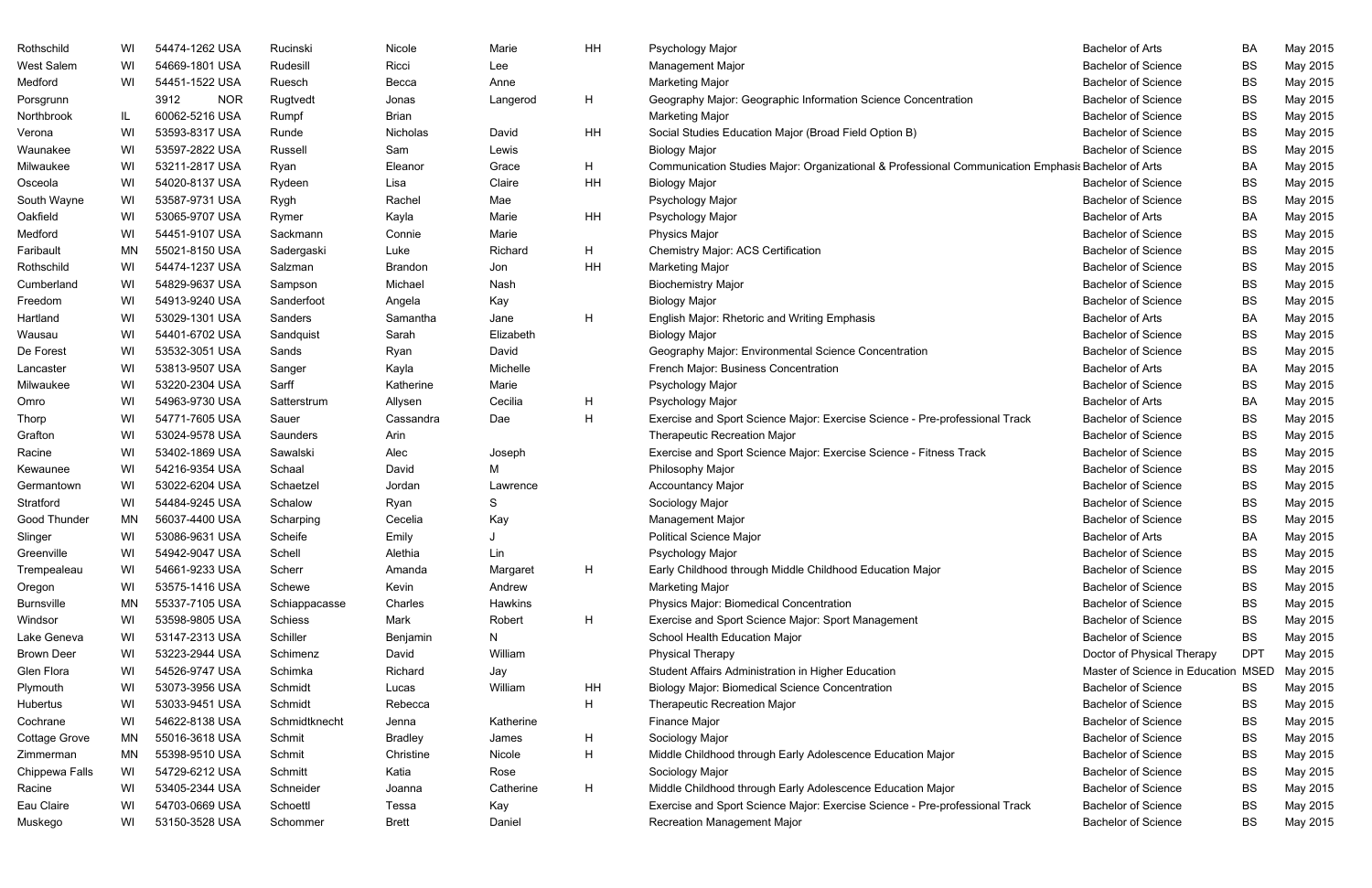| Rothschild        | WI  | 54474-1262 USA     | Rucinski      | Nicole         | Marie     | ΗH | Psychology Major                                                                                   | <b>Bachelor of Arts</b>             | <b>BA</b>  | May 2015 |
|-------------------|-----|--------------------|---------------|----------------|-----------|----|----------------------------------------------------------------------------------------------------|-------------------------------------|------------|----------|
| West Salem        | WI  | 54669-1801 USA     | Rudesill      | Ricci          | Lee       |    | Management Major                                                                                   | <b>Bachelor of Science</b>          | <b>BS</b>  | May 2015 |
| Medford           | WI  | 54451-1522 USA     | Ruesch        | Becca          | Anne      |    | <b>Marketing Major</b>                                                                             | <b>Bachelor of Science</b>          | <b>BS</b>  | May 2015 |
| Porsgrunn         |     | 3912<br><b>NOR</b> | Rugtvedt      | Jonas          | Langerod  | H  | Geography Major: Geographic Information Science Concentration                                      | <b>Bachelor of Science</b>          | <b>BS</b>  | May 2015 |
| Northbrook        | IL. | 60062-5216 USA     | Rumpf         | <b>Brian</b>   |           |    | <b>Marketing Major</b>                                                                             | <b>Bachelor of Science</b>          | <b>BS</b>  | May 2015 |
| Verona            | WI  | 53593-8317 USA     | Runde         | Nicholas       | David     | ΗH | Social Studies Education Major (Broad Field Option B)                                              | <b>Bachelor of Science</b>          | BS         | May 2015 |
| Waunakee          | WI  | 53597-2822 USA     | Russell       | Sam            | Lewis     |    | <b>Biology Major</b>                                                                               | <b>Bachelor of Science</b>          | <b>BS</b>  | May 2015 |
| Milwaukee         | WI  | 53211-2817 USA     | Ryan          | Eleanor        | Grace     | H  | Communication Studies Major: Organizational & Professional Communication Emphasis Bachelor of Arts |                                     | BA         | May 2015 |
| Osceola           | WI  | 54020-8137 USA     | Rydeen        | Lisa           | Claire    | ΗH | <b>Biology Major</b>                                                                               | <b>Bachelor of Science</b>          | <b>BS</b>  | May 2015 |
| South Wayne       | WI  | 53587-9731 USA     | Rygh          | Rachel         | Mae       |    | Psychology Major                                                                                   | <b>Bachelor of Science</b>          | BS         | May 2015 |
| Oakfield          | WI  | 53065-9707 USA     | Rymer         | Kayla          | Marie     | ΗH | Psychology Major                                                                                   | <b>Bachelor of Arts</b>             | <b>BA</b>  | May 2015 |
| Medford           | WI  | 54451-9107 USA     | Sackmann      | Connie         | Marie     |    | Physics Major                                                                                      | <b>Bachelor of Science</b>          | <b>BS</b>  | May 2015 |
| Faribault         | MN  | 55021-8150 USA     | Sadergaski    | Luke           | Richard   | H  | <b>Chemistry Major: ACS Certification</b>                                                          | <b>Bachelor of Science</b>          | <b>BS</b>  | May 2015 |
| Rothschild        | WI  | 54474-1237 USA     | Salzman       | Brandon        | Jon       | ΗH | <b>Marketing Major</b>                                                                             | <b>Bachelor of Science</b>          | BS         | May 2015 |
| Cumberland        | WI  | 54829-9637 USA     | Sampson       | Michael        | Nash      |    | <b>Biochemistry Major</b>                                                                          | <b>Bachelor of Science</b>          | <b>BS</b>  | May 2015 |
| Freedom           | WI  | 54913-9240 USA     | Sanderfoot    | Angela         | Kay       |    | <b>Biology Major</b>                                                                               | <b>Bachelor of Science</b>          | <b>BS</b>  | May 2015 |
| Hartland          | WI  | 53029-1301 USA     | Sanders       | Samantha       | Jane      | Η  | English Major: Rhetoric and Writing Emphasis                                                       | <b>Bachelor of Arts</b>             | BA         | May 2015 |
| Wausau            | WI  | 54401-6702 USA     | Sandquist     | Sarah          | Elizabeth |    | <b>Biology Major</b>                                                                               | <b>Bachelor of Science</b>          | <b>BS</b>  | May 2015 |
| De Forest         | WI  | 53532-3051 USA     | Sands         | Ryan           | David     |    | Geography Major: Environmental Science Concentration                                               | <b>Bachelor of Science</b>          | <b>BS</b>  | May 2015 |
| Lancaster         | WI  | 53813-9507 USA     | Sanger        | Kayla          | Michelle  |    | French Major: Business Concentration                                                               | <b>Bachelor of Arts</b>             | BA         | May 2015 |
| Milwaukee         | WI  | 53220-2304 USA     | Sarff         | Katherine      | Marie     |    | Psychology Major                                                                                   | <b>Bachelor of Science</b>          | <b>BS</b>  | May 2015 |
| Omro              | WI  | 54963-9730 USA     | Satterstrum   | Allysen        | Cecilia   | H  | Psychology Major                                                                                   | <b>Bachelor of Arts</b>             | <b>BA</b>  | May 2015 |
| Thorp             | WI  | 54771-7605 USA     | Sauer         | Cassandra      | Dae       | H  | Exercise and Sport Science Major: Exercise Science - Pre-professional Track                        | <b>Bachelor of Science</b>          | <b>BS</b>  | May 2015 |
| Grafton           | WI  | 53024-9578 USA     | Saunders      | Arin           |           |    | <b>Therapeutic Recreation Major</b>                                                                | <b>Bachelor of Science</b>          | BS         | May 2015 |
| Racine            | WI  | 53402-1869 USA     | Sawalski      | Alec           | Joseph    |    | Exercise and Sport Science Major: Exercise Science - Fitness Track                                 | <b>Bachelor of Science</b>          | BS         | May 2015 |
| Kewaunee          | WI  | 54216-9354 USA     | Schaal        | David          | M         |    | Philosophy Major                                                                                   | <b>Bachelor of Science</b>          | BS         | May 2015 |
| Germantown        | WI  | 53022-6204 USA     | Schaetzel     | Jordan         | Lawrence  |    | <b>Accountancy Major</b>                                                                           | <b>Bachelor of Science</b>          | <b>BS</b>  | May 2015 |
| Stratford         | WI  | 54484-9245 USA     | Schalow       | Ryan           | S         |    | Sociology Major                                                                                    | <b>Bachelor of Science</b>          | BS         | May 2015 |
| Good Thunder      | MN  | 56037-4400 USA     | Scharping     | Cecelia        | Kay       |    | Management Major                                                                                   | <b>Bachelor of Science</b>          | <b>BS</b>  | May 2015 |
| Slinger           | WI  | 53086-9631 USA     | Scheife       | Emily          |           |    | <b>Political Science Major</b>                                                                     | <b>Bachelor of Arts</b>             | BA         | May 2015 |
| Greenville        | WI  | 54942-9047 USA     | Schell        | Alethia        | Lin       |    | Psychology Major                                                                                   | <b>Bachelor of Science</b>          | BS         | May 2015 |
| Trempealeau       | WI  | 54661-9233 USA     | Scherr        | Amanda         | Margaret  | H  | Early Childhood through Middle Childhood Education Major                                           | <b>Bachelor of Science</b>          | BS         | May 2015 |
| Oregon            | WI  | 53575-1416 USA     | Schewe        | Kevin          | Andrew    |    | <b>Marketing Major</b>                                                                             | <b>Bachelor of Science</b>          | BS         | May 2015 |
| <b>Burnsville</b> | ΜN  | 55337-7105 USA     | Schiappacasse | Charles        | Hawkins   |    | Physics Major: Biomedical Concentration                                                            | <b>Bachelor of Science</b>          | BS         | May 2015 |
| Windsor           | WI  | 53598-9805 USA     | Schiess       | Mark           | Robert    | H  | Exercise and Sport Science Major: Sport Management                                                 | <b>Bachelor of Science</b>          | BS         | May 2015 |
| Lake Geneva       | WI  | 53147-2313 USA     | Schiller      | Benjamin       | N         |    | School Health Education Major                                                                      | <b>Bachelor of Science</b>          | BS         | May 2015 |
| <b>Brown Deer</b> | WI  | 53223-2944 USA     | Schimenz      | David          | William   |    | <b>Physical Therapy</b>                                                                            | Doctor of Physical Therapy          | <b>DPT</b> | May 2015 |
| Glen Flora        | WI  | 54526-9747 USA     | Schimka       | Richard        | Jay       |    | Student Affairs Administration in Higher Education                                                 | Master of Science in Education MSED |            | May 2015 |
| Plymouth          | WI  | 53073-3956 USA     | Schmidt       | Lucas          | William   | HH | <b>Biology Major: Biomedical Science Concentration</b>                                             | <b>Bachelor of Science</b>          | BS         | May 2015 |
| Hubertus          | WI  | 53033-9451 USA     | Schmidt       | Rebecca        |           | H  | Therapeutic Recreation Major                                                                       | <b>Bachelor of Science</b>          | BS         | May 2015 |
| Cochrane          | WI  | 54622-8138 USA     | Schmidtknecht | Jenna          | Katherine |    | Finance Major                                                                                      | <b>Bachelor of Science</b>          | <b>BS</b>  | May 2015 |
| Cottage Grove     | MN  | 55016-3618 USA     | Schmit        | <b>Bradley</b> | James     | H  | Sociology Major                                                                                    | <b>Bachelor of Science</b>          | BS         | May 2015 |
| Zimmerman         | MN  | 55398-9510 USA     | Schmit        | Christine      | Nicole    | H  | Middle Childhood through Early Adolescence Education Major                                         | <b>Bachelor of Science</b>          | BS         | May 2015 |
| Chippewa Falls    | WI  | 54729-6212 USA     | Schmitt       | Katia          | Rose      |    | Sociology Major                                                                                    | <b>Bachelor of Science</b>          | BS         | May 2015 |
| Racine            | WI  | 53405-2344 USA     | Schneider     | Joanna         | Catherine | H  | Middle Childhood through Early Adolescence Education Major                                         | <b>Bachelor of Science</b>          | <b>BS</b>  | May 2015 |
| Eau Claire        | WI  | 54703-0669 USA     | Schoettl      | Tessa          | Kay       |    | Exercise and Sport Science Major: Exercise Science - Pre-professional Track                        | <b>Bachelor of Science</b>          | BS         | May 2015 |
| Muskego           | WI  | 53150-3528 USA     | Schommer      | <b>Brett</b>   | Daniel    |    | Recreation Management Major                                                                        | <b>Bachelor of Science</b>          | <b>BS</b>  | May 2015 |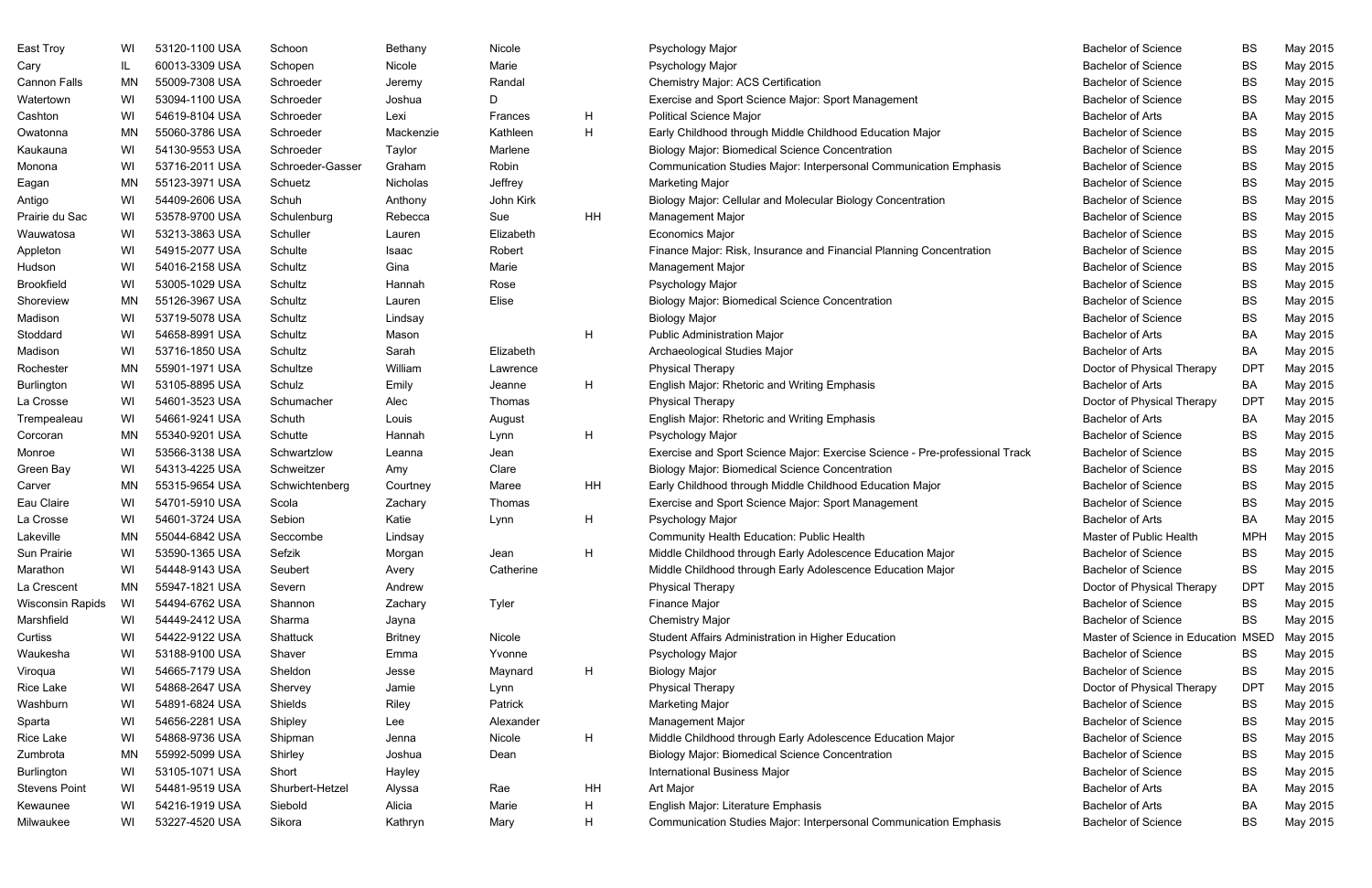| East Troy            | WI | 53120-1100 USA                   | Schoon           | Bethany        | Nicole    |    | Psychology Major                                                            | <b>Bachelor of Science</b>                               | BS          | May 2015 |
|----------------------|----|----------------------------------|------------------|----------------|-----------|----|-----------------------------------------------------------------------------|----------------------------------------------------------|-------------|----------|
| Cary                 | IL | 60013-3309 USA<br>55009-7308 USA | Schopen          | Nicole         | Marie     |    | Psychology Major<br><b>Chemistry Major: ACS Certification</b>               | <b>Bachelor of Science</b><br><b>Bachelor of Science</b> | BS          | May 2015 |
| <b>Cannon Falls</b>  | MN |                                  | Schroeder        | Jeremy         | Randal    |    |                                                                             |                                                          | <b>BS</b>   | May 2015 |
| Watertown            | WI | 53094-1100 USA                   | Schroeder        | Joshua         | D         |    | Exercise and Sport Science Major: Sport Management                          | <b>Bachelor of Science</b>                               | BS          | May 2015 |
| Cashton              | WI | 54619-8104 USA                   | Schroeder        | Lexi           | Frances   | H  | <b>Political Science Major</b>                                              | <b>Bachelor of Arts</b>                                  | BA          | May 2015 |
| Owatonna             | ΜN | 55060-3786 USA                   | Schroeder        | Mackenzie      | Kathleen  | H  | Early Childhood through Middle Childhood Education Major                    | <b>Bachelor of Science</b>                               | BS          | May 2015 |
| Kaukauna             | WI | 54130-9553 USA                   | Schroeder        | Taylor         | Marlene   |    | <b>Biology Major: Biomedical Science Concentration</b>                      | <b>Bachelor of Science</b>                               | <b>BS</b>   | May 2015 |
| Monona               | WI | 53716-2011 USA                   | Schroeder-Gasser | Graham         | Robin     |    | Communication Studies Major: Interpersonal Communication Emphasis           | <b>Bachelor of Science</b>                               | <b>BS</b>   | May 2015 |
| Eagan                | MN | 55123-3971 USA                   | Schuetz          | Nicholas       | Jeffrey   |    | <b>Marketing Major</b>                                                      | <b>Bachelor of Science</b>                               | <b>BS</b>   | May 2015 |
| Antigo               | WI | 54409-2606 USA                   | Schuh            | Anthony        | John Kirk |    | Biology Major: Cellular and Molecular Biology Concentration                 | <b>Bachelor of Science</b>                               | BS          | May 2015 |
| Prairie du Sac       | WI | 53578-9700 USA                   | Schulenburg      | Rebecca        | Sue       | HH | Management Major                                                            | <b>Bachelor of Science</b>                               | <b>BS</b>   | May 2015 |
| Wauwatosa            | WI | 53213-3863 USA                   | Schuller         | Lauren         | Elizabeth |    | <b>Economics Major</b>                                                      | <b>Bachelor of Science</b>                               | <b>BS</b>   | May 2015 |
| Appleton             | WI | 54915-2077 USA                   | Schulte          | Isaac          | Robert    |    | Finance Major: Risk, Insurance and Financial Planning Concentration         | <b>Bachelor of Science</b>                               | <b>BS</b>   | May 2015 |
| Hudson               | WI | 54016-2158 USA                   | Schultz          | Gina           | Marie     |    | Management Major                                                            | <b>Bachelor of Science</b>                               | BS          | May 2015 |
| <b>Brookfield</b>    | WI | 53005-1029 USA                   | Schultz          | Hannah         | Rose      |    | Psychology Major                                                            | <b>Bachelor of Science</b>                               | <b>BS</b>   | May 2015 |
| Shoreview            | MN | 55126-3967 USA                   | Schultz          | Lauren         | Elise     |    | <b>Biology Major: Biomedical Science Concentration</b>                      | <b>Bachelor of Science</b>                               | BS          | May 2015 |
| Madison              | WI | 53719-5078 USA                   | Schultz          | Lindsay        |           |    | <b>Biology Major</b>                                                        | <b>Bachelor of Science</b>                               | <b>BS</b>   | May 2015 |
| Stoddard             | WI | 54658-8991 USA                   | Schultz          | Mason          |           | H  | Public Administration Major                                                 | <b>Bachelor of Arts</b>                                  | BA          | May 2015 |
| Madison              | WI | 53716-1850 USA                   | Schultz          | Sarah          | Elizabeth |    | Archaeological Studies Major                                                | <b>Bachelor of Arts</b>                                  | BA          | May 2015 |
| Rochester            | MN | 55901-1971 USA                   | Schultze         | William        | Lawrence  |    | <b>Physical Therapy</b>                                                     | Doctor of Physical Therapy                               | <b>DPT</b>  | May 2015 |
| Burlington           | WI | 53105-8895 USA                   | Schulz           | Emily          | Jeanne    | H  | English Major: Rhetoric and Writing Emphasis                                | <b>Bachelor of Arts</b>                                  | BA          | May 2015 |
| La Crosse            | WI | 54601-3523 USA                   | Schumacher       | Alec           | Thomas    |    | <b>Physical Therapy</b>                                                     | Doctor of Physical Therapy                               | <b>DPT</b>  | May 2015 |
| Trempealeau          | WI | 54661-9241 USA                   | Schuth           | Louis          | August    |    | English Major: Rhetoric and Writing Emphasis                                | <b>Bachelor of Arts</b>                                  | BA          | May 2015 |
| Corcoran             | MN | 55340-9201 USA                   | Schutte          | Hannah         | Lynn      | H  | Psychology Major                                                            | <b>Bachelor of Science</b>                               | BS          | May 2015 |
| Monroe               | WI | 53566-3138 USA                   | Schwartzlow      | Leanna         | Jean      |    | Exercise and Sport Science Major: Exercise Science - Pre-professional Track | <b>Bachelor of Science</b>                               | <b>BS</b>   | May 2015 |
| Green Bay            | WI | 54313-4225 USA                   | Schweitzer       | Amy            | Clare     |    | <b>Biology Major: Biomedical Science Concentration</b>                      | <b>Bachelor of Science</b>                               | <b>BS</b>   | May 2015 |
| Carver               | ΜN | 55315-9654 USA                   | Schwichtenberg   | Courtney       | Maree     | HH | Early Childhood through Middle Childhood Education Major                    | <b>Bachelor of Science</b>                               | <b>BS</b>   | May 2015 |
| Eau Claire           | WI | 54701-5910 USA                   | Scola            | Zachary        | Thomas    |    | Exercise and Sport Science Major: Sport Management                          | <b>Bachelor of Science</b>                               | BS          | May 2015 |
| La Crosse            | WI | 54601-3724 USA                   | Sebion           | Katie          | Lynn      | H  | Psychology Major                                                            | <b>Bachelor of Arts</b>                                  | BA          | May 2015 |
| Lakeville            | MN | 55044-6842 USA                   | Seccombe         | Lindsay        |           |    | <b>Community Health Education: Public Health</b>                            | <b>Master of Public Health</b>                           | <b>MPH</b>  | May 2015 |
| Sun Prairie          | WI | 53590-1365 USA                   | Sefzik           | Morgan         | Jean      | H  | Middle Childhood through Early Adolescence Education Major                  | <b>Bachelor of Science</b>                               | BS          | May 2015 |
| Marathon             | WI | 54448-9143 USA                   | Seubert          | Avery          | Catherine |    | Middle Childhood through Early Adolescence Education Major                  | <b>Bachelor of Science</b>                               | BS          | May 2015 |
| La Crescent          | ΜN | 55947-1821 USA                   | Severn           | Andrew         |           |    | <b>Physical Therapy</b>                                                     | Doctor of Physical Therapy                               | <b>DPT</b>  | May 2015 |
| Wisconsin Rapids     | WI | 54494-6762 USA                   | Shannon          | Zachary        | Tyler     |    | Finance Major                                                               | <b>Bachelor of Science</b>                               | <b>BS</b>   | May 2015 |
| Marshfield           | WI | 54449-2412 USA                   | Sharma           |                |           |    | <b>Chemistry Major</b>                                                      | <b>Bachelor of Science</b>                               | BS          | May 2015 |
|                      |    | 54422-9122 USA                   |                  | Jayna          |           |    |                                                                             | Master of Science in Education                           | <b>MSED</b> |          |
| Curtiss              | WI |                                  | Shattuck         | <b>Britney</b> | Nicole    |    | Student Affairs Administration in Higher Education                          |                                                          |             | May 2015 |
| Waukesha             | WI | 53188-9100 USA                   | Shaver           | Emma           | Yvonne    |    | Psychology Major                                                            | <b>Bachelor of Science</b>                               | <b>BS</b>   | May 2015 |
| Viroqua              | WI | 54665-7179 USA                   | Sheldon          | Jesse          | Maynard   | H  | <b>Biology Major</b>                                                        | <b>Bachelor of Science</b>                               | BS          | May 2015 |
| Rice Lake            | WI | 54868-2647 USA                   | Shervey          | Jamie          | Lynn      |    | <b>Physical Therapy</b>                                                     | Doctor of Physical Therapy                               | <b>DPT</b>  | May 2015 |
| Washburn             | WI | 54891-6824 USA                   | Shields          | Riley          | Patrick   |    | <b>Marketing Major</b>                                                      | <b>Bachelor of Science</b>                               | <b>BS</b>   | May 2015 |
| Sparta               | WI | 54656-2281 USA                   | Shipley          | Lee            | Alexander |    | Management Major                                                            | <b>Bachelor of Science</b>                               | <b>BS</b>   | May 2015 |
| Rice Lake            | WI | 54868-9736 USA                   | Shipman          | Jenna          | Nicole    | H  | Middle Childhood through Early Adolescence Education Major                  | <b>Bachelor of Science</b>                               | BS          | May 2015 |
| Zumbrota             | MN | 55992-5099 USA                   | Shirley          | Joshua         | Dean      |    | <b>Biology Major: Biomedical Science Concentration</b>                      | <b>Bachelor of Science</b>                               | BS          | May 2015 |
| Burlington           | WI | 53105-1071 USA                   | Short            | Hayley         |           |    | International Business Major                                                | <b>Bachelor of Science</b>                               | <b>BS</b>   | May 2015 |
| <b>Stevens Point</b> | WI | 54481-9519 USA                   | Shurbert-Hetzel  | Alyssa         | Rae       | HH | Art Major                                                                   | <b>Bachelor of Arts</b>                                  | BA          | May 2015 |
| Kewaunee             | WI | 54216-1919 USA                   | Siebold          | Alicia         | Marie     | H  | English Major: Literature Emphasis                                          | <b>Bachelor of Arts</b>                                  | BA          | May 2015 |
| Milwaukee            | WI | 53227-4520 USA                   | Sikora           | Kathryn        | Mary      | H  | Communication Studies Major: Interpersonal Communication Emphasis           | <b>Bachelor of Science</b>                               | BS          | May 2015 |

| <b>Bachelor of Science</b>     | BS          | May 2015 |
|--------------------------------|-------------|----------|
| <b>Bachelor of Science</b>     | BS          | May 2015 |
| <b>Bachelor of Science</b>     | BS          | May 2015 |
| <b>Bachelor of Science</b>     | ВS          | May 2015 |
| <b>Bachelor of Arts</b>        | BA          | May 2015 |
| <b>Bachelor of Science</b>     | BS          | May 2015 |
| <b>Bachelor of Science</b>     | BS          | May 2015 |
| <b>Bachelor of Science</b>     | ВS          | May 2015 |
| <b>Bachelor of Science</b>     | BS          | May 2015 |
| <b>Bachelor of Science</b>     | BS          | May 2015 |
| <b>Bachelor of Science</b>     | BS          | May 2015 |
| <b>Bachelor of Science</b>     | ВS          | May 2015 |
| <b>Bachelor of Science</b>     | BS          | May 2015 |
| Bachelor of Science            | BS          | May 2015 |
| <b>Bachelor of Science</b>     | BS          | May 2015 |
| <b>Bachelor of Science</b>     | ВS          | May 2015 |
| <b>Bachelor of Science</b>     | ВS          | May 2015 |
| <b>Bachelor of Arts</b>        | ВA          | May 2015 |
| <b>Bachelor of Arts</b>        | BA          | May 2015 |
| Doctor of Physical Therapy     | DPT         | May 2015 |
| <b>Bachelor of Arts</b>        | BA          | May 2015 |
| Doctor of Physical Therapy     | <b>DPT</b>  | May 2015 |
| <b>Bachelor of Arts</b>        | ВA          | May 2015 |
| <b>Bachelor of Science</b>     | BS          | May 2015 |
| <b>Bachelor of Science</b>     | ВS          | May 2015 |
| <b>Bachelor of Science</b>     | BS          | May 2015 |
| <b>Bachelor of Science</b>     | <b>BS</b>   | May 2015 |
| <b>Bachelor of Science</b>     | ВS          | May 2015 |
| <b>Bachelor of Arts</b>        | BA          | May 2015 |
| Master of Public Health        | MPH         | May 2015 |
| <b>Bachelor of Science</b>     | ВS          | May 2015 |
| <b>Bachelor of Science</b>     | ВS          | May 2015 |
| Doctor of Physical Therapy     | DPT         | May 2015 |
| <b>Bachelor of Science</b>     | ВS          | May 2015 |
| <b>Bachelor of Science</b>     | ВS          | May 2015 |
| Master of Science in Education | <b>MSED</b> | May 2015 |
| <b>Bachelor of Science</b>     | BS          | May 2015 |
| <b>Bachelor of Science</b>     | ВS          | May 2015 |
| Doctor of Physical Therapy     | DPT         | May 2015 |
| <b>Bachelor of Science</b>     | ВS          | May 2015 |
| <b>Bachelor of Science</b>     | ВS          | May 2015 |
| <b>Bachelor of Science</b>     | ВS          | May 2015 |
| <b>Bachelor of Science</b>     | BS          | May 2015 |
| <b>Bachelor of Science</b>     | ВS          | May 2015 |
| <b>Bachelor of Arts</b>        | ВA          | May 2015 |
| <b>Bachelor of Arts</b>        | ВA          | May 2015 |
| <b>Bachelor of Science</b>     | ВS          | May 2015 |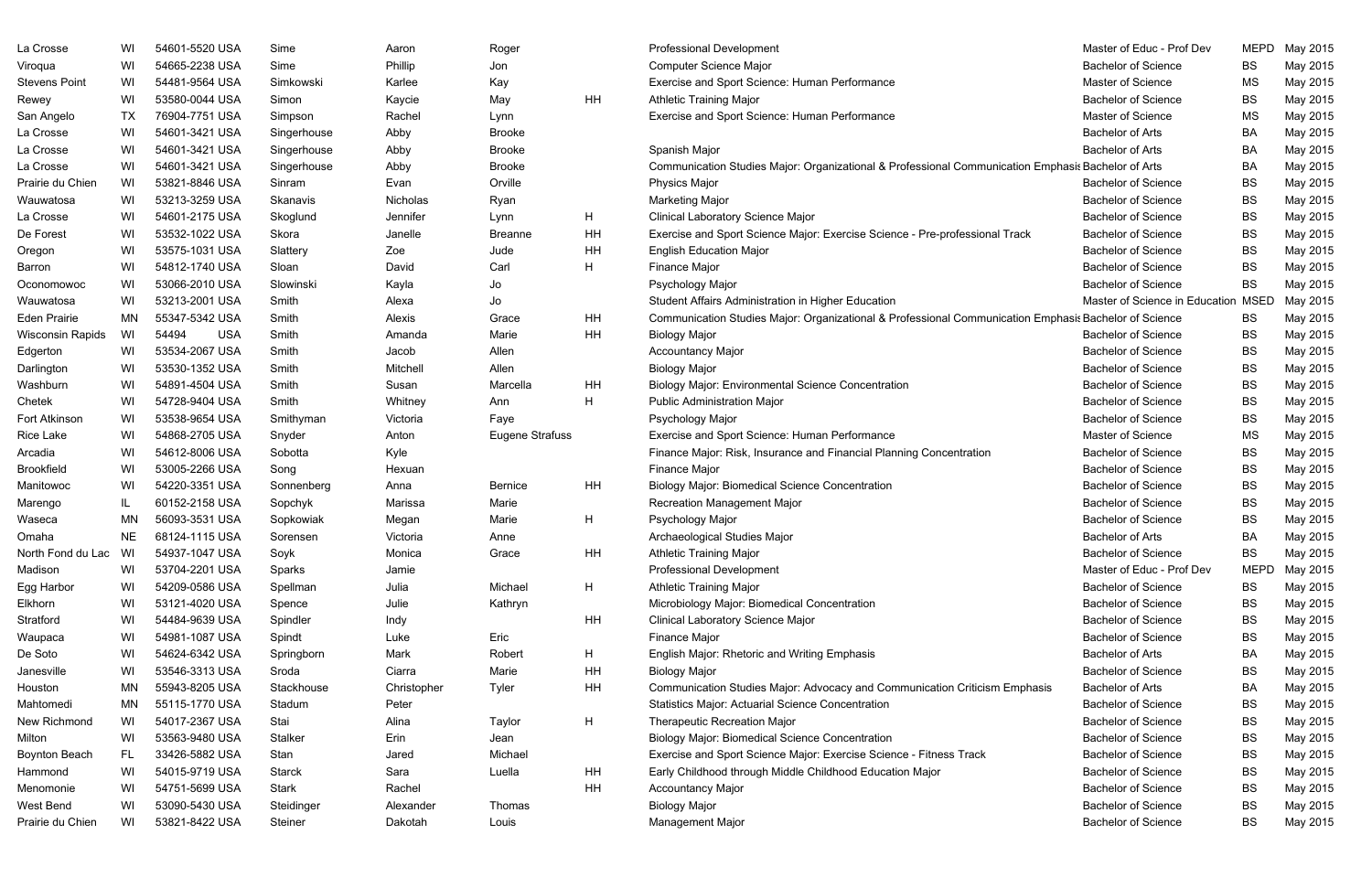| Phillip<br>54665-2238 USA<br><b>Computer Science Major</b><br>Viroqua<br>WI<br>Sime<br>Jon<br>54481-9564 USA<br>Exercise and Sport Science: Human Performance<br><b>Stevens Point</b><br>WI<br>Simkowski<br>Karlee<br>Kay<br>HH<br>Rewey<br>WI<br>53580-0044 USA<br>Kaycie<br>May<br><b>Athletic Training Major</b><br>Simon<br>San Angelo<br>TX<br>76904-7751 USA<br>Exercise and Sport Science: Human Performance<br>Simpson<br>Rachel<br>Lynn<br>54601-3421 USA<br>La Crosse<br>WI<br>Singerhouse<br>Abby<br><b>Brooke</b><br>54601-3421 USA<br>La Crosse<br>WI<br>Singerhouse<br><b>Brooke</b><br>Spanish Major<br>Abby<br>La Crosse<br>WI<br>54601-3421 USA<br>Singerhouse<br><b>Brooke</b><br>Communication Studies Major: Organizational & Professional Communication Emphasis Bachelor of Arts<br>Abby<br>53821-8846 USA<br>Orville<br>Prairie du Chien<br>WI<br>Evan<br>Physics Major<br>Sinram<br>53213-3259 USA<br>Wauwatosa<br>WI<br>Nicholas<br>Ryan<br><b>Marketing Major</b><br>Skanavis<br>54601-2175 USA<br>La Crosse<br>WI<br>Jennifer<br>H<br><b>Clinical Laboratory Science Major</b><br>Skoglund<br>Lynn<br>De Forest<br>53532-1022 USA<br>HH<br>WI<br>Janelle<br>Exercise and Sport Science Major: Exercise Science - Pre-professional Track<br>Skora<br><b>Breanne</b><br>53575-1031 USA<br>HH<br><b>English Education Major</b><br>Oregon<br>WI<br>Slattery<br>Zoe<br>Jude<br>H<br>54812-1740 USA<br>Barron<br>WI<br>Sloan<br>David<br>Carl<br>Finance Major<br>53066-2010 USA<br>Oconomowoc<br>WI<br>Kayla<br>Psychology Major<br>Slowinski<br>Jo<br>53213-2001 USA<br>Student Affairs Administration in Higher Education<br>Wauwatosa<br>WI<br>Smith<br>Alexa<br>Jo<br><b>Eden Prairie</b><br>55347-5342 USA<br>Grace<br>HH<br>Communication Studies Major: Organizational & Professional Communication Emphasis Bachelor of Science<br>ΜN<br>Smith<br>Alexis<br><b>USA</b><br>HH<br><b>Wisconsin Rapids</b><br>WI<br>54494<br>Smith<br>Marie<br>Amanda<br><b>Biology Major</b><br>53534-2067 USA<br>Edgerton<br>WI<br>Smith<br>Jacob<br>Allen<br><b>Accountancy Major</b><br>Darlington<br>53530-1352 USA<br><b>Biology Major</b><br>WI<br>Smith<br>Mitchell<br>Allen<br>54891-4504 USA<br>HH<br>Washburn<br>WI<br>Smith<br>Susan<br>Marcella<br><b>Biology Major: Environmental Science Concentration</b><br>H<br>54728-9404 USA<br>Chetek<br>WI<br>Smith<br>Whitney<br>Public Administration Major<br>Ann<br>Fort Atkinson<br>53538-9654 USA<br>WI<br>Victoria<br>Faye<br>Psychology Major<br>Smithyman<br>Rice Lake<br>54868-2705 USA<br>WI<br><b>Eugene Strafuss</b><br>Exercise and Sport Science: Human Performance<br>Snyder<br>Anton<br>54612-8006 USA<br>Finance Major: Risk, Insurance and Financial Planning Concentration<br>WI<br>Kyle<br>Sobotta<br>Arcadia<br>53005-2266 USA<br><b>Brookfield</b><br>WI<br>Hexuan<br>Finance Major<br>Song<br>54220-3351 USA<br>HH<br><b>Biology Major: Biomedical Science Concentration</b><br>WI<br><b>Bernice</b><br>Manitowoc<br>Sonnenberg<br>Anna<br>60152-2158 USA<br>Recreation Management Major<br>IL.<br>Sopchyk<br>Marissa<br>Marie<br>Marengo<br>H<br>Waseca<br>56093-3531 USA<br>Psychology Major<br>ΜN<br>Sopkowiak<br>Marie<br>Megan<br>Omaha<br><b>NE</b><br>68124-1115 USA<br>Archaeological Studies Major<br>Sorensen<br>Victoria<br>Anne<br>HH<br>54937-1047 USA<br>Grace<br><b>Athletic Training Major</b><br>North Fond du Lac WI<br>Soyk<br>Monica<br>53704-2201 USA<br>WI<br>Sparks<br>Jamie<br>Professional Development<br>Madison<br>H<br>Egg Harbor<br>54209-0586 USA<br>Julia<br><b>Athletic Training Major</b><br>WI<br>Spellman<br>Michael<br>Elkhorn<br>53121-4020 USA<br>Julie<br>WI<br>Kathryn<br>Microbiology Major: Biomedical Concentration<br>Spence<br>Stratford<br>54484-9639 USA<br>HH<br>WI<br>Spindler<br>Indy<br>Clinical Laboratory Science Major<br>Eric<br>Waupaca<br>54981-1087 USA<br>Spindt<br>Luke<br>Finance Major<br>WI<br>De Soto<br>54624-6342 USA<br>Mark<br>H<br>English Major: Rhetoric and Writing Emphasis<br>WI<br>Robert<br>Springborn<br>53546-3313 USA<br>Ciarra<br>HH<br>WI<br>Sroda<br>Marie<br><b>Biology Major</b><br>Janesville<br>55943-8205 USA<br>HH<br>Communication Studies Major: Advocacy and Communication Criticism Emphasis<br>Houston<br>ΜN<br>Stackhouse<br>Christopher<br>Tyler<br>ΜN<br>55115-1770 USA<br>Peter<br><b>Statistics Major: Actuarial Science Concentration</b><br>Mahtomedi<br>Stadum<br>H<br>New Richmond<br>54017-2367 USA<br>Stai<br>Alina<br>Therapeutic Recreation Major<br>WI<br>Taylor<br>53563-9480 USA<br><b>Biology Major: Biomedical Science Concentration</b><br>Milton<br>WI<br>Stalker<br>Erin<br>Jean<br>33426-5882 USA<br>Exercise and Sport Science Major: Exercise Science - Fitness Track<br><b>Boynton Beach</b><br>Stan<br>Michael<br>FL<br>Jared<br>HH<br>WI<br>54015-9719 USA<br>Sara<br>Luella<br>Early Childhood through Middle Childhood Education Major<br>Hammond<br><b>Starck</b><br>54751-5699 USA<br>Rachel<br>HH<br>WI<br><b>Stark</b><br><b>Accountancy Major</b><br>Menomonie<br>West Bend<br>53090-5430 USA<br><b>Biology Major</b><br>WI<br>Thomas<br>Steidinger<br>Alexander<br>53821-8422 USA<br>Prairie du Chien<br>WI<br>Steiner<br>Dakotah<br>Management Major<br>Louis | La Crosse | WI | 54601-5520 USA | Sime | Aaron | Roger | <b>Professional Development</b> | Master of Educ - Prof Dev           | <b>MEPD</b> | May 2015 |
|------------------------------------------------------------------------------------------------------------------------------------------------------------------------------------------------------------------------------------------------------------------------------------------------------------------------------------------------------------------------------------------------------------------------------------------------------------------------------------------------------------------------------------------------------------------------------------------------------------------------------------------------------------------------------------------------------------------------------------------------------------------------------------------------------------------------------------------------------------------------------------------------------------------------------------------------------------------------------------------------------------------------------------------------------------------------------------------------------------------------------------------------------------------------------------------------------------------------------------------------------------------------------------------------------------------------------------------------------------------------------------------------------------------------------------------------------------------------------------------------------------------------------------------------------------------------------------------------------------------------------------------------------------------------------------------------------------------------------------------------------------------------------------------------------------------------------------------------------------------------------------------------------------------------------------------------------------------------------------------------------------------------------------------------------------------------------------------------------------------------------------------------------------------------------------------------------------------------------------------------------------------------------------------------------------------------------------------------------------------------------------------------------------------------------------------------------------------------------------------------------------------------------------------------------------------------------------------------------------------------------------------------------------------------------------------------------------------------------------------------------------------------------------------------------------------------------------------------------------------------------------------------------------------------------------------------------------------------------------------------------------------------------------------------------------------------------------------------------------------------------------------------------------------------------------------------------------------------------------------------------------------------------------------------------------------------------------------------------------------------------------------------------------------------------------------------------------------------------------------------------------------------------------------------------------------------------------------------------------------------------------------------------------------------------------------------------------------------------------------------------------------------------------------------------------------------------------------------------------------------------------------------------------------------------------------------------------------------------------------------------------------------------------------------------------------------------------------------------------------------------------------------------------------------------------------------------------------------------------------------------------------------------------------------------------------------------------------------------------------------------------------------------------------------------------------------------------------------------------------------------------------------------------------------------------------------------------------------------------------------------------------------------------------------------------------------------------------------------------------------------------------------------------------------------------------------------------------------------------------------------------------------------------------------------------------------------------------------------------------------------------------------------------------------------------------------------------------------------------------------------------------------------------------------------------------------------------------------------------------------------------------------------------------|-----------|----|----------------|------|-------|-------|---------------------------------|-------------------------------------|-------------|----------|
|                                                                                                                                                                                                                                                                                                                                                                                                                                                                                                                                                                                                                                                                                                                                                                                                                                                                                                                                                                                                                                                                                                                                                                                                                                                                                                                                                                                                                                                                                                                                                                                                                                                                                                                                                                                                                                                                                                                                                                                                                                                                                                                                                                                                                                                                                                                                                                                                                                                                                                                                                                                                                                                                                                                                                                                                                                                                                                                                                                                                                                                                                                                                                                                                                                                                                                                                                                                                                                                                                                                                                                                                                                                                                                                                                                                                                                                                                                                                                                                                                                                                                                                                                                                                                                                                                                                                                                                                                                                                                                                                                                                                                                                                                                                                                                                                                                                                                                                                                                                                                                                                                                                                                                                                                                                                                          |           |    |                |      |       |       |                                 | <b>Bachelor of Science</b>          | BS          | May 2015 |
|                                                                                                                                                                                                                                                                                                                                                                                                                                                                                                                                                                                                                                                                                                                                                                                                                                                                                                                                                                                                                                                                                                                                                                                                                                                                                                                                                                                                                                                                                                                                                                                                                                                                                                                                                                                                                                                                                                                                                                                                                                                                                                                                                                                                                                                                                                                                                                                                                                                                                                                                                                                                                                                                                                                                                                                                                                                                                                                                                                                                                                                                                                                                                                                                                                                                                                                                                                                                                                                                                                                                                                                                                                                                                                                                                                                                                                                                                                                                                                                                                                                                                                                                                                                                                                                                                                                                                                                                                                                                                                                                                                                                                                                                                                                                                                                                                                                                                                                                                                                                                                                                                                                                                                                                                                                                                          |           |    |                |      |       |       |                                 | Master of Science                   | MS          | May 2015 |
|                                                                                                                                                                                                                                                                                                                                                                                                                                                                                                                                                                                                                                                                                                                                                                                                                                                                                                                                                                                                                                                                                                                                                                                                                                                                                                                                                                                                                                                                                                                                                                                                                                                                                                                                                                                                                                                                                                                                                                                                                                                                                                                                                                                                                                                                                                                                                                                                                                                                                                                                                                                                                                                                                                                                                                                                                                                                                                                                                                                                                                                                                                                                                                                                                                                                                                                                                                                                                                                                                                                                                                                                                                                                                                                                                                                                                                                                                                                                                                                                                                                                                                                                                                                                                                                                                                                                                                                                                                                                                                                                                                                                                                                                                                                                                                                                                                                                                                                                                                                                                                                                                                                                                                                                                                                                                          |           |    |                |      |       |       |                                 | <b>Bachelor of Science</b>          | <b>BS</b>   | May 2015 |
|                                                                                                                                                                                                                                                                                                                                                                                                                                                                                                                                                                                                                                                                                                                                                                                                                                                                                                                                                                                                                                                                                                                                                                                                                                                                                                                                                                                                                                                                                                                                                                                                                                                                                                                                                                                                                                                                                                                                                                                                                                                                                                                                                                                                                                                                                                                                                                                                                                                                                                                                                                                                                                                                                                                                                                                                                                                                                                                                                                                                                                                                                                                                                                                                                                                                                                                                                                                                                                                                                                                                                                                                                                                                                                                                                                                                                                                                                                                                                                                                                                                                                                                                                                                                                                                                                                                                                                                                                                                                                                                                                                                                                                                                                                                                                                                                                                                                                                                                                                                                                                                                                                                                                                                                                                                                                          |           |    |                |      |       |       |                                 | Master of Science                   | MS          | May 2015 |
|                                                                                                                                                                                                                                                                                                                                                                                                                                                                                                                                                                                                                                                                                                                                                                                                                                                                                                                                                                                                                                                                                                                                                                                                                                                                                                                                                                                                                                                                                                                                                                                                                                                                                                                                                                                                                                                                                                                                                                                                                                                                                                                                                                                                                                                                                                                                                                                                                                                                                                                                                                                                                                                                                                                                                                                                                                                                                                                                                                                                                                                                                                                                                                                                                                                                                                                                                                                                                                                                                                                                                                                                                                                                                                                                                                                                                                                                                                                                                                                                                                                                                                                                                                                                                                                                                                                                                                                                                                                                                                                                                                                                                                                                                                                                                                                                                                                                                                                                                                                                                                                                                                                                                                                                                                                                                          |           |    |                |      |       |       |                                 | <b>Bachelor of Arts</b>             | <b>BA</b>   | May 2015 |
|                                                                                                                                                                                                                                                                                                                                                                                                                                                                                                                                                                                                                                                                                                                                                                                                                                                                                                                                                                                                                                                                                                                                                                                                                                                                                                                                                                                                                                                                                                                                                                                                                                                                                                                                                                                                                                                                                                                                                                                                                                                                                                                                                                                                                                                                                                                                                                                                                                                                                                                                                                                                                                                                                                                                                                                                                                                                                                                                                                                                                                                                                                                                                                                                                                                                                                                                                                                                                                                                                                                                                                                                                                                                                                                                                                                                                                                                                                                                                                                                                                                                                                                                                                                                                                                                                                                                                                                                                                                                                                                                                                                                                                                                                                                                                                                                                                                                                                                                                                                                                                                                                                                                                                                                                                                                                          |           |    |                |      |       |       |                                 | <b>Bachelor of Arts</b>             | BA          | May 2015 |
|                                                                                                                                                                                                                                                                                                                                                                                                                                                                                                                                                                                                                                                                                                                                                                                                                                                                                                                                                                                                                                                                                                                                                                                                                                                                                                                                                                                                                                                                                                                                                                                                                                                                                                                                                                                                                                                                                                                                                                                                                                                                                                                                                                                                                                                                                                                                                                                                                                                                                                                                                                                                                                                                                                                                                                                                                                                                                                                                                                                                                                                                                                                                                                                                                                                                                                                                                                                                                                                                                                                                                                                                                                                                                                                                                                                                                                                                                                                                                                                                                                                                                                                                                                                                                                                                                                                                                                                                                                                                                                                                                                                                                                                                                                                                                                                                                                                                                                                                                                                                                                                                                                                                                                                                                                                                                          |           |    |                |      |       |       |                                 |                                     | <b>BA</b>   | May 2015 |
|                                                                                                                                                                                                                                                                                                                                                                                                                                                                                                                                                                                                                                                                                                                                                                                                                                                                                                                                                                                                                                                                                                                                                                                                                                                                                                                                                                                                                                                                                                                                                                                                                                                                                                                                                                                                                                                                                                                                                                                                                                                                                                                                                                                                                                                                                                                                                                                                                                                                                                                                                                                                                                                                                                                                                                                                                                                                                                                                                                                                                                                                                                                                                                                                                                                                                                                                                                                                                                                                                                                                                                                                                                                                                                                                                                                                                                                                                                                                                                                                                                                                                                                                                                                                                                                                                                                                                                                                                                                                                                                                                                                                                                                                                                                                                                                                                                                                                                                                                                                                                                                                                                                                                                                                                                                                                          |           |    |                |      |       |       |                                 | <b>Bachelor of Science</b>          | <b>BS</b>   | May 2015 |
|                                                                                                                                                                                                                                                                                                                                                                                                                                                                                                                                                                                                                                                                                                                                                                                                                                                                                                                                                                                                                                                                                                                                                                                                                                                                                                                                                                                                                                                                                                                                                                                                                                                                                                                                                                                                                                                                                                                                                                                                                                                                                                                                                                                                                                                                                                                                                                                                                                                                                                                                                                                                                                                                                                                                                                                                                                                                                                                                                                                                                                                                                                                                                                                                                                                                                                                                                                                                                                                                                                                                                                                                                                                                                                                                                                                                                                                                                                                                                                                                                                                                                                                                                                                                                                                                                                                                                                                                                                                                                                                                                                                                                                                                                                                                                                                                                                                                                                                                                                                                                                                                                                                                                                                                                                                                                          |           |    |                |      |       |       |                                 | <b>Bachelor of Science</b>          | <b>BS</b>   | May 2015 |
|                                                                                                                                                                                                                                                                                                                                                                                                                                                                                                                                                                                                                                                                                                                                                                                                                                                                                                                                                                                                                                                                                                                                                                                                                                                                                                                                                                                                                                                                                                                                                                                                                                                                                                                                                                                                                                                                                                                                                                                                                                                                                                                                                                                                                                                                                                                                                                                                                                                                                                                                                                                                                                                                                                                                                                                                                                                                                                                                                                                                                                                                                                                                                                                                                                                                                                                                                                                                                                                                                                                                                                                                                                                                                                                                                                                                                                                                                                                                                                                                                                                                                                                                                                                                                                                                                                                                                                                                                                                                                                                                                                                                                                                                                                                                                                                                                                                                                                                                                                                                                                                                                                                                                                                                                                                                                          |           |    |                |      |       |       |                                 | <b>Bachelor of Science</b>          | <b>BS</b>   | May 2015 |
|                                                                                                                                                                                                                                                                                                                                                                                                                                                                                                                                                                                                                                                                                                                                                                                                                                                                                                                                                                                                                                                                                                                                                                                                                                                                                                                                                                                                                                                                                                                                                                                                                                                                                                                                                                                                                                                                                                                                                                                                                                                                                                                                                                                                                                                                                                                                                                                                                                                                                                                                                                                                                                                                                                                                                                                                                                                                                                                                                                                                                                                                                                                                                                                                                                                                                                                                                                                                                                                                                                                                                                                                                                                                                                                                                                                                                                                                                                                                                                                                                                                                                                                                                                                                                                                                                                                                                                                                                                                                                                                                                                                                                                                                                                                                                                                                                                                                                                                                                                                                                                                                                                                                                                                                                                                                                          |           |    |                |      |       |       |                                 | <b>Bachelor of Science</b>          | <b>BS</b>   | May 2015 |
|                                                                                                                                                                                                                                                                                                                                                                                                                                                                                                                                                                                                                                                                                                                                                                                                                                                                                                                                                                                                                                                                                                                                                                                                                                                                                                                                                                                                                                                                                                                                                                                                                                                                                                                                                                                                                                                                                                                                                                                                                                                                                                                                                                                                                                                                                                                                                                                                                                                                                                                                                                                                                                                                                                                                                                                                                                                                                                                                                                                                                                                                                                                                                                                                                                                                                                                                                                                                                                                                                                                                                                                                                                                                                                                                                                                                                                                                                                                                                                                                                                                                                                                                                                                                                                                                                                                                                                                                                                                                                                                                                                                                                                                                                                                                                                                                                                                                                                                                                                                                                                                                                                                                                                                                                                                                                          |           |    |                |      |       |       |                                 | <b>Bachelor of Science</b>          | <b>BS</b>   | May 2015 |
|                                                                                                                                                                                                                                                                                                                                                                                                                                                                                                                                                                                                                                                                                                                                                                                                                                                                                                                                                                                                                                                                                                                                                                                                                                                                                                                                                                                                                                                                                                                                                                                                                                                                                                                                                                                                                                                                                                                                                                                                                                                                                                                                                                                                                                                                                                                                                                                                                                                                                                                                                                                                                                                                                                                                                                                                                                                                                                                                                                                                                                                                                                                                                                                                                                                                                                                                                                                                                                                                                                                                                                                                                                                                                                                                                                                                                                                                                                                                                                                                                                                                                                                                                                                                                                                                                                                                                                                                                                                                                                                                                                                                                                                                                                                                                                                                                                                                                                                                                                                                                                                                                                                                                                                                                                                                                          |           |    |                |      |       |       |                                 | <b>Bachelor of Science</b>          | <b>BS</b>   | May 2015 |
|                                                                                                                                                                                                                                                                                                                                                                                                                                                                                                                                                                                                                                                                                                                                                                                                                                                                                                                                                                                                                                                                                                                                                                                                                                                                                                                                                                                                                                                                                                                                                                                                                                                                                                                                                                                                                                                                                                                                                                                                                                                                                                                                                                                                                                                                                                                                                                                                                                                                                                                                                                                                                                                                                                                                                                                                                                                                                                                                                                                                                                                                                                                                                                                                                                                                                                                                                                                                                                                                                                                                                                                                                                                                                                                                                                                                                                                                                                                                                                                                                                                                                                                                                                                                                                                                                                                                                                                                                                                                                                                                                                                                                                                                                                                                                                                                                                                                                                                                                                                                                                                                                                                                                                                                                                                                                          |           |    |                |      |       |       |                                 | <b>Bachelor of Science</b>          | <b>BS</b>   | May 2015 |
|                                                                                                                                                                                                                                                                                                                                                                                                                                                                                                                                                                                                                                                                                                                                                                                                                                                                                                                                                                                                                                                                                                                                                                                                                                                                                                                                                                                                                                                                                                                                                                                                                                                                                                                                                                                                                                                                                                                                                                                                                                                                                                                                                                                                                                                                                                                                                                                                                                                                                                                                                                                                                                                                                                                                                                                                                                                                                                                                                                                                                                                                                                                                                                                                                                                                                                                                                                                                                                                                                                                                                                                                                                                                                                                                                                                                                                                                                                                                                                                                                                                                                                                                                                                                                                                                                                                                                                                                                                                                                                                                                                                                                                                                                                                                                                                                                                                                                                                                                                                                                                                                                                                                                                                                                                                                                          |           |    |                |      |       |       |                                 | Master of Science in Education MSED |             | May 2015 |
|                                                                                                                                                                                                                                                                                                                                                                                                                                                                                                                                                                                                                                                                                                                                                                                                                                                                                                                                                                                                                                                                                                                                                                                                                                                                                                                                                                                                                                                                                                                                                                                                                                                                                                                                                                                                                                                                                                                                                                                                                                                                                                                                                                                                                                                                                                                                                                                                                                                                                                                                                                                                                                                                                                                                                                                                                                                                                                                                                                                                                                                                                                                                                                                                                                                                                                                                                                                                                                                                                                                                                                                                                                                                                                                                                                                                                                                                                                                                                                                                                                                                                                                                                                                                                                                                                                                                                                                                                                                                                                                                                                                                                                                                                                                                                                                                                                                                                                                                                                                                                                                                                                                                                                                                                                                                                          |           |    |                |      |       |       |                                 |                                     | BS          | May 2015 |
|                                                                                                                                                                                                                                                                                                                                                                                                                                                                                                                                                                                                                                                                                                                                                                                                                                                                                                                                                                                                                                                                                                                                                                                                                                                                                                                                                                                                                                                                                                                                                                                                                                                                                                                                                                                                                                                                                                                                                                                                                                                                                                                                                                                                                                                                                                                                                                                                                                                                                                                                                                                                                                                                                                                                                                                                                                                                                                                                                                                                                                                                                                                                                                                                                                                                                                                                                                                                                                                                                                                                                                                                                                                                                                                                                                                                                                                                                                                                                                                                                                                                                                                                                                                                                                                                                                                                                                                                                                                                                                                                                                                                                                                                                                                                                                                                                                                                                                                                                                                                                                                                                                                                                                                                                                                                                          |           |    |                |      |       |       |                                 | <b>Bachelor of Science</b>          | BS          | May 2015 |
|                                                                                                                                                                                                                                                                                                                                                                                                                                                                                                                                                                                                                                                                                                                                                                                                                                                                                                                                                                                                                                                                                                                                                                                                                                                                                                                                                                                                                                                                                                                                                                                                                                                                                                                                                                                                                                                                                                                                                                                                                                                                                                                                                                                                                                                                                                                                                                                                                                                                                                                                                                                                                                                                                                                                                                                                                                                                                                                                                                                                                                                                                                                                                                                                                                                                                                                                                                                                                                                                                                                                                                                                                                                                                                                                                                                                                                                                                                                                                                                                                                                                                                                                                                                                                                                                                                                                                                                                                                                                                                                                                                                                                                                                                                                                                                                                                                                                                                                                                                                                                                                                                                                                                                                                                                                                                          |           |    |                |      |       |       |                                 | <b>Bachelor of Science</b>          | <b>BS</b>   | May 2015 |
|                                                                                                                                                                                                                                                                                                                                                                                                                                                                                                                                                                                                                                                                                                                                                                                                                                                                                                                                                                                                                                                                                                                                                                                                                                                                                                                                                                                                                                                                                                                                                                                                                                                                                                                                                                                                                                                                                                                                                                                                                                                                                                                                                                                                                                                                                                                                                                                                                                                                                                                                                                                                                                                                                                                                                                                                                                                                                                                                                                                                                                                                                                                                                                                                                                                                                                                                                                                                                                                                                                                                                                                                                                                                                                                                                                                                                                                                                                                                                                                                                                                                                                                                                                                                                                                                                                                                                                                                                                                                                                                                                                                                                                                                                                                                                                                                                                                                                                                                                                                                                                                                                                                                                                                                                                                                                          |           |    |                |      |       |       |                                 | <b>Bachelor of Science</b>          | <b>BS</b>   | May 2015 |
|                                                                                                                                                                                                                                                                                                                                                                                                                                                                                                                                                                                                                                                                                                                                                                                                                                                                                                                                                                                                                                                                                                                                                                                                                                                                                                                                                                                                                                                                                                                                                                                                                                                                                                                                                                                                                                                                                                                                                                                                                                                                                                                                                                                                                                                                                                                                                                                                                                                                                                                                                                                                                                                                                                                                                                                                                                                                                                                                                                                                                                                                                                                                                                                                                                                                                                                                                                                                                                                                                                                                                                                                                                                                                                                                                                                                                                                                                                                                                                                                                                                                                                                                                                                                                                                                                                                                                                                                                                                                                                                                                                                                                                                                                                                                                                                                                                                                                                                                                                                                                                                                                                                                                                                                                                                                                          |           |    |                |      |       |       |                                 | <b>Bachelor of Science</b>          | <b>BS</b>   | May 2015 |
|                                                                                                                                                                                                                                                                                                                                                                                                                                                                                                                                                                                                                                                                                                                                                                                                                                                                                                                                                                                                                                                                                                                                                                                                                                                                                                                                                                                                                                                                                                                                                                                                                                                                                                                                                                                                                                                                                                                                                                                                                                                                                                                                                                                                                                                                                                                                                                                                                                                                                                                                                                                                                                                                                                                                                                                                                                                                                                                                                                                                                                                                                                                                                                                                                                                                                                                                                                                                                                                                                                                                                                                                                                                                                                                                                                                                                                                                                                                                                                                                                                                                                                                                                                                                                                                                                                                                                                                                                                                                                                                                                                                                                                                                                                                                                                                                                                                                                                                                                                                                                                                                                                                                                                                                                                                                                          |           |    |                |      |       |       |                                 | <b>Bachelor of Science</b>          | <b>BS</b>   | May 2015 |
|                                                                                                                                                                                                                                                                                                                                                                                                                                                                                                                                                                                                                                                                                                                                                                                                                                                                                                                                                                                                                                                                                                                                                                                                                                                                                                                                                                                                                                                                                                                                                                                                                                                                                                                                                                                                                                                                                                                                                                                                                                                                                                                                                                                                                                                                                                                                                                                                                                                                                                                                                                                                                                                                                                                                                                                                                                                                                                                                                                                                                                                                                                                                                                                                                                                                                                                                                                                                                                                                                                                                                                                                                                                                                                                                                                                                                                                                                                                                                                                                                                                                                                                                                                                                                                                                                                                                                                                                                                                                                                                                                                                                                                                                                                                                                                                                                                                                                                                                                                                                                                                                                                                                                                                                                                                                                          |           |    |                |      |       |       |                                 | <b>Bachelor of Science</b>          | <b>BS</b>   | May 2015 |
|                                                                                                                                                                                                                                                                                                                                                                                                                                                                                                                                                                                                                                                                                                                                                                                                                                                                                                                                                                                                                                                                                                                                                                                                                                                                                                                                                                                                                                                                                                                                                                                                                                                                                                                                                                                                                                                                                                                                                                                                                                                                                                                                                                                                                                                                                                                                                                                                                                                                                                                                                                                                                                                                                                                                                                                                                                                                                                                                                                                                                                                                                                                                                                                                                                                                                                                                                                                                                                                                                                                                                                                                                                                                                                                                                                                                                                                                                                                                                                                                                                                                                                                                                                                                                                                                                                                                                                                                                                                                                                                                                                                                                                                                                                                                                                                                                                                                                                                                                                                                                                                                                                                                                                                                                                                                                          |           |    |                |      |       |       |                                 | Master of Science                   | MS          | May 2015 |
|                                                                                                                                                                                                                                                                                                                                                                                                                                                                                                                                                                                                                                                                                                                                                                                                                                                                                                                                                                                                                                                                                                                                                                                                                                                                                                                                                                                                                                                                                                                                                                                                                                                                                                                                                                                                                                                                                                                                                                                                                                                                                                                                                                                                                                                                                                                                                                                                                                                                                                                                                                                                                                                                                                                                                                                                                                                                                                                                                                                                                                                                                                                                                                                                                                                                                                                                                                                                                                                                                                                                                                                                                                                                                                                                                                                                                                                                                                                                                                                                                                                                                                                                                                                                                                                                                                                                                                                                                                                                                                                                                                                                                                                                                                                                                                                                                                                                                                                                                                                                                                                                                                                                                                                                                                                                                          |           |    |                |      |       |       |                                 | <b>Bachelor of Science</b>          | <b>BS</b>   | May 2015 |
|                                                                                                                                                                                                                                                                                                                                                                                                                                                                                                                                                                                                                                                                                                                                                                                                                                                                                                                                                                                                                                                                                                                                                                                                                                                                                                                                                                                                                                                                                                                                                                                                                                                                                                                                                                                                                                                                                                                                                                                                                                                                                                                                                                                                                                                                                                                                                                                                                                                                                                                                                                                                                                                                                                                                                                                                                                                                                                                                                                                                                                                                                                                                                                                                                                                                                                                                                                                                                                                                                                                                                                                                                                                                                                                                                                                                                                                                                                                                                                                                                                                                                                                                                                                                                                                                                                                                                                                                                                                                                                                                                                                                                                                                                                                                                                                                                                                                                                                                                                                                                                                                                                                                                                                                                                                                                          |           |    |                |      |       |       |                                 | <b>Bachelor of Science</b>          | <b>BS</b>   | May 2015 |
|                                                                                                                                                                                                                                                                                                                                                                                                                                                                                                                                                                                                                                                                                                                                                                                                                                                                                                                                                                                                                                                                                                                                                                                                                                                                                                                                                                                                                                                                                                                                                                                                                                                                                                                                                                                                                                                                                                                                                                                                                                                                                                                                                                                                                                                                                                                                                                                                                                                                                                                                                                                                                                                                                                                                                                                                                                                                                                                                                                                                                                                                                                                                                                                                                                                                                                                                                                                                                                                                                                                                                                                                                                                                                                                                                                                                                                                                                                                                                                                                                                                                                                                                                                                                                                                                                                                                                                                                                                                                                                                                                                                                                                                                                                                                                                                                                                                                                                                                                                                                                                                                                                                                                                                                                                                                                          |           |    |                |      |       |       |                                 | <b>Bachelor of Science</b>          | <b>BS</b>   | May 2015 |
|                                                                                                                                                                                                                                                                                                                                                                                                                                                                                                                                                                                                                                                                                                                                                                                                                                                                                                                                                                                                                                                                                                                                                                                                                                                                                                                                                                                                                                                                                                                                                                                                                                                                                                                                                                                                                                                                                                                                                                                                                                                                                                                                                                                                                                                                                                                                                                                                                                                                                                                                                                                                                                                                                                                                                                                                                                                                                                                                                                                                                                                                                                                                                                                                                                                                                                                                                                                                                                                                                                                                                                                                                                                                                                                                                                                                                                                                                                                                                                                                                                                                                                                                                                                                                                                                                                                                                                                                                                                                                                                                                                                                                                                                                                                                                                                                                                                                                                                                                                                                                                                                                                                                                                                                                                                                                          |           |    |                |      |       |       |                                 | <b>Bachelor of Science</b>          | BS          | May 2015 |
|                                                                                                                                                                                                                                                                                                                                                                                                                                                                                                                                                                                                                                                                                                                                                                                                                                                                                                                                                                                                                                                                                                                                                                                                                                                                                                                                                                                                                                                                                                                                                                                                                                                                                                                                                                                                                                                                                                                                                                                                                                                                                                                                                                                                                                                                                                                                                                                                                                                                                                                                                                                                                                                                                                                                                                                                                                                                                                                                                                                                                                                                                                                                                                                                                                                                                                                                                                                                                                                                                                                                                                                                                                                                                                                                                                                                                                                                                                                                                                                                                                                                                                                                                                                                                                                                                                                                                                                                                                                                                                                                                                                                                                                                                                                                                                                                                                                                                                                                                                                                                                                                                                                                                                                                                                                                                          |           |    |                |      |       |       |                                 | <b>Bachelor of Science</b>          | <b>BS</b>   | May 2015 |
|                                                                                                                                                                                                                                                                                                                                                                                                                                                                                                                                                                                                                                                                                                                                                                                                                                                                                                                                                                                                                                                                                                                                                                                                                                                                                                                                                                                                                                                                                                                                                                                                                                                                                                                                                                                                                                                                                                                                                                                                                                                                                                                                                                                                                                                                                                                                                                                                                                                                                                                                                                                                                                                                                                                                                                                                                                                                                                                                                                                                                                                                                                                                                                                                                                                                                                                                                                                                                                                                                                                                                                                                                                                                                                                                                                                                                                                                                                                                                                                                                                                                                                                                                                                                                                                                                                                                                                                                                                                                                                                                                                                                                                                                                                                                                                                                                                                                                                                                                                                                                                                                                                                                                                                                                                                                                          |           |    |                |      |       |       |                                 | <b>Bachelor of Arts</b>             | BA          | May 2015 |
|                                                                                                                                                                                                                                                                                                                                                                                                                                                                                                                                                                                                                                                                                                                                                                                                                                                                                                                                                                                                                                                                                                                                                                                                                                                                                                                                                                                                                                                                                                                                                                                                                                                                                                                                                                                                                                                                                                                                                                                                                                                                                                                                                                                                                                                                                                                                                                                                                                                                                                                                                                                                                                                                                                                                                                                                                                                                                                                                                                                                                                                                                                                                                                                                                                                                                                                                                                                                                                                                                                                                                                                                                                                                                                                                                                                                                                                                                                                                                                                                                                                                                                                                                                                                                                                                                                                                                                                                                                                                                                                                                                                                                                                                                                                                                                                                                                                                                                                                                                                                                                                                                                                                                                                                                                                                                          |           |    |                |      |       |       |                                 | <b>Bachelor of Science</b>          | <b>BS</b>   | May 2015 |
|                                                                                                                                                                                                                                                                                                                                                                                                                                                                                                                                                                                                                                                                                                                                                                                                                                                                                                                                                                                                                                                                                                                                                                                                                                                                                                                                                                                                                                                                                                                                                                                                                                                                                                                                                                                                                                                                                                                                                                                                                                                                                                                                                                                                                                                                                                                                                                                                                                                                                                                                                                                                                                                                                                                                                                                                                                                                                                                                                                                                                                                                                                                                                                                                                                                                                                                                                                                                                                                                                                                                                                                                                                                                                                                                                                                                                                                                                                                                                                                                                                                                                                                                                                                                                                                                                                                                                                                                                                                                                                                                                                                                                                                                                                                                                                                                                                                                                                                                                                                                                                                                                                                                                                                                                                                                                          |           |    |                |      |       |       |                                 | Master of Educ - Prof Dev           | <b>MEPD</b> | May 2015 |
|                                                                                                                                                                                                                                                                                                                                                                                                                                                                                                                                                                                                                                                                                                                                                                                                                                                                                                                                                                                                                                                                                                                                                                                                                                                                                                                                                                                                                                                                                                                                                                                                                                                                                                                                                                                                                                                                                                                                                                                                                                                                                                                                                                                                                                                                                                                                                                                                                                                                                                                                                                                                                                                                                                                                                                                                                                                                                                                                                                                                                                                                                                                                                                                                                                                                                                                                                                                                                                                                                                                                                                                                                                                                                                                                                                                                                                                                                                                                                                                                                                                                                                                                                                                                                                                                                                                                                                                                                                                                                                                                                                                                                                                                                                                                                                                                                                                                                                                                                                                                                                                                                                                                                                                                                                                                                          |           |    |                |      |       |       |                                 | <b>Bachelor of Science</b>          | BS          | May 2015 |
|                                                                                                                                                                                                                                                                                                                                                                                                                                                                                                                                                                                                                                                                                                                                                                                                                                                                                                                                                                                                                                                                                                                                                                                                                                                                                                                                                                                                                                                                                                                                                                                                                                                                                                                                                                                                                                                                                                                                                                                                                                                                                                                                                                                                                                                                                                                                                                                                                                                                                                                                                                                                                                                                                                                                                                                                                                                                                                                                                                                                                                                                                                                                                                                                                                                                                                                                                                                                                                                                                                                                                                                                                                                                                                                                                                                                                                                                                                                                                                                                                                                                                                                                                                                                                                                                                                                                                                                                                                                                                                                                                                                                                                                                                                                                                                                                                                                                                                                                                                                                                                                                                                                                                                                                                                                                                          |           |    |                |      |       |       |                                 | <b>Bachelor of Science</b>          | BS          | May 2015 |
|                                                                                                                                                                                                                                                                                                                                                                                                                                                                                                                                                                                                                                                                                                                                                                                                                                                                                                                                                                                                                                                                                                                                                                                                                                                                                                                                                                                                                                                                                                                                                                                                                                                                                                                                                                                                                                                                                                                                                                                                                                                                                                                                                                                                                                                                                                                                                                                                                                                                                                                                                                                                                                                                                                                                                                                                                                                                                                                                                                                                                                                                                                                                                                                                                                                                                                                                                                                                                                                                                                                                                                                                                                                                                                                                                                                                                                                                                                                                                                                                                                                                                                                                                                                                                                                                                                                                                                                                                                                                                                                                                                                                                                                                                                                                                                                                                                                                                                                                                                                                                                                                                                                                                                                                                                                                                          |           |    |                |      |       |       |                                 | <b>Bachelor of Science</b>          | <b>BS</b>   | May 2015 |
|                                                                                                                                                                                                                                                                                                                                                                                                                                                                                                                                                                                                                                                                                                                                                                                                                                                                                                                                                                                                                                                                                                                                                                                                                                                                                                                                                                                                                                                                                                                                                                                                                                                                                                                                                                                                                                                                                                                                                                                                                                                                                                                                                                                                                                                                                                                                                                                                                                                                                                                                                                                                                                                                                                                                                                                                                                                                                                                                                                                                                                                                                                                                                                                                                                                                                                                                                                                                                                                                                                                                                                                                                                                                                                                                                                                                                                                                                                                                                                                                                                                                                                                                                                                                                                                                                                                                                                                                                                                                                                                                                                                                                                                                                                                                                                                                                                                                                                                                                                                                                                                                                                                                                                                                                                                                                          |           |    |                |      |       |       |                                 | <b>Bachelor of Science</b>          | <b>BS</b>   | May 2015 |
|                                                                                                                                                                                                                                                                                                                                                                                                                                                                                                                                                                                                                                                                                                                                                                                                                                                                                                                                                                                                                                                                                                                                                                                                                                                                                                                                                                                                                                                                                                                                                                                                                                                                                                                                                                                                                                                                                                                                                                                                                                                                                                                                                                                                                                                                                                                                                                                                                                                                                                                                                                                                                                                                                                                                                                                                                                                                                                                                                                                                                                                                                                                                                                                                                                                                                                                                                                                                                                                                                                                                                                                                                                                                                                                                                                                                                                                                                                                                                                                                                                                                                                                                                                                                                                                                                                                                                                                                                                                                                                                                                                                                                                                                                                                                                                                                                                                                                                                                                                                                                                                                                                                                                                                                                                                                                          |           |    |                |      |       |       |                                 | <b>Bachelor of Arts</b>             | BA          | May 2015 |
|                                                                                                                                                                                                                                                                                                                                                                                                                                                                                                                                                                                                                                                                                                                                                                                                                                                                                                                                                                                                                                                                                                                                                                                                                                                                                                                                                                                                                                                                                                                                                                                                                                                                                                                                                                                                                                                                                                                                                                                                                                                                                                                                                                                                                                                                                                                                                                                                                                                                                                                                                                                                                                                                                                                                                                                                                                                                                                                                                                                                                                                                                                                                                                                                                                                                                                                                                                                                                                                                                                                                                                                                                                                                                                                                                                                                                                                                                                                                                                                                                                                                                                                                                                                                                                                                                                                                                                                                                                                                                                                                                                                                                                                                                                                                                                                                                                                                                                                                                                                                                                                                                                                                                                                                                                                                                          |           |    |                |      |       |       |                                 | <b>Bachelor of Science</b>          | <b>BS</b>   | May 2015 |
|                                                                                                                                                                                                                                                                                                                                                                                                                                                                                                                                                                                                                                                                                                                                                                                                                                                                                                                                                                                                                                                                                                                                                                                                                                                                                                                                                                                                                                                                                                                                                                                                                                                                                                                                                                                                                                                                                                                                                                                                                                                                                                                                                                                                                                                                                                                                                                                                                                                                                                                                                                                                                                                                                                                                                                                                                                                                                                                                                                                                                                                                                                                                                                                                                                                                                                                                                                                                                                                                                                                                                                                                                                                                                                                                                                                                                                                                                                                                                                                                                                                                                                                                                                                                                                                                                                                                                                                                                                                                                                                                                                                                                                                                                                                                                                                                                                                                                                                                                                                                                                                                                                                                                                                                                                                                                          |           |    |                |      |       |       |                                 | <b>Bachelor of Arts</b>             | <b>BA</b>   | May 2015 |
|                                                                                                                                                                                                                                                                                                                                                                                                                                                                                                                                                                                                                                                                                                                                                                                                                                                                                                                                                                                                                                                                                                                                                                                                                                                                                                                                                                                                                                                                                                                                                                                                                                                                                                                                                                                                                                                                                                                                                                                                                                                                                                                                                                                                                                                                                                                                                                                                                                                                                                                                                                                                                                                                                                                                                                                                                                                                                                                                                                                                                                                                                                                                                                                                                                                                                                                                                                                                                                                                                                                                                                                                                                                                                                                                                                                                                                                                                                                                                                                                                                                                                                                                                                                                                                                                                                                                                                                                                                                                                                                                                                                                                                                                                                                                                                                                                                                                                                                                                                                                                                                                                                                                                                                                                                                                                          |           |    |                |      |       |       |                                 | <b>Bachelor of Science</b>          | BS          | May 2015 |
|                                                                                                                                                                                                                                                                                                                                                                                                                                                                                                                                                                                                                                                                                                                                                                                                                                                                                                                                                                                                                                                                                                                                                                                                                                                                                                                                                                                                                                                                                                                                                                                                                                                                                                                                                                                                                                                                                                                                                                                                                                                                                                                                                                                                                                                                                                                                                                                                                                                                                                                                                                                                                                                                                                                                                                                                                                                                                                                                                                                                                                                                                                                                                                                                                                                                                                                                                                                                                                                                                                                                                                                                                                                                                                                                                                                                                                                                                                                                                                                                                                                                                                                                                                                                                                                                                                                                                                                                                                                                                                                                                                                                                                                                                                                                                                                                                                                                                                                                                                                                                                                                                                                                                                                                                                                                                          |           |    |                |      |       |       |                                 | <b>Bachelor of Science</b>          | BS          | May 2015 |
|                                                                                                                                                                                                                                                                                                                                                                                                                                                                                                                                                                                                                                                                                                                                                                                                                                                                                                                                                                                                                                                                                                                                                                                                                                                                                                                                                                                                                                                                                                                                                                                                                                                                                                                                                                                                                                                                                                                                                                                                                                                                                                                                                                                                                                                                                                                                                                                                                                                                                                                                                                                                                                                                                                                                                                                                                                                                                                                                                                                                                                                                                                                                                                                                                                                                                                                                                                                                                                                                                                                                                                                                                                                                                                                                                                                                                                                                                                                                                                                                                                                                                                                                                                                                                                                                                                                                                                                                                                                                                                                                                                                                                                                                                                                                                                                                                                                                                                                                                                                                                                                                                                                                                                                                                                                                                          |           |    |                |      |       |       |                                 | <b>Bachelor of Science</b>          | BS          | May 2015 |
|                                                                                                                                                                                                                                                                                                                                                                                                                                                                                                                                                                                                                                                                                                                                                                                                                                                                                                                                                                                                                                                                                                                                                                                                                                                                                                                                                                                                                                                                                                                                                                                                                                                                                                                                                                                                                                                                                                                                                                                                                                                                                                                                                                                                                                                                                                                                                                                                                                                                                                                                                                                                                                                                                                                                                                                                                                                                                                                                                                                                                                                                                                                                                                                                                                                                                                                                                                                                                                                                                                                                                                                                                                                                                                                                                                                                                                                                                                                                                                                                                                                                                                                                                                                                                                                                                                                                                                                                                                                                                                                                                                                                                                                                                                                                                                                                                                                                                                                                                                                                                                                                                                                                                                                                                                                                                          |           |    |                |      |       |       |                                 | <b>Bachelor of Science</b>          | <b>BS</b>   | May 2015 |
|                                                                                                                                                                                                                                                                                                                                                                                                                                                                                                                                                                                                                                                                                                                                                                                                                                                                                                                                                                                                                                                                                                                                                                                                                                                                                                                                                                                                                                                                                                                                                                                                                                                                                                                                                                                                                                                                                                                                                                                                                                                                                                                                                                                                                                                                                                                                                                                                                                                                                                                                                                                                                                                                                                                                                                                                                                                                                                                                                                                                                                                                                                                                                                                                                                                                                                                                                                                                                                                                                                                                                                                                                                                                                                                                                                                                                                                                                                                                                                                                                                                                                                                                                                                                                                                                                                                                                                                                                                                                                                                                                                                                                                                                                                                                                                                                                                                                                                                                                                                                                                                                                                                                                                                                                                                                                          |           |    |                |      |       |       |                                 | <b>Bachelor of Science</b>          | BS          | May 2015 |
|                                                                                                                                                                                                                                                                                                                                                                                                                                                                                                                                                                                                                                                                                                                                                                                                                                                                                                                                                                                                                                                                                                                                                                                                                                                                                                                                                                                                                                                                                                                                                                                                                                                                                                                                                                                                                                                                                                                                                                                                                                                                                                                                                                                                                                                                                                                                                                                                                                                                                                                                                                                                                                                                                                                                                                                                                                                                                                                                                                                                                                                                                                                                                                                                                                                                                                                                                                                                                                                                                                                                                                                                                                                                                                                                                                                                                                                                                                                                                                                                                                                                                                                                                                                                                                                                                                                                                                                                                                                                                                                                                                                                                                                                                                                                                                                                                                                                                                                                                                                                                                                                                                                                                                                                                                                                                          |           |    |                |      |       |       |                                 | <b>Bachelor of Science</b>          | <b>BS</b>   | May 2015 |
|                                                                                                                                                                                                                                                                                                                                                                                                                                                                                                                                                                                                                                                                                                                                                                                                                                                                                                                                                                                                                                                                                                                                                                                                                                                                                                                                                                                                                                                                                                                                                                                                                                                                                                                                                                                                                                                                                                                                                                                                                                                                                                                                                                                                                                                                                                                                                                                                                                                                                                                                                                                                                                                                                                                                                                                                                                                                                                                                                                                                                                                                                                                                                                                                                                                                                                                                                                                                                                                                                                                                                                                                                                                                                                                                                                                                                                                                                                                                                                                                                                                                                                                                                                                                                                                                                                                                                                                                                                                                                                                                                                                                                                                                                                                                                                                                                                                                                                                                                                                                                                                                                                                                                                                                                                                                                          |           |    |                |      |       |       |                                 | <b>Bachelor of Science</b>          | BS          | May 2015 |
|                                                                                                                                                                                                                                                                                                                                                                                                                                                                                                                                                                                                                                                                                                                                                                                                                                                                                                                                                                                                                                                                                                                                                                                                                                                                                                                                                                                                                                                                                                                                                                                                                                                                                                                                                                                                                                                                                                                                                                                                                                                                                                                                                                                                                                                                                                                                                                                                                                                                                                                                                                                                                                                                                                                                                                                                                                                                                                                                                                                                                                                                                                                                                                                                                                                                                                                                                                                                                                                                                                                                                                                                                                                                                                                                                                                                                                                                                                                                                                                                                                                                                                                                                                                                                                                                                                                                                                                                                                                                                                                                                                                                                                                                                                                                                                                                                                                                                                                                                                                                                                                                                                                                                                                                                                                                                          |           |    |                |      |       |       |                                 | <b>Bachelor of Science</b>          | BS          | May 2015 |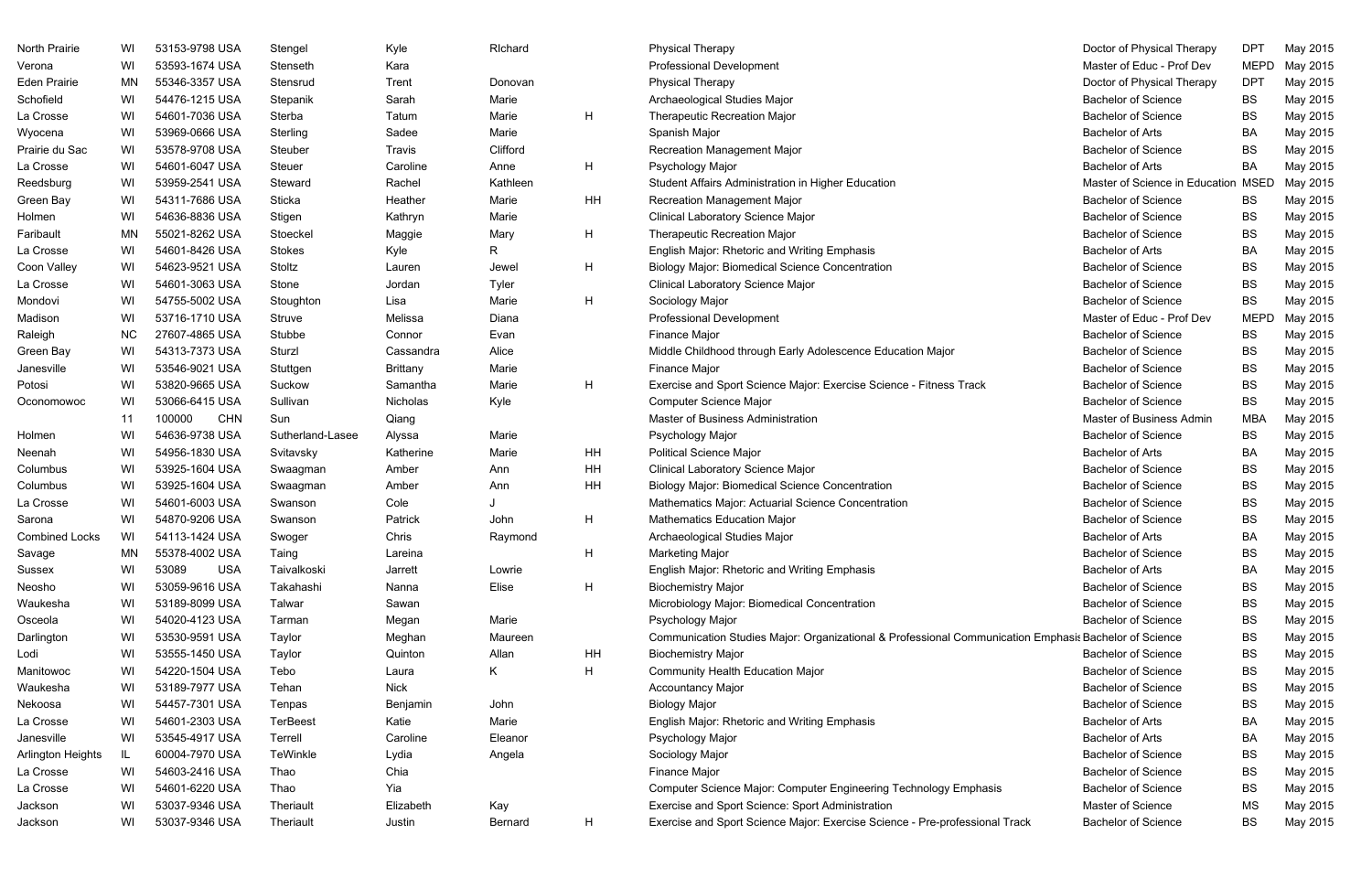| North Prairie         | WI        | 53153-9798 USA       | Stengel          | Kyle            | Richard        |    | <b>Physical Therapy</b>                                                                               | Doctor of Physical Therapy     | <b>DPT</b>  | May 2015 |
|-----------------------|-----------|----------------------|------------------|-----------------|----------------|----|-------------------------------------------------------------------------------------------------------|--------------------------------|-------------|----------|
| Verona                | WI        | 53593-1674 USA       | Stenseth         | Kara            |                |    | <b>Professional Development</b>                                                                       | Master of Educ - Prof Dev      | <b>MEPD</b> | May 2015 |
| Eden Prairie          | MN        | 55346-3357 USA       | Stensrud         | Trent           | Donovan        |    | <b>Physical Therapy</b>                                                                               | Doctor of Physical Therapy     | <b>DPT</b>  | May 2015 |
| Schofield             | WI        | 54476-1215 USA       | Stepanik         | Sarah           | Marie          |    | Archaeological Studies Major                                                                          | <b>Bachelor of Science</b>     | <b>BS</b>   | May 2015 |
| La Crosse             | WI        | 54601-7036 USA       | Sterba           | Tatum           | Marie          | H  | <b>Therapeutic Recreation Major</b>                                                                   | <b>Bachelor of Science</b>     | <b>BS</b>   | May 2015 |
| Wyocena               | WI        | 53969-0666 USA       | Sterling         | Sadee           | Marie          |    | Spanish Major                                                                                         | <b>Bachelor of Arts</b>        | BA          | May 2015 |
| Prairie du Sac        | WI        | 53578-9708 USA       | Steuber          | Travis          | Clifford       |    | <b>Recreation Management Major</b>                                                                    | <b>Bachelor of Science</b>     | <b>BS</b>   | May 2015 |
| La Crosse             | WI        | 54601-6047 USA       | Steuer           | Caroline        | Anne           | H  | Psychology Major                                                                                      | <b>Bachelor of Arts</b>        | BA          | May 2015 |
| Reedsburg             | WI        | 53959-2541 USA       | Steward          | Rachel          | Kathleen       |    | Student Affairs Administration in Higher Education                                                    | Master of Science in Education | <b>MSED</b> | May 2015 |
| Green Bay             | WI        | 54311-7686 USA       | Sticka           | Heather         | Marie          | HH | Recreation Management Major                                                                           | <b>Bachelor of Science</b>     | <b>BS</b>   | May 2015 |
| Holmen                | WI        | 54636-8836 USA       | Stigen           | Kathryn         | Marie          |    | Clinical Laboratory Science Major                                                                     | <b>Bachelor of Science</b>     | BS          | May 2015 |
| Faribault             | MN        | 55021-8262 USA       | Stoeckel         | Maggie          | Mary           | H  | <b>Therapeutic Recreation Major</b>                                                                   | <b>Bachelor of Science</b>     | <b>BS</b>   | May 2015 |
| La Crosse             | WI        | 54601-8426 USA       | <b>Stokes</b>    | Kyle            | R              |    | English Major: Rhetoric and Writing Emphasis                                                          | <b>Bachelor of Arts</b>        | BA          | May 2015 |
| Coon Valley           | WI        | 54623-9521 USA       | Stoltz           | Lauren          | Jewel          | H  | <b>Biology Major: Biomedical Science Concentration</b>                                                | <b>Bachelor of Science</b>     | <b>BS</b>   | May 2015 |
| La Crosse             | WI        | 54601-3063 USA       | Stone            | Jordan          | Tyler          |    | <b>Clinical Laboratory Science Major</b>                                                              | <b>Bachelor of Science</b>     | <b>BS</b>   | May 2015 |
| Mondovi               | WI        | 54755-5002 USA       | Stoughton        | Lisa            | Marie          | H  | Sociology Major                                                                                       | <b>Bachelor of Science</b>     | <b>BS</b>   | May 2015 |
| Madison               | WI        | 53716-1710 USA       | Struve           | Melissa         | Diana          |    | <b>Professional Development</b>                                                                       | Master of Educ - Prof Dev      | <b>MEPD</b> | May 2015 |
| Raleigh               | <b>NC</b> | 27607-4865 USA       | Stubbe           | Connor          | Evan           |    | Finance Major                                                                                         | <b>Bachelor of Science</b>     | <b>BS</b>   | May 2015 |
| Green Bay             | WI        | 54313-7373 USA       | Sturzl           | Cassandra       | Alice          |    | Middle Childhood through Early Adolescence Education Major                                            | <b>Bachelor of Science</b>     | <b>BS</b>   | May 2015 |
| Janesville            | WI        | 53546-9021 USA       | Stuttgen         | <b>Brittany</b> | Marie          |    | Finance Major                                                                                         | <b>Bachelor of Science</b>     | <b>BS</b>   | May 2015 |
| Potosi                | WI        | 53820-9665 USA       | Suckow           | Samantha        | Marie          | H  | Exercise and Sport Science Major: Exercise Science - Fitness Track                                    | <b>Bachelor of Science</b>     | <b>BS</b>   | May 2015 |
| Oconomowoc            | WI        | 53066-6415 USA       | Sullivan         | Nicholas        | Kyle           |    | Computer Science Major                                                                                | <b>Bachelor of Science</b>     | <b>BS</b>   | May 2015 |
|                       | 11        | 100000<br><b>CHN</b> | Sun              | Qiang           |                |    | Master of Business Administration                                                                     | Master of Business Admin       | <b>MBA</b>  | May 2015 |
| Holmen                | WI        | 54636-9738 USA       | Sutherland-Lasee | Alyssa          | Marie          |    | Psychology Major                                                                                      | <b>Bachelor of Science</b>     | <b>BS</b>   | May 2015 |
| Neenah                | WI        | 54956-1830 USA       | Svitavsky        | Katherine       | Marie          | HH | <b>Political Science Major</b>                                                                        | <b>Bachelor of Arts</b>        | BA          | May 2015 |
| Columbus              | WI        | 53925-1604 USA       | Swaagman         | Amber           | Ann            | HH | Clinical Laboratory Science Major                                                                     | <b>Bachelor of Science</b>     | <b>BS</b>   | May 2015 |
| Columbus              | WI        | 53925-1604 USA       | Swaagman         | Amber           | Ann            | HH | <b>Biology Major: Biomedical Science Concentration</b>                                                | <b>Bachelor of Science</b>     | <b>BS</b>   | May 2015 |
| La Crosse             | WI        | 54601-6003 USA       | Swanson          | Cole            |                |    | Mathematics Major: Actuarial Science Concentration                                                    | <b>Bachelor of Science</b>     | <b>BS</b>   | May 2015 |
| Sarona                | WI        | 54870-9206 USA       | Swanson          | Patrick         | John           | H  | <b>Mathematics Education Major</b>                                                                    | <b>Bachelor of Science</b>     | <b>BS</b>   | May 2015 |
| <b>Combined Locks</b> | WI        | 54113-1424 USA       | Swoger           | Chris           | Raymond        |    | Archaeological Studies Major                                                                          | <b>Bachelor of Arts</b>        | BA          | May 2015 |
| Savage                | MN        | 55378-4002 USA       | Taing            | Lareina         |                | H. | <b>Marketing Major</b>                                                                                | <b>Bachelor of Science</b>     | <b>BS</b>   | May 2015 |
| Sussex                | WI        | 53089<br><b>USA</b>  | Taivalkoski      | Jarrett         | Lowrie         |    | English Major: Rhetoric and Writing Emphasis                                                          | <b>Bachelor of Arts</b>        | BA          | May 2015 |
| Neosho                | WI        | 53059-9616 USA       | Takahashi        | Nanna           | Elise          | H  | <b>Biochemistry Major</b>                                                                             | <b>Bachelor of Science</b>     | <b>BS</b>   | May 2015 |
| Waukesha              | WI        | 53189-8099 USA       | Talwar           | Sawan           |                |    | Microbiology Major: Biomedical Concentration                                                          | <b>Bachelor of Science</b>     | <b>BS</b>   | May 2015 |
| Osceola               | WI        | 54020-4123 USA       | Tarman           | Megan           | Marie          |    | Psychology Major                                                                                      | <b>Bachelor of Science</b>     | <b>BS</b>   | May 2015 |
| Darlington            | WI        | 53530-9591 USA       | Taylor           | Meghan          | Maureen        |    | Communication Studies Major: Organizational & Professional Communication Emphasis Bachelor of Science |                                | <b>BS</b>   | May 2015 |
| Lodi                  | WI        | 53555-1450 USA       | Taylor           | Quinton         | Allan          | HH | <b>Biochemistry Major</b>                                                                             | <b>Bachelor of Science</b>     | <b>BS</b>   | May 2015 |
| Manitowoc             | WI        | 54220-1504 USA       | Tebo             | Laura           | K.             | H  | <b>Community Health Education Major</b>                                                               | <b>Bachelor of Science</b>     | <b>BS</b>   | May 2015 |
| Waukesha              | WI        | 53189-7977 USA       | Tehan            | <b>Nick</b>     |                |    | <b>Accountancy Major</b>                                                                              | <b>Bachelor of Science</b>     | BS          | May 2015 |
| Nekoosa               | WI        | 54457-7301 USA       | Tenpas           | Benjamin        | John           |    | <b>Biology Major</b>                                                                                  | <b>Bachelor of Science</b>     | <b>BS</b>   | May 2015 |
| La Crosse             | WI        | 54601-2303 USA       | <b>TerBeest</b>  | Katie           | Marie          |    | English Major: Rhetoric and Writing Emphasis                                                          | <b>Bachelor of Arts</b>        | BA          | May 2015 |
| Janesville            | WI        | 53545-4917 USA       | Terrell          | Caroline        | Eleanor        |    | Psychology Major                                                                                      | <b>Bachelor of Arts</b>        | BA          | May 2015 |
| Arlington Heights     | IL.       | 60004-7970 USA       | TeWinkle         | Lydia           | Angela         |    | Sociology Major                                                                                       | <b>Bachelor of Science</b>     | BS          | May 2015 |
| La Crosse             | WI        | 54603-2416 USA       | Thao             | Chia            |                |    | Finance Major                                                                                         | <b>Bachelor of Science</b>     | <b>BS</b>   | May 2015 |
| La Crosse             | WI        | 54601-6220 USA       | Thao             | Yia             |                |    | Computer Science Major: Computer Engineering Technology Emphasis                                      | <b>Bachelor of Science</b>     | <b>BS</b>   | May 2015 |
| Jackson               | WI        | 53037-9346 USA       | Theriault        | Elizabeth       | Kay            |    | Exercise and Sport Science: Sport Administration                                                      | Master of Science              | MS          | May 2015 |
| Jackson               | WI        | 53037-9346 USA       | Theriault        | Justin          | <b>Bernard</b> | H  | Exercise and Sport Science Major: Exercise Science - Pre-professional Track                           | <b>Bachelor of Science</b>     | <b>BS</b>   | May 2015 |

| Doctor of Physical Therapy     | DPT         | May 2015 |
|--------------------------------|-------------|----------|
| Master of Educ - Prof Dev      | <b>MEPD</b> | May 2015 |
| Doctor of Physical Therapy     | <b>DPT</b>  | May 2015 |
| <b>Bachelor of Science</b>     | BS          | May 2015 |
| <b>Bachelor of Science</b>     | BS          | May 2015 |
| <b>Bachelor of Arts</b>        | ВA          | May 2015 |
| <b>Bachelor of Science</b>     | BS          | May 2015 |
| <b>Bachelor of Arts</b>        | BA          | May 2015 |
| Master of Science in Education | MSED        | May 2015 |
| <b>Bachelor of Science</b>     | <b>BS</b>   | May 2015 |
| <b>Bachelor of Science</b>     | BS          | May 2015 |
| <b>Bachelor of Science</b>     | BS          | May 2015 |
| <b>Bachelor of Arts</b>        | BA          | May 2015 |
| <b>Bachelor of Science</b>     | BS          | May 2015 |
| <b>Bachelor of Science</b>     | <b>BS</b>   | May 2015 |
| <b>Bachelor of Science</b>     | <b>BS</b>   | May 2015 |
| Master of Educ - Prof Dev      | MEPD        | May 2015 |
| <b>Bachelor of Science</b>     | BS          | May 2015 |
| <b>Bachelor of Science</b>     | BS          | May 2015 |
| <b>Bachelor of Science</b>     | ВS          | May 2015 |
| <b>Bachelor of Science</b>     | BS          | May 2015 |
| <b>Bachelor of Science</b>     | ВS          | May 2015 |
| Master of Business Admin       | MBA         | May 2015 |
| <b>Bachelor of Science</b>     | BS          | May 2015 |
| <b>Bachelor of Arts</b>        | ΒA          | May 2015 |
| <b>Bachelor of Science</b>     | BS          | May 2015 |
| <b>Bachelor of Science</b>     | BS          | May 2015 |
| <b>Bachelor of Science</b>     | BS          | May 2015 |
| <b>Bachelor of Science</b>     | ВS          | May 2015 |
| <b>Bachelor of Arts</b>        | <b>BA</b>   | May 2015 |
| <b>Bachelor of Science</b>     | BS          | May 2015 |
| <b>Bachelor of Arts</b>        | ВA          | May 2015 |
| <b>Bachelor of Science</b>     | BS          | May 2015 |
| <b>Bachelor of Science</b>     | BS          | May 2015 |
| <b>Bachelor of Science</b>     | <b>BS</b>   | May 2015 |
| hasis Bachelor of Science      | BS          | May 2015 |
| <b>Bachelor of Science</b>     | BS          | May 2015 |
| <b>Bachelor of Science</b>     | ВS          | May 2015 |
| <b>Bachelor of Science</b>     | <b>BS</b>   | May 2015 |
| <b>Bachelor of Science</b>     | ВS          | May 2015 |
| <b>Bachelor of Arts</b>        | ВA          | May 2015 |
| <b>Bachelor of Arts</b>        | ВA          | May 2015 |
| <b>Bachelor of Science</b>     | ВS          | May 2015 |
| <b>Bachelor of Science</b>     | ВS          | May 2015 |
| <b>Bachelor of Science</b>     | BS          | May 2015 |
| Master of Science              | <b>MS</b>   | May 2015 |
| <b>Bachelor of Science</b>     | BS          | May 2015 |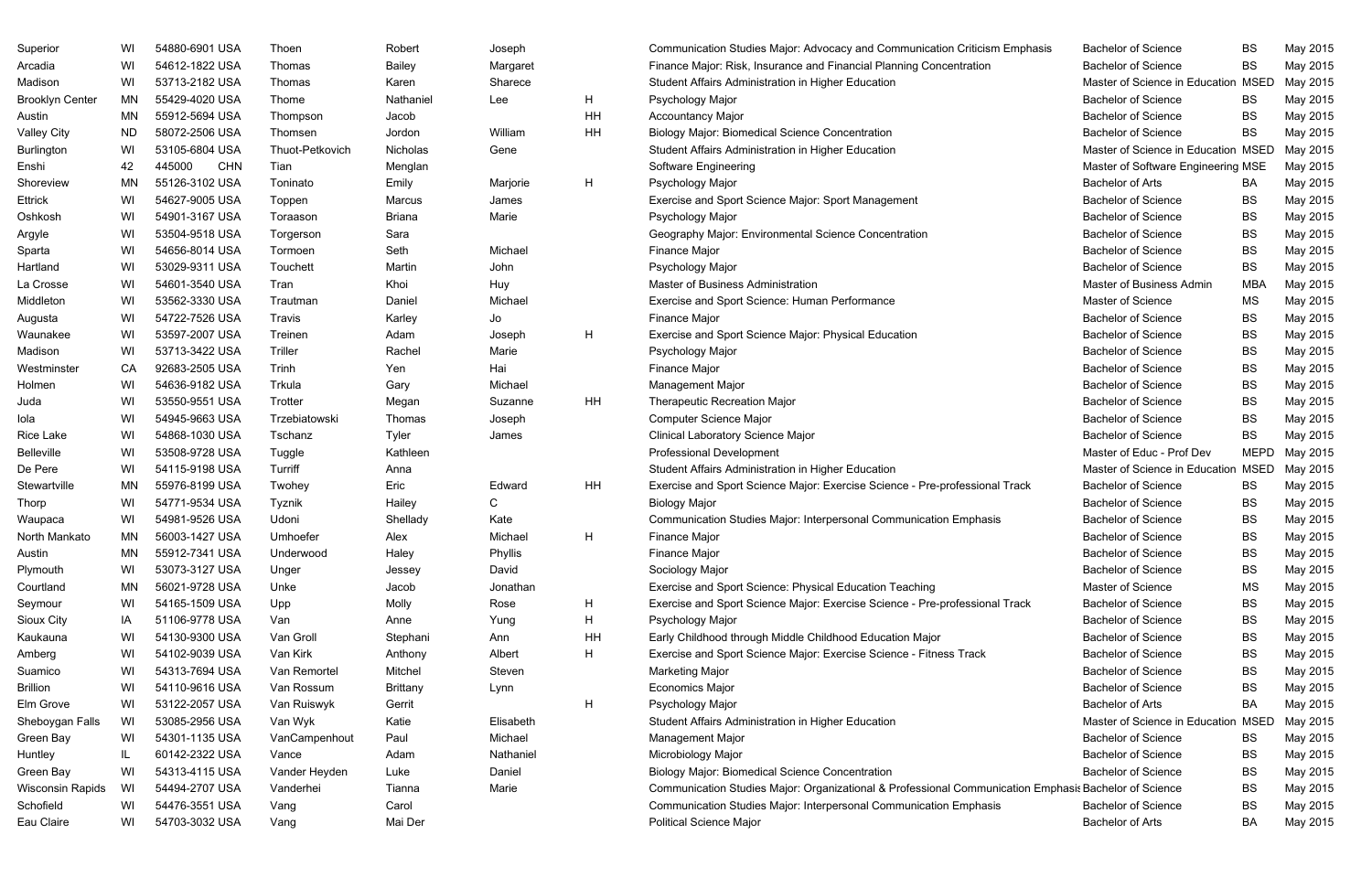| Superior               | WI        | 54880-6901 USA       | Thoen           | Robert          | Joseph    |    | Communication Studies Major: Advocacy and Communication Criticism Emphasis                            | <b>Bachelor of Science</b>          | <b>BS</b>   | May 2015 |
|------------------------|-----------|----------------------|-----------------|-----------------|-----------|----|-------------------------------------------------------------------------------------------------------|-------------------------------------|-------------|----------|
| Arcadia                | WI        | 54612-1822 USA       | Thomas          | <b>Bailey</b>   | Margaret  |    | Finance Major: Risk, Insurance and Financial Planning Concentration                                   | <b>Bachelor of Science</b>          | <b>BS</b>   | May 2015 |
| Madison                | WI        | 53713-2182 USA       | Thomas          | Karen           | Sharece   |    | Student Affairs Administration in Higher Education                                                    | Master of Science in Education MSED |             | May 2015 |
| <b>Brooklyn Center</b> | ΜN        | 55429-4020 USA       | Thome           | Nathaniel       | Lee       | H  | Psychology Major                                                                                      | <b>Bachelor of Science</b>          | BS.         | May 2015 |
| Austin                 | MN        | 55912-5694 USA       | Thompson        | Jacob           |           | HH | <b>Accountancy Major</b>                                                                              | <b>Bachelor of Science</b>          | <b>BS</b>   | May 2015 |
| <b>Valley City</b>     | <b>ND</b> | 58072-2506 USA       | Thomsen         | Jordon          | William   | HH | <b>Biology Major: Biomedical Science Concentration</b>                                                | <b>Bachelor of Science</b>          | <b>BS</b>   | May 2015 |
| Burlington             | WI        | 53105-6804 USA       | Thuot-Petkovich | Nicholas        | Gene      |    | Student Affairs Administration in Higher Education                                                    | Master of Science in Education MSED |             | May 2015 |
| Enshi                  | 42        | 445000<br><b>CHN</b> | Tian            | Menglan         |           |    | Software Engineering                                                                                  | Master of Software Engineering MSE  |             | May 2015 |
| Shoreview              | ΜN        | 55126-3102 USA       | Toninato        | Emily           | Marjorie  | H  | Psychology Major                                                                                      | <b>Bachelor of Arts</b>             | BA.         | May 2015 |
| Ettrick                | WI        | 54627-9005 USA       | Toppen          | Marcus          | James     |    | Exercise and Sport Science Major: Sport Management                                                    | <b>Bachelor of Science</b>          | <b>BS</b>   | May 2015 |
| Oshkosh                | WI        | 54901-3167 USA       | Toraason        | <b>Briana</b>   | Marie     |    | Psychology Major                                                                                      | <b>Bachelor of Science</b>          | <b>BS</b>   | May 2015 |
| Argyle                 | WI        | 53504-9518 USA       | Torgerson       | Sara            |           |    | Geography Major: Environmental Science Concentration                                                  | <b>Bachelor of Science</b>          | <b>BS</b>   | May 2015 |
| Sparta                 | WI        | 54656-8014 USA       | Tormoen         | Seth            | Michael   |    | Finance Major                                                                                         | <b>Bachelor of Science</b>          | <b>BS</b>   | May 2015 |
| Hartland               | WI        | 53029-9311 USA       | Touchett        | Martin          | John      |    | Psychology Major                                                                                      | <b>Bachelor of Science</b>          | <b>BS</b>   | May 2015 |
| La Crosse              | WI        | 54601-3540 USA       | Tran            | Khoi            | Huy       |    | Master of Business Administration                                                                     | Master of Business Admin            | <b>MBA</b>  | May 2015 |
| Middleton              | WI        | 53562-3330 USA       | Trautman        | Daniel          | Michael   |    | Exercise and Sport Science: Human Performance                                                         | Master of Science                   | <b>MS</b>   | May 2015 |
| Augusta                | WI        | 54722-7526 USA       | Travis          | Karley          | Jo        |    | Finance Major                                                                                         | <b>Bachelor of Science</b>          | <b>BS</b>   | May 2015 |
| Waunakee               | WI        | 53597-2007 USA       | Treinen         | Adam            | Joseph    | H  | Exercise and Sport Science Major: Physical Education                                                  | <b>Bachelor of Science</b>          | <b>BS</b>   | May 2015 |
| Madison                | WI        | 53713-3422 USA       | Triller         | Rachel          | Marie     |    | Psychology Major                                                                                      | <b>Bachelor of Science</b>          | <b>BS</b>   | May 2015 |
| Westminster            | CA        | 92683-2505 USA       | Trinh           | Yen             | Hai       |    | Finance Major                                                                                         | <b>Bachelor of Science</b>          | <b>BS</b>   | May 2015 |
| Holmen                 | WI        | 54636-9182 USA       | Trkula          | Gary            | Michael   |    | Management Major                                                                                      | <b>Bachelor of Science</b>          | <b>BS</b>   | May 2015 |
| Juda                   | WI        | 53550-9551 USA       | Trotter         | Megan           | Suzanne   | HH | <b>Therapeutic Recreation Major</b>                                                                   | <b>Bachelor of Science</b>          | <b>BS</b>   | May 2015 |
| lola                   | WI        | 54945-9663 USA       | Trzebiatowski   | Thomas          | Joseph    |    | Computer Science Major                                                                                | <b>Bachelor of Science</b>          | <b>BS</b>   | May 2015 |
| Rice Lake              | WI        | 54868-1030 USA       | Tschanz         | Tyler           | James     |    | Clinical Laboratory Science Major                                                                     | <b>Bachelor of Science</b>          | <b>BS</b>   | May 2015 |
| <b>Belleville</b>      | WI        | 53508-9728 USA       | Tuggle          | Kathleen        |           |    | <b>Professional Development</b>                                                                       | Master of Educ - Prof Dev           | <b>MEPD</b> | May 2015 |
| De Pere                | WI        | 54115-9198 USA       | Turriff         | Anna            |           |    | Student Affairs Administration in Higher Education                                                    | Master of Science in Education      | <b>MSED</b> | May 2015 |
| Stewartville           | MN        | 55976-8199 USA       | Twohey          | Eric            | Edward    | HH | Exercise and Sport Science Major: Exercise Science - Pre-professional Track                           | <b>Bachelor of Science</b>          | <b>BS</b>   | May 2015 |
| Thorp                  | WI        | 54771-9534 USA       | Tyznik          | Hailey          | C         |    | <b>Biology Major</b>                                                                                  | <b>Bachelor of Science</b>          | <b>BS</b>   | May 2015 |
| Waupaca                | WI        | 54981-9526 USA       | Udoni           | Shellady        | Kate      |    | Communication Studies Major: Interpersonal Communication Emphasis                                     | <b>Bachelor of Science</b>          | <b>BS</b>   | May 2015 |
| North Mankato          | ΜN        | 56003-1427 USA       | Umhoefer        | Alex            | Michael   |    | Finance Major                                                                                         | <b>Bachelor of Science</b>          | <b>BS</b>   | May 2015 |
| Austin                 | MN.       | 55912-7341 USA       | Underwood       | Haley           | Phyllis   |    | Finance Major                                                                                         | <b>Bachelor of Science</b>          | <b>BS</b>   | May 2015 |
| Plymouth               | WI        | 53073-3127 USA       | Unger           | Jessey          | David     |    | Sociology Major                                                                                       | <b>Bachelor of Science</b>          | <b>BS</b>   | May 2015 |
| Courtland              | ΜN        | 56021-9728 USA       | Unke            | Jacob           | Jonathan  |    | Exercise and Sport Science: Physical Education Teaching                                               | Master of Science                   | MS          | May 2015 |
| Seymour                | WI        | 54165-1509 USA       | Upp             | Molly           | Rose      | H  | Exercise and Sport Science Major: Exercise Science - Pre-professional Track                           | <b>Bachelor of Science</b>          | <b>BS</b>   | May 2015 |
| Sioux City             | IA        | 51106-9778 USA       | Van             | Anne            | Yung      | H  | Psychology Major                                                                                      | <b>Bachelor of Science</b>          | <b>BS</b>   | May 2015 |
| Kaukauna               | WI        | 54130-9300 USA       | Van Groll       | Stephani        | Ann       | HH | Early Childhood through Middle Childhood Education Major                                              | <b>Bachelor of Science</b>          | BS          | May 2015 |
| Amberg                 | WI        | 54102-9039 USA       | Van Kirk        | Anthony         | Albert    | H  | Exercise and Sport Science Major: Exercise Science - Fitness Track                                    | <b>Bachelor of Science</b>          | <b>BS</b>   | May 2015 |
| Suamico                | WI        | 54313-7694 USA       | Van Remortel    | Mitchel         | Steven    |    | <b>Marketing Major</b>                                                                                | <b>Bachelor of Science</b>          | BS          | May 2015 |
| <b>Brillion</b>        | WI        | 54110-9616 USA       | Van Rossum      | <b>Brittany</b> | Lynn      |    | <b>Economics Major</b>                                                                                | <b>Bachelor of Science</b>          | <b>BS</b>   | May 2015 |
| Elm Grove              | WI        | 53122-2057 USA       | Van Ruiswyk     | Gerrit          |           | H  | Psychology Major                                                                                      | <b>Bachelor of Arts</b>             | BA          | May 2015 |
| Sheboygan Falls        | WI        | 53085-2956 USA       | Van Wyk         | Katie           | Elisabeth |    | Student Affairs Administration in Higher Education                                                    | Master of Science in Education MSED |             | May 2015 |
| Green Bay              | WI        | 54301-1135 USA       | VanCampenhout   | Paul            | Michael   |    | <b>Management Major</b>                                                                               | <b>Bachelor of Science</b>          | BS.         | May 2015 |
| Huntley                | IL        | 60142-2322 USA       | Vance           | Adam            | Nathaniel |    | Microbiology Major                                                                                    | <b>Bachelor of Science</b>          | <b>BS</b>   | May 2015 |
| Green Bay              | WI        | 54313-4115 USA       | Vander Heyden   | Luke            | Daniel    |    | <b>Biology Major: Biomedical Science Concentration</b>                                                | <b>Bachelor of Science</b>          | BS          | May 2015 |
| Wisconsin Rapids       | WI        | 54494-2707 USA       | Vanderhei       | Tianna          | Marie     |    | Communication Studies Major: Organizational & Professional Communication Emphasis Bachelor of Science |                                     | <b>BS</b>   | May 2015 |
| Schofield              | WI        | 54476-3551 USA       | Vang            | Carol           |           |    | Communication Studies Major: Interpersonal Communication Emphasis                                     | <b>Bachelor of Science</b>          | BS          | May 2015 |
| Eau Claire             | WI        | 54703-3032 USA       | Vang            | Mai Der         |           |    | <b>Political Science Major</b>                                                                        | <b>Bachelor of Arts</b>             | BA          | May 2015 |
|                        |           |                      |                 |                 |           |    |                                                                                                       |                                     |             |          |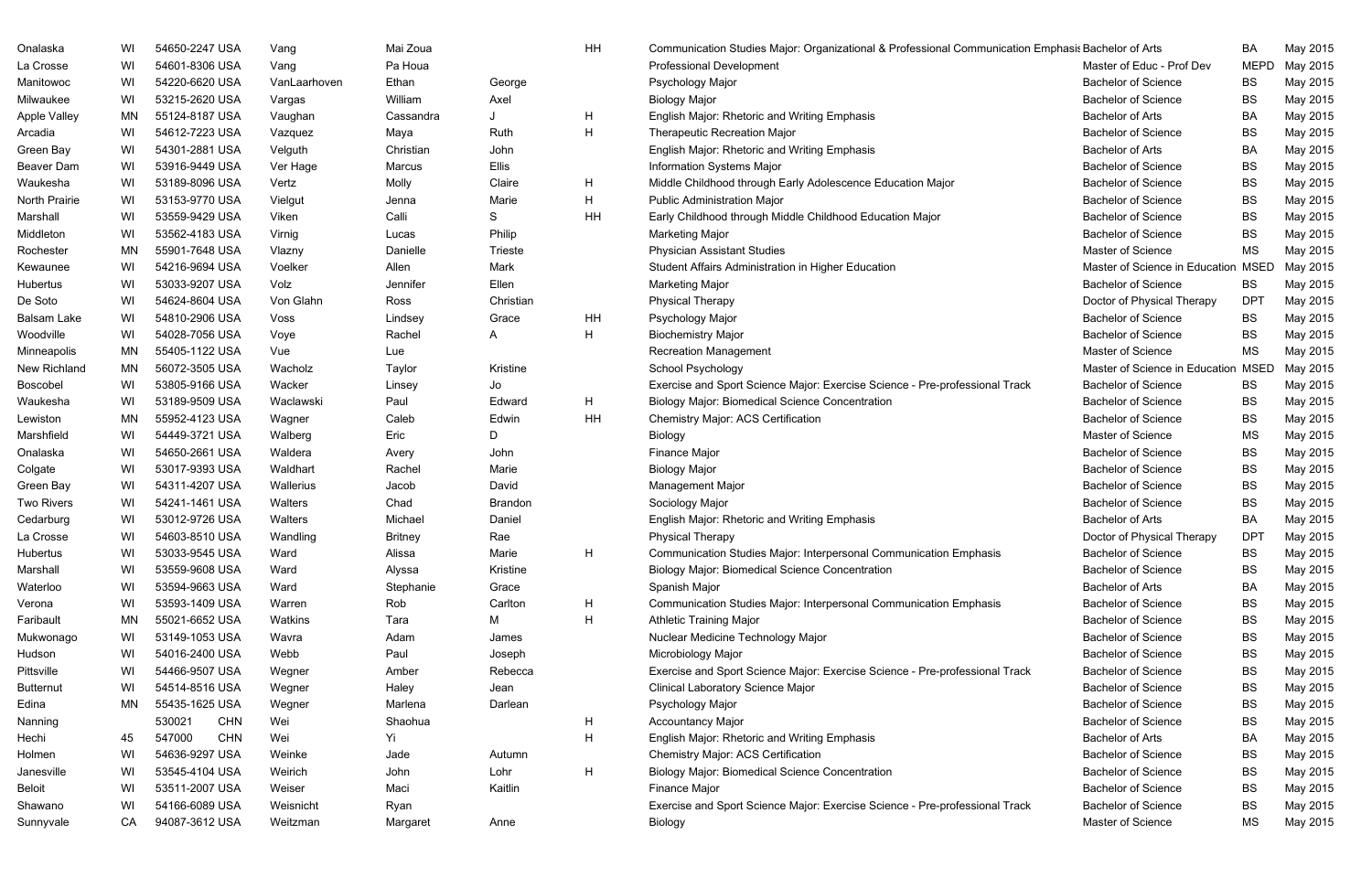| Onalaska            | WI | 54650-2247 USA       | Vang         | Mai Zoua       |                | HH | Communication Studies Major: Organizational & Professional Communication Emphasis Bachelor of Arts |                                     | BA          | May 2015 |
|---------------------|----|----------------------|--------------|----------------|----------------|----|----------------------------------------------------------------------------------------------------|-------------------------------------|-------------|----------|
| La Crosse           | WI | 54601-8306 USA       | Vang         | Pa Houa        |                |    | <b>Professional Development</b>                                                                    | Master of Educ - Prof Dev           | <b>MEPD</b> | May 2015 |
| Manitowoc           | WI | 54220-6620 USA       | VanLaarhoven | Ethan          | George         |    | Psychology Major                                                                                   | <b>Bachelor of Science</b>          | BS          | May 2015 |
| Milwaukee           | WI | 53215-2620 USA       | Vargas       | William        | Axel           |    | <b>Biology Major</b>                                                                               | <b>Bachelor of Science</b>          | <b>BS</b>   | May 2015 |
| <b>Apple Valley</b> | ΜN | 55124-8187 USA       | Vaughan      | Cassandra      |                | H  | English Major: Rhetoric and Writing Emphasis                                                       | <b>Bachelor of Arts</b>             | BA          | May 2015 |
| Arcadia             | WI | 54612-7223 USA       | Vazquez      | Maya           | Ruth           | H  | Therapeutic Recreation Major                                                                       | <b>Bachelor of Science</b>          | <b>BS</b>   | May 2015 |
| Green Bay           | WI | 54301-2881 USA       | Velguth      | Christian      | John           |    | English Major: Rhetoric and Writing Emphasis                                                       | <b>Bachelor of Arts</b>             | BA          | May 2015 |
| Beaver Dam          | WI | 53916-9449 USA       | Ver Hage     | Marcus         | <b>Ellis</b>   |    | Information Systems Major                                                                          | <b>Bachelor of Science</b>          | <b>BS</b>   | May 2015 |
| Waukesha            | WI | 53189-8096 USA       | Vertz        | Molly          | Claire         | H  | Middle Childhood through Early Adolescence Education Major                                         | <b>Bachelor of Science</b>          | <b>BS</b>   | May 2015 |
| North Prairie       | WI | 53153-9770 USA       | Vielgut      | Jenna          | Marie          | H  | <b>Public Administration Major</b>                                                                 | <b>Bachelor of Science</b>          | <b>BS</b>   | May 2015 |
| Marshall            | WI | 53559-9429 USA       | Viken        | Calli          | S              | HH | Early Childhood through Middle Childhood Education Major                                           | <b>Bachelor of Science</b>          | BS          | May 2015 |
| Middleton           | WI | 53562-4183 USA       | Virnig       | Lucas          | Philip         |    | <b>Marketing Major</b>                                                                             | <b>Bachelor of Science</b>          | <b>BS</b>   | May 2015 |
| Rochester           | ΜN | 55901-7648 USA       | Vlazny       | Danielle       | <b>Trieste</b> |    | <b>Physician Assistant Studies</b>                                                                 | Master of Science                   | <b>MS</b>   | May 2015 |
| Kewaunee            | WI | 54216-9694 USA       | Voelker      | Allen          | Mark           |    | Student Affairs Administration in Higher Education                                                 | Master of Science in Education      | <b>MSED</b> | May 2015 |
| Hubertus            | WI | 53033-9207 USA       | Volz         | Jennifer       | Ellen          |    | <b>Marketing Major</b>                                                                             | <b>Bachelor of Science</b>          | BS          | May 2015 |
| De Soto             | WI | 54624-8604 USA       | Von Glahn    | Ross           | Christian      |    | <b>Physical Therapy</b>                                                                            | Doctor of Physical Therapy          | <b>DPT</b>  | May 2015 |
| <b>Balsam Lake</b>  | WI | 54810-2906 USA       | Voss         | Lindsey        | Grace          | HH | Psychology Major                                                                                   | <b>Bachelor of Science</b>          | BS          | May 2015 |
| Woodville           | WI | 54028-7056 USA       | Voye         | Rachel         | A              | H  | <b>Biochemistry Major</b>                                                                          | <b>Bachelor of Science</b>          | <b>BS</b>   | May 2015 |
| Minneapolis         | ΜN | 55405-1122 USA       | Vue          | Lue            |                |    | <b>Recreation Management</b>                                                                       | <b>Master of Science</b>            | <b>MS</b>   | May 2015 |
| New Richland        | MN | 56072-3505 USA       | Wacholz      | Taylor         | Kristine       |    | School Psychology                                                                                  | Master of Science in Education MSED |             | May 2015 |
| Boscobel            | WI | 53805-9166 USA       | Wacker       | Linsey         | Jo             |    | Exercise and Sport Science Major: Exercise Science - Pre-professional Track                        | <b>Bachelor of Science</b>          | <b>BS</b>   | May 2015 |
| Waukesha            | WI | 53189-9509 USA       | Waclawski    | Paul           | Edward         | H  | <b>Biology Major: Biomedical Science Concentration</b>                                             | <b>Bachelor of Science</b>          | BS          | May 2015 |
| Lewiston            | ΜN | 55952-4123 USA       | Wagner       | Caleb          | Edwin          | HH | <b>Chemistry Major: ACS Certification</b>                                                          | <b>Bachelor of Science</b>          | <b>BS</b>   | May 2015 |
| Marshfield          | WI | 54449-3721 USA       | Walberg      | Eric           | D              |    | Biology                                                                                            | Master of Science                   | <b>MS</b>   | May 2015 |
| Onalaska            | WI | 54650-2661 USA       | Waldera      | Avery          | John           |    | Finance Major                                                                                      | <b>Bachelor of Science</b>          | <b>BS</b>   | May 2015 |
| Colgate             | WI | 53017-9393 USA       | Waldhart     | Rachel         | Marie          |    | <b>Biology Major</b>                                                                               | <b>Bachelor of Science</b>          | <b>BS</b>   | May 2015 |
| Green Bay           | WI | 54311-4207 USA       | Wallerius    | Jacob          | David          |    | Management Major                                                                                   | <b>Bachelor of Science</b>          | <b>BS</b>   | May 2015 |
| <b>Two Rivers</b>   | WI | 54241-1461 USA       | Walters      | Chad           | <b>Brandon</b> |    | Sociology Major                                                                                    | <b>Bachelor of Science</b>          | <b>BS</b>   | May 2015 |
| Cedarburg           | WI | 53012-9726 USA       | Walters      | Michael        | Daniel         |    | English Major: Rhetoric and Writing Emphasis                                                       | <b>Bachelor of Arts</b>             | BA          | May 2015 |
| La Crosse           | WI | 54603-8510 USA       | Wandling     | <b>Britney</b> | Rae            |    | <b>Physical Therapy</b>                                                                            | Doctor of Physical Therapy          | <b>DPT</b>  | May 2015 |
| Hubertus            | WI | 53033-9545 USA       | Ward         | Alissa         | Marie          | H  | Communication Studies Major: Interpersonal Communication Emphasis                                  | <b>Bachelor of Science</b>          | BS          | May 2015 |
| Marshall            | WI | 53559-9608 USA       | Ward         | Alyssa         | Kristine       |    | <b>Biology Major: Biomedical Science Concentration</b>                                             | <b>Bachelor of Science</b>          | BS          | May 2015 |
| Waterloo            | WI | 53594-9663 USA       | Ward         | Stephanie      | Grace          |    | Spanish Major                                                                                      | <b>Bachelor of Arts</b>             | BA          | May 2015 |
| Verona              | WI | 53593-1409 USA       | Warren       | Rob            | Carlton        | H  | Communication Studies Major: Interpersonal Communication Emphasis                                  | <b>Bachelor of Science</b>          | BS          | May 2015 |
| Faribault           | ΜN | 55021-6652 USA       | Watkins      | Tara           | M              | H  | <b>Athletic Training Major</b>                                                                     | <b>Bachelor of Science</b>          | BS          | May 2015 |
| Mukwonago           | WI | 53149-1053 USA       | Wavra        | Adam           | James          |    | Nuclear Medicine Technology Major                                                                  | <b>Bachelor of Science</b>          | BS          | May 2015 |
| Hudson              | WI | 54016-2400 USA       | Webb         | Paul           | Joseph         |    | Microbiology Major                                                                                 | <b>Bachelor of Science</b>          | BS          | May 2015 |
| Pittsville          | WI | 54466-9507 USA       | Wegner       | Amber          | Rebecca        |    | Exercise and Sport Science Major: Exercise Science - Pre-professional Track                        | <b>Bachelor of Science</b>          | <b>BS</b>   | May 2015 |
| <b>Butternut</b>    | WI | 54514-8516 USA       | Wegner       | Haley          | Jean           |    | <b>Clinical Laboratory Science Major</b>                                                           | <b>Bachelor of Science</b>          | BS          | May 2015 |
| Edina               | MN | 55435-1625 USA       | Wegner       | Marlena        | Darlean        |    | Psychology Major                                                                                   | <b>Bachelor of Science</b>          | BS          | May 2015 |
| Nanning             |    | 530021<br><b>CHN</b> | Wei          | Shaohua        |                | H  | <b>Accountancy Major</b>                                                                           | <b>Bachelor of Science</b>          | BS          | May 2015 |
| Hechi               | 45 | 547000<br><b>CHN</b> | Wei          | Υi             |                | H  | English Major: Rhetoric and Writing Emphasis                                                       | <b>Bachelor of Arts</b>             | BA          | May 2015 |
| Holmen              | WI | 54636-9297 USA       | Weinke       | Jade           | Autumn         |    | <b>Chemistry Major: ACS Certification</b>                                                          | <b>Bachelor of Science</b>          | BS          | May 2015 |
| Janesville          | WI | 53545-4104 USA       | Weirich      | John           | Lohr           | H  | <b>Biology Major: Biomedical Science Concentration</b>                                             | <b>Bachelor of Science</b>          | BS          | May 2015 |
| <b>Beloit</b>       | WI | 53511-2007 USA       | Weiser       | Maci           | Kaitlin        |    | Finance Major                                                                                      | <b>Bachelor of Science</b>          | BS          | May 2015 |
| Shawano             | WI | 54166-6089 USA       | Weisnicht    | Ryan           |                |    | Exercise and Sport Science Major: Exercise Science - Pre-professional Track                        | <b>Bachelor of Science</b>          | BS          | May 2015 |
| Sunnyvale           | CA | 94087-3612 USA       | Weitzman     | Margaret       | Anne           |    | Biology                                                                                            | Master of Science                   | <b>MS</b>   | May 2015 |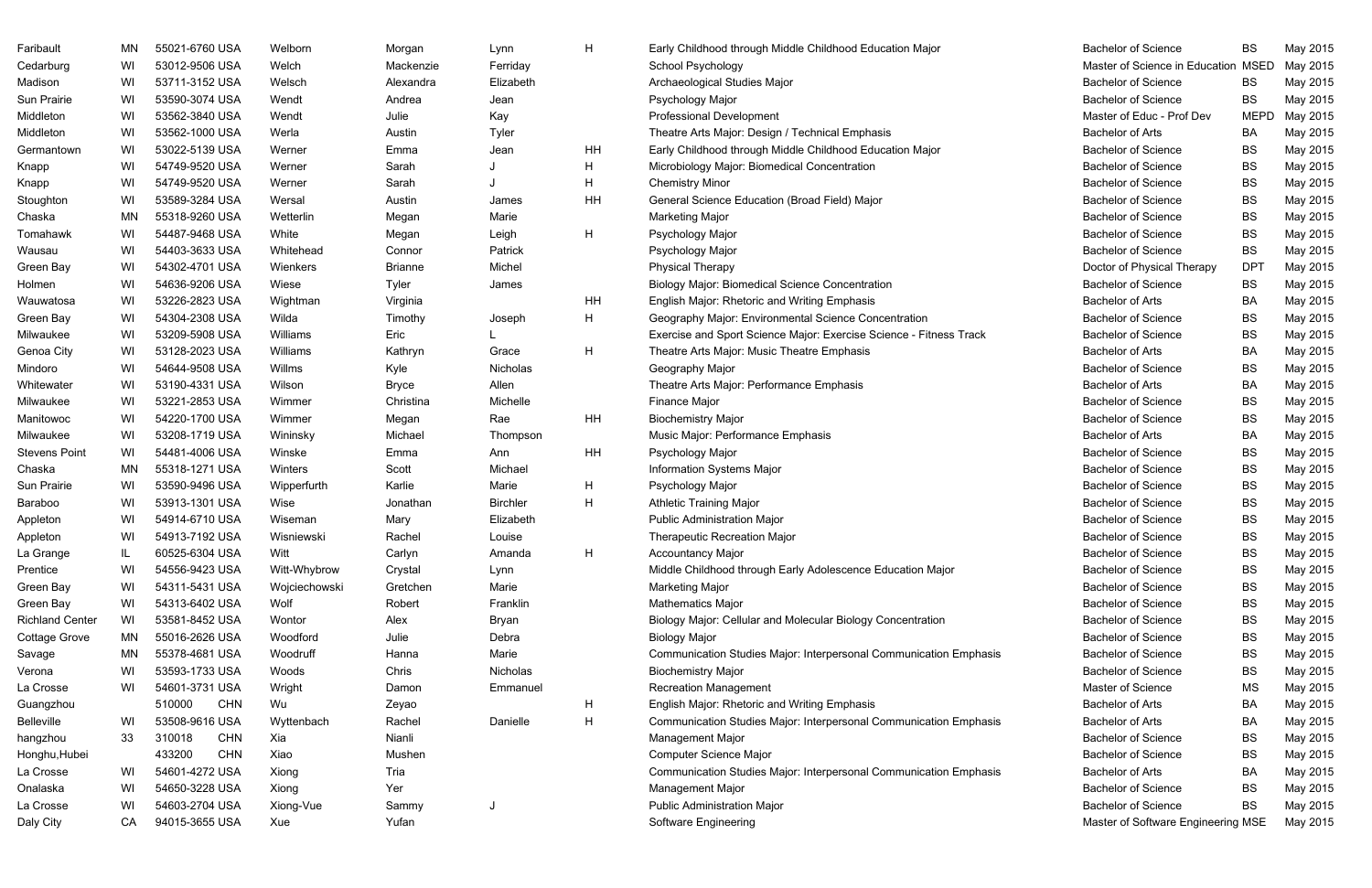| Faribault              | MN. | 55021-6760 USA       | Welborn       | Morgan         | Lynn            | H  | Early Childhood through Middle Childhood Education Major           | <b>Bachelor of Science</b>         | BS.         | May 2015 |
|------------------------|-----|----------------------|---------------|----------------|-----------------|----|--------------------------------------------------------------------|------------------------------------|-------------|----------|
| Cedarburg              | WI  | 53012-9506 USA       | Welch         | Mackenzie      | Ferriday        |    | School Psychology                                                  | Master of Science in Education     | <b>MSED</b> | May 2015 |
| Madison                | WI  | 53711-3152 USA       | Welsch        | Alexandra      | Elizabeth       |    | Archaeological Studies Major                                       | <b>Bachelor of Science</b>         | BS          | May 2015 |
| Sun Prairie            | WI  | 53590-3074 USA       | Wendt         | Andrea         | Jean            |    | Psychology Major                                                   | <b>Bachelor of Science</b>         | BS          | May 2015 |
| Middleton              | WI  | 53562-3840 USA       | Wendt         | Julie          | Kay             |    | <b>Professional Development</b>                                    | Master of Educ - Prof Dev          | <b>MEPD</b> | May 2015 |
| Middleton              | WI  | 53562-1000 USA       | Werla         | Austin         | Tyler           |    | Theatre Arts Major: Design / Technical Emphasis                    | <b>Bachelor of Arts</b>            | BA          | May 2015 |
| Germantown             | WI  | 53022-5139 USA       | Werner        | Emma           | Jean            | HH | Early Childhood through Middle Childhood Education Major           | <b>Bachelor of Science</b>         | BS          | May 2015 |
| Knapp                  | WI  | 54749-9520 USA       | Werner        | Sarah          |                 | H  | Microbiology Major: Biomedical Concentration                       | <b>Bachelor of Science</b>         | BS          | May 2015 |
| Knapp                  | WI  | 54749-9520 USA       | Werner        | Sarah          |                 | H  | <b>Chemistry Minor</b>                                             | <b>Bachelor of Science</b>         | BS          | May 2015 |
| Stoughton              | WI  | 53589-3284 USA       | Wersal        | Austin         | James           | HH | General Science Education (Broad Field) Major                      | <b>Bachelor of Science</b>         | BS          | May 2015 |
| Chaska                 | MN  | 55318-9260 USA       | Wetterlin     | Megan          | Marie           |    | <b>Marketing Major</b>                                             | <b>Bachelor of Science</b>         | BS          | May 2015 |
| Tomahawk               | WI  | 54487-9468 USA       | White         | Megan          | Leigh           | H  | Psychology Major                                                   | <b>Bachelor of Science</b>         | BS          | May 2015 |
| Wausau                 | WI  | 54403-3633 USA       | Whitehead     | Connor         | Patrick         |    | Psychology Major                                                   | <b>Bachelor of Science</b>         | <b>BS</b>   | May 2015 |
| Green Bay              | WI  | 54302-4701 USA       | Wienkers      | <b>Brianne</b> | Michel          |    | <b>Physical Therapy</b>                                            | Doctor of Physical Therapy         | <b>DPT</b>  | May 2015 |
| Holmen                 | WI  | 54636-9206 USA       | Wiese         | Tyler          | James           |    | <b>Biology Major: Biomedical Science Concentration</b>             | <b>Bachelor of Science</b>         | BS          | May 2015 |
| Wauwatosa              | WI  | 53226-2823 USA       | Wightman      | Virginia       |                 | HH | English Major: Rhetoric and Writing Emphasis                       | <b>Bachelor of Arts</b>            | BA          | May 2015 |
| Green Bay              | WI  | 54304-2308 USA       | Wilda         | Timothy        | Joseph          | H  | Geography Major: Environmental Science Concentration               | <b>Bachelor of Science</b>         | BS          | May 2015 |
| Milwaukee              | WI  | 53209-5908 USA       | Williams      | Eric           |                 |    | Exercise and Sport Science Major: Exercise Science - Fitness Track | <b>Bachelor of Science</b>         | BS          | May 2015 |
| Genoa City             | WI  | 53128-2023 USA       | Williams      | Kathryn        | Grace           | H  | Theatre Arts Major: Music Theatre Emphasis                         | <b>Bachelor of Arts</b>            | BA          | May 2015 |
| Mindoro                | WI  | 54644-9508 USA       | Willms        | Kyle           | Nicholas        |    | Geography Major                                                    | <b>Bachelor of Science</b>         | BS          | May 2015 |
| Whitewater             | WI  | 53190-4331 USA       | Wilson        | Bryce          | Allen           |    | Theatre Arts Major: Performance Emphasis                           | <b>Bachelor of Arts</b>            | BA          | May 2015 |
| Milwaukee              | WI  | 53221-2853 USA       | Wimmer        | Christina      | Michelle        |    | Finance Major                                                      | <b>Bachelor of Science</b>         | BS          | May 2015 |
| Manitowoc              | WI  | 54220-1700 USA       | Wimmer        | Megan          | Rae             | HH | <b>Biochemistry Major</b>                                          | <b>Bachelor of Science</b>         | <b>BS</b>   | May 2015 |
| Milwaukee              | WI  | 53208-1719 USA       | Wininsky      | Michael        | Thompson        |    | Music Major: Performance Emphasis                                  | <b>Bachelor of Arts</b>            | BA          | May 2015 |
| Stevens Point          | WI  | 54481-4006 USA       | Winske        | Emma           | Ann             | HH | Psychology Major                                                   | <b>Bachelor of Science</b>         | BS          | May 2015 |
| Chaska                 | MN  | 55318-1271 USA       | Winters       | Scott          | Michael         |    | <b>Information Systems Major</b>                                   | <b>Bachelor of Science</b>         | BS          | May 2015 |
| Sun Prairie            | WI  | 53590-9496 USA       | Wipperfurth   | Karlie         | Marie           | H  | Psychology Major                                                   | <b>Bachelor of Science</b>         | BS          | May 2015 |
| Baraboo                | WI  | 53913-1301 USA       | Wise          | Jonathan       | <b>Birchler</b> | H  | <b>Athletic Training Major</b>                                     | <b>Bachelor of Science</b>         | BS          | May 2015 |
| Appleton               | WI  | 54914-6710 USA       | Wiseman       | Mary           | Elizabeth       |    | <b>Public Administration Major</b>                                 | <b>Bachelor of Science</b>         | BS          | May 2015 |
| Appleton               | WI  | 54913-7192 USA       | Wisniewski    | Rachel         | Louise          |    | <b>Therapeutic Recreation Major</b>                                | <b>Bachelor of Science</b>         | BS          | May 2015 |
| La Grange              | IL. | 60525-6304 USA       | Witt          | Carlyn         | Amanda          | H  | <b>Accountancy Major</b>                                           | <b>Bachelor of Science</b>         | BS          | May 2015 |
| Prentice               | WI  | 54556-9423 USA       | Witt-Whybrow  | Crystal        | Lynn            |    | Middle Childhood through Early Adolescence Education Major         | <b>Bachelor of Science</b>         | BS          | May 2015 |
| Green Bay              | WI  | 54311-5431 USA       | Wojciechowski | Gretchen       | Marie           |    | <b>Marketing Major</b>                                             | <b>Bachelor of Science</b>         | BS          | May 2015 |
| Green Bay              | WI  | 54313-6402 USA       | Wolf          | Robert         | Franklin        |    | <b>Mathematics Major</b>                                           | <b>Bachelor of Science</b>         | BS          | May 2015 |
| <b>Richland Center</b> | WI  | 53581-8452 USA       | Wontor        | Alex           | <b>Bryan</b>    |    | Biology Major: Cellular and Molecular Biology Concentration        | <b>Bachelor of Science</b>         | BS          | May 2015 |
| Cottage Grove          | MN  | 55016-2626 USA       | Woodford      | Julie          | Debra           |    | <b>Biology Major</b>                                               | <b>Bachelor of Science</b>         | BS          | May 2015 |
| Savage                 | MN  | 55378-4681 USA       | Woodruff      | Hanna          | Marie           |    | Communication Studies Major: Interpersonal Communication Emphasis  | <b>Bachelor of Science</b>         | BS          | May 2015 |
| Verona                 | WI  | 53593-1733 USA       | Woods         | Chris          | Nicholas        |    | <b>Biochemistry Major</b>                                          | <b>Bachelor of Science</b>         | BS          | May 2015 |
| La Crosse              | WI  | 54601-3731 USA       | Wright        | Damon          | Emmanuel        |    | <b>Recreation Management</b>                                       | Master of Science                  | МS          | May 2015 |
| Guangzhou              |     | 510000<br><b>CHN</b> | Wu            | Zeyao          |                 | H  | English Major: Rhetoric and Writing Emphasis                       | <b>Bachelor of Arts</b>            | BA          | May 2015 |
| Belleville             | WI  | 53508-9616 USA       | Wyttenbach    | Rachel         | Danielle        | H  | Communication Studies Major: Interpersonal Communication Emphasis  | <b>Bachelor of Arts</b>            | BA          | May 2015 |
| hangzhou               | 33  | 310018<br><b>CHN</b> | Xia           | Nianli         |                 |    | Management Major                                                   | <b>Bachelor of Science</b>         | BS          | May 2015 |
| Honghu, Hubei          |     | 433200<br><b>CHN</b> | Xiao          | Mushen         |                 |    | <b>Computer Science Major</b>                                      | <b>Bachelor of Science</b>         | BS          | May 2015 |
| La Crosse              | WI  | 54601-4272 USA       | Xiong         | Tria           |                 |    | Communication Studies Major: Interpersonal Communication Emphasis  | <b>Bachelor of Arts</b>            | BA          | May 2015 |
| Onalaska               | WI  | 54650-3228 USA       | Xiong         | Yer            |                 |    | Management Major                                                   | <b>Bachelor of Science</b>         | BS          | May 2015 |
| La Crosse              | WI  | 54603-2704 USA       | Xiong-Vue     | Sammy          |                 |    | <b>Public Administration Major</b>                                 | <b>Bachelor of Science</b>         | BS          | May 2015 |
| Daly City              | СA  | 94015-3655 USA       | Xue           | Yufan          |                 |    | Software Engineering                                               | Master of Software Engineering MSE |             | May 2015 |

| <b>Bachelor of Science</b>         | BS          | May 2015 |
|------------------------------------|-------------|----------|
| Master of Science in Education     | <b>MSED</b> | May 2015 |
| <b>Bachelor of Science</b>         | BS          | May 2015 |
| <b>Bachelor of Science</b>         | ВS          | May 2015 |
| Master of Educ - Prof Dev          | MEPD        | May 2015 |
| <b>Bachelor of Arts</b>            | ВA          | May 2015 |
| <b>Bachelor of Science</b>         | BS          | May 2015 |
| <b>Bachelor of Science</b>         | BS          | May 2015 |
| <b>Bachelor of Science</b>         | ВS          | May 2015 |
| <b>Bachelor of Science</b>         | <b>BS</b>   | May 2015 |
| <b>Bachelor of Science</b>         | BS          | May 2015 |
| <b>Bachelor of Science</b>         | BS          | May 2015 |
| <b>Bachelor of Science</b>         | ВS          | May 2015 |
| Doctor of Physical Therapy         | DPT         | May 2015 |
| <b>Bachelor of Science</b>         | BS          | May 2015 |
| <b>Bachelor of Arts</b>            | ВA          | May 2015 |
| <b>Bachelor of Science</b>         | ВS          | May 2015 |
| <b>Bachelor of Science</b>         | BS          | May 2015 |
| <b>Bachelor of Arts</b>            | ВA          | May 2015 |
| <b>Bachelor of Science</b>         | <b>BS</b>   | May 2015 |
| <b>Bachelor of Arts</b>            | BA          | May 2015 |
| <b>Bachelor of Science</b>         | BS          | May 2015 |
| <b>Bachelor of Science</b>         | BS          | May 2015 |
| <b>Bachelor of Arts</b>            | ВA          | May 2015 |
| <b>Bachelor of Science</b>         | BS          | May 2015 |
| <b>Bachelor of Science</b>         | BS          | May 2015 |
| <b>Bachelor of Science</b>         | ВS          | May 2015 |
| <b>Bachelor of Science</b>         | ВS          | May 2015 |
| <b>Bachelor of Science</b>         | BS          | May 2015 |
| <b>Bachelor of Science</b>         | BS          | May 2015 |
| <b>Bachelor of Science</b>         | BS          | May 2015 |
| <b>Bachelor of Science</b>         | <b>BS</b>   | May 2015 |
| <b>Bachelor of Science</b>         | <b>BS</b>   | May 2015 |
| <b>Bachelor of Science</b>         | ВS          | May 2015 |
| <b>Bachelor of Science</b>         | BS          | May 2015 |
| <b>Bachelor of Science</b>         | ВS          | May 2015 |
| <b>Bachelor of Science</b>         | <b>BS</b>   | May 2015 |
| <b>Bachelor of Science</b>         | ВS          | May 2015 |
| <b>Master of Science</b>           | <b>MS</b>   | May 2015 |
| <b>Bachelor of Arts</b>            | ВA          | May 2015 |
| <b>Bachelor of Arts</b>            | ВA          | May 2015 |
| <b>Bachelor of Science</b>         | ВS          | May 2015 |
| <b>Bachelor of Science</b>         | BS          | May 2015 |
| <b>Bachelor of Arts</b>            | ВA          | May 2015 |
| <b>Bachelor of Science</b>         | BS          | May 2015 |
| <b>Bachelor of Science</b>         | BS          | May 2015 |
| Master of Software Engineering MSE |             | May 2015 |